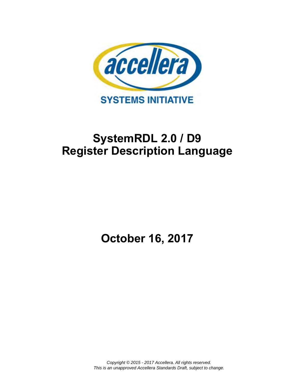

# **SystemRDL 2.0 / D9 Register Description Language**

**October 16, 2017**

*Copyright © 2015 - 2017 Accellera. All rights reserved. This is an unapproved Accellera Standards Draft, subject to change.*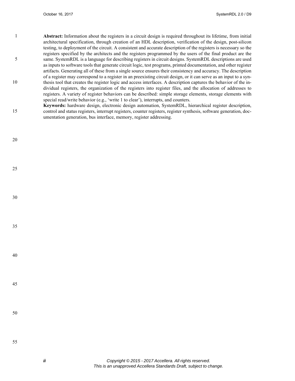- 1 5 10 **Abstract:** Information about the registers in a circuit design is required throughout its lifetime, from initial architectural specification, through creation of an HDL description, verification of the design, post-silicon testing, to deployment of the circuit. A consistent and accurate description of the registers is necessary so the registers specified by the architects and the registers programmed by the users of the final product are the same. SystemRDL is a language for describing registers in circuit designs. SystemRDL descriptions are used as inputs to software tools that generate circuit logic, test programs, printed documentation, and other register artifacts. Generating all of these from a single source ensures their consistency and accuracy. The description of a register may correspond to a register in an preexisting circuit design, or it can serve as an input to a synthesis tool that creates the register logic and access interfaces. A description captures the behavior of the individual registers, the organization of the registers into register files, and the allocation of addresses to registers. A variety of register behaviors can be described: simple storage elements, storage elements with special read/write behavior (e.g., 'write 1 to clear'), interrupts, and counters.
- 15 **Keywords:** hardware design, electronic design automation, SystemRDL, hierarchical register description, control and status registers, interrupt registers, counter registers, register synthesis, software generation, documentation generation, bus interface, memory, register addressing.

25

30

35

40

45

50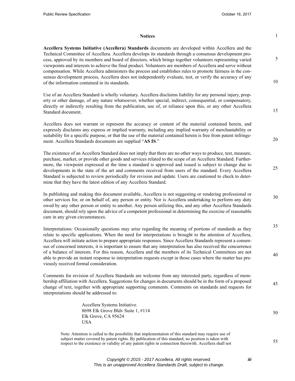#### **Notices**

**Accellera Systems Initiative (Accellera) Standards** documents are developed within Accellera and the Technical Committee of Accellera. Accellera develops its standards through a consensus development process, approved by its members and board of directors, which brings together volunteers representing varied viewpoints and interests to achieve the final product. Volunteers are members of Accellera and serve without compensation. While Accellera administers the process and establishes rules to promote fairness in the consensus development process, Accellera does not independently evaluate, test, or verify the accuracy of any of the information contained in its standards.

Use of an Accellera Standard is wholly voluntary. Accellera disclaims liability for any personal injury, property or other damage, of any nature whatsoever, whether special, indirect, consequential, or compensatory, directly or indirectly resulting from the publication, use of, or reliance upon this, or any other Accellera Standard document.

Accellera does not warrant or represent the accuracy or content of the material contained herein, and expressly disclaims any express or implied warranty, including any implied warranty of merchantability or suitability for a specific purpose, or that the use of the material contained herein is free from patent infringement. Accellera Standards documents are supplied "**AS IS**."

The existence of an Accellera Standard does not imply that there are no other ways to produce, test, measure, purchase, market, or provide other goods and services related to the scope of an Accellera Standard. Furthermore, the viewpoint expressed at the time a standard is approved and issued is subject to change due to developments in the state of the art and comments received from users of the standard. Every Accellera Standard is subjected to review periodically for revision and update. Users are cautioned to check to determine that they have the latest edition of any Accellera Standard.

In publishing and making this document available, Accellera is not suggesting or rendering professional or other services for, or on behalf of, any person or entity. Nor is Accellera undertaking to perform any duty owed by any other person or entity to another. Any person utilizing this, and any other Accellera Standards document, should rely upon the advice of a competent professional in determining the exercise of reasonable care in any given circumstances.

Interpretations: Occasionally questions may arise regarding the meaning of portions of standards as they relate to specific applications. When the need for interpretations is brought to the attention of Accellera, Accellera will initiate action to prepare appropriate responses. Since Accellera Standards represent a consensus of concerned interests, it is important to ensure that any interpretation has also received the concurrence of a balance of interests. For this reason, Accellera and the members of its Technical Committees are not able to provide an instant response to interpretation requests except in those cases where the matter has previously received formal consideration.

Comments for revision of Accellera Standards are welcome from any interested party, regardless of membership affiliation with Accellera. Suggestions for changes in documents should be in the form of a proposed change of text, together with appropriate supporting comments. Comments on standards and requests for interpretations should be addressed to:

> Accellera Systems Initiative. 8698 Elk Grove Bldv Suite 1, #114 Elk Grove, CA 95624 USA

Note: Attention is called to the possibility that implementation of this standard may require use of subject matter covered by patent rights. By publication of this standard, no position is taken with respect to the existence or validity of any patent rights in connection therewith. Accellera shall not

1

5

10

15

20

25

30

35

40

45

50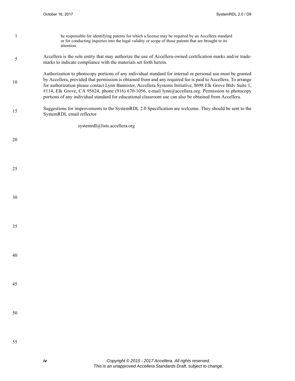| $\mathbf{1}$ | be responsible for identifying patents for which a license may be required by an Accellera standard<br>or for conducting inquiries into the legal validity or scope of those patents that are brought to its<br>attention.                                                                                                                                                                                                                                                                                                                                   |
|--------------|--------------------------------------------------------------------------------------------------------------------------------------------------------------------------------------------------------------------------------------------------------------------------------------------------------------------------------------------------------------------------------------------------------------------------------------------------------------------------------------------------------------------------------------------------------------|
| 5            | Accellera is the sole entity that may authorize the use of Accellera-owned certification marks and/or trade-<br>marks to indicate compliance with the materials set forth herein.                                                                                                                                                                                                                                                                                                                                                                            |
| 10           | Authorization to photocopy portions of any individual standard for internal or personal use must be granted<br>by Accellera, provided that permission is obtained from and any required fee is paid to Accellera. To arrange<br>for authorization please contact Lynn Bannister, Accellera Systems Initiative, 8698 Elk Grove Bldv Suite 1,<br>#114, Elk Grove, CA 95624, phone (916) 670-1056, e-mail lynn@accellera.org. Permission to photocopy<br>portions of any individual standard for educational classroom use can also be obtained from Accellera. |
| 15           | Suggestions for improvements to the SystemRDL 2.0 Specification are welcome. They should be sent to the<br>SystemRDL email reflector                                                                                                                                                                                                                                                                                                                                                                                                                         |
|              | systemrdl@lists.accellera.org                                                                                                                                                                                                                                                                                                                                                                                                                                                                                                                                |
| 20           |                                                                                                                                                                                                                                                                                                                                                                                                                                                                                                                                                              |
| 25           |                                                                                                                                                                                                                                                                                                                                                                                                                                                                                                                                                              |
|              |                                                                                                                                                                                                                                                                                                                                                                                                                                                                                                                                                              |
| 30           |                                                                                                                                                                                                                                                                                                                                                                                                                                                                                                                                                              |
|              |                                                                                                                                                                                                                                                                                                                                                                                                                                                                                                                                                              |
| 35           |                                                                                                                                                                                                                                                                                                                                                                                                                                                                                                                                                              |
| 40           |                                                                                                                                                                                                                                                                                                                                                                                                                                                                                                                                                              |
|              |                                                                                                                                                                                                                                                                                                                                                                                                                                                                                                                                                              |
| 45           |                                                                                                                                                                                                                                                                                                                                                                                                                                                                                                                                                              |
|              |                                                                                                                                                                                                                                                                                                                                                                                                                                                                                                                                                              |
| 50           |                                                                                                                                                                                                                                                                                                                                                                                                                                                                                                                                                              |
|              |                                                                                                                                                                                                                                                                                                                                                                                                                                                                                                                                                              |
| 55           |                                                                                                                                                                                                                                                                                                                                                                                                                                                                                                                                                              |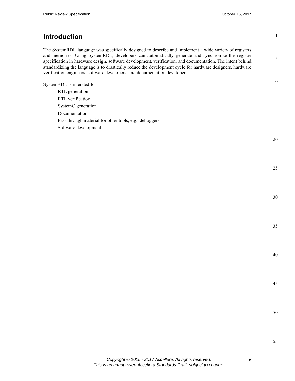| <b>Introduction</b>                                                                                                                                                                                                                                                                                                                                                                                                                                                                                                   | $\mathbf{1}$ |
|-----------------------------------------------------------------------------------------------------------------------------------------------------------------------------------------------------------------------------------------------------------------------------------------------------------------------------------------------------------------------------------------------------------------------------------------------------------------------------------------------------------------------|--------------|
| The SystemRDL language was specifically designed to describe and implement a wide variety of registers<br>and memories. Using SystemRDL, developers can automatically generate and synchronize the register<br>specification in hardware design, software development, verification, and documentation. The intent behind<br>standardizing the language is to drastically reduce the development cycle for hardware designers, hardware<br>verification engineers, software developers, and documentation developers. | 5            |
| SystemRDL is intended for                                                                                                                                                                                                                                                                                                                                                                                                                                                                                             | 10           |
| RTL generation                                                                                                                                                                                                                                                                                                                                                                                                                                                                                                        |              |
| RTL verification                                                                                                                                                                                                                                                                                                                                                                                                                                                                                                      |              |
| SystemC generation                                                                                                                                                                                                                                                                                                                                                                                                                                                                                                    | 15           |
| Documentation                                                                                                                                                                                                                                                                                                                                                                                                                                                                                                         |              |
| Pass through material for other tools, e.g., debuggers                                                                                                                                                                                                                                                                                                                                                                                                                                                                |              |
| Software development                                                                                                                                                                                                                                                                                                                                                                                                                                                                                                  |              |
|                                                                                                                                                                                                                                                                                                                                                                                                                                                                                                                       | 20           |
|                                                                                                                                                                                                                                                                                                                                                                                                                                                                                                                       |              |
|                                                                                                                                                                                                                                                                                                                                                                                                                                                                                                                       |              |
|                                                                                                                                                                                                                                                                                                                                                                                                                                                                                                                       |              |
|                                                                                                                                                                                                                                                                                                                                                                                                                                                                                                                       | 25           |
|                                                                                                                                                                                                                                                                                                                                                                                                                                                                                                                       |              |
|                                                                                                                                                                                                                                                                                                                                                                                                                                                                                                                       |              |
|                                                                                                                                                                                                                                                                                                                                                                                                                                                                                                                       | 30           |
|                                                                                                                                                                                                                                                                                                                                                                                                                                                                                                                       |              |
|                                                                                                                                                                                                                                                                                                                                                                                                                                                                                                                       |              |
|                                                                                                                                                                                                                                                                                                                                                                                                                                                                                                                       |              |

35

40

50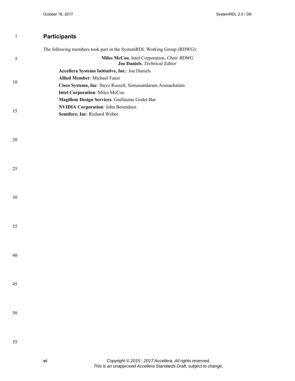#### 1 **Participants**

The following members took part in the SystemRDL Working Group (RDWG):

## **Miles McCoo**, Intel Corporation, *Chair RDWG* **Joe Daniels**, *Technical Editor*

**Accellera Systems Initiative, Inc.**: Joe Daniels **Allied Member**: Michael Faust

**Cisco Systems, Inc**: Steve Russell, Somasundaram Arunachalam

**Intel Corporation**: Miles McCoo

**Magillem Design Services**: Guillaume Godet-Bar

**NVIDIA Corporation**: John Berendsen

**Semifore, Inc**: Richard Weber

20

5

10

15

25

30

35

40

45

50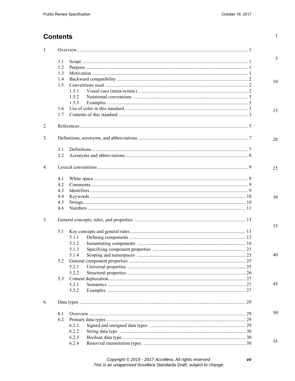#### $\mathbf{1}$

# **Contents**

| 1. |     |       |  |    |  |
|----|-----|-------|--|----|--|
|    | 1.1 |       |  | 5  |  |
|    | 1.2 |       |  |    |  |
|    | 1.3 |       |  |    |  |
|    | 1.4 |       |  |    |  |
|    | 1.5 |       |  | 10 |  |
|    |     | 1.5.1 |  |    |  |
|    |     | 1.5.2 |  |    |  |
|    |     | 1.5.3 |  |    |  |
|    | 1.6 |       |  |    |  |
|    | 1.7 |       |  | 15 |  |
| 2. |     |       |  |    |  |
| 3. |     |       |  | 20 |  |
|    |     |       |  |    |  |
|    | 3.1 |       |  |    |  |
|    | 3.2 |       |  |    |  |
| 4. |     |       |  | 25 |  |
|    | 4.1 |       |  |    |  |
|    | 4.2 |       |  |    |  |
|    | 4.3 |       |  |    |  |
|    | 4.4 |       |  | 30 |  |
|    | 4.5 |       |  |    |  |
|    | 4.6 |       |  |    |  |
| 5. |     |       |  |    |  |
|    | 5.1 |       |  | 35 |  |
|    |     | 5.1.1 |  |    |  |
|    |     | 5.1.2 |  |    |  |
|    |     | 5.1.3 |  |    |  |
|    |     | 5.1.4 |  | 40 |  |
|    | 5.2 |       |  |    |  |
|    |     | 5.2.1 |  |    |  |
|    |     | 5.2.2 |  |    |  |
|    | 5.3 |       |  |    |  |
|    |     | 5.3.1 |  | 45 |  |
|    |     | 5.3.2 |  |    |  |
| 6. |     |       |  |    |  |
|    | 6.1 |       |  | 50 |  |
|    | 6.2 |       |  |    |  |
|    |     | 6.2.1 |  |    |  |
|    |     | 6.2.2 |  |    |  |
|    |     | 6.2.3 |  |    |  |
|    |     | 6.2.4 |  | 55 |  |
|    |     |       |  |    |  |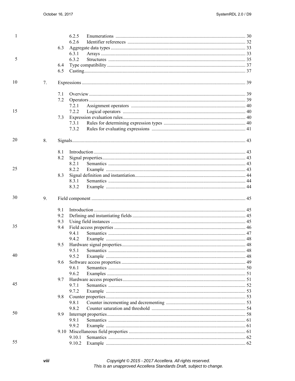| 1  |    |     | 6.2.5<br>6.2.6 |  |
|----|----|-----|----------------|--|
|    |    | 6.3 |                |  |
|    |    |     | 6.3.1          |  |
| 5  |    |     | 6.3.2          |  |
|    |    | 6.4 |                |  |
|    |    | 6.5 |                |  |
| 10 | 7. |     |                |  |
|    |    | 7.1 |                |  |
|    |    | 7.2 |                |  |
|    |    |     | 7.2.1          |  |
| 15 |    |     | 7.2.2          |  |
|    |    | 7.3 |                |  |
|    |    |     | 7.3.1          |  |
|    |    |     | 7.3.2          |  |
| 20 | 8. |     |                |  |
|    |    | 8.1 |                |  |
|    |    | 8.2 |                |  |
|    |    |     | 8.2.1          |  |
| 25 |    |     | 8.2.2          |  |
|    |    | 8.3 |                |  |
|    |    |     | 8.3.1          |  |
|    |    |     | 8.3.2          |  |
| 30 | 9. |     |                |  |
|    |    | 9.1 |                |  |
|    |    | 9.2 |                |  |
|    |    | 9.3 |                |  |
| 35 |    | 9.4 |                |  |
|    |    |     | 9.4.1          |  |
|    |    |     | 9.4.2          |  |
|    |    | 9.5 |                |  |
|    |    |     | 9.5.1          |  |
| 40 |    |     | 9.5.2          |  |
|    |    | 9.6 |                |  |
|    |    |     | 9.6.1          |  |
|    |    |     | 9.6.2          |  |
|    |    | 9.7 |                |  |
| 45 |    |     | 9.7.1          |  |
|    |    |     | 9.7.2          |  |
|    |    | 9.8 |                |  |
|    |    |     | 9.8.1          |  |
|    |    |     | 9.8.2          |  |
| 50 |    | 9.9 |                |  |
|    |    |     |                |  |
|    |    |     | 9.9.1          |  |
|    |    |     | 9.9.2          |  |
|    |    |     |                |  |
| 55 |    |     | 9.10.1         |  |
|    |    |     | 9.10.2         |  |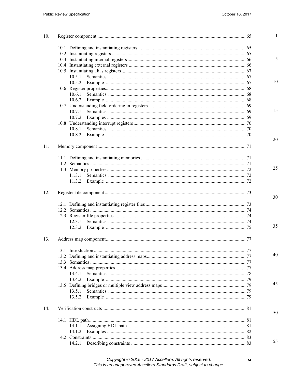| 10. |                  |    |
|-----|------------------|----|
|     |                  |    |
|     |                  |    |
|     |                  | 5  |
|     |                  |    |
|     |                  |    |
|     | 10.5.1           |    |
|     | 10.5.2           | 10 |
|     |                  |    |
|     | 10.6.1           |    |
|     | 10.6.2           |    |
|     |                  |    |
|     |                  | 15 |
|     | 10.7.1           |    |
|     | 10.7.2           |    |
|     |                  |    |
|     | 10.8.1           |    |
|     | 10.8.2           | 20 |
| 11. |                  |    |
|     |                  |    |
|     |                  |    |
|     |                  | 25 |
|     |                  |    |
|     | 11.3.1           |    |
|     | 11.3.2           |    |
| 12. |                  | 30 |
|     |                  |    |
|     |                  |    |
|     |                  |    |
|     |                  |    |
|     | 12.3.1           | 35 |
|     | 12.3.2           |    |
| 13. |                  |    |
|     |                  |    |
|     |                  | 40 |
|     |                  |    |
|     |                  |    |
|     | 13.4.1           |    |
|     | 13.4.2           |    |
|     |                  | 45 |
|     |                  |    |
|     | 13.5.1<br>13.5.2 |    |
|     |                  |    |
| 14. |                  | 50 |
|     |                  |    |
|     | 14.1.1           |    |
|     | 14.1.2           |    |
|     |                  |    |
|     | 14.2.1           | 55 |
|     |                  |    |

# Copyright © 2015 - 2017 Accellera. All rights reserved.<br>This is an unapproved Accellera Standards Draft, subject to change.

 $\boldsymbol{i}\boldsymbol{x}$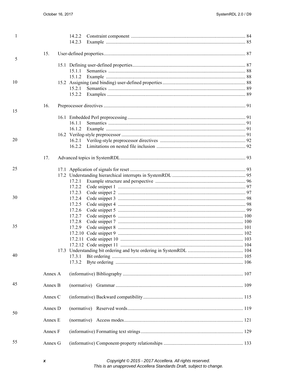| 1  |         | 14.2.2<br>14.2.3 |  |
|----|---------|------------------|--|
|    | 15.     |                  |  |
| 5  |         |                  |  |
|    |         | 15.1.1           |  |
|    |         | 15.1.2           |  |
| 10 |         |                  |  |
|    |         | 15.2.1           |  |
|    |         | 15.2.2           |  |
| 15 | 16.     |                  |  |
|    |         |                  |  |
|    |         | 16.1.1           |  |
|    |         | 16.1.2           |  |
|    |         |                  |  |
| 20 |         | 16.2.1           |  |
|    |         | 16.2.2           |  |
|    | 17.     |                  |  |
| 25 |         |                  |  |
|    |         |                  |  |
|    |         | 17.2.1           |  |
|    |         | 17.2.2           |  |
|    |         | 17.2.3           |  |
| 30 |         | 17.2.4           |  |
|    |         | 17.2.5           |  |
|    |         | 17.2.6           |  |
|    |         | 17.2.7<br>17.2.8 |  |
| 35 |         | 17.2.9           |  |
|    |         |                  |  |
|    |         |                  |  |
|    |         |                  |  |
|    |         |                  |  |
| 40 |         | 17.3.1           |  |
|    |         | 17.3.2           |  |
|    | Annex A |                  |  |
| 45 | Annex B |                  |  |
|    | Annex C |                  |  |
|    | Annex D |                  |  |
| 50 | Annex E |                  |  |
|    | Annex F |                  |  |
| 55 | Annex G |                  |  |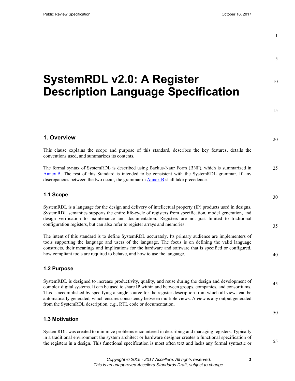10

15

20

30

35

40

45

# **SystemRDL v2.0: A Register Description Language Specification**

## <span id="page-10-0"></span>**1. Overview**

This clause explains the scope and purpose of this standard, describes the key features, details the conventions used, and summarizes its contents.

25 The formal syntax of SystemRDL is described using Backus-Naur Form (BNF), which is summarized in [Annex B.](#page-118-1) The rest of this Standard is intended to be consistent with the SystemRDL grammar. If any discrepancies between the two occur, the grammar in  $\frac{\text{Annex }B}{\text{Anlex }B}$  shall take precedence.

#### <span id="page-10-1"></span>**1.1 Scope**

SystemRDL is a language for the design and delivery of intellectual property (IP) products used in designs. SystemRDL semantics supports the entire life-cycle of registers from specification, model generation, and design verification to maintenance and documentation. Registers are not just limited to traditional configuration registers, but can also refer to register arrays and memories.

The intent of this standard is to define SystemRDL accurately. Its primary audience are implementers of tools supporting the language and users of the language. The focus is on defining the valid language constructs, their meanings and implications for the hardware and software that is specified or configured, how compliant tools are required to behave, and how to use the language.

#### <span id="page-10-2"></span>**1.2 Purpose**

SystemRDL is designed to increase productivity, quality, and reuse during the design and development of complex digital systems. It can be used to share IP within and between groups, companies, and consortiums. This is accomplished by specifying a single source for the register description from which all views can be automatically generated, which ensures consistency between multiple views. A *view* is any output generated from the SystemRDL description, e.g., RTL code or documentation.

50

55

#### <span id="page-10-3"></span>**1.3 Motivation**

SystemRDL was created to minimize problems encountered in describing and managing registers. Typically in a traditional environment the system architect or hardware designer creates a functional specification of the registers in a design. This functional specification is most often text and lacks any formal syntactic or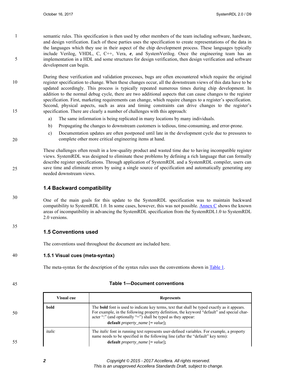- 1 5 semantic rules. This specification is then used by other members of the team including software, hardware, and design verification. Each of these parties uses the specification to create representations of the data in the languages which they use in their aspect of the chip development process. These languages typically include Verilog, VHDL, C, C++, Vera, *e*, and SystemVerilog. Once the engineering team has an implementation in a HDL and some structures for design verification, then design verification and software development can begin.
- 10 15 During these verification and validation processes, bugs are often encountered which require the original register specification to change. When these changes occur, all the downstream views of this data have to be updated accordingly. This process is typically repeated numerous times during chip development. In addition to the normal debug cycle, there are two additional aspects that can cause changes to the register specification. First, marketing requirements can change, which require changes to a register's specification. Second, physical aspects, such as area and timing constraints can drive changes to the register's specification. There are clearly a number of challenges with this approach:
	- a) The same information is being replicated in many locations by many individuals.
	- b) Propagating the changes to downstream customers is tedious, time-consuming, and error-prone.
	- c) Documentation updates are often postponed until late in the development cycle due to pressures to complete other more critical engineering items at hand.

These challenges often result in a low-quality product and wasted time due to having incompatible register views. SystemRDL was designed to eliminate these problems by defining a rich language that can formally describe register specifications. Through application of SystemRDL and a SystemRDL compiler, users can save time and eliminate errors by using a single source of specification and automatically generating any needed downstream views.

#### <span id="page-11-0"></span>**1.4 Backward compatibility**

One of the main goals for this update to the SystemRDL specification was to maintain backward compatibility to SystemRDL 1.0. In some cases, however, this was not possible. [Annex C](#page-124-1) shows the known areas of incompatibility in advancing the SystemRDL specification from the SystemRDL1.0 to SystemRDL 2.0 versions.

#### <span id="page-11-1"></span>**1.5 Conventions used**

<span id="page-11-2"></span>The conventions used throughout the document are included here.

#### 40 **1.5.1 Visual cues (meta-syntax)**

The meta-syntax for the description of the syntax rules uses the conventions shown in [Table 1.](#page-11-3)

#### 45

50

55

20

25

30

35

#### **Table 1—Document conventions**

<span id="page-11-3"></span>

| <b>Visual cue</b> | <b>Represents</b>                                                                                                                                                                                                                                                                                                |
|-------------------|------------------------------------------------------------------------------------------------------------------------------------------------------------------------------------------------------------------------------------------------------------------------------------------------------------------|
| bold              | The <b>bold</b> font is used to indicate key terms, text that shall be typed exactly as it appears.<br>For example, in the following property definition, the keyword "default" and special char-<br>acter ":" (and optionally "=") shall be typed as they appear:<br><b>default</b> property_name $[= value]$ ; |
| italic            | The <i>italic</i> font in running text represents user-defined variables. For example, a property<br>name needs to be specified in the following line (after the "default" key term):<br><b>default</b> property_name $[= value]$ ;                                                                              |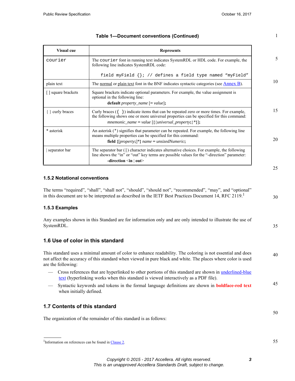30

35

40

50

55

| <b>Visual cue</b>  | <b>Represents</b>                                                                                                                                                                                                                                         |
|--------------------|-----------------------------------------------------------------------------------------------------------------------------------------------------------------------------------------------------------------------------------------------------------|
| courier            | The courier font in running text indicates SystemRDL or HDL code. For example, the<br>following line indicates SystemRDL code:                                                                                                                            |
|                    | field myField $\{\}$ ; // defines a field type named "myField"                                                                                                                                                                                            |
| plain text         | The normal or plain text font in the BNF indicates syntactic categories (see $\triangle$ nnex B).                                                                                                                                                         |
| [] square brackets | Square brackets indicate optional parameters. For example, the value assignment is<br>optional in the following line:<br><b>default</b> <i>property_name</i> $[= value]$ ;                                                                                |
| { } curly braces   | Curly braces $({\ }{\ }$ ) indicate items that can be repeated zero or more times. For example,<br>the following shows one or more universal properties can be specified for this command:<br>$m$ nemonic_name = value $\{\{universal\_property;\}^*\}\;$ |
| * asterisk         | An asterisk (*) signifies that parameter can be repeated. For example, the following line<br>means multiple properties can be specified for this command:<br>field $\{[property;]*\}$ name = unsizedNumeric;                                              |
| separator bar      | The separator bar $( )$ character indicates alternative choices. For example, the following<br>line shows the "in" or "out" key terms are possible values for the "-direction" parameter:<br>-direction $\leq$ in   out $\geq$                            |

**Table 1—Document conventions (Continued)**

#### <span id="page-12-0"></span>**1.5.2 Notational conventions**

The terms "required", "shall", "shall not", "should", "should not", "recommended", "may", and "optional" in this document are to be interpreted as described in the IETF Best Practices Document 14, RFC  $2119<sup>1</sup>$ 

#### <span id="page-12-1"></span>**1.5.3 Examples**

Any examples shown in this Standard are for information only and are only intended to illustrate the use of SystemRDL.

## <span id="page-12-2"></span>**1.6 Use of color in this standard**

This standard uses a minimal amount of color to enhance readability. The coloring is not essential and does not affect the accuracy of this standard when viewed in pure black and white. The places where color is used are the following:

- Cross references that are hyperlinked to other portions of this standard are shown in underlined-blue text (hyperlinking works when this standard is viewed interactively as a PDF file).
- 45 — Syntactic keywords and tokens in the formal language definitions are shown in **boldface-red text** when initially defined.

# <span id="page-12-3"></span>**1.7 Contents of this standard**

The organization of the remainder of this standard is as follows:

<sup>&</sup>lt;sup>1</sup>Information on references can be found in [Clause 2.](#page-14-1)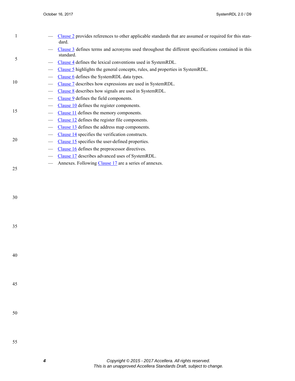|    |                                 | Clause 2 provides references to other applicable standards that are assumed or required for this stan-<br>dard. |
|----|---------------------------------|-----------------------------------------------------------------------------------------------------------------|
|    |                                 | Clause 3 defines terms and acronyms used throughout the different specifications contained in this<br>standard. |
| 5  |                                 | Clause 4 defines the lexical conventions used in SystemRDL.                                                     |
|    |                                 | Clause 5 highlights the general concepts, rules, and properties in SystemRDL.                                   |
|    | $\hspace{0.05cm}$               | Clause 6 defines the SystemRDL data types.                                                                      |
| 10 | $\hspace{0.1mm}-\hspace{0.1mm}$ | Clause 7 describes how expressions are used in SystemRDL.                                                       |
|    |                                 | Clause 8 describes how signals are used in SystemRDL.                                                           |
|    |                                 | Clause $9$ defines the field components.                                                                        |
|    | $\hspace{0.05cm}$               | Clause 10 defines the register components.                                                                      |
| 15 |                                 | Clause $11$ defines the memory components.                                                                      |
|    | $\hspace{0.1mm}-\hspace{0.1mm}$ | Clause $12$ defines the register file components.                                                               |
|    |                                 | Clause $13$ defines the address map components.                                                                 |
|    | $\hspace{0.1mm}-\hspace{0.1mm}$ | Clause $14$ specifies the verification constructs.                                                              |
| 20 | $\hspace{0.05cm}$               | Clause $15$ specifies the user-defined properties.                                                              |
|    |                                 | Clause 16 defines the preprocessor directives.                                                                  |
|    | $\hspace{0.05cm}$               | Clause 17 describes advanced uses of SystemRDL.                                                                 |
|    |                                 | Annexes. Following Clause 17 are a series of annexes.                                                           |
| 25 |                                 |                                                                                                                 |
|    |                                 |                                                                                                                 |
|    |                                 |                                                                                                                 |

- 35
- 40
- 45
- 50

*4 Copyright © 2015 - 2017 Accellera. All rights reserved. This is an unapproved Accellera Standards Draft, subject to change.*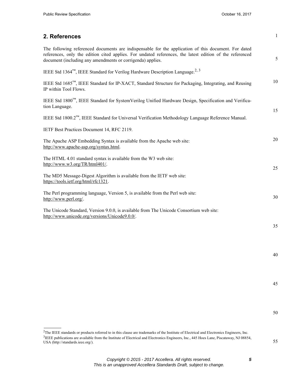<span id="page-14-1"></span><span id="page-14-0"></span>

| 2. References                                                                                                                                                                                                                                                                  | $\mathbf{1}$ |
|--------------------------------------------------------------------------------------------------------------------------------------------------------------------------------------------------------------------------------------------------------------------------------|--------------|
| The following referenced documents are indispensable for the application of this document. For dated<br>references, only the edition cited applies. For undated references, the latest edition of the referenced<br>document (including any amendments or corrigenda) applies. | 5            |
| IEEE Std 1364 <sup>TM</sup> , IEEE Standard for Verilog Hardware Description Language. <sup>2, 3</sup>                                                                                                                                                                         |              |
| IEEE Std 1685™, IEEE Standard for IP-XACT, Standard Structure for Packaging, Integrating, and Reusing<br>IP within Tool Flows.                                                                                                                                                 | 10           |
| IEEE Std 1800™, IEEE Standard for SystemVerilog Unified Hardware Design, Specification and Verifica-<br>tion Language.                                                                                                                                                         | 15           |
| IEEE Std 1800.2™, IEEE Standard for Universal Verification Methodology Language Reference Manual.                                                                                                                                                                              |              |
| IETF Best Practices Document 14, RFC 2119.                                                                                                                                                                                                                                     |              |
| The Apache ASP Embedding Syntax is available from the Apache web site:<br>http://www.apache-asp.org/syntax.html.                                                                                                                                                               | 20           |
| The HTML 4.01 standard syntax is available from the W3 web site:<br>http://www.w3.org/TR/html401/.                                                                                                                                                                             | 25           |
| The MD5 Message-Digest Algorithm is available from the IETF web site:<br>https://tools.ietf.org/html/rfc1321.                                                                                                                                                                  |              |
| The Perl programming language, Version 5, is available from the Perl web site:<br>http://www.perl.org/.                                                                                                                                                                        | 30           |
| The Unicode Standard, Version 9.0.0, is available from The Unicode Consortium web site:<br>http://www.unicode.org/versions/Unicode9.0.0/.                                                                                                                                      |              |
|                                                                                                                                                                                                                                                                                | 35           |

45

50

 $2$ The IEEE standards or products referred to in this clause are trademarks of the Institute of Electrical and Electronics Engineers, Inc. <sup>3</sup>IEEE publications are available from the Institute of Electrical and Electronics Engineers, Inc., 445 Hoes Lane, Piscataway, NJ 08854, USA (http://standards.ieee.org/).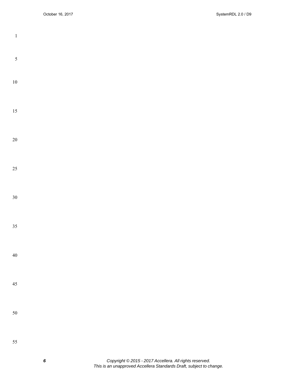| $\,1\,$        |  |  |  |  |
|----------------|--|--|--|--|
| $\mathfrak{S}$ |  |  |  |  |
| $10\,$         |  |  |  |  |
| $15\,$         |  |  |  |  |
| $20\,$         |  |  |  |  |
| $25\,$         |  |  |  |  |
| $30\,$         |  |  |  |  |
| 35             |  |  |  |  |
| $40\,$         |  |  |  |  |
| $45\,$         |  |  |  |  |
| $50\,$         |  |  |  |  |
| 55             |  |  |  |  |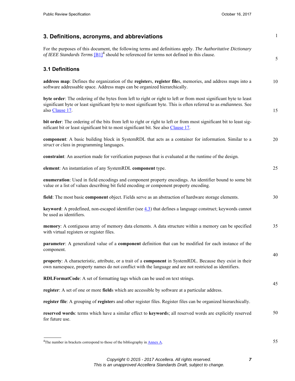<span id="page-16-2"></span><span id="page-16-1"></span><span id="page-16-0"></span>

| 3. Definitions, acronyms, and abbreviations                                                                                                                                                                                                                      | $\mathbf{1}$ |
|------------------------------------------------------------------------------------------------------------------------------------------------------------------------------------------------------------------------------------------------------------------|--------------|
| For the purposes of this document, the following terms and definitions apply. The Authoritative Dictionary<br>of IEEE Standards Terms $[B1]$ <sup>4</sup> should be referenced for terms not defined in this clause.                                             | 5            |
| <b>3.1 Definitions</b>                                                                                                                                                                                                                                           |              |
| address map: Defines the organization of the registers, register files, memories, and address maps into a<br>software addressable space. Address maps can be organized hierarchically.                                                                           | 10           |
| byte order: The ordering of the bytes from left to right or right to left or from most significant byte to least<br>significant byte or least significant byte to most significant byte. This is often referred to as <i>endianness</i> . See<br>also Clause 17. | 15           |
| bit order: The ordering of the bits from left to right or right to left or from most significant bit to least sig-<br>nificant bit or least significant bit to most significant bit. See also Clause 17.                                                         |              |
| component: A basic building block in SystemRDL that acts as a container for information. Similar to a<br>struct or class in programming languages.                                                                                                               | 20           |
| constraint: An assertion made for verification purposes that is evaluated at the runtime of the design.                                                                                                                                                          |              |
| element: An instantiation of any SystemRDL component type.                                                                                                                                                                                                       | 25           |
| enumeration: Used in field encodings and component property encodings. An identifier bound to some bit<br>value or a list of values describing bit field encoding or component property encoding.                                                                |              |
| field: The most basic component object. Fields serve as an abstraction of hardware storage elements.                                                                                                                                                             | 30           |
| <b>keyword</b> : A predefined, non-escaped identifier (see $4.3$ ) that defines a language construct; keywords cannot<br>be used as identifiers.                                                                                                                 |              |
| memory: A contiguous array of memory data elements. A data structure within a memory can be specified<br>with virtual registers or register files.                                                                                                               | 35           |
| parameter: A generalized value of a component definition that can be modified for each instance of the<br>component.                                                                                                                                             | 40           |
| property: A characteristic, attribute, or a trait of a component in SystemRDL. Because they exist in their<br>own namespace, property names do not conflict with the language and are not restricted as identifiers.                                             |              |
| RDLFormatCode: A set of formatting tags which can be used on text strings.                                                                                                                                                                                       | 45           |
| register: A set of one or more fields which are accessible by software at a particular address.                                                                                                                                                                  |              |
| register file: A grouping of registers and other register files. Register files can be organized hierarchically.                                                                                                                                                 |              |
| reserved words: terms which have a similar effect to keywords; all reserved words are explicitly reserved<br>for future use.                                                                                                                                     | 50           |

<sup>&</sup>lt;sup>4</sup>The number in brackets correspond to those of the bibliography in  $\frac{\text{Annex A}}{\text{Aner A}}$ .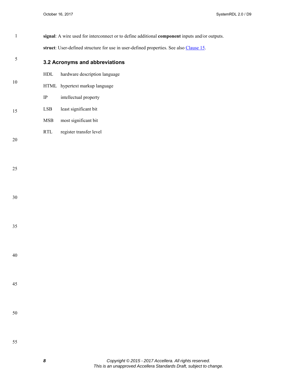1 **signal**: A wire used for interconnect or to define additional **component** inputs and/or outputs.

struct: User-defined structure for use in user-defined properties. See also [Clause 15](#page-96-2).

10 15

5

## **3.2 Acronyms and abbreviations**

- <span id="page-17-0"></span>HDL hardware description language
- HTML hypertext markup language
	- IP intellectual property
	- LSB least significant bit
		- MSB most significant bit
		- RTL register transfer level

20

25

30

35

40

45

50

55

*8 Copyright © 2015 - 2017 Accellera. All rights reserved. This is an unapproved Accellera Standards Draft, subject to change.*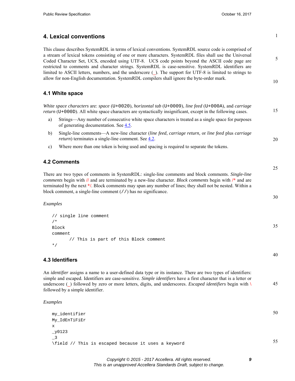<span id="page-18-4"></span><span id="page-18-2"></span><span id="page-18-1"></span><span id="page-18-0"></span>

|               | 4. Lexical conventions                                                                                                                                                                                                                                                                                                                                                                                                                                                                                                                  | $\mathbf{1}$ |
|---------------|-----------------------------------------------------------------------------------------------------------------------------------------------------------------------------------------------------------------------------------------------------------------------------------------------------------------------------------------------------------------------------------------------------------------------------------------------------------------------------------------------------------------------------------------|--------------|
|               | This clause describes SystemRDL in terms of lexical conventions. SystemRDL source code is comprised of<br>a stream of lexical tokens consisting of one or more characters. SystemRDL files shall use the Universal<br>Coded Character Set, UCS, encoded using UTF-8. UCS code points beyond the ASCII code page are<br>restricted to comments and character strings. SystemRDL is case-sensitive. SystemRDL identifiers are<br>limited to ASCII letters, numbers, and the underscore (). The support for UTF-8 is limited to strings to | 5            |
|               | allow for non-English documentation. SystemRDL compilers shall ignore the byte-order mark.                                                                                                                                                                                                                                                                                                                                                                                                                                              | 10           |
|               | 4.1 White space                                                                                                                                                                                                                                                                                                                                                                                                                                                                                                                         |              |
|               | White space characters are: space ( $U+0020$ ), horizontal tab ( $U+0009$ ), line feed ( $U+000A$ ), and carriage<br>return (U+000D). All white space characters are syntactically insignificant, except in the following cases.                                                                                                                                                                                                                                                                                                        | 15           |
| a)            | Strings—Any number of consecutive white space characters is treated as a single space for purposes<br>of generating documentation. See $4.5$ .                                                                                                                                                                                                                                                                                                                                                                                          |              |
| b)            | Single-line comments—A new-line character (line feed, carriage return, or line feed plus carriage<br><i>return</i> ) terminates a single-line comment. See 4.2.                                                                                                                                                                                                                                                                                                                                                                         | 20           |
| $\mathbf{c})$ | Where more than one token is being used and spacing is required to separate the tokens.                                                                                                                                                                                                                                                                                                                                                                                                                                                 |              |
|               | <b>4.2 Comments</b>                                                                                                                                                                                                                                                                                                                                                                                                                                                                                                                     |              |
|               | There are two types of comments in SystemRDL: single-line comments and block comments. Single-line<br>comments begin with // and are terminated by a new-line character. Block comments begin with /* and are<br>terminated by the next */. Block comments may span any number of lines; they shall not be nested. Within a<br>block comment, a single-line comment $\left(\frac{7}{7}\right)$ has no significance.                                                                                                                     | 25           |
| Examples      |                                                                                                                                                                                                                                                                                                                                                                                                                                                                                                                                         | 30           |
|               | // single line comment<br>$/$ *<br>Block<br>comment<br>// This is part of this Block comment<br>$\star$ /                                                                                                                                                                                                                                                                                                                                                                                                                               | 35           |
|               | <b>4.3 Identifiers</b>                                                                                                                                                                                                                                                                                                                                                                                                                                                                                                                  | 40           |
|               | An <i>identifier</i> assigns a name to a user-defined data type or its instance. There are two types of identifiers:<br>simple and escaped. Identifiers are case-sensitive. Simple identifiers have a first character that is a letter or<br>underscore () followed by zero or more letters, digits, and underscores. Escaped identifiers begin with \<br>followed by a simple identifier.                                                                                                                                              | 45           |
| Examples      |                                                                                                                                                                                                                                                                                                                                                                                                                                                                                                                                         |              |

<span id="page-18-5"></span><span id="page-18-3"></span>55 my\_identifier My\_IdEnTiFiEr x \_y0123 \_3 \field // This is escaped because it uses a keyword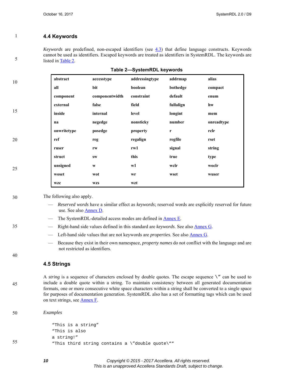#### 1 **4.4 Keywords**

5

30

35

40

45

<span id="page-19-2"></span><span id="page-19-0"></span>*Keywords* are predefined, non-escaped identifiers (see [4.3\)](#page-18-3) that define language constructs. Keywords cannot be used as identifiers*.* Escaped keywords are treated as identifiers in SystemRDL. The keywords are listed in [Table 2.](#page-19-2)

**Table 2—SystemRDL keywords** 

| 10 | abstract    | accesstype     | addressingtype | addrmap   | alias      |
|----|-------------|----------------|----------------|-----------|------------|
|    | all         | bit            | boolean        | bothedge  | compact    |
|    | component   | componentwidth | constraint     | default   | enum       |
|    | external    | false          | field          | fullalign | hw         |
| 15 | inside      | internal       | level          | longint   | mem        |
|    | na          | negedge        | nonsticky      | number    | onreadtype |
|    | onwritetype | posedge        | property       | r         | rclr       |
| 20 | ref         | reg            | regalign       | regfile   | rset       |
|    | ruser       | rw             | rw1            | signal    | string     |
|    | struct      | SW             | this           | true      | type       |
| 25 | unsigned    | W              | w1             | wclr      | woclr      |
|    | woset       | wot            | wr             | wset      | wuser      |
|    | wzc         | <b>WZS</b>     | wzt            |           |            |

## The following also apply.

- *Reserved words* have a similar effect as *keywords*; reserved words are explicitly reserved for future use. See also [Annex D](#page-128-1).
- The SystemRDL-detailed access modes are defined in **[Annex E](#page-130-1)**.
- Right-hand side values defined in this standard are *keywords*. See also [Annex G.](#page-142-1)
	- Left-hand side values that are not keywords are *properties*. See also [Annex G](#page-142-1).
	- Because they exist in their own namespace, *property names* do not conflict with the language and are not restricted as identifiers.

#### <span id="page-19-1"></span>**4.5 Strings**

A *string* is a sequence of characters enclosed by double quotes. The escape sequence  $\setminus$ " can be used to include a double quote within a string. To maintain consistency between all generated documentation formats, one or more consecutive white space characters within a string shall be converted to a single space for purposes of documentation generation. SystemRDL also has a set of formatting tags which can be used on text strings, see [Annex F.](#page-138-1)

```
50
              Examples
```

```
55
                "This is a string"
                "This is also
                a string!"
                "This third string contains a \"double quote\""
```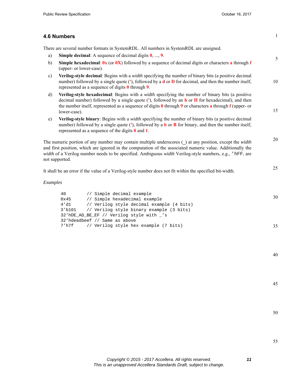<span id="page-20-0"></span>

|              | <b>4.6 Numbers</b> |                                                                                                                                                                                                                                                                                                                                                             | 1  |
|--------------|--------------------|-------------------------------------------------------------------------------------------------------------------------------------------------------------------------------------------------------------------------------------------------------------------------------------------------------------------------------------------------------------|----|
|              |                    | There are several number formats in SystemRDL. All numbers in SystemRDL are unsigned.                                                                                                                                                                                                                                                                       |    |
| a)           |                    | <b>Simple decimal:</b> A sequence of decimal digits $0, , 9$ .                                                                                                                                                                                                                                                                                              |    |
| b)           |                    | <b>Simple hexadecimal:</b> $0x$ (or $0x$ ) followed by a sequence of decimal digits or characters <b>a</b> through <b>f</b><br>(upper- or lower-case).                                                                                                                                                                                                      | 5  |
| c)           |                    | Verilog-style decimal: Begins with a <i>width</i> specifying the number of binary bits (a positive decimal<br>number) followed by a single quote $(')$ , followed by a <b>d</b> or <b>D</b> for decimal, and then the number itself,<br>represented as a sequence of digits $\theta$ through $\theta$ .                                                     | 10 |
| $\rm d)$     | lower-case).       | Verilog-style hexadecimal: Begins with a width specifying the number of binary bits (a positive<br>decimal number) followed by a single quote $(')$ , followed by an <b>h</b> or <b>H</b> for hexadecimal), and then<br>the number itself, represented as a sequence of digits $\bf{0}$ through $\bf{9}$ or characters <b>a</b> through $\bf{f}$ (upper- or | 15 |
| $\epsilon$ ) |                    | Verilog-style binary: Begins with a <i>width</i> specifying the number of binary bits (a positive decimal<br>number) followed by a single quote ('), followed by a $\bf{b}$ or $\bf{B}$ for binary, and then the number itself,<br>represented as a sequence of the digits $\theta$ and $1$ .                                                               |    |
|              | not supported.     | The numeric portion of any number may contain multiple underscores () at any position, except the <i>width</i><br>and first position, which are ignored in the computation of the associated numeric value. Additionally the<br>width of a Verilog number needs to be specified. Ambiguous width Verilog-style numbers, e.g., 'hFF, are                     | 20 |
|              |                    | It shall be an error if the value of a Verilog-style number does not fit within the specified bit-width.                                                                                                                                                                                                                                                    | 25 |
| Examples     |                    |                                                                                                                                                                                                                                                                                                                                                             |    |
|              | 40<br>0x45         | // Simple decimal example<br>// Simple hexadecimal example                                                                                                                                                                                                                                                                                                  | 30 |

| // Verilog style decimal example (4 bits)<br>4'd1 |    |
|---------------------------------------------------|----|
| 3'b101 // Verilog style binary example (3 bits)   |    |
| 32'hDE AD BE EF // Verilog style with 's          |    |
| 32'hdeadbeef // Same as above                     |    |
| 7'h7f // Verilog style hex example (7 bits)       | 35 |

45

50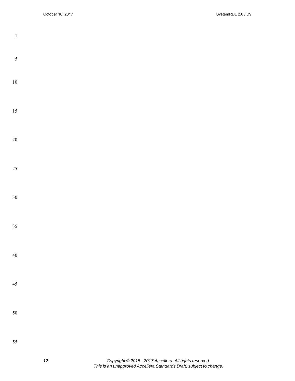| $\,1\,$        |  |  |  |
|----------------|--|--|--|
| $\mathfrak{S}$ |  |  |  |
| $10\,$         |  |  |  |
| $15\,$         |  |  |  |
| $20\,$         |  |  |  |
| $25\,$         |  |  |  |
| $30\,$         |  |  |  |
| 35             |  |  |  |
| $40\,$         |  |  |  |
| $45\,$         |  |  |  |
| $50\,$         |  |  |  |
| 55             |  |  |  |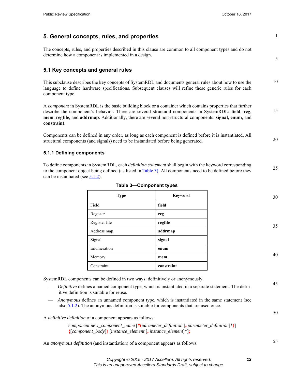<span id="page-22-3"></span><span id="page-22-1"></span><span id="page-22-0"></span>

| 5. General concepts, rules, and properties                                                                                                                                                                                                                                                                                                   |         | 1      |
|----------------------------------------------------------------------------------------------------------------------------------------------------------------------------------------------------------------------------------------------------------------------------------------------------------------------------------------------|---------|--------|
| The concepts, rules, and properties described in this clause are common to all component types and do not<br>determine how a component is implemented in a design.                                                                                                                                                                           |         | 5      |
| 5.1 Key concepts and general rules                                                                                                                                                                                                                                                                                                           |         |        |
| This subclause describes the key concepts of SystemRDL and documents general rules about how to use the<br>language to define hardware specifications. Subsequent clauses will refine these generic rules for each<br>component type.                                                                                                        |         | 10     |
| A component in SystemRDL is the basic building block or a container which contains properties that further<br>describe the component's behavior. There are several structural components in SystemRDL: field, reg,<br>mem, regfile, and addrmap. Additionally, there are several non-structural components: signal, enum, and<br>constraint. |         | 15     |
| Components can be defined in any order, as long as each component is defined before it is instantiated. All<br>structural components (and signals) need to be instantiated before being generated.                                                                                                                                           |         | 20     |
| 5.1.1 Defining components                                                                                                                                                                                                                                                                                                                    |         |        |
| To define components in SystemRDL, each <i>definition statement</i> shall begin with the keyword corresponding<br>to the component object being defined (as listed in Table 3). All components need to be defined before they<br>can be instantiated (see $5.1.2$ ).                                                                         |         | 25     |
| <b>Table 3-Component types</b>                                                                                                                                                                                                                                                                                                               |         |        |
| Tyne                                                                                                                                                                                                                                                                                                                                         | Keyword | $\sim$ |

<span id="page-22-4"></span><span id="page-22-2"></span>

| <b>Type</b>   | Keyword    |
|---------------|------------|
| Field         | field      |
| Register      | reg        |
| Register file | regfile    |
| Address map   | addrmap    |
| Signal        | signal     |
| Enumeration   | enum       |
| Memory        | mem        |
| Constraint    | constraint |

| SystemRDL components can be defined in two ways: definitively or anonymously. |  |  |  |  |
|-------------------------------------------------------------------------------|--|--|--|--|
|                                                                               |  |  |  |  |

- *Definitive* defines a named component type, which is instantiated in a separate statement. The definitive definition is suitable for reuse.
- *Anonymous* defines an unnamed component type, which is instantiated in the same statement (see also [5.1.2\)](#page-25-0). The anonymous definition is suitable for components that are used once.

A *definitive definition* of a component appears as follows.

*component new\_component\_name* [**#(***parameter\_definition* [**,** *parameter\_definition*]\***)**] **{**[*component\_body*]**}** [*instance\_element* [**,** *instance\_element*]\*]**;**

An *anonymous definition* (and instantiation) of a component appears as follows.

55

45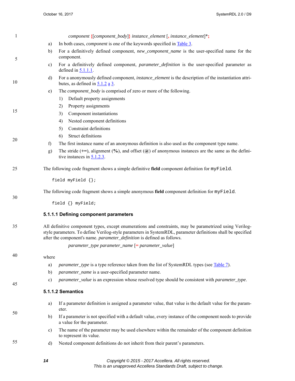<span id="page-23-0"></span>

| $\mathbf{1}$ | component {[component_body]} instance_element [, instance_element]*;                                                                                                                                                                                                                              |                                                                                                                                                                 |  |  |
|--------------|---------------------------------------------------------------------------------------------------------------------------------------------------------------------------------------------------------------------------------------------------------------------------------------------------|-----------------------------------------------------------------------------------------------------------------------------------------------------------------|--|--|
|              | a)                                                                                                                                                                                                                                                                                                | In both cases, <i>component</i> is one of the keywords specified in <b>Table 3</b> .                                                                            |  |  |
| 5            | b)                                                                                                                                                                                                                                                                                                | For a definitively defined component, new_component_name is the user-specified name for the<br>component.                                                       |  |  |
|              | c)                                                                                                                                                                                                                                                                                                | For a definitively defined component, parameter_definition is the user-specified parameter as<br>defined in $5.1.1.1$ .                                         |  |  |
| 10           | $\rm d)$                                                                                                                                                                                                                                                                                          | For a anonymously defined component, instance_element is the description of the instantiation attri-<br>butes, as defined in $\frac{5.1.2}{2}$ a 3.             |  |  |
|              | e)                                                                                                                                                                                                                                                                                                | The <i>component_body</i> is comprised of zero or more of the following.                                                                                        |  |  |
|              |                                                                                                                                                                                                                                                                                                   | Default property assignments<br>1)                                                                                                                              |  |  |
|              |                                                                                                                                                                                                                                                                                                   | Property assignments<br>2)                                                                                                                                      |  |  |
| 15           |                                                                                                                                                                                                                                                                                                   | Component instantiations<br>3)                                                                                                                                  |  |  |
|              |                                                                                                                                                                                                                                                                                                   | Nested component definitions<br>4)                                                                                                                              |  |  |
|              |                                                                                                                                                                                                                                                                                                   | Constraint definitions<br>5)                                                                                                                                    |  |  |
|              |                                                                                                                                                                                                                                                                                                   | Struct definitions<br>6)                                                                                                                                        |  |  |
| 20           | f                                                                                                                                                                                                                                                                                                 | The first instance name of an anonymous definition is also used as the component type name.                                                                     |  |  |
|              | g)                                                                                                                                                                                                                                                                                                | The stride ( $+=$ ), alignment (%), and offset ( $\omega$ ) of anonymous instances are the same as the defini-<br>tive instances in $\frac{5.1.2.3}{5.1.2.3}$ . |  |  |
| 25           |                                                                                                                                                                                                                                                                                                   | The following code fragment shows a simple definitive field component definition for myField.                                                                   |  |  |
|              |                                                                                                                                                                                                                                                                                                   | field myField $\{\}$ ;                                                                                                                                          |  |  |
| 30           |                                                                                                                                                                                                                                                                                                   | The following code fragment shows a simple anonymous field component definition for myField.                                                                    |  |  |
|              |                                                                                                                                                                                                                                                                                                   | field {} myField;                                                                                                                                               |  |  |
|              |                                                                                                                                                                                                                                                                                                   | 5.1.1.1 Defining component parameters                                                                                                                           |  |  |
| 35           | All definitive component types, except enumerations and constraints, may be parametrized using Verilog-<br>style parameters. To define Verilog-style parameters in SystemRDL, parameter definitions shall be specified<br>after the component's name. parameter_definition is defined as follows. |                                                                                                                                                                 |  |  |
|              |                                                                                                                                                                                                                                                                                                   | parameter_type parameter_name [= parameter_value]                                                                                                               |  |  |
| 40           | where                                                                                                                                                                                                                                                                                             |                                                                                                                                                                 |  |  |
|              | a)                                                                                                                                                                                                                                                                                                | parameter_type is a type reference taken from the list of SystemRDL types (see Table 7).                                                                        |  |  |
|              | b)                                                                                                                                                                                                                                                                                                | parameter_name is a user-specified parameter name.                                                                                                              |  |  |
|              | $\mathbf{c})$                                                                                                                                                                                                                                                                                     | <i>parameter_value</i> is an expression whose resolved type should be consistent with <i>parameter_type</i> .                                                   |  |  |
| 45           |                                                                                                                                                                                                                                                                                                   |                                                                                                                                                                 |  |  |
|              |                                                                                                                                                                                                                                                                                                   | 5.1.1.2 Semantics                                                                                                                                               |  |  |
| 50           | a)                                                                                                                                                                                                                                                                                                | If a parameter definition is assigned a parameter value, that value is the default value for the param-<br>eter.                                                |  |  |
|              | b)                                                                                                                                                                                                                                                                                                | If a parameter is not specified with a default value, every instance of the component needs to provide<br>a value for the parameter.                            |  |  |
|              | c)                                                                                                                                                                                                                                                                                                | The name of the parameter may be used elsewhere within the remainder of the component definition<br>to represent its value.                                     |  |  |
| 55           | d)                                                                                                                                                                                                                                                                                                | Nested component definitions do not inherit from their parent's parameters.                                                                                     |  |  |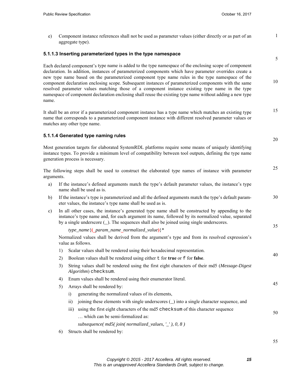|            |    | aggregate type).                    |                                                                                                                                                                                                                                                                                                                                                                                                                                                                                                                                                                                                                                               |    |
|------------|----|-------------------------------------|-----------------------------------------------------------------------------------------------------------------------------------------------------------------------------------------------------------------------------------------------------------------------------------------------------------------------------------------------------------------------------------------------------------------------------------------------------------------------------------------------------------------------------------------------------------------------------------------------------------------------------------------------|----|
|            |    |                                     | 5.1.1.3 Inserting parameterized types in the type namespace                                                                                                                                                                                                                                                                                                                                                                                                                                                                                                                                                                                   | 5  |
| name.      |    |                                     | Each declared component's type name is added to the type namespace of the enclosing scope of component<br>declaration. In addition, instances of parameterized components which have parameter overrides create a<br>new type name based on the parameterized component type name rules in the type namespace of the<br>component declaration enclosing scope. Subsequent instances of parameterized components with the same<br>resolved parameter values matching those of a component instance existing type name in the type<br>namespace of component declaration enclosing shall reuse the existing type name without adding a new type | 10 |
|            |    | matches any other type name.        | It shall be an error if a parameterized component instance has a type name which matches an existing type<br>name that corresponds to a parameterized component instance with different resolved parameter values or                                                                                                                                                                                                                                                                                                                                                                                                                          | 15 |
|            |    | 5.1.1.4 Generated type naming rules |                                                                                                                                                                                                                                                                                                                                                                                                                                                                                                                                                                                                                                               | 20 |
|            |    | generation process is necessary.    | Most generation targets for elaborated SystemRDL platforms require some means of uniquely identifying<br>instance types. To provide a minimum level of compatibility between tool outputs, defining the type name                                                                                                                                                                                                                                                                                                                                                                                                                             |    |
| arguments. |    |                                     | The following steps shall be used to construct the elaborated type names of instance with parameter                                                                                                                                                                                                                                                                                                                                                                                                                                                                                                                                           | 25 |
| a)         |    | name shall be used as is.           | If the instance's defined arguments match the type's default parameter values, the instance's type                                                                                                                                                                                                                                                                                                                                                                                                                                                                                                                                            |    |
| b)         |    |                                     | If the instance's type is parameterized and all the defined arguments match the type's default param-<br>eter values, the instance's type name shall be used as is.                                                                                                                                                                                                                                                                                                                                                                                                                                                                           | 30 |
| c)         |    |                                     | In all other cases, the instance's generated type name shall be constructed by appending to the<br>instance's type name and, for each argument its name, followed by its normalized value, separated<br>by a single underscore (_). The sequences shall also be joined using single underscores.                                                                                                                                                                                                                                                                                                                                              | 35 |
|            |    |                                     | type_name{(_param_name_normalized_value)}*                                                                                                                                                                                                                                                                                                                                                                                                                                                                                                                                                                                                    |    |
|            |    | value as follows.                   | Normalized values shall be derived from the argument's type and from its resolved expression's                                                                                                                                                                                                                                                                                                                                                                                                                                                                                                                                                |    |
|            | 1) |                                     | Scalar values shall be rendered using their hexadecimal representation.                                                                                                                                                                                                                                                                                                                                                                                                                                                                                                                                                                       | 40 |
|            | 2) |                                     | Boolean values shall be rendered using either t for true or f for false.                                                                                                                                                                                                                                                                                                                                                                                                                                                                                                                                                                      |    |
|            | 3) | Algorithm) checksum.                | String values shall be rendered using the first eight characters of their md5 (Message-Digest                                                                                                                                                                                                                                                                                                                                                                                                                                                                                                                                                 |    |
|            | 4) |                                     | Enum values shall be rendered using their enumerator literal.                                                                                                                                                                                                                                                                                                                                                                                                                                                                                                                                                                                 |    |
|            | 5) | Arrays shall be rendered by:        |                                                                                                                                                                                                                                                                                                                                                                                                                                                                                                                                                                                                                                               | 45 |
|            |    | $\mathbf{i}$                        | generating the normalized values of its elements,                                                                                                                                                                                                                                                                                                                                                                                                                                                                                                                                                                                             |    |
|            |    | $\rm ii)$                           | joining these elements with single underscores (_) into a single character sequence, and                                                                                                                                                                                                                                                                                                                                                                                                                                                                                                                                                      |    |
|            |    | 111)                                | using the first eight characters of the md5 checksum of this character sequence                                                                                                                                                                                                                                                                                                                                                                                                                                                                                                                                                               | 50 |
|            |    |                                     | which can be semi-formalized as:                                                                                                                                                                                                                                                                                                                                                                                                                                                                                                                                                                                                              |    |
|            |    |                                     | subsequence( md5( join( normalized_values, '_'), 0, 8)                                                                                                                                                                                                                                                                                                                                                                                                                                                                                                                                                                                        |    |

e) Component instance references shall not be used as parameter values (either directly or as part of an

6) Structs shall be rendered by: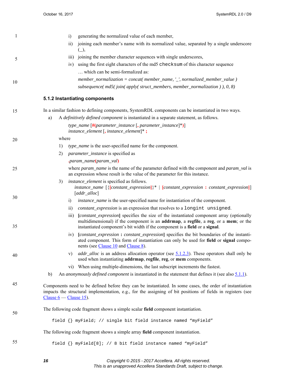<span id="page-25-3"></span><span id="page-25-2"></span><span id="page-25-1"></span><span id="page-25-0"></span>

| 1  | generating the normalized value of each member,<br>$\mathbf{i}$                                                                                                                                                                                                                     |
|----|-------------------------------------------------------------------------------------------------------------------------------------------------------------------------------------------------------------------------------------------------------------------------------------|
|    | $\overline{ii}$<br>joining each member's name with its normalized value, separated by a single underscore<br>$(\_)$ ,                                                                                                                                                               |
| 5  | joining the member character sequences with single underscores,<br>$\overline{111}$ )                                                                                                                                                                                               |
|    | using the first eight characters of the md5 checksum of this character sequence<br>iv)                                                                                                                                                                                              |
|    | which can be semi-formalized as:                                                                                                                                                                                                                                                    |
| 10 | $member\_normalization = concat(member\_name, '_, normalized\_member\_value )$                                                                                                                                                                                                      |
|    | subsequence( md5( join( apply( struct_members, member_normalization ) ), 0, 8)                                                                                                                                                                                                      |
|    | 5.1.2 Instantiating components                                                                                                                                                                                                                                                      |
| 15 | In a similar fashion to defining components, SystemRDL components can be instantiated in two ways.                                                                                                                                                                                  |
|    | A definitively defined component is instantiated in a separate statement, as follows.<br>a)                                                                                                                                                                                         |
|    | $type\_name$ [# $(parameter\_instance$ ], parameter_instance]*)]<br>instance_element [, instance_element]*;                                                                                                                                                                         |
| 20 | where                                                                                                                                                                                                                                                                               |
|    | type_name is the user-specified name for the component.<br>1)                                                                                                                                                                                                                       |
|    | 2)<br><i>parameter_instance</i> is specified as                                                                                                                                                                                                                                     |
|    | .param_name(param_val)                                                                                                                                                                                                                                                              |
| 25 | where <i>param_name</i> is the name of the parameter defined with the component and <i>param_val</i> is<br>an expression whose result is the value of the parameter for this instance.                                                                                              |
|    | instance_element is specified as follows.<br>3)<br>$instance\_name$ [{ $[constant\_expression]$ }*   $[constant\_expression : constant\_expression]$ ]<br>$[addr\_alloc]$                                                                                                           |
| 30 | <i>instance_name</i> is the user-specified name for instantiation of the component.<br>$\ddot{1}$                                                                                                                                                                                   |
|    | constant_expression is an expression that resolves to a longint unsigned.<br>$\overline{11}$                                                                                                                                                                                        |
| 35 | [constant_expression] specifies the size of the instantiated component array (optionally<br>$\overline{iii}$<br>multidimensional) if the component is an addrmap, a regfile, a reg, or a mem; or the<br>instantiated component's bit width if the component is a field or a signal. |
|    | [constant_expression : constant_expression] specifies the bit boundaries of the instanti-<br>1V)<br>ated component. This form of instantiation can only be used for field or signal compo-<br>nents (see Clause 10 and Clause 8).                                                   |
| 40 | $addr\_alloc$ is an address allocation operator (see $\underline{5.1.2.3}$ ). These operators shall only be<br>V)<br>used when instantiating addrmap, regfile, reg, or mem components.                                                                                              |
|    | vi) When using multiple-dimensions, the last subscript increments the fastest.                                                                                                                                                                                                      |
|    | An anonymously defined component is instantiated in the statement that defines it (see also $5.1.1$ ).<br>b)                                                                                                                                                                        |
| 45 | Components need to be defined before they can be instantiated. In some cases, the order of instantiation<br>impacts the structural implementation, e.g., for the assigning of bit positions of fields in registers (see<br>Clause $6$ — Clause 15).                                 |
| 50 | The following code fragment shows a simple scalar field component instantiation.                                                                                                                                                                                                    |
|    | field {} myField; // single bit field instance named "myField"                                                                                                                                                                                                                      |
|    | The following code fragment shows a simple array field component instantiation.                                                                                                                                                                                                     |
| 55 | field {} myField[8]; // 8 bit field instance named "myField"                                                                                                                                                                                                                        |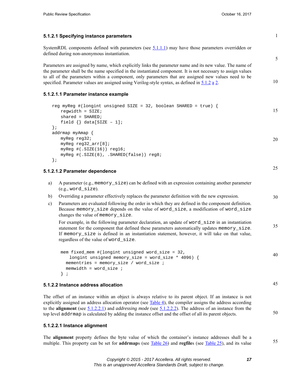| 5.1.2.1 Specifying instance parameters                                                                                                                                                                                                                                                                                                                                                                                                   |    |
|------------------------------------------------------------------------------------------------------------------------------------------------------------------------------------------------------------------------------------------------------------------------------------------------------------------------------------------------------------------------------------------------------------------------------------------|----|
| SystemRDL components defined with parameters (see $\underline{5.1.1.1}$ ) may have those parameters overridden or<br>defined during non-anonymous instantiation.                                                                                                                                                                                                                                                                         | 5  |
| Parameters are assigned by name, which explicitly links the parameter name and its new value. The name of<br>the parameter shall be the name specified in the instantiated component. It is not necessary to assign values<br>to all of the parameters within a component, only parameters that are assigned new values need to be<br>specified. Parameter values are assigned using Verilog-style syntax, as defined in $5.1.2$ a $2$ . | 10 |
| 5.1.2.1.1 Parameter instance example                                                                                                                                                                                                                                                                                                                                                                                                     |    |
| reg myReg #(longint unsigned SIZE = 32, boolean SHARED = true) {<br>$regular result = SIZE ;$<br>$shared = SHAREN;$<br>field $\{\}$ data[SIZE - 1];                                                                                                                                                                                                                                                                                      | 15 |
| $\}$ ;                                                                                                                                                                                                                                                                                                                                                                                                                                   |    |
| addrmap myAmap {<br>myReg reg32;<br>myReg reg32_arr[8];<br>myReg #(.SIZE(16)) reg16;<br>myReg #(.SIZE(8), .SHARED(false)) reg8;                                                                                                                                                                                                                                                                                                          | 20 |
| $\}$ ;                                                                                                                                                                                                                                                                                                                                                                                                                                   |    |
| 5.1.2.1.2 Parameter dependence                                                                                                                                                                                                                                                                                                                                                                                                           | 25 |
| A parameter (e.g., $memory\_size$ ) can be defined with an expression containing another parameter<br>a)<br>$(e.g., word_size).$                                                                                                                                                                                                                                                                                                         |    |
| Overriding a parameter effectively replaces the parameter definition with the new expression.<br>b)                                                                                                                                                                                                                                                                                                                                      | 30 |
| Parameters are evaluated following the order in which they are defined in the component definition.<br>$\mathbf{c})$<br>Because memory_size depends on the value of word_size, a modification of word_size<br>changes the value of memory size.                                                                                                                                                                                          |    |

35 For example, in the following parameter declaration, an update of word\_size in an instantiation statement for the component that defined these parameters automatically updates memory\_size. If memory\_size is defined in an instantiation statement, however, it will take on that value, regardless of the value of word\_size.

```
40
mem fixed_mem #(longint unsigned word_size = 32, 
   longint unsigned memory_size = word_size * 4096) {
   mementries = memory_size / word_size ;
  memwidth = word_size ;
} ;
```
## **5.1.2.2 Instance address allocation**

The offset of an instance within an object is always relative to its parent object. If an instance is not explicitly assigned an address allocation operator (see  $Table 4$ ), the compiler assigns the address according to the **alignment** (see [5.1.2.2.1](#page-26-0)) and *addressing mode* (see [5.1.2.2.2](#page-27-0)). The address of an instance from the top level addrmap is calculated by adding the instance offset and the offset of all its parent objects.

## <span id="page-26-0"></span>**5.1.2.2.1 Instance alignment**

The **alignment** property defines the byte value of which the container's instance addresses shall be a multiple. This property can be set for **addrmap**s (see [Table 26\)](#page-86-6) and **regfile**s (see [Table 25\)](#page-83-3), and its value 45

50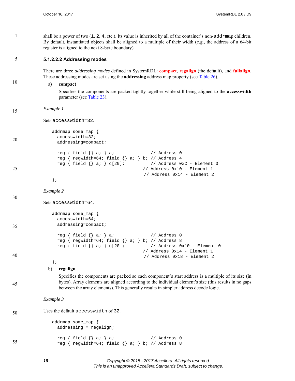shall be a power of two (1, 2, 4, etc.). Its value is inherited by all of the container's non-addrmap children. By default, instantiated objects shall be aligned to a multiple of their width (e.g., the address of a 64-bit register is aligned to the next 8-byte boundary).

#### **5.1.2.2.2 Addressing modes**

<span id="page-27-0"></span>There are three *addressing modes* defined in SystemRDL: **compact**, **regalign** (the default), and **fullalign**. These addressing modes are set using the **addressing** address map property (see [Table 26](#page-86-6)).

#### a) **compact**

Specifies the components are packed tightly together while still being aligned to the **accesswidth** parameter (see [Table 23\)](#page-77-3).

15 *Example 1*

1

5

10

20

25

30

35

40

45

Sets accesswidth=32.

```
addrmap some_map {
      accesswidth=32;
      addressing=compact;
     reg { field {} a; } a; \left| (f \circ f) \right| // Address 0
      reg { regwidth=64; field {} a; } b; // Address 4
     reg \{ field \} a; \} c[20]; // Address 0xC - Element 0
                                        // Address 0x10 - Element 1
                                        // Address 0x14 - Element 2
   };
Example 2
Sets accesswidth=64.
   addrmap some_map {
      accesswidth=64;
      addressing=compact;
     reg \{ field \{} a; \} a; \} // Address 0
      reg { regwidth=64; field {} a; } b; // Address 8
     reg { field {} a; } c[20]; // Address 0x10 - Element 0
                                        // Address 0x14 - Element 1
                                        // Address 0x18 - Element 2
   };
```
b) **regalign**

Specifies the components are packed so each component's start address is a multiple of its size (in bytes). Array elements are aligned according to the individual element's size (this results in no gaps between the array elements). This generally results in simpler address decode logic.

#### *Example 3*

50 Uses the default accesswidth of 32.

```
55
               addrmap some_map {
                  addressing = regalign;
                 reg \{ field \{} a; \} a; \} // Address 0
                  reg { regwidth=64; field {} a; } b; // Address 8
```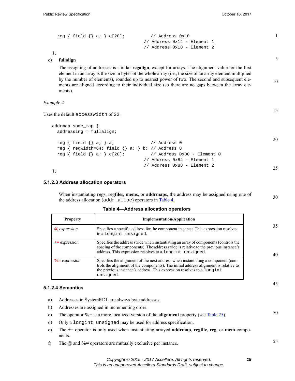```
 reg { field {} a; } c[20]; // Address 0x10
                                 // Address 0x14 - Element 1
                                 // Address 0x18 - Element 2
```
};

#### c) **fullalign**

The assigning of addresses is similar **regalign**, except for arrays. The alignment value for the first element in an array is the size in bytes of the whole array (i.e., the size of an array element multiplied by the number of elements), rounded up to nearest power of two. The second and subsequent elements are aligned according to their individual size (so there are no gaps between the array elements).

#### *Example 4*

Uses the default accesswidth of 32.

```
20
                                                                                         25
addrmap some_map {
   addressing = fullalign;
  reg { field {} a; } a; \left| (f - f) \right| // Address 0
  reg { regwidth=64; field {} a; } b; // Address 8
  reg \{ field \{} a; \} c[20]; // Address 0x80 - Element 0
                                      // Address 0x84 - Element 1
                                      // Address 0x88 - Element 2
};
```
#### <span id="page-28-0"></span>**5.1.2.3 Address allocation operators**

When instantiating **reg**s, **regfile**s, **mem**s, or **addrmap**s, the address may be assigned using one of the address allocation (addr\_alloc) operators in [Table 4.](#page-28-1)

<span id="page-28-1"></span>

| <b>Property</b>     | <b>Implementation/Application</b>                                                                                                                                                                                                                               |    |  |
|---------------------|-----------------------------------------------------------------------------------------------------------------------------------------------------------------------------------------------------------------------------------------------------------------|----|--|
| <b>a</b> expression | Specifies a specific address for the component instance. This expression resolves<br>to a longint unsigned.                                                                                                                                                     | 35 |  |
| $+=$ expression     | Specifies the address stride when instantiating an array of components (controls the<br>spacing of the components). The address stride is relative to the previous instance's<br>address. This expression resolves to a longint unsigned.                       | 40 |  |
| $\%$ = expression   | Specifies the alignment of the next address when instantiating a component (con-<br>trols the alignment of the components). The initial address alignment is relative to<br>the previous instance's address. This expression resolves to a longint<br>unsigned. |    |  |

#### **Table 4—Address allocation operators**

#### **5.1.2.4 Semantics**

- a) Addresses in SystemRDL are always byte addresses.
- b) Addresses are assigned in incrementing order.
- c) The operator **%=** is a more localized version of the **alignment** property (see [Table 25\)](#page-83-3).
- d) Only a longint unsigned may be used for address specification.
- e) The **+=** operator is only used when instantiating arrayed **addrmap**, **regfile**, **reg**, or **mem** components.
- f) The **@** and **%=** operators are mutually exclusive per instance.

#### *Copyright © 2015 - 2017 Accellera. All rights reserved. 19 This is an unapproved Accellera Standards Draft, subject to change.*

# 5

10

1

15

45

50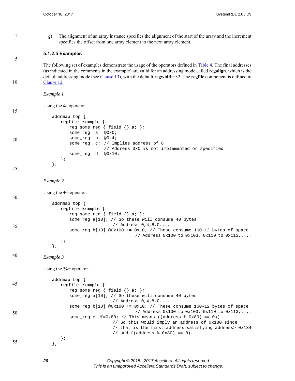5

10

g) The alignment of an array instance specifies the alignment of the start of the array and the increment specifies the offset from one array element to the next array element.

#### **5.1.2.5 Examples**

The following set of examples demonstrate the usage of the operators defined in [Table 4](#page-28-1). The final addresses (as indicated in the comments in the example) are valid for an addressing mode called **regalign**, which is the default addressing mode (see [Clause 13\)](#page-86-5), with the default **regwidth**=32. The **regfile** component is defined in [Clause 12.](#page-82-2)

*Example 1*

Using the **@** operator.

```
15
20
25
30
35
40
45
50
55
                addrmap top {
                   regfile example { 
                       reg some_reg { field {} a; };
                       some_reg a @0x0;
                       some_reg b @0x4;
                       some_reg c; // Implies address of 8 
                                     // Address 0xC is not implemented or specified
                       some_reg d @0x10;
                    };
                };
            Example 2
            Using the += operator.
                addrmap top {
                   regfile example { 
                       reg some_reg { field {} a; };
                       some_reg a[10]; // So these will consume 40 bytes
                                         // Address 0,4,8,C....
                       some_reg b[10] @0x100 += 0x10; // These consume 160-12 bytes of space
                                                   // Address 0x100 to 0x103, 0x110 to 0x113,....
                    };
                };
            Example 3
            Using the %= operator.
                addrmap top {
                   regfile example { 
                       reg some_reg \{ field \{ a; \};
                       some_reg a[10]; // So these will consume 40 bytes
                                         // Address 0,4,8,C....
                       some_reg b[10] @0x100 += 0x10; // These consume 160-12 bytes of space
                                                   // Address 0x100 to 0x103, 0x110 to 0x113,....
                       some_reg c \text{\$=0x80; // This means ((address \text{\$0x80}) == 0))// So this would imply an address of 0x180 since
                                         // that is the first address satisfying address>=0x134
                                         // and ((address % 0x80) == 0)
                    };
                };
```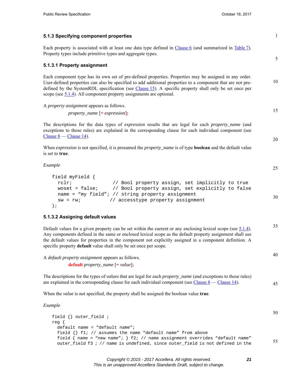<span id="page-30-2"></span><span id="page-30-1"></span><span id="page-30-0"></span>

| 5.1.3 Specifying component properties                                                                                                                                                                                                                                                                                                                                                                                   | $\mathbf{1}$ |
|-------------------------------------------------------------------------------------------------------------------------------------------------------------------------------------------------------------------------------------------------------------------------------------------------------------------------------------------------------------------------------------------------------------------------|--------------|
| Each property is associated with at least one data type defined in Clause $6$ (and summarized in Table 7).<br>Property types include primitive types and aggregate types.                                                                                                                                                                                                                                               | 5            |
| 5.1.3.1 Property assignment                                                                                                                                                                                                                                                                                                                                                                                             |              |
| Each component type has its own set of pre-defined properties. Properties may be assigned in any order.<br>User-defined properties can also be specified to add additional properties to a component that are not pre-<br>defined by the SystemRDL specification (see $Clause 15$ ). A specific property shall only be set once per<br>scope (see $\frac{5.1.4}{2}$ ). All component property assignments are optional. | 10           |
| A property assignment appears as follows.                                                                                                                                                                                                                                                                                                                                                                               |              |
| $property\_name$ [= $expression$ ];                                                                                                                                                                                                                                                                                                                                                                                     | 15           |
| The descriptions for the data types of expression results that are legal for each property_name (and<br>exceptions to those rules) are explained in the corresponding clause for each individual component (see<br>Clause $8 -$ Clause 14).                                                                                                                                                                             | 20           |
| When expression is not specified, it is presumed the property_name is of type <b>boolean</b> and the default value<br>is set to true.                                                                                                                                                                                                                                                                                   |              |
| Example                                                                                                                                                                                                                                                                                                                                                                                                                 | 25           |
| field myField {<br>rclr<br>// Bool property assign, set implicitly to true<br>// Bool property assign, set explicitly to false<br>woset = $false$ ;<br>name = "my field"; // string property assignment<br>// accesstype property assignment<br>$SW = TW$<br>$\}$ ;                                                                                                                                                     | 30           |
| 5.1.3.2 Assigning default values                                                                                                                                                                                                                                                                                                                                                                                        |              |
| Default values for a given property can be set within the current or any enclosing lexical scope (see $5.1.4$ ).<br>Any components defined in the same or enclosed lexical scope as the default property assignment shall use<br>the default values for properties in the component not explicitly assigned in a component definition. A<br>specific property default value shall only be set once per scope.           | 35           |
| A default property assignment appears as follows.                                                                                                                                                                                                                                                                                                                                                                       | 40           |
| <b>default</b> property_name $[= value]$ ;                                                                                                                                                                                                                                                                                                                                                                              |              |
| The descriptions for the types of values that are legal for each <i>property_name</i> (and exceptions to those rules)<br>are explained in the corresponding clause for each individual component (see Clause $8 -$ Clause 14).                                                                                                                                                                                          | 45           |
| When the <i>value</i> is not specified, the property shall be assigned the boolean value true.                                                                                                                                                                                                                                                                                                                          |              |
| Example                                                                                                                                                                                                                                                                                                                                                                                                                 |              |
| field $\{\}$ outer_field ;<br>$reg \{$<br>default name = "default name";                                                                                                                                                                                                                                                                                                                                                | 50           |
| field {} f1; // assumes the name "default name" from above<br>field { name = "new name"; } $f2$ ; // name assignment overrides "default name"<br>outer_field f3 ; // name is undefined, since outer_field is not defined in the                                                                                                                                                                                         | 55           |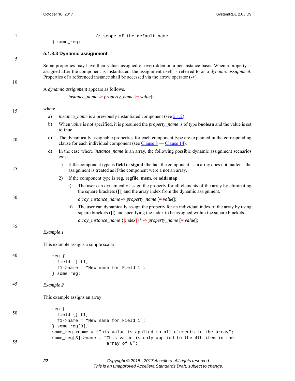// scope of the default name

} some\_reg;

#### <span id="page-31-0"></span>**5.1.3.3 Dynamic assignment**

Some properties may have their values assigned or overridden on a per-instance basis. When a property is assigned after the component is instantiated, the assignment itself is referred to as a *dynamic assignment*. Properties of a referenced instance shall be accessed via the arrow operator (**->**).

A *dynamic assignment* appears as follows.

*instance\_name* **->** *property\_name* [**=** *value*]**;**

#### 15 where

1

5

10

20

25

30

35

40

- a) *instance\_name* is a previously instantiated component (see [5.1.2](#page-25-0)). b) When *value* is not specified, it is presumed the *property\_name* is of type **boolean** and the value is set to **true**. c) The dynamically assignable properties for each component type are explained in the corresponding clause for each individual component (see [Clause 8](#page-52-5) — [Clause 14](#page-90-3)). d) In the case where *instance\_name* is an array, the following possible dynamic assignment scenarios exist. 1) If the component type is **field** or **signal**, the fact the component is an array does not matter—the assignment is treated as if the component were a not an array. 2) If the component type is **reg**, **regfile**, **mem**, or **addrmap** i) The user can dynamically assign the property for all elements of the array by eliminating the square brackets (**[]**) and the array index from the dynamic assignment. *array\_instance\_name* **->** *property\_name* [**=** *value*]**;**
	- ii) The user can dynamically assign the property for an individual index of the array by using square brackets (**[]**) and specifying the index to be assigned within the square brackets. *array instance name*  ${\{index\}}$  \* -> *property name*  $[= value]$ ;

*Example 1*

This example assigns a simple scalar.

reg { field {} f1; f1->name = "New name for Field 1"; } some\_reg;

#### 45 *Example 2*

This example assigns an array.

```
50
55
                reg {
                  field \{ \} f1;
                  f1->name = "New name for Field 1";
                } some_reg[8];
                some_reg->name = "This value is applied to all elements in the array";
                some_reg[3]->name = "This value is only applied to the 4th item in the 
                                       array of 8";
```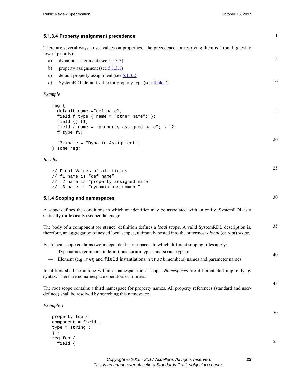<span id="page-32-0"></span>

| 5.1.3.4 Property assignment precedence                                                                                                                                                                                    | $\mathbf{1}$ |
|---------------------------------------------------------------------------------------------------------------------------------------------------------------------------------------------------------------------------|--------------|
| There are several ways to set values on properties. The precedence for resolving them is (from highest to<br>lowest priority):                                                                                            |              |
| dynamic assignment (see $5.1.3.3$ )<br>a)                                                                                                                                                                                 | 5            |
| property assignment (see $5.1.3.1$ )<br>b)                                                                                                                                                                                |              |
| default property assignment (see $5.1.3.2$ )<br>c)                                                                                                                                                                        |              |
| SystemRDL default value for property type (see Table 7)<br>$\rm d)$                                                                                                                                                       | 10           |
| Example                                                                                                                                                                                                                   |              |
| $req \{$<br>$default$ name ="def name";                                                                                                                                                                                   | 15           |
| field $f_type$ { name = "other name"; };                                                                                                                                                                                  |              |
| field $\{\}$ fl;<br>field { name = "property assigned name"; $}$ f2;                                                                                                                                                      |              |
| $f_type$ f3;                                                                                                                                                                                                              |              |
| $f3$ ->name = "Dynamic Assignment";<br>some_reg;                                                                                                                                                                          | 20           |
|                                                                                                                                                                                                                           |              |
| Results                                                                                                                                                                                                                   |              |
| // Final Values of all fields                                                                                                                                                                                             | 25           |
| // f1 name is "def name"                                                                                                                                                                                                  |              |
| // f2 name is "property assigned name"<br>// f3 name is "dynamic assignment"                                                                                                                                              |              |
|                                                                                                                                                                                                                           |              |
| 5.1.4 Scoping and namespaces                                                                                                                                                                                              | 30           |
| A scope defines the conditions in which an identifier may be associated with an entity. SystemRDL is a<br>statically (or lexically) scoped language.                                                                      |              |
| The body of a component (or struct) definition defines a local scope. A valid SystemRDL description is,<br>therefore, an aggregation of nested local scopes, ultimately nested into the outermost global (or root) scope. | 35           |
| Each local scope contains two independent namespaces, to which different scoping rules apply:                                                                                                                             |              |
| Type names (component definitions, enum types, and struct types);                                                                                                                                                         |              |
| Element (e.g., reg and field instantiations; struct members) names and parameter names.                                                                                                                                   | 40           |
| Identifiers shall be unique within a namespace in a scope. Namespaces are differentiated implicitly by<br>syntax. There are no namespace operators or limiters.                                                           |              |
| The root scope contains a third namespace for property names. All property references (standard and user-<br>defined) shall be resolved by searching this namespace.                                                      | 45           |
| Example 1                                                                                                                                                                                                                 |              |
| property foo {                                                                                                                                                                                                            | 50           |
| $component = field$ ;                                                                                                                                                                                                     |              |
| type = $string$ ;                                                                                                                                                                                                         |              |
| $\vert \cdot$<br>reg foo {                                                                                                                                                                                                |              |
| field $\{$                                                                                                                                                                                                                | 55           |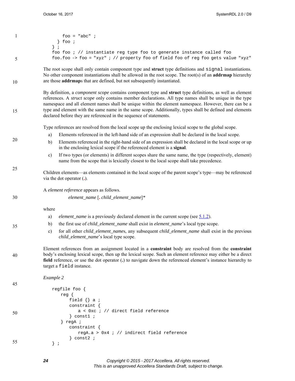| 1  | foo = "abc" $i$                                                                                                                                                                                                                                                                                                                                                                                                                                                                                                        |  |  |
|----|------------------------------------------------------------------------------------------------------------------------------------------------------------------------------------------------------------------------------------------------------------------------------------------------------------------------------------------------------------------------------------------------------------------------------------------------------------------------------------------------------------------------|--|--|
|    | $\}$ foo ;                                                                                                                                                                                                                                                                                                                                                                                                                                                                                                             |  |  |
|    | $\}$ ;<br>foo foo ; // instantiate reg type foo to generate instance called foo                                                                                                                                                                                                                                                                                                                                                                                                                                        |  |  |
| 5  | foo.foo -> foo = "xyz" ; // property foo of field foo of reg foo gets value "xyz"                                                                                                                                                                                                                                                                                                                                                                                                                                      |  |  |
|    | The root scope shall only contain component type and struct type definitions and signal instantiations.<br>No other component instantiations shall be allowed in the root scope. The root(s) of an <b>addrmap</b> hierarchy                                                                                                                                                                                                                                                                                            |  |  |
| 10 | are those addrmaps that are defined, but not subsequently instantiated.                                                                                                                                                                                                                                                                                                                                                                                                                                                |  |  |
| 15 | By definition, a component scope contains component type and struct type definitions, as well as element<br>references. A <i>struct scope</i> only contains member declarations. All type names shall be unique in the type<br>namespace and all element names shall be unique within the element namespace. However, there can be a<br>type and element with the same name in the same scope. Additionally, types shall be defined and elements<br>declared before they are referenced in the sequence of statements. |  |  |
|    | Type references are resolved from the local scope up the enclosing lexical scope to the global scope.                                                                                                                                                                                                                                                                                                                                                                                                                  |  |  |
|    | Elements referenced in the left-hand side of an expression shall be declared in the local scope.<br>a)                                                                                                                                                                                                                                                                                                                                                                                                                 |  |  |
| 20 | Elements referenced in the right-hand side of an expression shall be declared in the local scope or up<br>b)<br>in the enclosing lexical scope if the referenced element is a signal.                                                                                                                                                                                                                                                                                                                                  |  |  |
|    | If two types (or elements) in different scopes share the same name, the type (respectively, element)<br>c)<br>name from the scope that is lexically closest to the local scope shall take precedence.                                                                                                                                                                                                                                                                                                                  |  |  |
| 25 | Children elements—as elements contained in the local scope of the parent scope's type—may be referenced<br>via the dot operator $(.)$ .                                                                                                                                                                                                                                                                                                                                                                                |  |  |
|    | A element reference appears as follows.                                                                                                                                                                                                                                                                                                                                                                                                                                                                                |  |  |
| 30 | element_name [. child_element_name]*                                                                                                                                                                                                                                                                                                                                                                                                                                                                                   |  |  |
|    | where                                                                                                                                                                                                                                                                                                                                                                                                                                                                                                                  |  |  |
|    | element_name is a previously declared element in the current scope (see $5.1.2$ ).<br>a)                                                                                                                                                                                                                                                                                                                                                                                                                               |  |  |
|    | the first use of child_element_name shall exist in element_name's local type scope.<br>b)                                                                                                                                                                                                                                                                                                                                                                                                                              |  |  |
| 35 |                                                                                                                                                                                                                                                                                                                                                                                                                                                                                                                        |  |  |
|    | for all other <i>child_element_names</i> , any subsequent <i>child_element_name</i> shall exist in the previous<br>$\mathbf{c})$<br>child_element_name's local type scope.                                                                                                                                                                                                                                                                                                                                             |  |  |
| 40 | Element references from an assignment located in a constraint body are resolved from the constraint<br>body's enclosing lexical scope, then up the lexical scope. Such an element reference may either be a direct<br>field reference, or use the dot operator (.) to navigate down the referenced element's instance hierarchy to<br>target a field instance.                                                                                                                                                         |  |  |
|    | Example 2                                                                                                                                                                                                                                                                                                                                                                                                                                                                                                              |  |  |
| 45 |                                                                                                                                                                                                                                                                                                                                                                                                                                                                                                                        |  |  |
|    | regfile foo {<br>$reg\{$                                                                                                                                                                                                                                                                                                                                                                                                                                                                                               |  |  |
|    | field $\{ \}$ a ;                                                                                                                                                                                                                                                                                                                                                                                                                                                                                                      |  |  |
|    | $constraint \{$                                                                                                                                                                                                                                                                                                                                                                                                                                                                                                        |  |  |
| 50 | a < 0xc ; // direct field reference<br>$\}$ const1 ;                                                                                                                                                                                                                                                                                                                                                                                                                                                                   |  |  |
|    | $\}$ regA ;                                                                                                                                                                                                                                                                                                                                                                                                                                                                                                            |  |  |
|    | constraint {                                                                                                                                                                                                                                                                                                                                                                                                                                                                                                           |  |  |
|    | regA.a > 0x4 ; // indirect field reference                                                                                                                                                                                                                                                                                                                                                                                                                                                                             |  |  |
| 55 | $\}$ const2 ;<br>$\}$ ;                                                                                                                                                                                                                                                                                                                                                                                                                                                                                                |  |  |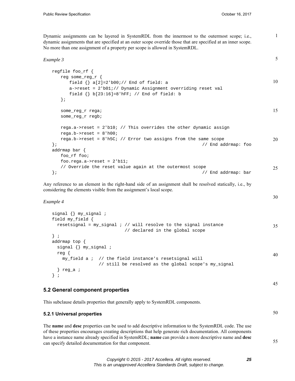5

30

45

50

55

Dynamic assignments can be layered in SystemRDL from the innermost to the outermost scope; i.e., dynamic assignments that are specified at an outer scope override those that are specified at an inner scope. No more than one assignment of a property per scope is allowed in SystemRDL.

#### *Example 3*

```
10
                                                                                                       15
                                                                                                       20
                                                                                                       25
regfile foo_rf {
   reg some_reg_r {
       field {} a[2]=2'b00;// End of field: a
        a->reset = 2'b01;// Dynamic Assignment overriding reset val
        field {} b[23:16]=8'hFF; // End of field: b
    };
    some_reg_r rega;
    some_reg_r regb;
   rega.a->reset = 2'b10; // This overrides the other dynamic assign
   reqa.b->reset = 8'h00;rega.b->reset = 8'h5C; // Error two assigns from the same scope
}; // End addrmap: foo
addrmap bar {
   foo_rf foo;
   foo.rega.a->reset = 2'b11;
    // Override the reset value again at the outermost scope 
\}; \qquad \qquad \qquad \qquad \qquad \qquad \qquad \qquad \qquad \qquad \qquad \qquad \qquad \qquad \qquad \qquad \qquad \qquad \qquad \qquad \qquad \qquad \qquad \qquad \qquad \qquad \qquad \qquad \qquad \qquad \qquad \qquad \qquad \qquad \qquad \qquad
```
Any reference to an element in the right-hand side of an assignment shall be resolved statically, i.e., by considering the elements visible from the assignment's local scope.

#### *Example 4*

```
35
                                                                                         40
signal {} my_signal ;
field my_field {
  resetsignal = my\_signal ; // will resolve to the signal instance
                              // declared in the global scope
} ;
addrmap top {
   signal {} my_signal ;
   reg {
     my_field a ; // the field instance's resetsignal will
                   // still be resolved as the global scope's my_signal
   } reg_a ;
} ;
```
#### <span id="page-34-0"></span>**5.2 General component properties**

This subclause details properties that generally apply to SystemRDL components.

#### <span id="page-34-1"></span>**5.2.1 Universal properties**

The **name** and **desc** properties can be used to add descriptive information to the SystemRDL code. The use of these properties encourages creating descriptions that help generate rich documentation. All components have a instance name already specified in SystemRDL; **name** can provide a more descriptive name and **desc** can specify detailed documentation for that component.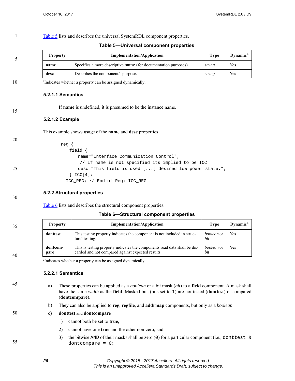#### 1 [Table 5](#page-35-1) lists and describes the universal SystemRDL component properties.

**Table 5—Universal component properties** 

<span id="page-35-1"></span>

| <b>Property</b> | <b>Implementation/Application</b>                               | Tvpe   | Dynamic <sup>a</sup> |
|-----------------|-----------------------------------------------------------------|--------|----------------------|
| name            | Specifies a more descriptive name (for documentation purposes). | string | Yes                  |
| desc            | Describes the component's purpose.                              | string | Yes                  |

```
10
```
15

30

35

40

45

50

55

5

<sup>a</sup>Indicates whether a property can be assigned dynamically.

#### **5.2.1.1 Semantics**

If **name** is undefined, it is presumed to be the instance name.

#### **5.2.1.2 Example**

This example shows usage of the **name** and **desc** properties.

```
20
25
                   reg {
                      field {
                          name="Interface Communication Control";
                            // If name is not specified its implied to be ICC
                          desc="This field is used [...] desired low power state.";
                       } ICC[4];
                   } ICC_REG; // End of Reg: ICC_REG
```
### <span id="page-35-0"></span>**5.2.2 Structural properties**

<span id="page-35-2"></span>[Table 6](#page-35-2) lists and describes the structural component properties.

#### **Table 6—Structural component properties**

|  | <b>Property</b>  | <b>Implementation/Application</b>                                                                                              | <b>Type</b>              | Dynamic <sup>a</sup> |
|--|------------------|--------------------------------------------------------------------------------------------------------------------------------|--------------------------|----------------------|
|  | donttest         | This testing property indicates the component is not included in struc-<br>tural testing.                                      | <i>boolean</i> or<br>hit | Yes                  |
|  | dontcom-<br>pare | This is testing property indicates the components read data shall be dis-<br>carded and not compared against expected results. | <i>boolean</i> or<br>hit | Yes                  |

<sup>a</sup>Indicates whether a property can be assigned dynamically.

#### **5.2.2.1 Semantics**

- a) These properties can be applied as a *boolean* or a bit mask (*bit*) to a **field** component. A mask shall have the same *width* as the **field**. Masked bits (bits set to 1) are not tested (**donttest**) or compared (**dontcompare**).
- b) They can also be applied to **reg**, **regfile**, and **addrmap** components, but only as a *boolean*.

c) **donttest** and **dontcompare**

- 1) cannot both be set to **true**,
- 2) cannot have one **true** and the other non-zero, and
- 3) the bitwise AND of their masks shall be zero (0) for a particular component (i.e., dont test  $\&$ dontcompare = 0).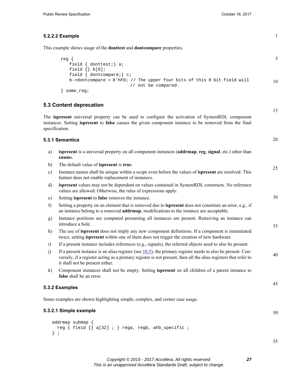15

20

25

30

35

45

50

**5.2.2.2 Example**

This example shows usage of the **donttest** and **dontcompare** properties.

```
5
                                                                                         10
reg { 
   field { donttest;} a; 
   field {} b[8]; 
   field { dontcompare;} c; 
   b->dontcompare = 8'hF0; // The upper four bits of this 8 bit field will 
                            // not be compared. 
} some_reg;
```
#### **5.3 Content deprecation**

The **ispresent** universal property can be used to configure the activation of SystemRDL component instances. Setting **ispresent** to **false** causes the given component instance to be removed from the final specification.

#### **5.3.1 Semantics**

- a) **ispresent** is a universal property on all component instances (**addrmap**, **reg**, **signal**, etc.) other than **enum**s.
- b) The default value of **ispresent** is **true**.
- c) Instance names shall be unique within a scope even before the values of **ispresent** are resolved. This feature does not enable replacement of instances.
- d) **ispresent** values may not be dependent on values contained in SystemRDL constructs. No reference values are allowed. Otherwise, the rules of expressions apply.
- e) Setting **ispresent** to **false** removes the instance.
- f) Setting a property on an element that is removed due to **ispresent** does not constitute an error, e.g., if an instance belong to a removed **addrmap**, modifications to the instance are acceptable.
- g) Instance positions are computed presuming all instances are present. Removing an instance can introduce a hole.
- h) The use of **ispresent** does not imply any new component definitions. If a component is instantiated twice, setting **ispresent** within one of them does not trigger the creation of new hardware.
- i) If a present instance includes references (e.g., signals), the referred objects need to also be present.
- 40 j) If a present instance is an alias register (see  $10.5$ ), the primary register needs to also be present. Conversely, if a register acting as a primary register is not present, then all the alias registers that refer to it shall not be present either.
- k) Component instances shall not be empty. Setting **ispresent** on all children of a parent instance to **false** shall be an error.

#### **5.3.2 Examples**

Some examples are shown highlighting simple, complex, and corner case usage.

#### **5.3.2.1 Simple example**

```
addrmap submap {
 reg \{ field \{ a[32] ; \} rega, regb, ahb_specific ;
} ;
```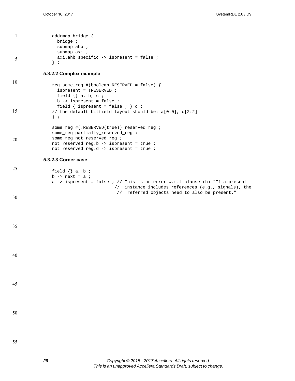```
1
5
               addrmap bridge {
                  bridge ;
                  submap ahb ;
                  submap axi ;
                  axi.ahb_specific -> ispresent = false ;
               } ;
```
#### **5.3.2.2 Complex example**

```
10
15
20
                reg some_reg #(boolean RESERVED = false) {
                   ispresent = !RESERVED ;
                  field \{ a, b, c ;
                  b \rightarrow ispresent = false ;
                  field \{ ispresent = false i \} d i// the default bitfield layout should be: a[0:0], c[2:2]
                } ;
                some_reg #(.RESERVED(true)) reserved_reg ;
                some_reg partially_reserved_reg ;
                some_reg not_reserved_reg ;
                not_reserved_reg.b -> ispresent = true ;
                not_reserved_reg.d -> ispresent = true ;
```
#### **5.3.2.3 Corner case**

```
25
```

```
field \{ a, b;
b \rightarrow next = a ;
a -> ispresent = false i // This is an error w.r.t clause (h) "If a present
                          // instance includes references (e.g., signals), the
                           // referred objects need to also be present."
```
30

```
35
```
40

45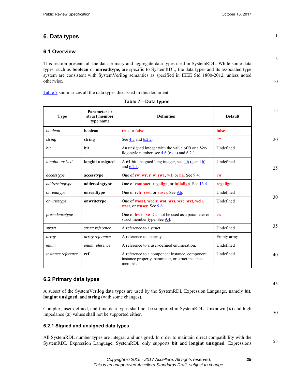**6. Data types**

**6.1 Overview**

otherwise.

1

# 5

10

[Table 7](#page-38-0) summarizes all the data types discussed in this document.

<span id="page-38-0"></span>

| <b>Type</b>               | Parameter or<br>struct member<br>type name | <b>Definition</b>                                                                                                          | <b>Default</b> |
|---------------------------|--------------------------------------------|----------------------------------------------------------------------------------------------------------------------------|----------------|
| boolean                   | boolean                                    | true or false.                                                                                                             | false          |
| string                    | string                                     | See 4.5 and 6.2.2.                                                                                                         | 1111           |
| bit                       | bit                                        | An unsigned integer with the value of 0 or a Ver-<br>ilog-style number, see $\frac{4.6}{c}$ (c - e) and 6.2.1.             | Undefined      |
| longint unsized           | longint unsigned                           | A 64-bit unsigned long integer, see $\frac{4.6}{a}$ and $\frac{b}{c}$<br>and $6.2.1$ .                                     | Undefined      |
| accesstype                | accesstype                                 | One of rw, wr, r, w, rw1, w1, or na. See $9.4$ .                                                                           | rw             |
| addressingtype            | addressingtype                             | One of <b>compact</b> , <b>regalign</b> , or <b>fullalign</b> . See 13.4.                                                  | regalign       |
| onreadtype                | onreadtype                                 | One of rclr, rset, or ruser. See 9.6.                                                                                      | Undefined      |
| onwritetype               | onwritetype                                | Undefined<br>One of woset, woclr, wot, wzs, wzc, wzt, wclr,<br>wset, or wuser. See 9.6.                                    |                |
| precedencetype            |                                            | One of hw or sw. Cannot be used as a parameter or<br>struct member type. See 9.4.                                          | <b>SW</b>      |
| struct                    | struct reference                           | Undefined<br>A reference to a struct.                                                                                      |                |
| array                     | array reference                            | A reference to an array.<br>Empty array                                                                                    |                |
| enum                      | enum reference                             | A reference to a user-defined enumeration.<br>Undefined                                                                    |                |
| <i>instance reference</i> | ref                                        | Undefined<br>A reference to a component instance, component<br>instance property, parameter, or struct instance<br>member. |                |

#### **Table 7—Data types**

This section presents all the data primary and aggregate data types used in SystemRDL. While some data types, such as **boolean** or **onreadtype**, are specific to SystemRDL, the data types and its associated type system are consistent with SystemVerilog semantics as specified in IEEE Std 1800-2012, unless noted

#### **6.2 Primary data types**

A subset of the SystemVerilog data types are used by the SystemRDL Expression Language, namely **bit**, **longint unsigned**, and **string** (with some changes).

Complex, user-defined, and time data types shall not be supported in SystemRDL. Unknown (x) and high impedance (z) values shall not be supported either.

#### <span id="page-38-1"></span>**6.2.1 Signed and unsigned data types**

All SystemRDL number types are integral and unsigned. In order to maintain direct compatibility with the SystemRDL Expression Language, SystemRDL only supports **bit** and **longint unsigned**. Expressions

> *Copyright © 2015 - 2017 Accellera. All rights reserved. 29 This is an unapproved Accellera Standards Draft, subject to change.*

45

50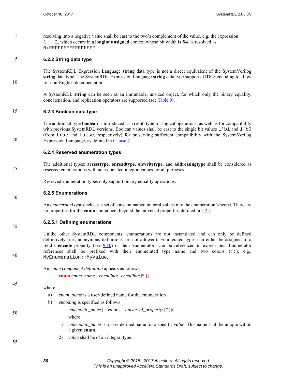1 resolving into a negative value shall be cast to the two's complement of the value, e.g, the expression 1 - 2, which occurs in a **longint unsigned** context whose bit width is 64, is resolved as 0xFFFFFFFFFFFFFFFF.

#### 5 **6.2.2 String data type**

10

20

25

30

35

40

45

50

55

<span id="page-39-0"></span>The SystemRDL Expression Language **string** data type is not a direct equivalent of the SystemVerilog **string** data type. The SystemRDL Expression Language **string** data type supports UTF-8 encoding to allow for non-English documentation.

A SystemRDL **string** can be seen as an immutable, unsized object, for which only the binary equality, concatenation, and replication operators are supported (see [Table 9](#page-48-0)).

#### 15 **6.2.3 Boolean data type**

The additional type **boolean** is introduced as a result type for logical operations, as well as for compatibility with previous SystemRDL versions. Boolean values shall be cast to the single bit values 1'b1 and 1'b0 (from true and false, respectively) for preserving sufficient compatibility with the SystemVerilog Expression Language, as defined in [Clause 7.](#page-48-1)

#### **6.2.4 Reserved enumeration types**

The additional types: **accesstype**, **onreadtype**, **onwritetype**, and **addressingtype** shall be considered as reserved enumerations with no associated integral values for all purposes.

Reserved enumeration types only support binary equality operations.

#### **6.2.5 Enumerations**

An *enumerated type* encloses a set of constant named integral values into the enumeration's scope. There are no properties for the **enum** component beyond the universal properties defined in [5.2.1](#page-34-0).

#### **6.2.5.1 Defining enumerations**

Unlike other SystemRDL components, enumerations are not instantiated and can only be defined definitively (i.e., anonymous definitions are not allowed). Enumerated types can either be assigned to a field's **encode** property (see [9.10](#page-70-0)) or their enumerators can be referenced in expressions. Enumerator references shall be prefixed with their enumerated type name and two colons  $(::), e.g.,$ MyEnumeration::MyValue.

An *enum component definition* appears as follows.

```
enum enum_name { encoding; [encoding;]* };
```
#### where

- a) *enum\_name* is a user-defined name for the enumeration
- b) *encoding* is specified as follows

*mnemonic\_name* [**=** *value* [**{**{*universal\_property***;**}\***}**]**;**

where

- 1) *mnemonic\_name* is a user-defined name for a specific *value*. This name shall be unique within a given **enum**.
- 2) *value* shall be of an integral type.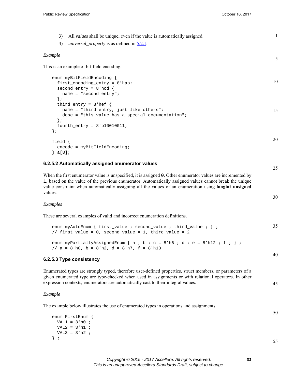*Example*

};

};

field {

} a[8];

};

1

5

10

20

30

40

45

50

When the first enumerator value is unspecified, it is assigned 0. Other enumerator values are incremented by 1, based on the value of the previous enumerator. Automatically assigned values cannot break the unique value constraint when automatically assigning all the values of an enumeration using **longint unsigned** values.

3) All *value*s shall be unique, even if the value is automatically assigned.

4) *universal\_property* is as defined in [5.2.1.](#page-34-0)

name = "third entry, just like others";

desc = "this value has a special documentation";

This is an example of bit-field encoding.

enum myBitFieldEncoding {

second\_entry =  $8 \cdot \text{hcd}$  { name = "second entry";

third entry =  $8'$  hef {

first\_encoding\_entry = 8'hab;

fourth\_entry = 8'b10010011;

encode = myBitFieldEncoding;

**6.2.5.2 Automatically assigned enumerator values**

#### *Examples*

These are several examples of valid and incorrect enumeration definitions.

```
35
enum myAutoEnum { first_value ; second_value ; third_value ; } ;
// first_value = 0, second_value = 1, third_value = 2
enum myPartiallyAssignedEnum { a ; b ; c = 8'h6 ; d ; e = 8'h12 ; f ; } ;
// a = 8'h0, b = 8'h2, d = 8'h7, f = 8'h13
```
#### **6.2.5.3 Type consistency**

Enumerated types are strongly typed, therefore user-defined properties, struct members, or parameters of a given enumerated type are type-checked when used in assignments or with relational operators. In other expression contexts, enumerators are automatically cast to their integral values.

#### *Example*

The example below illustrates the use of enumerated types in operations and assignments.

```
enum FirstEnum {
  VAL1 = 3'h0 ;
  VAL2 = 3'h1 ;
 VAL3 = 3'h2 ;
} ;
```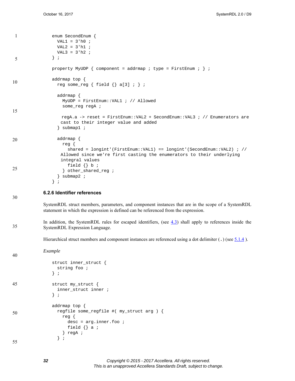```
1
 5
10
15
20
25
30
35
40
45
50
55
                 enum SecondEnum {
                    VAL1 = 3'h0 ;
                   VAL2 = 3'h1 ;
                   VAL3 = 3'h2 ;
                 } ;
                 property MyUDP \{ component = addrmap i type = FirstEnum i } iaddrmap top {
                    reg some_reg \{ field \{ a[3] ; \} ;
                     addrmap {
                       MyUDP = FirstEnum::VAL1 ; // Allowed
                       some_reg regA ;
                      regA.a -> reset = FirstEnum::VAL2 + SecondEnum::VAL3 ; // Enumerators are 
                     cast to their integer value and added
                     } submap1 ;
                     addrmap {
                       reg {
                         shared = longint'(FirstEnum::VAL1) == longint'(SecondEnum::VAL2) ; // 
                     Allowed since we're first casting the enumerators to their underlying 
                     integral values
                        field \{\} b ;
                       } other_shared_reg ;
                     } submap2 ;
                 } ;
              6.2.6 Identifier references
              SystemRDL struct members, parameters, and component instances that are in the scope of a SystemRDL 
              statement in which the expression is defined can be referenced from the expression.
              In addition, the SystemRDL rules for escaped identifiers, (see 4.3) shall apply to references inside the
             SystemRDL Expression Language.
              Hierarchical struct members and component instances are referenced using a dot delimiter (.) (see \underline{5.1.4}).
              Example
                 struct inner_struct {
                    string foo ;
                 } ;
                 struct my_struct {
                    inner struct inner ;
                 } ;
                 addrmap top {
                     regfile some_regfile #( my_struct arg ) {
                       reg {
                         desc = arg.inner.foo ;
                        field \{ \} a ;
                       } regA ;
                     } ;
```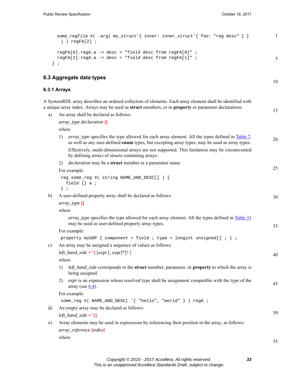```
5
                                                                                                          10
                                                                                                          15
                                                                                                         20
                                                                                                         25
                                                                                                         30
                                                                                                         35
                                                                                                         40
                                                                                                         45
                                                                                                         50
       ) ) regFA[2] ;
       regFA[0].regA.a -> desc = "field desc from regFA[0]" ;
       regFA[1].regA.a -> desc = "field desc from regFA[1]" ;
    } ;
6.3 Aggregate data types
6.3.1 Arrays
A SystemRDL array describes an ordered collection of elements. Each array element shall be identified with 
a unique array index. Arrays may be used as struct members, or in property or parameter declarations.
  a) An array shall be declared as follows:
      array_type declaration []
      where
       1) array_type specifies the type allowed for each array element. All the types defined in Table 7, 
           as well as any user-defined enum types, but excepting array types, may be used as array types.
           Effectively, multi-dimensional arrays are not supported. This limitation may be circumvented 
           by defining arrays of structs containing arrays.
      2) declaration may be a struct member or a parameter name.
      For example:
       reg some_reg #( string NAME_AND_DESC[] ) {
          field \{ \} a ;
       } ;
  b) A user-defined property array shall be declared as follows:
      array_type []
       where
           array_type Table 31
           may be used as user-defined property array types.
       For example:
       property myUDP { component = field ; type = longint unsigned[] ; } ;
  c) An array may be assigned a sequence of values as follows:
      left_hand_side = '{ [expr [, expr]*]? }
      where
       1) left_hand_side corresponds to the struct member, parameter, or property to which the array is 
           being assigned.
      2) expr is an expression whose resolved type shall be assignment compatible with the type of the 
           array (see 6.4).
      For example:
       some_reg #(.NAME_AND_DESC( '{ "hello", "world" } ) regA ;
  d) An empty array may be declared as follows:
      left_hand_side = '{}
```
some\_regfile #( .arg( my\_struct'{ inner: inner\_struct'{ foo: "reg desc" } }

e) Array elements may be used in expressions by referencing their position in the array, as follows: *array\_reference* **[***index***]** where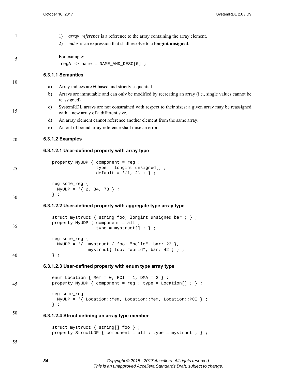| 1  | array_reference is a reference to the array containing the array element.<br>1)<br>2)<br><i>index</i> is an expression that shall resolve to a <b>longint unsigned</b> . |
|----|--------------------------------------------------------------------------------------------------------------------------------------------------------------------------|
| 5  | For example:                                                                                                                                                             |
|    | $regA \rightarrow name = NAME\_AND\_DESC[0]$ ;                                                                                                                           |
|    | 6.3.1.1 Semantics                                                                                                                                                        |
| 10 | Array indices are 0-based and strictly sequential.<br>a)                                                                                                                 |
|    | Arrays are immutable and can only be modified by recreating an array (i.e., single values cannot be<br>b)                                                                |
|    | reassigned).                                                                                                                                                             |
| 15 | SystemRDL arrays are not constrained with respect to their sizes: a given array may be reassigned<br>c)<br>with a new array of a different size.                         |
|    | An array element cannot reference another element from the same array.<br>d)                                                                                             |
|    | An out of bound array reference shall raise an error.<br>e)                                                                                                              |
| 20 | 6.3.1.2 Examples                                                                                                                                                         |
|    | 6.3.1.2.1 User-defined property with array type                                                                                                                          |
| 25 | property MyUDP $\{$ component = reg ;<br>type = longint unsigned[] ;<br>default = $\{1, 2\}$ ; } ;                                                                       |
| 30 | reg some_reg {<br>MyUDP = $\{2, 34, 73\}$ ;<br>$\}$ ;<br>6.3.1.2.2 User-defined property with aggregate type array type                                                  |
|    |                                                                                                                                                                          |
| 35 | struct mystruct { string foo; longint unsigned bar ; } ;<br>property MyUDP $\{$ component = all $\,$<br>type = $mystruct[]$ ; } ;                                        |
|    | reg some_reg {<br>MyUDP = $'\{\text{mystruct} \{ \text{foo: "hello", bar: 23 } \},$                                                                                      |
| 40 | 'mystruct{ foo: "world", bar: 42 } } ;<br>$\}$ ;                                                                                                                         |
|    | 6.3.1.2.3 User-defined property with enum type array type                                                                                                                |
| 45 | enum Location { Mem = 0, PCI = 1, DMA = 2 } ;<br>property MyUDP { component = reg ; type = Location[] ; } ;                                                              |
|    | reg some_reg {<br>MyUDP = $\left\{$ Location:: Mem, Location:: Mem, Location:: PCI } ;<br>$\vert \cdot \vert$                                                            |
| 50 | 6.3.1.2.4 Struct defining an array type member                                                                                                                           |
|    | struct mystruct { string[] foo } ;<br>property StructUDP { component = all ; type = mystruct ; } ;                                                                       |
| 55 |                                                                                                                                                                          |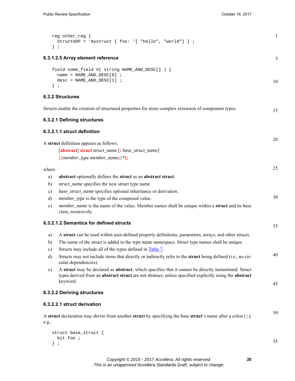|              | reg other_reg {<br>StructUDP = 'mystruct { foo: '{ "hello", "world"} } ;<br>$\vert \cdot \vert$                                                                                                                             | $\mathbf{1}$ |
|--------------|-----------------------------------------------------------------------------------------------------------------------------------------------------------------------------------------------------------------------------|--------------|
|              | 6.3.1.2.5 Array element reference                                                                                                                                                                                           | 5            |
| <sup>}</sup> | field some_field #( string NAME_AND_DESC[] ) {<br>$name = NAME\_AND_DESC[0]$ ;<br>$desc = NAME\_AND\_DESC[1]$ ;<br>$\cdot$                                                                                                  | 10           |
|              | 6.3.2 Structures                                                                                                                                                                                                            |              |
|              | Structs enable the creation of structured properties for more complex extension of component types.                                                                                                                         | 15           |
|              | 6.3.2.1 Defining structures                                                                                                                                                                                                 |              |
|              | 6.3.2.1.1 struct definition                                                                                                                                                                                                 |              |
|              | A struct definition appears as follows.<br>[abstract] struct struct_name [: base_struct_name]<br>$\{$ {member_type member_name;}*};                                                                                         | 20           |
| where        |                                                                                                                                                                                                                             | 25           |
| a)           | abstract optionally defines the struct as an abstract struct.                                                                                                                                                               |              |
| b)           | struct_name specifies the new struct type name.                                                                                                                                                                             |              |
| c)           | base_struct_name specifies optional inheritance or derivation.                                                                                                                                                              |              |
| d)           | member_type is the type of the composed value.                                                                                                                                                                              | 30           |
| e)           | member_name is the name of the value. Member names shall be unique within a struct and its base<br>class, recursively.                                                                                                      |              |
|              | 6.3.2.1.2 Semantics for defined structs                                                                                                                                                                                     | 35           |
| a)           | A struct can be used within user-defined property definitions, parameters, arrays, and other structs.                                                                                                                       |              |
| b)           | The name of the struct is added to the type name namespace. Struct type names shall be unique.                                                                                                                              |              |
| c)           | Structs may include all of the types defined in Table 7.                                                                                                                                                                    |              |
| $\mathbf{d}$ | Structs may not include items that directly or indirectly refer to the struct being defined (i.e., no cir-<br>cular dependencies).                                                                                          | 40           |
| e)           | A struct may be declared as abstract, which specifies that it cannot be directly instantiated. Struct<br>types derived from an abstract struct are not abstract, unless specified explicitly using the abstract<br>keyword. | 45           |
|              | 6.3.2.2 Deriving structures                                                                                                                                                                                                 |              |
|              | 6.3.2.2.1 struct derivation                                                                                                                                                                                                 |              |
| e.g.,        | A struct declaration may <i>derive</i> from another struct by specifying the base struct's name after a colon $(:),$                                                                                                        | 50           |
|              | struct base_struct {                                                                                                                                                                                                        |              |

```
 bit foo ;
} ;
```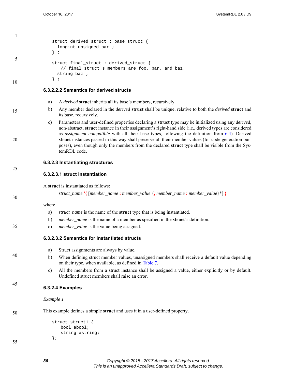15

20

25

30

35

40

45

```
5
10
                struct derived_struct : base_struct {
                  longint unsigned bar ;
               } ;
                struct final_struct : derived_struct { 
                   // final_struct's members are foo, bar, and baz.
                   string baz ;
                } ;
```
#### **6.3.2.2.2 Semantics for derived structs**

- a) A *derived* **struct** inherits all its base's members, recursively.
- b) Any member declared in the *derived* **struct** shall be unique, relative to both the *derived* **struct** and its base, recursively.
- c) Parameters and user-defined properties declaring a **struct** type may be initialized using any *derived*, non-abstract, **struct** instance in their assignment's right-hand side (i.e., derived types are considered as *assignment compatible* with all their base types, following the definition from [6.4\)](#page-46-0). Derived **struct** instances passed in this way shall preserve all their member values (for code generation purposes), even though only the members from the declared **struct** type shall be visible from the SystemRDL code.

**6.3.2.3 Instantiating structures**

#### **6.3.2.3.1 struct instantiation**

A **struct** is instantiated as follows:

*struct\_name* **'{** [*member\_name* **:** *member\_value* {**,** *member\_name* **:** *member\_value*}\*] **}**

#### where

- a) *struct\_name* is the name of the **struct** type that is being instantiated.
- b) *member\_name* is the name of a member as specified in the **struct**'s definition.
- c) *member\_value* is the value being assigned.

#### **6.3.2.3.2 Semantics for instantiated structs**

- a) Struct assignments are always by value.
- b) When defining struct member values, unassigned members shall receive a default value depending on their type, when available, as defined in [Table 7.](#page-38-0)
	- c) All the members from a struct instance shall be assigned a value, either explicitly or by default. Undefined struct members shall raise an error.

#### **6.3.2.4 Examples**

*Example 1*

50 This example defines a simple **struct** and uses it in a user-defined property.

```
struct struct1 {
   bool abool;
   string astring;
};
```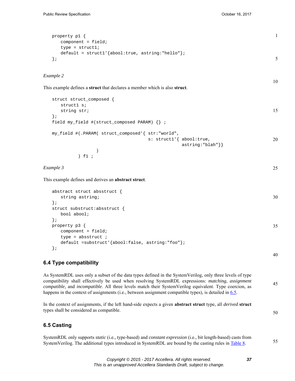*Example 2*

This example defines a **struct** that declares a member which is also **struct**.

```
15
                                                                                   20
struct struct_composed {
   struct1 s;
   string str;
};
field my_field #(struct_composed PARAM) {} ;
my_field #(.PARAM( struct_composed'{ str:"world",
                                     s: struct1'{ abool:true,
                                                  astring:"blah"}}
 )
          ) f1 ;
```
*Example 3*

This example defines and derives an **abstract struct**.

```
30
                                                                                         35
                                                                                         40
abstract struct absstruct {
   string astring;
};
struct substruct:absstruct {
   bool abool;
};
property p3 {
   component = field;
   type = absstruct ;
   default =substruct'{abool:false, astring:"foo"};
};
```
### <span id="page-46-0"></span>**6.4 Type compatibility**

As SystemRDL uses only a subset of the data types defined in the SystemVerilog, only three levels of type compatibility shall effectively be used when resolving SystemRDL expressions: *matching*, *assignment compatible,* and *incompatible*. All three levels match their SystemVerilog equivalent. Type coercion, as happens in the context of assignments (i.e., between assignment compatible types), is detailed in [6.5.](#page-46-1)

In the context of assignments, if the left hand-side expects a given **abstract struct** type, all *derived* **struct** types shall be considered as compatible.

50

45

10

25

### <span id="page-46-1"></span>**6.5 Casting**

| SystemRDL only supports <i>static</i> (i.e., type-based) and <i>constant expression</i> (i.e., bit length-based) casts from |  |
|-----------------------------------------------------------------------------------------------------------------------------|--|
| SystemVerilog. The additional types introduced in SystemRDL are bound by the casting rules in Table 8.                      |  |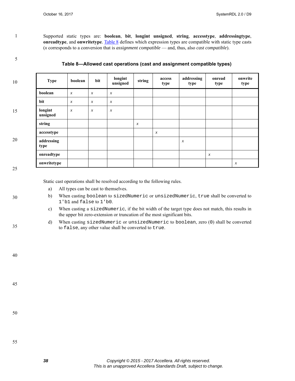Supported static types are: **boolean**, **bit**, **longint unsigned**, **string**, **accesstype**, **addressingtype**, **onreadtype**, and **onwritetype**. [Table 8](#page-47-0) defines which expression types are compatible with static type casts (*x* corresponds to a conversion that is *assignment compatible* — and, thus, also *cast compatible*).

5

10

15

20

#### **Table 8—Allowed cast operations (cast and assignment compatible types)**

<span id="page-47-0"></span>

| <b>Type</b>         | boolean          | bit              | longint<br>unsigned | string        | access<br>type   | addressing<br>type | onread<br>type   | onwrite<br>type |
|---------------------|------------------|------------------|---------------------|---------------|------------------|--------------------|------------------|-----------------|
| boolean             | $\boldsymbol{x}$ | $\boldsymbol{x}$ | $\boldsymbol{x}$    |               |                  |                    |                  |                 |
| bit                 | $\boldsymbol{x}$ | $\boldsymbol{x}$ | $\boldsymbol{x}$    |               |                  |                    |                  |                 |
| longint<br>unsigned | $\boldsymbol{x}$ | $\boldsymbol{x}$ | $\boldsymbol{x}$    |               |                  |                    |                  |                 |
| string              |                  |                  |                     | $\mathcal{X}$ |                  |                    |                  |                 |
| accesstype          |                  |                  |                     |               | $\boldsymbol{x}$ |                    |                  |                 |
| addressing<br>type  |                  |                  |                     |               |                  | $\boldsymbol{x}$   |                  |                 |
| onreadtype          |                  |                  |                     |               |                  |                    | $\boldsymbol{x}$ |                 |
| onwritetype         |                  |                  |                     |               |                  |                    |                  | $\mathcal{X}$   |

25

30

35

Static cast operations shall be resolved according to the following rules.

- a) All types can be cast to themselves.
- b) When casting boolean to sizedNumeric or unsizedNumeric, true shall be converted to 1'b1 and false to 1'b0.
- c) When casting a sizedNumeric, if the bit width of the target type does not match, this results in the upper bit zero-extension or truncation of the most significant bits.
- d) When casting sizedNumeric or unsizedNumeric to boolean, zero (0) shall be converted to false, any other value shall be converted to true.

40

45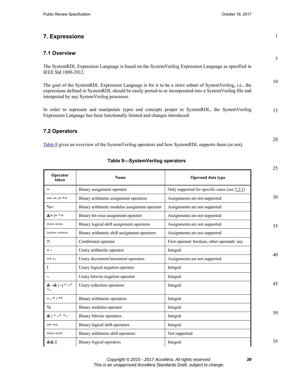<span id="page-48-1"></span>**7. Expressions**

IEEE Std 1800-2012.

**7.1 Overview**

5

10

15

20

 $\Delta$ 

# The SystemRDL Expression Language is based on the SystemVerilog Expression Language as specified in

The goal of the SystemRDL Expression Language is for it to be a strict subset of SystemVerilog, i.e., the expressions defined in SystemRDL should be easily ported-to or incorporated-into a SystemVerilog file and interpreted by any SystemVerilog processor.

In order to represent and manipulate types and concepts proper to SystemRDL, the SystemVerilog Expression Language has been functionally limited and changes introduced.

### **7.2 Operators**

[Table 9](#page-48-2) gives an overview of the SystemVerilog operators and how SystemRDL supports them (or not).

<span id="page-48-2"></span>

| Operator<br>token                                      | <b>Name</b>                                   | Operand data type                                     |
|--------------------------------------------------------|-----------------------------------------------|-------------------------------------------------------|
| $=$                                                    | Binary assignment operator                    | Only supported for specific cases (see <b>7.2.1</b> ) |
| $+= - =  - * =$                                        | Binary arithmetic assignment operators        | Assignments are not supported                         |
| $\% =$                                                 | Binary arithmetic modulus assignment operator | Assignments are not supported                         |
| $&=$ $ =$ $\wedge=$                                    | Binary bit-wise assignment operator           | Assignments are not supported                         |
| $>>=<<-$                                               | Binary logical shift assignment operators     | Assignments are not supported                         |
| >>>=<<<=                                               | Binary arithmetic shift assignment operators  | Assignments are not supported                         |
| ?:                                                     | Conditional operator                          | First operand: boolean, other operands: any           |
| $+ -$                                                  | Unary arithmetic operator                     | Integral                                              |
| $++ -$                                                 | Unary decrement/increment operators           | Assignments are not supported                         |
|                                                        | Unary logical negation operator               | Integral                                              |
|                                                        | Unary bitwise negation operator               | Integral                                              |
| & $\sim$ & $  \sim  $ ^ $\sim$ ^<br>$\Lambda_{\infty}$ | Unary reduction operators                     | Integral                                              |
| $+ - * / * *$                                          | Binary arithmetic operators                   | Integral                                              |
| $\frac{0}{0}$                                          | Binary modulus operator                       | Integral                                              |
| &   ^ ~ ^ ^~                                           | Binary bitwise operators                      | Integral                                              |
| >><<                                                   | Binary logical shift operators                | Integral                                              |
| $>>>$ <<<                                              | Binary arithmetic shift operators             | Not supported                                         |
| &8                                                     | Binary logical operators                      | Integral                                              |

#### <span id="page-48-0"></span>**Table 9—SystemVerilog operators**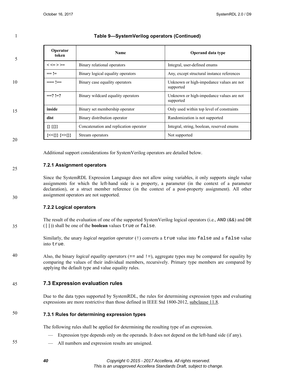# 10

# 15

**Table 9—SystemVerilog operators (Continued)**

| <b>Operator</b><br>token | <b>Name</b>                            | <b>Operand data type</b>                              |
|--------------------------|----------------------------------------|-------------------------------------------------------|
| $<<=>>=$                 | Binary relational operators            | Integral, user-defined enums                          |
| $== !=$                  | Binary logical equality operators      | Any, except structural instance references            |
| $== ! ==$                | Binary case equality operators         | Unknown or high-impedance values are not<br>supported |
| $==? !=?$                | Binary wildcard equality operators     | Unknown or high-impedance values are not<br>supported |
| inside                   | Binary set membership operator         | Only used within top level of constraints             |
| dist                     | Binary distribution operator           | Randomization is not supported                        |
| ${8 \{8\}}$              | Concatenation and replication operator | Integral, string, boolean, reserved enums             |
| $\{\le\le\{\}\}\$ {>>{}} | Stream operators                       | Not supported                                         |

#### 20

25

30

35

Additional support considerations for SystemVerilog operators are detailed below.

#### <span id="page-49-0"></span>**7.2.1 Assignment operators**

Since the SystemRDL Expression Language does not allow using variables, it only supports single value assignments for which the left-hand side is a property, a parameter (in the context of a parameter declaration), or a struct member reference (in the context of a post-property assignment). All other assignment operators are not supported.

#### **7.2.2 Logical operators**

The result of the evaluation of one of the supported SystemVerilog logical operators (i.e., AND ( $\&\&$ ) and OR (||)) shall be one of the **boolean** values true or false.

Similarly, the unary *logical negation operator* (!) converts a true value into false and a false value into true.

40 Also, the binary *logical equality operators* (== and !=), aggregate types may be compared for equality by comparing the values of their individual members, recursively. Primary type members are compared by applying the default type and value equality rules.

#### 45 **7.3 Expression evaluation rules**

Due to the data types supported by SystemRDL, the rules for determining expression types and evaluating expressions are more restrictive than those defined in IEEE Std 1800-2012, subclause 11.8.

#### 50 **7.3.1 Rules for determining expression types**

The following rules shall be applied for determining the resulting type of an expression.

- Expression type depends only on the operands. It does not depend on the left-hand side (if any).
- 55 — All numbers and expression results are unsigned.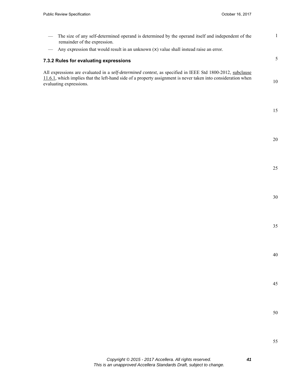| The size of any self-determined operand is determined by the operand itself and independent of the<br>remainder of the expression.                                                                                                                            | 1  |
|---------------------------------------------------------------------------------------------------------------------------------------------------------------------------------------------------------------------------------------------------------------|----|
| Any expression that would result in an unknown $(x)$ value shall instead raise an error.                                                                                                                                                                      |    |
| 7.3.2 Rules for evaluating expressions                                                                                                                                                                                                                        | 5  |
| All expressions are evaluated in a <i>self-determined context</i> , as specified in IEEE Std 1800-2012, subclause<br>11.6.1, which implies that the left-hand side of a property assignment is never taken into consideration when<br>evaluating expressions. | 10 |
|                                                                                                                                                                                                                                                               | 15 |
|                                                                                                                                                                                                                                                               | 20 |

```
25
```
35

40

45

50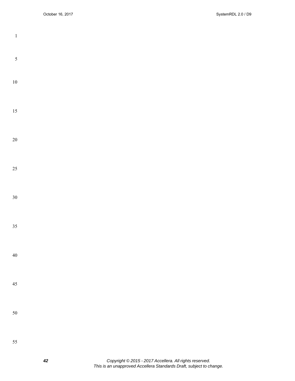| $\,1\,$        |  |  |  |  |
|----------------|--|--|--|--|
| $\mathfrak{S}$ |  |  |  |  |
| $10\,$         |  |  |  |  |
| $15\,$         |  |  |  |  |
| $20\,$         |  |  |  |  |
| $25\,$         |  |  |  |  |
| $30\,$         |  |  |  |  |
| 35             |  |  |  |  |
| $40\,$         |  |  |  |  |
| $45\,$         |  |  |  |  |
| $50\,$         |  |  |  |  |
| 55             |  |  |  |  |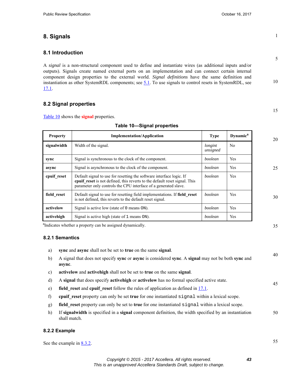**8. Signals**

**8.1 Introduction**

1

# 5

10

15

35

40

45

<span id="page-52-0"></span>

|                 | $10 - 10 - 0.9$                                                                                                                                                                                            |                     |                            |    |
|-----------------|------------------------------------------------------------------------------------------------------------------------------------------------------------------------------------------------------------|---------------------|----------------------------|----|
| <b>Property</b> | <b>Implementation/Application</b>                                                                                                                                                                          | <b>Type</b>         | <b>Dynamic<sup>a</sup></b> | 20 |
| signalwidth     | Width of the signal.                                                                                                                                                                                       | longint<br>unsigned | No                         |    |
| sync            | Signal is synchronous to the clock of the component.                                                                                                                                                       | boolean             | Yes                        |    |
| async           | Signal is asynchronous to the clock of the component.                                                                                                                                                      | boolean             | Yes                        | 25 |
| cpuif_reset     | Default signal to use for resetting the software interface logic. If<br><b>countilizer</b> contribute to the default reset signal. This<br>parameter only controls the CPU interface of a generated slave. | boolean             | Yes                        |    |
| field reset     | Default signal to use for resetting field implementations. If field reset<br>is not defined, this reverts to the default reset signal.                                                                     | <i>boolean</i>      | Yes                        | 30 |
| activelow       | Signal is active low (state of 0 means ON).                                                                                                                                                                | boolean             | Yes                        |    |
| activehigh      | Signal is active high (state of 1 means ON).                                                                                                                                                               | boolean             | Yes                        |    |

A *signal* is a non-structural component used to define and instantiate wires (as additional inputs and/or outputs). Signals create named external ports on an implementation and can connect certain internal component design properties to the external world. *Signal definitions* have the same definition and

**Table 10—Signal properties** 

instantiation as other SystemRDL components; see  $5.1$ . To use signals to control resets in SystemRDL, see [17.1](#page-102-0).

## <span id="page-52-1"></span>**8.2 Signal properties**

[Table 10](#page-52-0) shows the **signal** properties.

<sup>a</sup>Indicates whether a property can be assigned dynamically.

#### **8.2.1 Semantics**

- a) **sync** and **async** shall not be set to **true** on the same **signal**.
- b) A signal that does not specify **sync** or **async** is considered **sync**. A **signal** may not be both **sync** and **async**.
- c) **activelow** and **activehigh** shall not be set to **true** on the same **signal**.
- d) A **signal** that does specify **activehigh** or **activelow** has no formal specified active state.
- e) **field\_reset** and **cpuif\_reset** follow the rules of application as defined in [17.1](#page-102-0).
- f) **cpuif\_reset** property can only be set **true** for one instantiated signal within a lexical scope.
- g) **field\_reset** property can only be set to **true** for one instantiated signal within a lexical scope.
- 50 h) If **signalwidth** is specified in a **signal** component definition, the width specified by an instantiation shall match.

#### **8.2.2 Example**

See the example in  $8.3.2$ .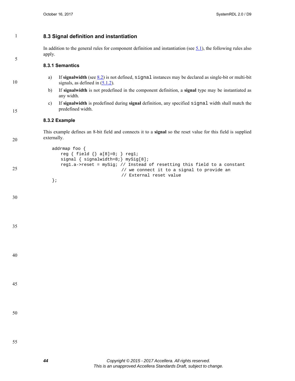5

10

15

20

25

#### **8.3 Signal definition and instantiation**

In addition to the general rules for component definition and instantiation (see [5.1\)](#page-22-0), the following rules also apply.

#### **8.3.1 Semantics**

- a) If **signalwidth** (see [8.2](#page-52-1)) is not defined, signal instances may be declared as single-bit or multi-bit signals, as defined in ([5.1.2\)](#page-25-0).
- b) If **signalwidth** is not predefined in the component definition, a **signal** type may be instantiated as any width.
- c) If **signalwidth** is predefined during **signal** definition, any specified signal width shall match the predefined width.

#### <span id="page-53-0"></span>**8.3.2 Example**

This example defines an 8-bit field and connects it to a **signal** so the reset value for this field is supplied externally.

```
addrmap foo {
   reg { field {} a[8]=0; } reg1;
   signal { signalwidth=8; } mySig[8];
   reg1.a->reset = mySig; // Instead of resetting this field to a constant
                           // we connect it to a signal to provide an 
                           // External reset value
};
```
30

35

40

45

50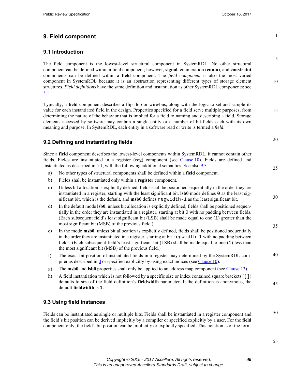5

10

15

20

25

30

35

40

45

50

#### **9. Field component**

### **9.1 Introduction**

The field component is the lowest-level structural component in SystemRDL. No other structural component can be defined within a field component; however, **signal**, enumeration (**enum**), and **constraint** components can be defined within a **field** component. The *field component* is also the most varied component in SystemRDL because it is an abstraction representing different types of storage element structures. *Field definitions* have the same definition and instantiation as other SystemRDL components; see [5.1](#page-22-0).

Typically, a **field** component describes a flip-flop or wire/bus, along with the logic to set and sample its value for each instantiated field in the design. Properties specified for a field serve multiple purposes, from determining the nature of the behavior that is implied for a field to naming and describing a field. Storage elements accessed by software may contain a single entity or a number of bit-fields each with its own meaning and purpose. In SystemRDL, each entity in a software read or write is termed a *field*.

#### **9.2 Defining and instantiating fields**

Since a **field** component describes the lowest-level components within SystemRDL, it cannot contain other fields. Fields are instantiated in a register (**reg**) component (see [Clause 10\)](#page-74-0). Fields are defined and instantiated as described in  $\frac{5.1}{2}$ , with the following additional semantics. See also  $\frac{9.3}{2}$  $\frac{9.3}{2}$  $\frac{9.3}{2}$ .

- a) No other types of structural components shall be defined within a **field** component.
- b) Fields shall be instantiated only within a **register** component.
- c) Unless bit allocation is explicitly defined, fields shall be positioned sequentially in the order they are instantiated in a register, starting with the least significant bit. **lsb0** mode defines 0 as the least significant bit, which is the default, and **msb0** defines regwidth-1 as the least significant bit.
- <span id="page-54-0"></span>d) In the default mode **lsb0**, unless bit allocation is explicitly defined, fields shall be positioned sequentially in the order they are instantiated in a register, starting at bit 0 with no padding between fields. (Each subsequent field's least significant bit (LSB) shall be made equal to one (1) greater than the most significant bit (MSB) of the previous field.)
- e) In the mode **msb0**, unless bit allocation is explicitly defined, fields shall be positioned sequentially in the order they are instantiated in a register, starting at bit regwidth-1 with no padding between fields. (Each subsequent field's least significant bit (LSB) shall be made equal to one (1) less than the most significant bit (MSB) of the previous field.)
- f) The exact bit position of instantiated fields in a register may determined by the SystemRDL compiler as describe[d](#page-54-0) in  $\underline{d}$  or specified explicitly by using exact indices (see [Clause 10](#page-74-0)).
- g) The **msb0** and **lsb0** properties shall only be applied to an address map component (see [Clause 13\)](#page-86-1).
- h) A field instantiation which is not followed by a specific size or index contained square brackets ([]) defaults to size of the field definition's **fieldwidth** parameter. If the definition is anonymous, the default **fieldwidth** is 1.

#### <span id="page-54-1"></span>**9.3 Using field instances**

Fields can be instantiated as single or multiple bits. Fields shall be instantiated in a register component and the field's bit position can be derived implicitly by a compiler or specified explicitly by a user. For the **field** component only, the field's bit position can be implicitly or explicitly specified. This notation is of the form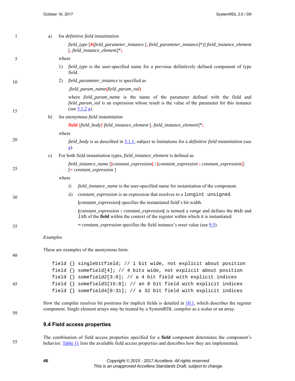<span id="page-55-1"></span>

| 1  | for definitive field instantiation<br>a)                                                                                                                                                                                         |
|----|----------------------------------------------------------------------------------------------------------------------------------------------------------------------------------------------------------------------------------|
|    | field_type [#(field_parameter_instance [, field_parameter_instance]*)] field_instance_element<br>$[, field_instance\_element]$ <sup>*</sup> ;                                                                                    |
| 5  | where                                                                                                                                                                                                                            |
|    | field_type is the user-specified name for a previous definitively defined component of type<br>1)<br>field.                                                                                                                      |
| 10 | field_parameter_instance is specified as<br>2)                                                                                                                                                                                   |
|    | field_param_name(field_param_val)                                                                                                                                                                                                |
| 15 | where field_param_name is the name of the parameter defined with the field and<br>field_param_val is an expression whose result is the value of the parameter for this instance<br>(see $\frac{5.1.2 \text{ a}}{2}$ ).           |
|    | b)<br>for anonymous field instantiation                                                                                                                                                                                          |
|    | <b>field</b> {field_body} field_instance_element [, field_instance_element]*;                                                                                                                                                    |
|    | where                                                                                                                                                                                                                            |
| 20 | field_body is as described in $5.1.1$ , subject to limitations for a <i>definitive field instantiation</i> (see<br>$\underline{\mathbf{a}}$ .                                                                                    |
|    | For both field instantiation types, field_instance_element is defined as<br>$\mathbf{c})$                                                                                                                                        |
| 25 | field_instance_name [[constant_expression]   [constant_expression : constant_expression]]<br>$[= constant\_expression]$                                                                                                          |
|    | where                                                                                                                                                                                                                            |
|    | field_instance_name is the user-specified name for instantiation of the component.<br>$\ddot{1}$                                                                                                                                 |
| 30 | $\rm ii)$<br>constant_expression is an expression that resolves to a longint unsigned.                                                                                                                                           |
|    | [constant_expression] specifies the instantiated field's bit width.                                                                                                                                                              |
|    | [constant_expression : constant_expression] is termed a range and defines the msb and<br>1sb of the field within the context of the register within which it is instantiated.                                                    |
| 35 | = <i>constant_expression</i> specifies the field instance's reset value (see $9.5$ ).                                                                                                                                            |
|    | Examples                                                                                                                                                                                                                         |
|    | These are examples of the anonymous form.                                                                                                                                                                                        |
| 40 |                                                                                                                                                                                                                                  |
|    | field {} singlebitfield; // 1 bit wide, not explicit about position                                                                                                                                                              |
|    | field $\{ \}$ somefield[4]; // 4 bits wide, not explicit about position                                                                                                                                                          |
| 45 | field $\{ \}$ somefield2[3:0]; // a 4 bit field with explicit indices<br>field $\{ \}$ somefield3[15:8]; // an 8 bit field with explicit indices                                                                                 |
|    | field $\{ \}$ somefield4[0:31]; // a 32 bit field with explicit indices                                                                                                                                                          |
| 50 | How the compiler resolves bit positions for implicit fields is detailed in $\underline{10.1}$ , which describes the register<br>component. Single element arrays may be treated by a SystemRDL compiler as a scalar or an array. |

#### <span id="page-55-0"></span>**9.4 Field access properties**

The combination of field access properties specified for a **field** component determines the component's behavior. [Table 11](#page-56-0) lists the available field access properties and describes how they are implemented.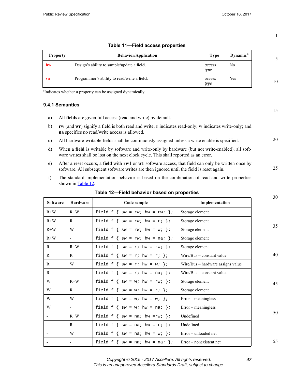<span id="page-56-0"></span>

| <b>Property</b> | <b>Behavior/Application</b>                 | <b>Type</b>    | <b>Dynamic<sup>a</sup></b> |    |
|-----------------|---------------------------------------------|----------------|----------------------------|----|
| hw              | Design's ability to sample/update a field.  | access<br>type | No                         |    |
| <b>SW</b>       | Programmer's ability to read/write a field. | access<br>type | Yes                        | 10 |

#### **Table 11—Field access properties**

<sup>a</sup>Indicates whether a property can be assigned dynamically.

#### **9.4.1 Semantics**

- a) All **field**s are given full access (read and write) by default.
- b) **rw** (and **wr**) signify a field is both read and write; **r** indicates read-only; **w** indicates write-only; and **na** specifies no read/write access is allowed.
- c) All hardware-writable fields shall be continuously assigned unless a write enable is specified.
- d) When a **field** is writable by software and write-only by hardware (but not write-enabled), all software writes shall be lost on the next clock cycle. This shall reported as an error.
- e) After a reset occurs, a **field** with **rw1** or **w1** software access, that field can only be written once by software. All subsequent software writes are then ignored until the field is reset again.
- f) The standard implementation behavior is based on the combination of read and write properties shown in [Table 12](#page-56-1).

<span id="page-56-1"></span>

| <b>Software</b>          | Hardware                 | Code sample                         | Implementation                    | 30 |
|--------------------------|--------------------------|-------------------------------------|-----------------------------------|----|
| $R+W$                    | $R+W$                    | field $f \{ sw = rw; hw = rw; }\};$ | Storage element                   |    |
| $R+W$                    | R                        | field $f \{ sw = rw; hw = r; \}$    | Storage element                   |    |
| $R+W$                    | W                        | field $f \{ sw = rw; hw = wi \}$ ;  | Storage element                   | 35 |
| $R+W$                    | $\overline{\phantom{a}}$ | field $f \{ sw = rw; hw = na; \}$ ; | Storage element                   |    |
| R                        | $R+W$                    | field $f \{ sw = r : hw = rw : }$   | Storage element                   |    |
| R                        | $\mathbf{R}$             | field $f \{ sw = r : hw = r : } \}$ | Wire/Bus - constant value         | 40 |
| $\mathbb{R}$             | W                        | field $f \{ sw = r : hw = wi \}$    | Wire/Bus - hardware assigns value |    |
| $\mathbb{R}$             | $\overline{\phantom{a}}$ | field $f \{ sw = r : hw = na : }$   | $Wire/Bus - constant value$       |    |
| W                        | $R+W$                    | field $f \{ sw = wi \ hw = rw \}$   | Storage element                   | 45 |
| W                        | $\mathbf{R}$             | field $f \{ sw = wi \ hw = ri \}$   | Storage element                   |    |
| W                        | W                        | field $f \{ sw = wi \ hw = wi \ }$  | $Error - meaningless$             |    |
| W                        | $\overline{\phantom{a}}$ | field $f \{ sw = wi \ hw = na \}$   | Error – meaningless               |    |
|                          | $R+W$                    | field $f \{ sw = na; hw = rw; }\};$ | Undefined                         | 50 |
|                          | $\mathbb{R}$             | field $f \{ sw = na; hw = ri \}$    | Undefined                         |    |
| $\overline{\phantom{a}}$ | W                        | field $f \{ sw = na; hw = wi \}$    | Error – unloaded net              |    |
|                          |                          | field $f \{ sw = na : hw = na : }$  | $Error - nonexistent net$         | 55 |

**Table 12—Field behavior based on properties** 

1

15

20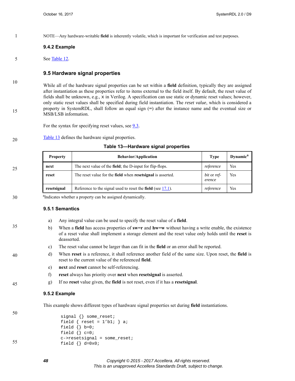1 NOTE—Any hardware-writable **field** is inherently volatile, which is important for verification and test purposes.

#### **9.4.2 Example**

5 See [Table 12](#page-56-1).

10

15

25

35

40

45

#### <span id="page-57-0"></span>**9.5 Hardware signal properties**

While all of the hardware signal properties can be set within a **field** definition, typically they are assigned after instantiation as these properties refer to items external to the field itself. By default, the reset value of fields shall be unknown, e.g., x in Verilog. A specification can use static or dynamic reset values; however, only static reset values shall be specified during field instantiation. The *reset value*, which is considered a property in SystemRDL, shall follow an equal sign (**=**) after the instance name and the eventual size or MSB/LSB information.

For the syntax for specifying reset values, see [9.3.](#page-54-1)

#### 20 [Table 13](#page-57-1) defines the hardware signal properties.

#### **Table 13—Hardware signal properties**

<span id="page-57-1"></span>

| <b>Property</b> | <b>Behavior/Application</b>                                      | Type                  | Dynamic <sup>a</sup> |
|-----------------|------------------------------------------------------------------|-----------------------|----------------------|
| next            | The next value of the <b>field</b> ; the D-input for flip-flops. | reference             | Yes                  |
| reset           | The reset value for the field when resetsignal is asserted.      | bit or ref-<br>erence | Yes                  |
| resetsignal     | Reference to the signal used to reset the field (see $17.1$ ).   | reference             | Yes                  |

<sup>30</sup> <sup>a</sup>Indicates whether a property can be assigned dynamically.

#### **9.5.1 Semantics**

- a) Any integral value can be used to specify the reset value of a **field**.
- b) When a **field** has access properties of **sw=r** and **hw=w** without having a write enable, the existence of a reset value shall implement a storage element and the reset value only holds until the **reset** is deasserted.
- c) The reset value cannot be larger than can fit in the **field** or an error shall be reported.
- d) When **reset** is a reference, it shall reference another field of the same size. Upon reset, the **field** is reset to the current value of the referenced **field**.
- e) **next** and **reset** cannot be self-referencing.
- f) **reset** always has priority over **next** when **resetsignal** is asserted.
- g) If no **reset** value given, the **field** is not reset, even if it has a **resetsignal**.

#### **9.5.2 Example**

This example shows different types of hardware signal properties set during **field** instantiations.

50

```
signal {} some_reset;
field \{ \text{reset} = 1'b1 \} a;
field {} b=0;
field \{ \} c=0;
c->resetsignal = some_reset;
field \{ \} d=0x0;
```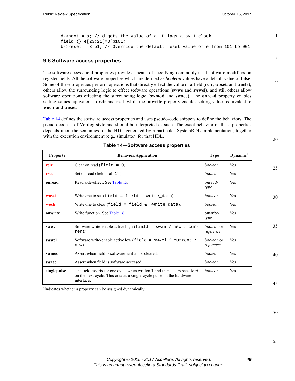d->next =  $ai$  // d gets the value of a. D lags a by 1 clock. field {} e[23:21]=3'b101; b->reset = 3'b1; // Override the default reset value of e from 101 to 001

#### <span id="page-58-0"></span>**9.6 Software access properties**

The software access field properties provide a means of specifying commonly used software modifiers on register fields. All the software properties which are defined as *boolean* values have a default value of **false**. Some of these properties perform operations that directly effect the value of a field (**rclr**, **woset**, and **woclr**), others allow the surrounding logic to effect software operations (**swwe** and **swwel**), and still others allow software operations effecting the surrounding logic (**swmod** and **swacc**). The **onread** property enables setting values equivalent to **rclr** and **rset**, while the **onwrite** property enables setting values equivalent to **woclr** and **woset**.

[Table 14](#page-58-1) defines the software access properties and uses pseudo-code snippets to define the behaviors. The pseudo-code is of Verilog style and should be interpreted as such. The exact behavior of these properties depends upon the semantics of the HDL generated by a particular SystemRDL implementation, together with the execution environment (e.g., simulator) for that HDL.

<span id="page-58-1"></span>

| <b>Property</b> | <b>Behavior/Application</b>                                                                                                                                    | <b>Type</b>                    | <b>Dynamic<sup>a</sup></b> |
|-----------------|----------------------------------------------------------------------------------------------------------------------------------------------------------------|--------------------------------|----------------------------|
| rclr            | Clear on read $(field = 0)$ .                                                                                                                                  | boolean                        | Yes                        |
| rset            | Set on read (field $=$ all $1$ 's).                                                                                                                            | <b>boolean</b>                 | <b>Yes</b>                 |
| onread          | Read side-effect. See Table 15.                                                                                                                                | onread-<br>type                | Yes                        |
| woset           | Write one to set $(field = field   write_data)$ .                                                                                                              | <b>boolean</b>                 | <b>Yes</b>                 |
| woclr           | Write one to clear (field = field $\&$ ~write data).                                                                                                           | <i>boolean</i>                 | <b>Yes</b>                 |
| onwrite         | Write function. See Table 16.                                                                                                                                  | <i>onwrite-</i><br>type        | Yes                        |
| swwe            | Software write-enable active high (field = swwe ? new : $cur-$<br>rent).                                                                                       | <i>boolean</i> or<br>reference | <b>Yes</b>                 |
| swwel           | Software write-enable active low (field = swwel ? current :<br>new).                                                                                           | <i>boolean</i> or<br>reference | Yes                        |
| swmod           | Assert when field is software written or cleared.                                                                                                              | boolean                        | Yes                        |
| swacc           | Assert when field is software accessed.                                                                                                                        | <i>boolean</i>                 | Yes                        |
| singlepulse     | The field asserts for one cycle when written 1 and then clears back to 0<br>on the next cycle. This creates a single-cycle pulse on the hardware<br>interface. | <i>boolean</i>                 | Yes                        |

| Table 14-Software access properties |  |  |
|-------------------------------------|--|--|
|-------------------------------------|--|--|

<sup>a</sup>Indicates whether a property can be assigned dynamically.

50

55

45

15

1

5

10

20

25

30

40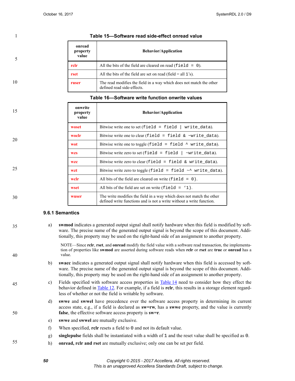5

10

15

20

25

30

35

40

45

50

55

<span id="page-59-0"></span>

| onread<br>property<br>value | <b>Behavior/Application</b>                                                                       |
|-----------------------------|---------------------------------------------------------------------------------------------------|
| relr                        | All the bits of the field are cleared on read $(field = 0)$ .                                     |
| rset                        | All the bits of the field are set on read (field $=$ all $1$ 's).                                 |
| ruser                       | The read modifies the field in a way which does not match the other<br>defined read side-effects. |

#### **Table 15—Software read side-effect onread value**

<span id="page-59-1"></span>

| onwrite<br>property<br>value | <b>Behavior/Application</b>                                                                                                                  |
|------------------------------|----------------------------------------------------------------------------------------------------------------------------------------------|
| woset                        | Bitwise write one to set $(field = field   write_data)$ .                                                                                    |
| woclr                        | Bitwise write one to clear (field = field $\&$ ~write_data).                                                                                 |
| wot                          | Bitwise write one to toggle (field = field $\land$ write data).                                                                              |
| <b>WZS</b>                   | Bitwise write zero to set (field = field $\sim$ write data).                                                                                 |
| <b>WZC</b>                   | Bitwise write zero to clear (field = field $\&$ write data).                                                                                 |
| wzt                          | Bitwise write zero to toggle (field = field $\sim$ write data).                                                                              |
| welr                         | All bits of the field are cleared on write $(field = 0)$ .                                                                                   |
| wset                         | All bits of the field are set on write $(field = '1)$ .                                                                                      |
| wuser                        | The write modifies the field in a way which does not match the other<br>defined write functions and is not a write without a write function. |

#### **Table 16—Software write function onwrite values**

#### **9.6.1 Semantics**

| swmod indicates a generated output signal shall notify hardware when this field is modified by soft- |
|------------------------------------------------------------------------------------------------------|
| ware. The precise name of the generated output signal is beyond the scope of this document. Addi-    |
| tionally, this property may be used on the right-hand side of an assignment to another property.     |

NOTE—Since **rclr**, **rset**, and **onread** modify the field value with a software read transaction, the implementation of properties like **swmod** are asserted during software reads when **rclr** or **rset** are **true** or **onread** has a value.

- b) **swacc** indicates a generated output signal shall notify hardware when this field is accessed by software. The precise name of the generated output signal is beyond the scope of this document. Additionally, this property may be used on the right-hand side of an assignment to another property.
- c) Fields specified with software access properties in [Table 14](#page-58-1) need to consider how they effect the behavior defined in [Table 12](#page-56-1). For example, if a field is **rclr**, this results in a storage element regardless of whether or not the field is writable by software.
	- d) **swwe** and **swwel** have precedence over the software access property in determining its current access state, e.g., if a field is declared as **sw=rw**, has a **swwe** property, and the value is currently **false**, the effective software access property is **sw=r**.
	- e) **swwe** and **swwel** are mutually exclusive.
	- f) When specified, **rclr** resets a field to 0 and not its default value.
- g) **singlepulse** fields shall be instantiated with a width of 1 and the reset value shall be specified as 0.
- h) **onread, rclr and rset** are mutually exclusive; only one can be set per field.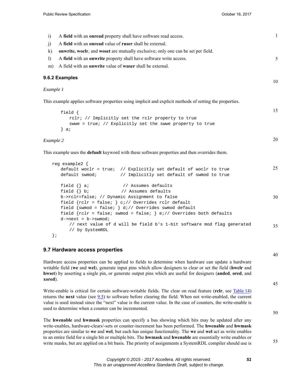| 1)           | A field with an onread property shall have software read access.                 |    |
|--------------|----------------------------------------------------------------------------------|----|
|              |                                                                                  |    |
| 1)           | A field with an onread value of ruser shall be external.                         |    |
| k)           | onwrite, woclr, and woset are mutually exclusive; only one can be set per field. |    |
| $\mathbf{I}$ | A field with an onwrite property shall have software write access.               | 5  |
| m)           | A field with an <b>onwrite</b> value of <b>wuser</b> shall be external.          |    |
|              | 9.6.2 Examples                                                                   | 10 |
| Example 1    |                                                                                  |    |

This example applies software properties using implicit and explicit methods of setting the properties.

```
field { 
   rclr; // Implicitly set the rclr property to true
   swwe = true; // Explicitly set the swwe property to true
} a;
```
*Example 2*

This example uses the **default** keyword with these software properties and then overrides them.

```
25
                                                                                          30
                                                                                          35
reg example2 {
   default woclr = true; // Explicitly set default of woclr to true
   default swmod; // Implicitly set default of swmod to true
   field {} a; \left| \right\rangle // Assumes defaults
   field {} b; \frac{1}{2} // Assumes defaults
   b->rclr=false; // Dynamic Assignment to false
   field {rclr = false; } c;// Overrides rclr default
   field \{swmod = false; \} d;// Overrides swmod default
   field \{rclr = false; swmod = false; \} e;// Overrides both defaults
   d\rightarrownext = b\rightarrowswmod;
       // next value of d will be field b's 1-bit software mod flag generated
       // by SystemRDL
};
```
#### **9.7 Hardware access properties**

Hardware access properties can be applied to fields to determine when hardware can update a hardware writable field (**we** and **wel**), generate input pins which allow designers to clear or set the field (**hwclr** and **hwset**) by asserting a single pin, or generate output pins which are useful for designers (**anded**, **ored**, and **xored**).

Write-enable is critical for certain software-writable fields. The clear on read feature (**rclr**, see [Table 14\)](#page-58-1) returns the **next** value (see [9.5\)](#page-57-0) to software before clearing the field. When not write-enabled, the current value is used instead since the "next" value is the current value. In the case of counters, the write-enable is used to determine when a counter can be incremented.

The **hwenable** and **hwmask** properties can specify a bus showing which bits may be updated after any write-enables, hardware-clears/-sets or counter-increment has been performed. The **hwenable** and **hwmask** properties are similar to **we** and **wel**, but each has unique functionality. The **we** and **wel** act as write enables to an entire field for a single bit or multiple bits. The **hwmask** and **hwenable** are essentially write enables or write masks, but are applied on a bit basis. The priority of assignments a SystemRDL compiler should use is

55

50

40

45

15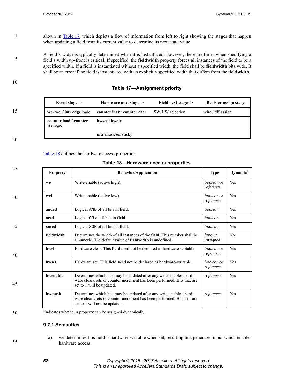- 1 shown in [Table 17](#page-61-0), which depicts a flow of information from left to right showing the stages that happen when updating a field from its current value to determine its next state value.
- 5 A field's width is typically determined when it is instantiated; however, there are times when specifying a field's width up-front is critical. If specified, the **fieldwidth** property forces all instances of the field to be a specified width. If a field is instantiated without a specified width, the field shall be **fieldwidth** bits wide. It shall be an error if the field is instantiated with an explicitly specified width that differs from the **fieldwidth**.
- 10
- 15

**Table 17—Assignment priority** 

<span id="page-61-0"></span>

| Event stage $\geq$                 | Hardware next stage ->      | Field next stage -> | Register assign stage |
|------------------------------------|-----------------------------|---------------------|-----------------------|
| we / wel / intr edge $logic$       | counter incr / counter decr | SW/HW selection     | wire $/$ dff assign   |
| counter load / counter<br>we logic | hwset / hwclr               |                     |                       |
|                                    | intr mask/en/sticky         |                     |                       |

20

<span id="page-61-1"></span>[Table 18](#page-61-1) defines the hardware access properties.

| 25 | <b>Property</b> | <b>Behavior/Application</b>                                                                                                                                                     | <b>Type</b>                    | <b>Dynamic<sup>a</sup></b> |
|----|-----------------|---------------------------------------------------------------------------------------------------------------------------------------------------------------------------------|--------------------------------|----------------------------|
|    | we              | Write-enable (active high).                                                                                                                                                     | <i>boolean</i> or<br>reference | Yes                        |
| 30 | wel             | Write-enable (active low).                                                                                                                                                      | <i>boolean</i> or<br>reference | Yes                        |
|    | anded           | Logical AND of all bits in field.                                                                                                                                               | boolean                        | Yes                        |
|    | ored            | Logical OR of all bits in field.                                                                                                                                                | <i>boolean</i>                 | Yes                        |
| 35 | xored           | Logical XOR of all bits in field.                                                                                                                                               | boolean                        | Yes                        |
|    | fieldwidth      | Determines the width of all instances of the <b>field</b> . This number shall be<br>a numeric. The default value of <b>field width</b> is undefined.                            | longint<br>unsigned            | N <sub>0</sub>             |
| 40 | hwelr           | Hardware clear. This <b>field</b> need not be declared as hardware-writable.                                                                                                    | <i>boolean</i> or<br>reference | Yes                        |
|    | hwset           | Hardware set. This <b>field</b> need not be declared as hardware-writable.                                                                                                      | <i>boolean</i> or<br>reference | Yes                        |
| 45 | hwenable        | Determines which bits may be updated after any write enables, hard-<br>ware clears/sets or counter increment has been performed. Bits that are<br>set to 1 will be updated.     | reference                      | Yes                        |
|    | hwmask          | Determines which bits may be updated after any write enables, hard-<br>ware clears/sets or counter increment has been performed. Bits that are<br>set to 1 will not be updated. | reference                      | Yes                        |

#### **Table 18—Hardware access properties**

50

55

<sup>a</sup>Indicates whether a property can be assigned dynamically.

#### **9.7.1 Semantics**

a) **we** determines this field is hardware-writable when set, resulting in a generated input which enables hardware access.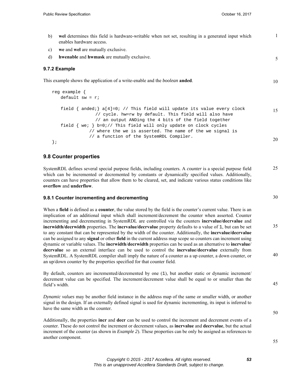| b) | wel determines this field is hardware-writable when not set, resulting in a generated input which<br>enables hardware access.     |    |
|----|-----------------------------------------------------------------------------------------------------------------------------------|----|
| c) | we and wel are mutually exclusive.                                                                                                |    |
| d) | <b>hwenable</b> and <b>hwmask</b> are mutually exclusive.                                                                         | 5  |
|    | 9.7.2 Example                                                                                                                     |    |
|    | This example shows the application of a write-enable and the <i>boolean</i> anded.                                                | 10 |
|    | $req$ example $\{$<br>default $sw = r$ ;                                                                                          |    |
|    | field { anded; } a[4]=0; // This field will update its value every clock<br>// cycle. hw=rw by default. This field will also have | 15 |

20 // an output ANDing the 4 bits of the field together field { we; } b=0;// This field will only update on clock cycles // where the we is asserted. The name of the we signal is // a function of the SystemRDL Compiler.

#### **9.8 Counter properties**

};

SystemRDL defines several special purpose fields, including counters. A *counter* is a special purpose field which can be incremented or decremented by constants or dynamically specified values. Additionally, counters can have properties that allow them to be cleared, set, and indicate various status conditions like **overflow** and **underflow**.

#### <span id="page-62-0"></span>**9.8.1 Counter incrementing and decrementing**

When a **field** is defined as a **counter**, the value stored by the field is the counter's current value. There is an implication of an additional input which shall increment/decrement the counter when asserted. Counter incrementing and decrementing in SystemRDL are controlled via the counters **incrvalue/decrvalue** and **incrwidth/decrwidth** properties. The **incrvalue/decrvalue** property defaults to a value of 1, but can be set to any constant that can be represented by the width of the counter. Additionally, the **incrvalue/decrvalue** can be assigned to any **signal** or other **field** in the current address map scope so counters can increment using dynamic or variable values. The **incrwidth**/**decrwidth** properties can be used as an alternative to **incrvalue**/ **decrvalue** so an external interface can be used to control the **incrvalue**/**decrvalue** externally from SystemRDL. A SystemRDL compiler shall imply the nature of a counter as a up counter, a down counter, or an up/down counter by the properties specified for that counter field.

By default, counters are incremented/decremented by one (1), but another static or dynamic increment/ decrement value can be specified. The increment/decrement value shall be equal to or smaller than the field's width.

*Dynamic values* may be another field instance in the address map of the same or smaller width, or another signal in the design. If an externally defined signal is used for dynamic incrementing, its input is inferred to have the same width as the counter.

Additionally, the properties **incr** and **decr** can be used to control the increment and decrement events of a counter. These do not control the increment or decrement values, as **incrvalue** and **decrvalue**, but the actual increment of the counter (as shown in *Example 2*). These properties can be only be assigned as references to another component.

55

25

30

35

40

45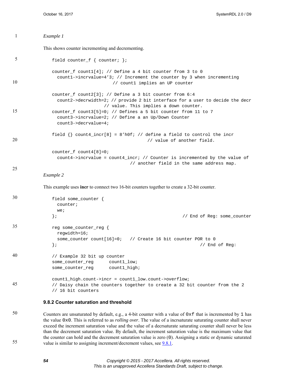| 1  | Example 1                                                                                                                                                                                                                                                                                                                                |
|----|------------------------------------------------------------------------------------------------------------------------------------------------------------------------------------------------------------------------------------------------------------------------------------------------------------------------------------------|
|    | This shows counter incrementing and decrementing.                                                                                                                                                                                                                                                                                        |
| 5  | field counter_f { counter; };                                                                                                                                                                                                                                                                                                            |
| 10 | counter_f count1[4]; // Define a 4 bit counter from 3 to 0<br>count1->incrvalue=4'3; // Increment the counter by 3 when incrementing<br>// count1 implies an UP counter                                                                                                                                                                  |
| 15 | counter f count2[3]; // Define a 3 bit counter from $6:4$<br>count2->decrwidth=2; // provide 2 bit interface for a user to decide the decr<br>// value. This implies a down counter.<br>counter_f count3[5]=0; // Defines a 5 bit counter from 11 to 7<br>count3->incrvalue=2; // Define a an Up/Down Counter<br>$count3$ ->decrvalue=4; |
| 20 | field $\{\}$ count4_incr[8] = 8'h0f; // define a field to control the incr<br>// value of another field.                                                                                                                                                                                                                                 |
| 25 | counter_f $count4[8]=0;$<br>count4->incrvalue = count4_incr; // Counter is incremented by the value of<br>// another field in the same address map.<br>Example 2                                                                                                                                                                         |
|    | This example uses incr to connect two 16-bit counters together to create a 32-bit counter.                                                                                                                                                                                                                                               |
| 30 | field some_counter {<br>counter;<br>we;<br>$\}$ ;<br>// End of Reg: some_counter                                                                                                                                                                                                                                                         |
| 35 | reg some_counter_reg {<br>regwidth=16;                                                                                                                                                                                                                                                                                                   |
|    | some_counter count[16]=0; // Create 16 bit counter POR to 0<br>$\}$ ;<br>// End of Reg:                                                                                                                                                                                                                                                  |
| 40 | // Example 32 bit up counter<br>some counter req<br>count1 low;<br>count1_high;<br>some_counter_reg                                                                                                                                                                                                                                      |
| 45 | count1_high.count->incr = count1_low.count->overflow;<br>// Daisy chain the counters together to create a 32 bit counter from the 2<br>// 16 bit counters                                                                                                                                                                                |

#### <span id="page-63-0"></span>**9.8.2 Counter saturation and threshold**

50 55 Counters are unsaturated by default, e.g., a 4-bit counter with a value of 0xf that is incremented by 1 has the value 0x0. This is referred to as *rolling over*. The value of a incrsaturate saturating counter shall never exceed the increment saturation value and the value of a decrsaturate saturating counter shall never be less than the decrement saturation value. By default, the increment saturation value is the maximum value that the counter can hold and the decrement saturation value is zero (0). Assigning a static or dynamic saturated value is similar to assigning increment/decrement values, see  $9.8.1$ .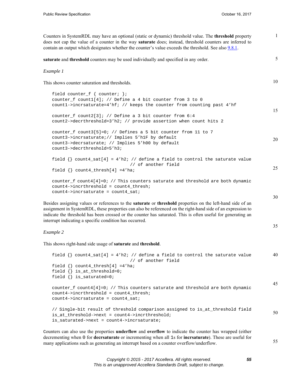| Counters in SystemRDL may have an optional (static or dynamic) threshold value. The threshold property<br>does not cap the value of a counter in the way <b>saturate</b> does; instead, threshold counters are inferred to<br>contain an output which designates whether the counter's value exceeds the threshold. See also $9.8.1$ .                                                               |    |
|------------------------------------------------------------------------------------------------------------------------------------------------------------------------------------------------------------------------------------------------------------------------------------------------------------------------------------------------------------------------------------------------------|----|
| saturate and threshold counters may be used individually and specified in any order.                                                                                                                                                                                                                                                                                                                 | 5  |
| Example 1                                                                                                                                                                                                                                                                                                                                                                                            |    |
| This shows counter saturation and thresholds.                                                                                                                                                                                                                                                                                                                                                        | 10 |
| field counter_f { counter; };<br>counter_f count1[4]; // Define a 4 bit counter from 3 to 0<br>count1->incrsaturate=4'hf; // keeps the counter from counting past 4'hf                                                                                                                                                                                                                               | 15 |
| counter_f count2[3]; // Define a 3 bit counter from 6:4<br>count2->decrthreshold=3'h2; // provide assertion when count hits 2                                                                                                                                                                                                                                                                        |    |
| counter_f count3[5]=0; // Defines a 5 bit counter from 11 to 7<br>count3->incrsaturate;// Implies 5'h1F by default<br>count3->decrsaturate; // Implies 5'h00 by default<br>count3->decrthreshold=5'h3;                                                                                                                                                                                               | 20 |
| field $\{\}$ count4_sat[4] = 4'h2; // define a field to control the saturate value<br>// of another field<br>field $\{\}$ count4_thresh[4] =4'ha;                                                                                                                                                                                                                                                    | 25 |
| counter_f count4[4]=0; // This counters saturate and threshold are both dynamic<br>$count4\rightarrow incrthreshold = count4_thresh$<br>$count4\rightarrow incrsaturate = count4_sati$                                                                                                                                                                                                               | 30 |
| Besides assigning values or references to the saturate or threshold properties on the left-hand side of an<br>assignment in SystemRDL, these properties can also be referenced on the right-hand side of an expression to<br>indicate the threshold has been crossed or the counter has saturated. This is often useful for generating an<br>interrupt indicating a specific condition has occurred. |    |
| Example 2                                                                                                                                                                                                                                                                                                                                                                                            | 35 |
| This shows right-hand side usage of saturate and threshold.                                                                                                                                                                                                                                                                                                                                          |    |
| field $\{\}$ count4_sat[4] = 4'h2; // define a field to control the saturate value<br>// of another field                                                                                                                                                                                                                                                                                            | 40 |
| field $\{\}$ count4_thresh[4] =4'ha;<br>field {} is_at_threshold=0;<br>field $\{ \}$ is_saturated=0;                                                                                                                                                                                                                                                                                                 |    |
| counter_f count4[4]=0; // This counters saturate and threshold are both dynamic<br>$count4\rightarrow incrthreshold = count4_thresh$<br>$count4->incrsaturate = count4_sat;$                                                                                                                                                                                                                         | 45 |
| // Single-bit result of threshold comparison assigned to is_at_threshold field<br>$is_at_threshold\text{-}next = count4\text{-}incrthresholdi$<br>$is$ _saturated->next = count4->incrsaturate;                                                                                                                                                                                                      | 50 |
| counters can also use the properties underflow and overflow to indicate the counter has wrapped (either<br>decrementing when 0 for decrsaturate or incrementing when all 1s for incrsaturate). These are useful for<br>many applications such as generating an interrupt based on a counter overflow/underflow.                                                                                      | 55 |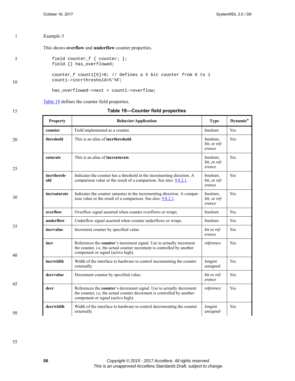#### 1 *Example 3*

This shows **overflow** and **underflow** counter properties.

```
5
10
               field counter_f { counter; };
               field {} has_overflowed;
               counter_f count1[5]=0; // Defines a 5 bit counter from 6 to 1
               count1->incrthreshold=5'hF;
```

```
has_overflowed->next = count1->overflow;
```
<span id="page-65-0"></span>[Table 19](#page-65-0) defines the counter field properties.

20

25

30

35

40

45

50

| <b>Property</b>    | <b>Behavior/Application</b>                                                                                                                                                                   | <b>Type</b>                        | <b>Dynamic<sup>a</sup></b> |
|--------------------|-----------------------------------------------------------------------------------------------------------------------------------------------------------------------------------------------|------------------------------------|----------------------------|
| counter            | Field implemented as a counter.                                                                                                                                                               | boolean                            | Yes                        |
| threshold          | This is an alias of incrthreshold.                                                                                                                                                            | boolean,<br>bit, or ref-<br>erence | Yes                        |
| saturate           | This is an alias of incrsaturate.                                                                                                                                                             | boolean,<br>bit, or ref-<br>erence | Yes                        |
| incrthresh-<br>old | Indicates the counter has a threshold in the incrementing direction. A<br>comparison value or the result of a comparison. See also: $9.8.2.1$ .                                               | boolean.<br>bit, or ref-<br>erence | <b>Yes</b>                 |
| incrsaturate       | Indicates the counter saturates in the incrementing direction. A compar-<br>ison value or the result of a comparison. See also: $9.8.2.1$ .                                                   | boolean.<br>bit, or ref-<br>erence | Yes                        |
| overflow           | Overflow signal asserted when counter overflows or wraps.                                                                                                                                     | boolean                            | Yes                        |
| underflow          | Underflow signal asserted when counter underflows or wraps.                                                                                                                                   | boolean                            | Yes                        |
| incrvalue          | Increment counter by specified value.                                                                                                                                                         | bit or ref-<br>erence              | Yes                        |
| incr               | References the <b>counter</b> 's increment signal. Use to actually increment<br>the counter, i.e, the actual counter increment is controlled by another<br>component or signal (active high). | reference                          | Yes                        |
| incrwidth          | Width of the interface to hardware to control incrementing the counter<br>externally.                                                                                                         | longint<br>unsigned                | Yes                        |
| decryalue          | Decrement counter by specified value.                                                                                                                                                         | bit or ref-<br>erence              | Yes                        |
| decr               | References the counter's decrement signal. Use to actually decrement<br>the counter, i.e, the actual counter decrement is controlled by another<br>component or signal (active high).         | reference                          | Yes                        |
| decrwidth          | Width of the interface to hardware to control decrementing the counter<br>externally.                                                                                                         | longint<br>unsigned                | Yes                        |

#### **Table 19—Counter field properties**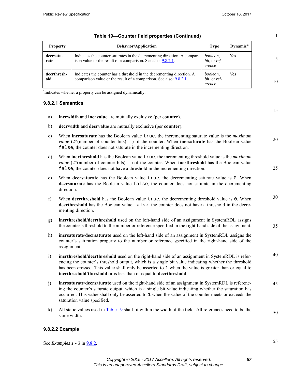| <b>Property</b>    | <b>Behavior/Application</b>                                                                                                                     | <b>Type</b>                        | <b>Dynamic<sup>a</sup></b> |
|--------------------|-------------------------------------------------------------------------------------------------------------------------------------------------|------------------------------------|----------------------------|
| decrsatu-<br>rate  | Indicates the counter saturates in the decrementing direction. A compar-<br>ison value or the result of a comparison. See also: $9.8.2.1$ .     | boolean,<br>bit, or ref-<br>erence | Yes                        |
| decrthresh-<br>blo | Indicates the counter has a threshold in the decrementing direction. A<br>comparison value or the result of a comparison. See also: $9.8.2.1$ . | boolean,<br>bit, or ref-<br>erence | Yes                        |

#### **Table 19—Counter field properties (Continued)**

<sup>a</sup>Indicates whether a property can be assigned dynamically.

#### <span id="page-66-0"></span>**9.8.2.1 Semantics**

- a) **incrwidth** and **incrvalue** are mutually exclusive (per **counter**).
- b) **decrwidth** and **decrvalue** are mutually exclusive (per **counter**).
- c) When **incrsaturate** has the Boolean value true, the incrementing saturate value is the *maximum value* (2<sup> $\land$ </sup>(number of counter bits) -1) of the counter. When **incrsaturate** has the Boolean value false, the counter does not saturate in the incrementing direction.
- d) When **incrthreshold** has the Boolean value true, the incrementing threshold value is the *maximum value* (2<sup> $\land$ </sup>(number of counter bits) -1) of the counter. When **incrthreshold** has the Boolean value false, the counter does not have a threshold in the incrementing direction.
- e) When **decrsaturate** has the Boolean value true, the decrementing saturate value is 0. When **decrsaturate** has the Boolean value false, the counter does not saturate in the decrementing direction.
- f) When **decrthreshold** has the Boolean value true, the decrementing threshold value is 0. When **decrthreshold** has the Boolean value false, the counter does not have a threshold in the decrementing direction.
- g) **incrthreshold**/**decrthreshold** used on the left-hand side of an assignment in SystemRDL assigns the counter's threshold to the number or reference specified in the right-hand side of the assignment.
- h) **incrsaturate**/**decrsaturate** used on the left-hand side of an assignment in SystemRDL assigns the counter's saturation property to the number or reference specified in the right-hand side of the assignment.
- i) **incrthreshold**/**decrthreshold** used on the right-hand side of an assignment in SystemRDL is referencing the counter's threshold output, which is a single bit value indicating whether the threshold has been crossed. This value shall only be asserted to 1 when the value is greater than or equal to **incrthreshold**/**threshold** or is less than or equal to **decrthreshold**.
- 45 j) **incrsaturate**/**decrsaturate** used on the right-hand side of an assignment in SystemRDL is referencing the counter's saturate output, which is a single bit value indicating whether the saturation has occurred. This value shall only be asserted to 1 when the value of the counter meets or exceeds the saturation value specified.
- k) All static values used in [Table 19](#page-65-0) shall fit within the width of the field. All references need to be the same width.

#### **9.8.2.2 Example**

See *Examples 1* - 3 in  $9.8.2$ .

50

1

5

10

20

25

30

35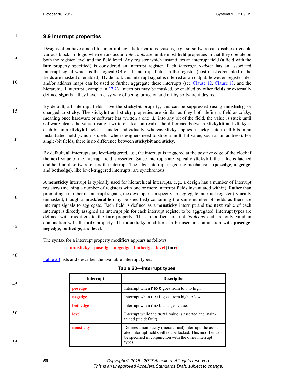#### **9.9 Interrupt properties**

1

5

10

25

30

35

45

50

55

Designs often have a need for interrupt signals for various reasons, e.g., so software can disable or enable various blocks of logic when errors occur. *Interrupts* are unlike most **field** properties in that they operate on both the register level and the field level. Any register which instantiates an interrupt field (a field with the **intr** property specified) is considered an interrupt register. Each *interrupt register* has an associated interrupt signal which is the logical OR of all interrupt fields in the register (post-masked/enabled if the fields are masked or enabled). By default, this interrupt signal is inferred as an output; however, register files and/or address maps can be used to further aggregate these interrupts (see [Clause 12,](#page-82-0) [Clause 13,](#page-86-1) and the hierarchical interrupt example in [17.2\)](#page-104-0). Interrupts may be masked, or enabled by other **field**s or externally defined **signal**s—they have an easy way of being turned on and off by software if desired.

15 20 By default, all interrupt fields have the **stickybit** property; this can be suppressed (using **nonsticky**) or changed to **sticky**. The **stickybit** and **sticky** properties are similar as they both define a field as *sticky*, meaning once hardware or software has written a one (1) into any bit of the field, the value is stuck until software clears the value (using a write or clear on read). The difference between **stickybit** and **sticky** is each bit in a **stickybit** field is handled individually, whereas **sticky** applies a sticky state to all bits in an instantiated field (which is useful when designers need to store a multi-bit value, such as an address). For single-bit fields, there is no difference between **stickybit** and **sticky**.

> By default, all interrupts are level-triggered, i.e., the interrupt is triggered at the positive edge of the clock if the **next** value of the interrupt field is asserted. Since interrupts are typically **stickybit**, the value is latched and held until software clears the interrupt. The edge-interrupt triggering mechanisms (**posedge**, **negedge**, and **bothedge**), like level-triggered interrupts, are synchronous.

A **nonsticky** interrupt is typically used for hierarchical interrupts, e.g., a design has a number of interrupt registers (meaning a number of registers with one or more interrupt fields instantiated within). Rather than promoting a number of interrupt signals, the developer can specify an aggregate interrupt register (typically unmasked, though a **mask**/**enable** may be specified) containing the same number of fields as there are interrupt signals to aggregate. Each field is defined as a **nonsticky** interrupt and the **next** value of each interrupt is directly assigned an interrupt pin for each interrupt register to be aggregated. Interrupt types are defined with modifiers to the **intr** property. These modifiers are not *booleans* and are only valid in conjunction with the **intr** property. The **nonsticky** modifier can be used in conjunction with **posedge**, **negedge**, **bothedge**, and **level**.

The syntax for a interrupt property modifiers appears as follows.

#### [**nonsticky**] [**posedge** | **negedge** | **bothedge** | **level**] **intr;**

40 [Table 20](#page-67-0) lists and describes the available interrupt types.

<span id="page-67-0"></span>

| Interrupt | <b>Description</b>                                                                                                                                                                          |
|-----------|---------------------------------------------------------------------------------------------------------------------------------------------------------------------------------------------|
| posedge   | Interrupt when next goes from low to high.                                                                                                                                                  |
| negedge   | Interrupt when next goes from high to low.                                                                                                                                                  |
| bothedge  | Interrupt when next changes value.                                                                                                                                                          |
| level     | Interrupt while the next value is asserted and main-<br>tained (the default).                                                                                                               |
| nonsticky | Defines a non-sticky (hierarchical) interrupt; the associ-<br>ated interrupt field shall not be locked. This modifier can<br>be specified in conjunction with the other interrupt<br>types. |

#### **Table 20—Interrupt types**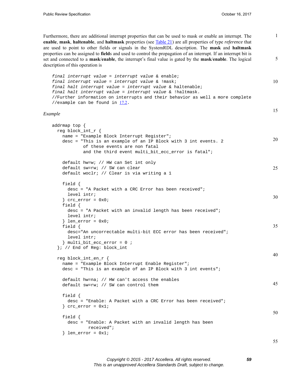5

10

15

Furthermore, there are additional interrupt properties that can be used to mask or enable an interrupt. The **enable**, **mask**, **haltenable**, and **haltmask** properties (see [Table 21\)](#page-69-0) are all properties of type *reference* that are used to point to other fields or signals in the SystemRDL description. The **mask** and **haltmask** properties can be assigned to **field**s and used to control the propagation of an interrupt. If an interrupt bit is set and connected to a **mask**/**enable**, the interrupt's final value is gated by the **mask**/**enable**. The logical description of this operation is

```
final interrupt value = interrupt value & enable;
final interrupt value = interrupt value & !mask;
final halt interrupt value = interrupt value & haltenable;
final halt interrupt value = interrupt value & !haltmask.
//Further information on interrupts and their behavior as well a more complete
//example can be found in 17.2.
```

```
Example
```

```
20
                                                                                         25
                                                                                         30
                                                                                         35
                                                                                         40
                                                                                         45
                                                                                         50
addrmap top {
   reg block_int_r {
     name = "Example Block Interrupt Register";
     desc = "This is an example of an IP Block with 3 int events. 2
             of these events are non fatal
             and the third event multi_bit_ecc_error is fatal";
     default hw=w; // HW can Set int only
     default sw=rw; // SW can clear
     default woclr; // Clear is via writing a 1
     field {
       desc = "A Packet with a CRC Error has been received";
       level intr;
    \} crc_error = 0x0;
     field {
       desc = "A Packet with an invalid length has been received";
       level intr;
    \} len_error = 0x0;
     field {
       desc="An uncorrectable multi-bit ECC error has been received";
       level intr;
    } multi_bit_ecc_error = 0 ;
   }; // End of Reg: block_int
   reg block_int_en_r {
     name = "Example Block Interrupt Enable Register";
     desc = "This is an example of an IP Block with 3 int events";
     default hw=na; // HW can't access the enables
     default sw=rw; // SW can control them
     field {
       desc = "Enable: A Packet with a CRC Error has been received";
    \} crc_error = 0x1;
     field {
       desc = "Enable: A Packet with an invalid length has been
               received";
    } len_error = 0x1;
```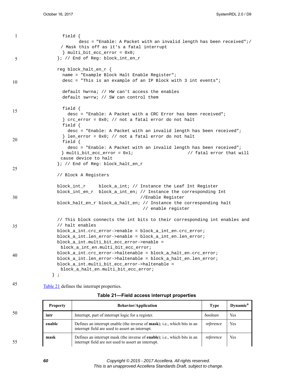| 1  | field $\{$                                                                                                        |
|----|-------------------------------------------------------------------------------------------------------------------|
|    | desc = "Enable: A Packet with an invalid length has been received";/<br>/ Mask this off as it's a fatal interrupt |
|    | $\}$ multi_bit_ecc_error = $0x0$ ;                                                                                |
| 5  | $\mid i \mid / \mid$ End of Reg: block_int_en_r                                                                   |
|    | reg block_halt_en_r {                                                                                             |
|    | name = "Example Block Halt Enable Register";                                                                      |
| 10 | $desc = "This is an example of an IP Block with 3 int events"$                                                    |
|    | default hw=na; // HW can't access the enables                                                                     |
|    | default sw=rw; // SW can control them                                                                             |
| 15 | field $\{$                                                                                                        |
|    | desc = "Enable: A Packet with a CRC Error has been received";                                                     |
|    | $\{ crc_error = 0x0; // not a fatal error do not halt$<br>field $\{$                                              |
|    | $desc = "Enable: A Packet with an invalid length has been received"$                                              |
|    | $\}$ len error = 0x0; // not a fatal error do not halt                                                            |
| 20 | field $\langle$                                                                                                   |
|    | desc = "Enable: A Packet with an invalid length has been received";                                               |
|    | // fatal error that will<br>$\}$ multi bit ecc error = 0x1;                                                       |
|    | cause device to halt                                                                                              |
| 25 | $\mid i \mid / \mid$ End of Reg: block_halt_en_r                                                                  |
|    | // Block A Registers                                                                                              |
|    | block_a_int; // Instance the Leaf Int Register<br>block_int_r                                                     |
|    | block_int_en_r block_a_int_en; // Instance the corresponding Int                                                  |
| 30 | //Enable Register<br>block_halt_en_r block_a_halt_en; // Instance the corresponding halt                          |
|    | // enable register                                                                                                |
|    | // This block connects the int bits to their corresponding int enables and                                        |
| 35 | // halt enables                                                                                                   |
|    | $block_a\_int.crc_error$ > enable = $block_a\_int\_enc_error$                                                     |
|    | $block_a$ _int.len_error->enable = block_a_int_en.len_error;                                                      |
|    | block_a_int.multi_bit_ecc_error->enable =                                                                         |
|    | block_a_int_en.multi_bit_ecc_error;                                                                               |
| 40 | block_a_int.crc_error->haltenable = block_a_halt_en.crc_error;                                                    |
|    | block_a_int.len_error->haltenable = block_a_halt_en.len_error;<br>block_a_int.multi_bit_ecc_error->haltenable =   |
|    | block_a_halt_en.multi_bit_ecc_error;                                                                              |
|    | $\}$ ;                                                                                                            |

<span id="page-69-0"></span>[Table 21](#page-69-0) defines the interrupt properties.

| <b>Property</b> | <b>Behavior/Application</b>                                                                                                               | Type      | Dynamic <sup>a</sup> |
|-----------------|-------------------------------------------------------------------------------------------------------------------------------------------|-----------|----------------------|
| intr            | Interrupt, part of interrupt logic for a register.                                                                                        | boolean   | Yes                  |
| enable          | Defines an interrupt enable (the inverse of <b>mask</b> ); i.e., which bits in an<br>interrupt field are used to assert an interrupt.     | reference | Yes                  |
| mask            | Defines an interrupt mask (the inverse of <b>enable</b> ); i.e., which bits in an<br>interrupt field are not used to assert an interrupt. | reference | Yes                  |

45

50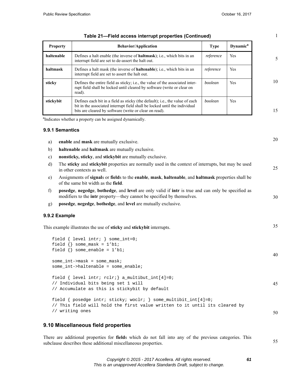5

10

15

| <b>Property</b> | <b>Behavior/Application</b>                                                                                                                                                                                          | <b>Type</b>    | <b>Dynamic<sup>a</sup></b> |
|-----------------|----------------------------------------------------------------------------------------------------------------------------------------------------------------------------------------------------------------------|----------------|----------------------------|
| haltenable      | Defines a halt enable (the inverse of <b>haltmask</b> ); i.e., which bits in an<br>interrupt field are set to de-assert the halt out.                                                                                | reference      | Yes                        |
| haltmask        | Defines a halt mask (the inverse of <b>haltenable</b> ); i.e., which bits in an<br>interrupt field are set to assert the halt out.                                                                                   | reference      | Yes                        |
| sticky          | Defines the entire field as sticky; i.e., the value of the associated inter-<br>rupt field shall be locked until cleared by software (write or clear on<br>read).                                                    | <b>boolean</b> | Yes                        |
| stickybit       | Defines each bit in a field as sticky (the default); i.e., the value of each<br>bit in the associated interrupt field shall be locked until the individual<br>bits are cleared by software (write or clear on read). | <b>hoolean</b> | Yes                        |

<sup>a</sup>Indicates whether a property can be assigned dynamically.

#### **9.9.1 Semantics**

| a)            | enable and mask are mutually exclusive.                                                                                                                                            | 20 |
|---------------|------------------------------------------------------------------------------------------------------------------------------------------------------------------------------------|----|
| b)            | haltenable and haltmask are mutually exclusive.                                                                                                                                    |    |
| $\mathbf{c})$ | nonsticky, sticky, and stickybit are mutually exclusive.                                                                                                                           |    |
| $\mathbf{d}$  | The sticky and sticky bit properties are normally used in the context of interrupts, but may be used<br>in other contexts as well.                                                 | 25 |
| e)            | Assignments of signals or fields to the enable, mask, haltenable, and haltmask properties shall be<br>of the same bit width as the field.                                          |    |
| f)            | posedge, negedge, bothedge, and level are only valid if intr is true and can only be specified as<br>modifiers to the <b>intr</b> property—they cannot be specified by themselves. | 30 |
| g)            | posedge, negedge, bothedge, and level are mutually exclusive.                                                                                                                      |    |
|               | 9.9.2 Example<br>This example illustrates the use of sticky and stickybit interrupts.                                                                                              | 35 |
|               | field { level intr; } some_int=0;<br>field $\{ \}$ some_mask = 1'b1;<br>field $\{ \}$ some_enable = 1'b1;                                                                          | 40 |
|               | some_int->mask = some_mask;<br>$some_{int}\rightarrow haltenable = some_{enable};$                                                                                                 |    |
|               | field { level intr; rclr; } a_multibut_int[4]=0;<br>// Individual bits being set 1 will<br>// Accumulate as this is stickybit by default                                           | 45 |
|               | field { posedge intr; sticky; woclr; } some_multibit_int[4]=0;<br>// This field will hold the first value written to it until its cleared by<br>// writing ones                    | 50 |

#### <span id="page-70-0"></span>**9.10 Miscellaneous field properties**

There are additional properties for **field**s which do not fall into any of the previous categories. This subclause describes these additional miscellaneous properties.

> *Copyright © 2015 - 2017 Accellera. All rights reserved. 61 This is an unapproved Accellera Standards Draft, subject to change.*

50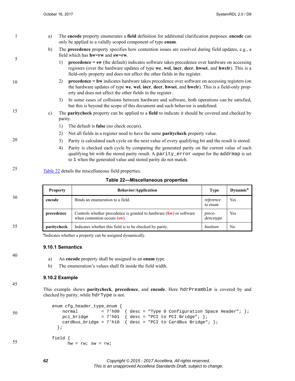- a) The **encode** property enumerates a **field** definition for additional clarification purposes. **encode** can only be applied to a validly scoped component of type **enum**.
	- b) The **precedence** property specifies how contention issues are resolved during field updates, e.g., a field which has **hw=rw** and **sw=rw**.
		- 1) **precedence = sw** (the default) indicates software takes precedence over hardware on accessing registers (over the hardware updates of type **we**, **wel**, **incr**, **decr**, **hwset**, and **hwclr**). This is a field-only property and does not affect the other fields in the register.
- 2) **precedence = hw** indicates hardware takes precedence over software on accessing registers (on the hardware updates of type **we**, **wel**, **incr**, **decr**, **hwset**, and **hwclr**). This is a field-only property and does not affect the other fields in the register.
	- 3) In some cases of collisions between hardware and software, both operations can be satisfied, but this is beyond the scope of this document and such behavior is undefined.
- c) The **paritycheck** property can be applied to a **field** to indicate it should be covered and checked by parity.
	- 1) The default is **false** (no check occurs).
	- 2) Not all fields in a register need to have the same **paritycheck** property value.
	- 3) Parity is calculated each cycle on the next value of every qualifying bit and the result is stored.
	- 4) Parity is checked each cycle by comparing the generated parity on the current value of each qualifying bit with the stored parity result. A parity\_error output for the addrmap is set to 1 when the generated value and stored parity do not match.
- 25 [Table 22](#page-71-0) details the miscellaneous field properties.

#### **Table 22—Miscellaneous properties**

<span id="page-71-0"></span>

| <b>Property</b> | <b>Behavior/Application</b>                                                                              | <b>Type</b>          | Dynamic <sup>a</sup> |
|-----------------|----------------------------------------------------------------------------------------------------------|----------------------|----------------------|
| encode          | Binds an enumeration to a field.                                                                         | reference<br>to enum | Yes                  |
| precedence      | Controls whether precedence is granted to hardware $(hw)$ or software<br>when contention occurs $(sw)$ . | prece-<br>dencetype  | Yes                  |
| paritycheck     | Indicates whether this field is to be checked by parity.                                                 | <i>boolean</i>       | No                   |

<sup>a</sup>Indicates whether a property can be assigned dynamically.

#### **9.10.1 Semantics**

40

45

1

5

10

15

20

30

35

- a) An **encode** property shall be assigned to an **enum** type.
- b) The enumeration's values shall fit inside the field width.

#### **9.10.2 Example**

This example shows **paritycheck**, **precedence**, and **encode**. Here hdrPreamble is covered by and checked by parity, while hdrType is not.

```
50
55
              enum cfg_header_type_enum {
                  normal = 7'h00 { desc = "Type 0 Configuration Space Header"; };
                  pci_bridge = 7'h01 { desc = "PCI to PCI Bridge"; };
                  cardbus_bridge = 7'h10 { desc = "PCI to CardBus Bridge"; };
                 };
              field {
                    hw = rw; sw = rw;
```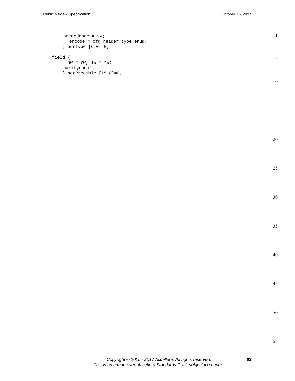| $precedence = swi$               |  |
|----------------------------------|--|
| $encode = cfq\_header_type_enum$ |  |
| $\}$ hdrType $[6:0]=0;$          |  |
|                                  |  |
| field                            |  |
| $hw = rw$ ; $sw = rw$ ;          |  |
| paritycheck;                     |  |
| hdrPreamble $[15:8]=0;$          |  |
|                                  |  |

1

5

10

15

20

30

35

40

45

50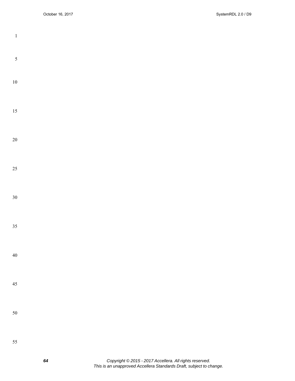| $\,$ 1         |  |  |  |  |
|----------------|--|--|--|--|
| $\mathfrak{S}$ |  |  |  |  |
| $10\,$         |  |  |  |  |
| $15\,$         |  |  |  |  |
| $20\,$         |  |  |  |  |
| $25\,$         |  |  |  |  |
| $30\,$         |  |  |  |  |
| $35\,$         |  |  |  |  |
| $40\,$         |  |  |  |  |
| $45\,$         |  |  |  |  |
| $50\,$         |  |  |  |  |
| 55             |  |  |  |  |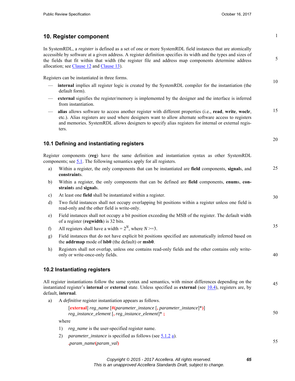|    | 10. Register component                                                                                                                                                                                                                                                                                                                                                             | $\mathbf{1}$ |
|----|------------------------------------------------------------------------------------------------------------------------------------------------------------------------------------------------------------------------------------------------------------------------------------------------------------------------------------------------------------------------------------|--------------|
|    | In SystemRDL, a register is defined as a set of one or more SystemRDL field instances that are atomically<br>accessible by software at a given address. A register definition specifies its width and the types and sizes of<br>the fields that fit within that width (the register file and address map components determine address<br>allocation; see Clause 12 and Clause 13). | 5            |
|    | Registers can be instantiated in three forms.                                                                                                                                                                                                                                                                                                                                      |              |
|    | internal implies all register logic is created by the SystemRDL compiler for the instantiation (the<br>default form).                                                                                                                                                                                                                                                              | 10           |
|    | external signifies the register/memory is implemented by the designer and the interface is inferred<br>from instantiation.                                                                                                                                                                                                                                                         |              |
|    | alias allows software to access another register with different properties (i.e., read, write, woclr,<br>etc.). Alias registers are used where designers want to allow alternate software access to registers<br>and memories. SystemRDL allows designers to specify alias registers for internal or external regis-<br>ters.                                                      | 15           |
|    | 10.1 Defining and instantiating registers                                                                                                                                                                                                                                                                                                                                          | 20           |
|    | Register components (reg) have the same definition and instantiation syntax as other SystemRDL<br>components; see $5.1$ . The following semantics apply for all registers.                                                                                                                                                                                                         |              |
| a) | Within a register, the only components that can be instantiated are field components, signals, and<br>constraints.                                                                                                                                                                                                                                                                 | 25           |
| b) | Within a register, the only components that can be defined are field components, enums, con-<br>straints and signals.                                                                                                                                                                                                                                                              |              |
| c) | At least one field shall be instantiated within a register.                                                                                                                                                                                                                                                                                                                        | 30           |
| d) | Two field instances shall not occupy overlapping bit positions within a register unless one field is<br>read-only and the other field is write-only.                                                                                                                                                                                                                               |              |
| e) | Field instances shall not occupy a bit position exceeding the MSB of the register. The default width<br>of a register (regwidth) is 32 bits.                                                                                                                                                                                                                                       |              |
| f) | All registers shall have a width = $2^N$ , where $N \ge 3$ .                                                                                                                                                                                                                                                                                                                       | 35           |
| g) | Field instances that do not have explicit bit positions specified are automatically inferred based on<br>the addrmap mode of Isb0 (the default) or msb0.                                                                                                                                                                                                                           |              |
| h) | Registers shall not overlap, unless one contains read-only fields and the other contains only write-<br>only or write-once-only fields.                                                                                                                                                                                                                                            | 40           |
|    | 10.2 Instantiating registers                                                                                                                                                                                                                                                                                                                                                       |              |
|    | All register instantiations follow the same syntax and semantics, with minor differences depending on the<br>instantiated register's internal or external state. Unless specified as external (see $10.4$ ), registers are, by<br>default, internal.                                                                                                                               | 45           |
| a) | A <i>definitive</i> register instantiation appears as follows.                                                                                                                                                                                                                                                                                                                     |              |
|    | [external] reg_name [#(parameter_instance [, parameter_instance]*)]<br>reg_instance_element [, reg_instance_element]*;                                                                                                                                                                                                                                                             | 50           |
|    | where                                                                                                                                                                                                                                                                                                                                                                              |              |
|    | 1)<br>reg_name is the user-specified register name.                                                                                                                                                                                                                                                                                                                                |              |
|    | <i>parameter_instance</i> is specified as follows (see 5.1.2 a).<br>2)                                                                                                                                                                                                                                                                                                             |              |
|    | .param_name(param_val)                                                                                                                                                                                                                                                                                                                                                             | 55           |

<span id="page-74-1"></span><span id="page-74-0"></span>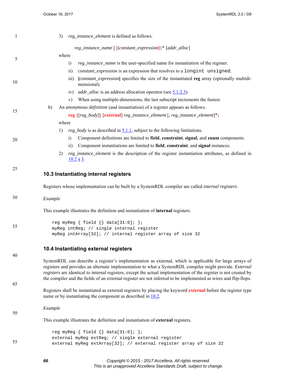<span id="page-75-1"></span>October 16, 2017 **SystemRDL 2.0 / D9** 

<span id="page-75-0"></span>

| 1        |         | 3)    | reg_instance_element is defined as follows.                                                                                                                                                                                                                                                                                                                                                                                                                |
|----------|---------|-------|------------------------------------------------------------------------------------------------------------------------------------------------------------------------------------------------------------------------------------------------------------------------------------------------------------------------------------------------------------------------------------------------------------------------------------------------------------|
|          |         |       | reg_instance_name [{[constant_expression]}* [addr_alloc]                                                                                                                                                                                                                                                                                                                                                                                                   |
|          |         | where |                                                                                                                                                                                                                                                                                                                                                                                                                                                            |
| 5        |         |       | reg_instance_name is the user-specified name for instantiation of the register.<br>$\ddot{1}$                                                                                                                                                                                                                                                                                                                                                              |
|          |         |       | constant_expression is an expression that resolves to a longint unsigned.<br>$\rm ii)$                                                                                                                                                                                                                                                                                                                                                                     |
| 10       |         |       | [constant_expression] specifies the size of the instantiated reg array (optionally multidi-<br>$\overline{111}$<br>mensional).                                                                                                                                                                                                                                                                                                                             |
|          |         |       | iv) <i>addr_alloc</i> is an address allocation operator (see $\frac{5.1.2.3}{2}$ ).                                                                                                                                                                                                                                                                                                                                                                        |
|          |         |       | When using multiple-dimensions, the last subscript increments the fastest.<br>V)                                                                                                                                                                                                                                                                                                                                                                           |
| 15       | b)      |       | An anonymous definition (and instantiation) of a register appears as follows.                                                                                                                                                                                                                                                                                                                                                                              |
|          |         |       | reg {[reg_body]} [external] reg_instance_element [, reg_instance_element]*;                                                                                                                                                                                                                                                                                                                                                                                |
|          |         | where |                                                                                                                                                                                                                                                                                                                                                                                                                                                            |
|          |         | 1)    | $reg\_body$ is as described in $5.1.1$ , subject to the following limitations.                                                                                                                                                                                                                                                                                                                                                                             |
| 20       |         |       | Component definitions are limited to field, constraint, signal, and enum components.<br>i)                                                                                                                                                                                                                                                                                                                                                                 |
|          |         |       | Component instantiations are limited to field, constraint, and signal instances.<br>$\overline{11}$                                                                                                                                                                                                                                                                                                                                                        |
|          |         | 2)    | reg_instance_element is the description of the register instantiation attributes, as defined in<br>10.2 a 3.                                                                                                                                                                                                                                                                                                                                               |
| 25       |         |       | 10.3 Instantiating internal registers                                                                                                                                                                                                                                                                                                                                                                                                                      |
|          |         |       | Registers whose implementation can be built by a SystemRDL compiler are called internal registers.                                                                                                                                                                                                                                                                                                                                                         |
| 30       | Example |       |                                                                                                                                                                                                                                                                                                                                                                                                                                                            |
|          |         |       | This example illustrates the definition and instantiation of internal registers.                                                                                                                                                                                                                                                                                                                                                                           |
| 35       |         |       | reg myReg $\{$ field $\{$ data[31:0]; };<br>myReg intReg; // single internal register<br>myReg intArray[32]; // internal register array of size 32                                                                                                                                                                                                                                                                                                         |
|          |         |       | 10.4 Instantiating external registers                                                                                                                                                                                                                                                                                                                                                                                                                      |
| 40<br>45 |         |       | SystemRDL can describe a register's implementation as external, which is applicable for large arrays of<br>registers and provides an alternate implementation to what a SystemRDL compiler might provide. External<br>registers are identical to internal registers, except the actual implementation of the register is not created by<br>the compiler and the fields of an external register are not inferred to be implemented as wires and flip-flops. |
|          |         |       | Registers shall be instantiated as external registers by placing the keyword external before the register type<br>name or by instantiating the component as described in $10.2$ .                                                                                                                                                                                                                                                                          |
| 50       | Example |       |                                                                                                                                                                                                                                                                                                                                                                                                                                                            |
|          |         |       | This example illustrates the definition and instantiation of external registers.                                                                                                                                                                                                                                                                                                                                                                           |
| 55       |         |       | reg myReg $\{$ field $\{$ data[31:0]; $\}$ ;<br>external myReg extReg; // single external register<br>external myReg extArray[32]; // external register array of size 32                                                                                                                                                                                                                                                                                   |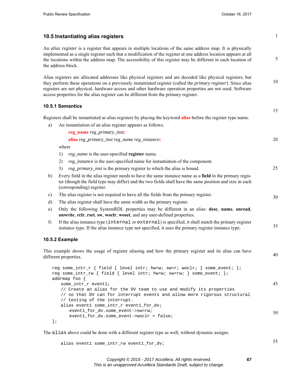| 10.5 Instantiating alias registers                                                                                                                                                                                                                                                                                                                                                                                                           | $\mathbf{1}$ |
|----------------------------------------------------------------------------------------------------------------------------------------------------------------------------------------------------------------------------------------------------------------------------------------------------------------------------------------------------------------------------------------------------------------------------------------------|--------------|
| An alias register is a register that appears in multiple locations of the same address map. It is physically<br>implemented as a single register such that a modification of the register at one address location appears at all<br>the locations within the address map. The accessibility of this register may be different in each location of<br>the address block.                                                                      | 5            |
| Alias registers are allocated addresses like physical registers and are decoded like physical registers, but<br>they perform these operations on a previously instantiated register (called the <i>primary register</i> ). Since alias<br>registers are not physical, hardware access and other hardware operation properties are not used. Software<br>access properties for the alias register can be different from the primary register. | 10           |
| 10.5.1 Semantics                                                                                                                                                                                                                                                                                                                                                                                                                             | 15           |
| Registers shall be instantiated as alias registers by placing the keyword <b>alias</b> before the register type name.<br>An instantiation of an alias register appears as follows.<br>a)                                                                                                                                                                                                                                                     |              |
| reg_name reg_primary_inst;<br>alias reg_primary_inst reg_name reg_instance;<br>where                                                                                                                                                                                                                                                                                                                                                         | 20           |
| 1)<br>reg_name is the user-specified register name.<br>reg_instance is the user-specified name for instantiation of the component.<br>2)<br>3)<br>reg_primary_inst is the primary register to which the alias is bound<br>Every field in the alias register needs to have the same instance name as a field in the primary regis-<br>b)                                                                                                      | 25           |
| ter (though the field type may differ) and the two fields shall have the same position and size in each<br>(corresponding) register.<br>The alias register is not required to have all the fields from the primary register.<br>c)<br>The alias register shall have the same width as the primary register.<br>d)<br>Only the following SystemRDL properties may be different in an alias: desc, name, onread,<br>e)                         | 30           |
| onwrite, rclr, rset, sw, woclr, woset, and any user-defined properties.<br>f)<br>If the alias instance type (internal or external) is specified, it shall match the primary register<br>instance type. If the alias instance type not specified, it uses the primary register instance type.                                                                                                                                                 | 35           |
| 10.5.2 Example                                                                                                                                                                                                                                                                                                                                                                                                                               |              |
| This example shows the usage of register aliasing and how the primary register and its alias can have<br>different properties.                                                                                                                                                                                                                                                                                                               | 40           |
| reg some_intr_r { field { level intr; hw=w; sw=r; woclr; } some_event; };<br>reg some_intr_rw { field { level intr; hw=w; sw=rw; } some_event; };<br>$addrmap$ foo $\{$                                                                                                                                                                                                                                                                      |              |
| some_intr_r event1;<br>// Create an alias for the DV team to use and modify its properties<br>// so that DV can for interrupt events and allow more rigorous structural<br>// testing of the interrupt.<br>alias event1 some_intr_r event1_for_dv;                                                                                                                                                                                           | 45           |
| event1_for_dv.some_event->sw=rw;<br>event1_for_dv.some_event->woclr = false;<br>$\}$ ;                                                                                                                                                                                                                                                                                                                                                       | 50           |
| The alias above could be done with a different register type as well, without dynamic assigns.                                                                                                                                                                                                                                                                                                                                               |              |

alias event1 some\_intr\_rw event1\_for\_dv;

*Copyright © 2015 - 2017 Accellera. All rights reserved. 67 This is an unapproved Accellera Standards Draft, subject to change.*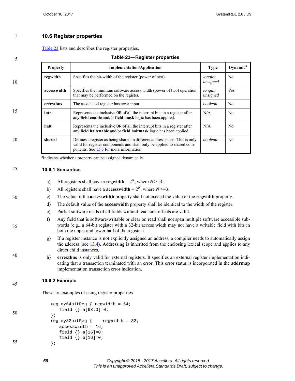### **10.6 Register properties**

<span id="page-77-0"></span>[Table 23](#page-77-0) lists and describes the register properties.

10

15

20

30

35

40

1

| <b>Property</b> | <b>Implementation/Application</b>                                                                                                                                                               | <b>Type</b>         | <b>Dynamic<sup>a</sup></b> |
|-----------------|-------------------------------------------------------------------------------------------------------------------------------------------------------------------------------------------------|---------------------|----------------------------|
| regwidth        | Specifies the bit-width of the register (power of two).                                                                                                                                         | longint<br>unsigned | No                         |
| accesswidth     | Specifies the minimum software access width (power of two) operation<br>that may be performed on the register.                                                                                  | longint<br>unsigned | Yes                        |
| errextbus       | The associated register has error input.                                                                                                                                                        | <b>boolean</b>      | N <sub>0</sub>             |
| intr            | Represents the inclusive OR of all the interrupt bits in a register after<br>any field enable and/or field mask logic has been applied.                                                         | N/A                 | N <sub>0</sub>             |
| halt            | Represents the inclusive OR of all the interrupt bits in a register after<br>any field haltenable and/or field haltmask logic has been applied.                                                 | N/A                 | N <sub>0</sub>             |
| shared          | Defines a register as being shared in different address maps. This is only<br>valid for register components and shall only be applied to shared com-<br>ponents. See 13.5 for more information. | boolean             | N <sub>0</sub>             |

#### **Table 23—Register properties**

<sup>a</sup>Indicates whether a property can be assigned dynamically.

#### 25 **10.6.1 Semantics**

- a) All registers shall have a **regwidth** =  $2^N$ , where  $N \ge 3$ .
- b) All registers shall have a **accesswidth** =  $2^N$ , where *N* >=3.
- c) The value of the **accesswidth** property shall not exceed the value of the **regwidth** property.
- d) The default value of the **accesswidth** property shall be identical to the width of the register.
- e) Partial software reads of all fields without read side-effects are valid.
- f) Any field that is software-writable or clear on read shall not span multiple software accessible subwords (e.g., a 64-bit register with a 32-bit access width may not have a writable field with bits in both the upper and lower half of the register).
- g) If a register instance is not explicitly assigned an address, a compiler needs to automatically assign the address (see  $\underline{13.4}$  $\underline{13.4}$  $\underline{13.4}$ ). Addressing is inherited from the enclosing lexical scope and applies to any direct child instances.
- h) **errextbus** is only valid for external registers. It specifies an external register implementation indicating that a transaction terminated with an error. This error status is incorporated in the **addrmap** implementation transaction error indication.

#### 45 **10.6.2 Example**

These are examples of using register properties.

```
50
55
               reg my64bitReg { regwidth = 64;
                  field {} a[63:0]=0;
               };
               reg my32bitReg \{ regwidth = 32;
                  accesswidth = 16;field {} a[16]=0;
                  field {} b[16]=0; 
               };
```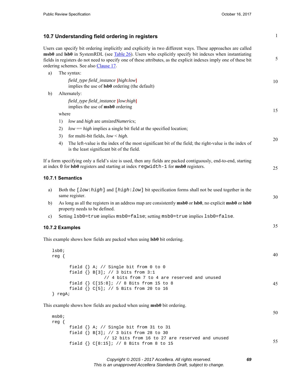|               | 10.7 Understanding field ordering in registers                                                                                                                                                                                                                                                                                                                                       | $\mathbf{1}$ |
|---------------|--------------------------------------------------------------------------------------------------------------------------------------------------------------------------------------------------------------------------------------------------------------------------------------------------------------------------------------------------------------------------------------|--------------|
|               | Users can specify bit ordering implicitly and explicitly in two different ways. These approaches are called<br>msb0 and lsb0 in SystemRDL (see Table 26). Users who explicitly specify bit indexes when instantiating<br>fields in registers do not need to specify one of these attributes, as the explicit indexes imply one of these bit<br>ordering schemes. See also Clause 17. | 5            |
| a)            | The syntax:                                                                                                                                                                                                                                                                                                                                                                          |              |
|               | field_type field_instance [high:low]<br>implies the use of Isb0 ordering (the default)                                                                                                                                                                                                                                                                                               | 10           |
| b)            | Alternately:                                                                                                                                                                                                                                                                                                                                                                         |              |
|               | field_type field_instance [low:high]<br>implies the use of msb0 ordering                                                                                                                                                                                                                                                                                                             | 15           |
|               | where                                                                                                                                                                                                                                                                                                                                                                                |              |
|               | low and high are unsizedNumerics;<br>1)                                                                                                                                                                                                                                                                                                                                              |              |
|               | $low == high$ implies a single bit field at the specified location;<br>2)                                                                                                                                                                                                                                                                                                            |              |
|               | for multi-bit fields, $low < high$ .<br>3)                                                                                                                                                                                                                                                                                                                                           |              |
|               | The left-value is the index of the most significant bit of the field; the right-value is the index of<br>4)<br>is the least significant bit of the field.                                                                                                                                                                                                                            | 20           |
|               | If a form specifying only a field's size is used, then any fields are packed contiguously, end-to-end, starting<br>at index 0 for Isb0 registers and starting at index regwidth-1 for msb0 registers.                                                                                                                                                                                | 25           |
|               | 10.7.1 Semantics                                                                                                                                                                                                                                                                                                                                                                     |              |
| a)            | Both the [low: $high$ ] and [high:low] bit specification forms shall not be used together in the<br>same register.                                                                                                                                                                                                                                                                   | 30           |
| b)            | As long as all the registers in an address map are consistently msb0 or lsb0, no explicit msb0 or lsb0<br>property needs to be defined.                                                                                                                                                                                                                                              |              |
| $\mathbf{c})$ | Setting 1sb0=true implies msb0=false; setting msb0=true implies 1sb0=false.                                                                                                                                                                                                                                                                                                          |              |
|               | 10.7.2 Examples                                                                                                                                                                                                                                                                                                                                                                      | 35           |
|               | This example shows how fields are packed when using Isb0 bit ordering.                                                                                                                                                                                                                                                                                                               |              |
|               | lsb0;<br>$reg \{$                                                                                                                                                                                                                                                                                                                                                                    | 40           |
|               | field $\{ \}$ A; // Single bit from 0 to 0<br>field {} B[3]; // 3 bits from 3:1                                                                                                                                                                                                                                                                                                      |              |
|               | // 4 bits from 7 to 4 are reserved and unused<br>field $\{ \} C[15:8]$ ; // 8 Bits from 15 to 8<br>field $\{ \} C[5]$ ; // 5 Bits from 20 to 16<br>$\}$ regA;                                                                                                                                                                                                                        | 45           |
|               |                                                                                                                                                                                                                                                                                                                                                                                      |              |
|               | This example shows how fields are packed when using <b>msb0</b> bit ordering.                                                                                                                                                                                                                                                                                                        | 50           |
|               | msb0;<br>$reg \{$                                                                                                                                                                                                                                                                                                                                                                    |              |
|               | field $\{ \}$ A; // Single bit from 31 to 31<br>field $\{ \}$ B[3]; // 3 bits from 28 to 30<br>// 12 bits from 16 to 27 are reserved and unused                                                                                                                                                                                                                                      |              |
|               | field $\{ \} C[8:15]$ ; // 8 Bits from 8 to 15                                                                                                                                                                                                                                                                                                                                       | 55           |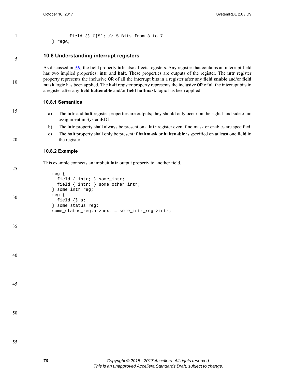```
1
                     field {} C[5]; // 5 Bits from 3 to 7
              } regA;
```
10

15

20

25

30

# **10.8 Understanding interrupt registers**

As discussed in [9.9](#page-67-0), the field property **intr** also affects registers. Any register that contains an interrupt field has two implied properties: **intr** and **halt**. These properties are outputs of the register. The **intr** register property represents the inclusive OR of all the interrupt bits in a register after any **field enable** and/or **field mask** logic has been applied. The **halt** register property represents the inclusive OR of all the interrupt bits in a register after any **field haltenable** and/or **field haltmask** logic has been applied.

### **10.8.1 Semantics**

- a) The **intr** and **halt** register properties are outputs; they should only occur on the right-hand side of an assignment in SystemRDL.
- b) The **intr** property shall always be present on a **intr** register even if no mask or enables are specified.
- c) The **halt** property shall only be present if **haltmask** or **haltenable** is specified on at least one **field** in the register.

### **10.8.2 Example**

This example connects an implicit **intr** output property to another field.

```
reg { 
   field { intr; } some_intr;
   field { intr; } some_other_intr;
} some_intr_reg;
reg { 
   field {} a;
} some_status_reg;
some_status_reg.a->next = some_intr_reg->intr;
```
35

45

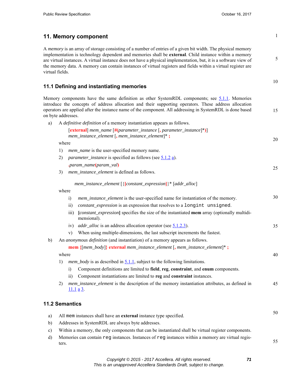<span id="page-80-2"></span>

|                 |       | 11. Memory component                                                                                                                                                                                                                                                                                                                                                                                                                                             | 1  |
|-----------------|-------|------------------------------------------------------------------------------------------------------------------------------------------------------------------------------------------------------------------------------------------------------------------------------------------------------------------------------------------------------------------------------------------------------------------------------------------------------------------|----|
| virtual fields. |       | A <i>memory</i> is an array of storage consisting of a number of entries of a given bit width. The physical memory<br>implementation is technology dependent and memories shall be external. Child instance within a memory<br>are virtual instances. A virtual instance does not have a physical implementation, but, it is a software view of<br>the memory data. A memory can contain instances of virtual registers and fields within a virtual register are | 5  |
|                 |       | 11.1 Defining and instantiating memories                                                                                                                                                                                                                                                                                                                                                                                                                         | 10 |
|                 |       | Memory components have the same definition as other SystemRDL components; see $5.1.1$ . Memories<br>introduce the concepts of address allocation and their supporting operators. These address allocation<br>operators are applied after the instance name of the component. All addressing in SystemRDL is done based<br>on byte addresses.                                                                                                                     | 15 |
| a)              |       | A <i>definitive definition</i> of a memory instantiation appears as follows.                                                                                                                                                                                                                                                                                                                                                                                     |    |
|                 |       | <b>[external]</b> mem_name [#(parameter_instance [, parameter_instance]*)]<br>$mem\_instance\_element$ , mem_instance_element]*;                                                                                                                                                                                                                                                                                                                                 |    |
|                 | where |                                                                                                                                                                                                                                                                                                                                                                                                                                                                  | 20 |
|                 | 1)    | mem_name is the user-specified memory name.                                                                                                                                                                                                                                                                                                                                                                                                                      |    |
|                 | 2)    | parameter_instance is specified as follows (see 5.1.2 a).<br>.param_name(param_val)                                                                                                                                                                                                                                                                                                                                                                              |    |
|                 | 3)    | mem_instance_element is defined as follows.                                                                                                                                                                                                                                                                                                                                                                                                                      | 25 |
|                 |       | mem_instance_element [{ constant_expression]}* [addr_alloc]                                                                                                                                                                                                                                                                                                                                                                                                      |    |
|                 | where |                                                                                                                                                                                                                                                                                                                                                                                                                                                                  |    |
|                 |       | mem_instance_element is the user-specified name for instantiation of the memory.<br>$\mathbf{i}$                                                                                                                                                                                                                                                                                                                                                                 | 30 |

- <span id="page-80-1"></span><span id="page-80-0"></span>ii) *constant\_expression* is an expression that resolves to a longint unsigned.
- iii) **[***constant\_expression***]** specifies the size of the instantiated **mem** array (optionally multidimensional).
- iv) *addr\_alloc* is an address allocation operator (see [5.1.2.3\)](#page-28-0).
- v) When using multiple-dimensions, the last subscript increments the fastest.

b) An *anonymous definition* (and instantiation) of a memory appears as follows.

**mem {**[*mem\_body*]**} external** *mem\_instance\_element* [**,** *mem\_instance\_element*]\* **;**

#### where

- 1) *mem\_body* is as described in **5.1.1**, subject to the following limitations.
	- i) Component definitions are limited to **field**, **reg**, **constraint**, and **enum** components.
	- ii) Component instantiations are limited to **reg** and **constraint** instances.
- 45 2) *mem\_instance\_element* is the description of the memory instantiation attributes, as defined in [11.1](#page-80-2) [a](#page-80-1) [3.](#page-80-0)

## **11.2 Semantics**

| a) All mem instances shall have an external instance type specified. |  |
|----------------------------------------------------------------------|--|
|                                                                      |  |

- b) Addresses in SystemRDL are always byte addresses.
- c) Within a memory, the only components that can be instantiated shall be virtual register components.
- d) Memories can contain reg instances. Instances of reg instances within a memory are virtual registers.

35

40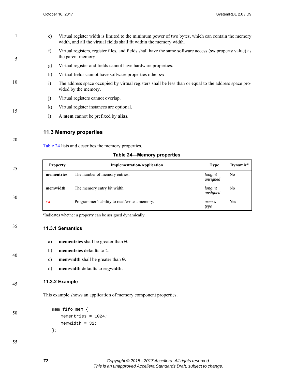5

15

20

- e) Virtual register width is limited to the minimum power of two bytes, which can contain the memory width, and all the virtual fields shall fit within the memory width.
- f) Virtual registers, register files, and fields shall have the same software access (**sw** property value) as the parent memory.
- g) Virtual register and fields cannot have hardware properties.
- h) Virtual fields cannot have software properties other **sw**.
- 10 i) The address space occupied by virtual registers shall be less than or equal to the address space provided by the memory.
	- j) Virtual registers cannot overlap.
	- k) Virtual register instances are optional.
	- l) A **mem** cannot be prefixed by **alias**.

### **11.3 Memory properties**

<span id="page-81-0"></span>[Table 24](#page-81-0) lists and describes the memory properties.

#### **Table 24—Memory properties**

| 25 | <b>Property</b> | <b>Implementation/Application</b>            | <b>Type</b>         | <b>Dynamic<sup>a</sup></b> |
|----|-----------------|----------------------------------------------|---------------------|----------------------------|
|    | mementries      | The number of memory entries.                | longint<br>unsigned | No                         |
|    | memwidth        | The memory entry bit width.                  | longint<br>unsigned | No                         |
| 30 | <b>SW</b>       | Programmer's ability to read/write a memory. | access<br>type      | Yes                        |

<sup>a</sup>Indicates whether a property can be assigned dynamically.

#### 35 **11.3.1 Semantics**

- a) **mementries** shall be greater than 0.
- b) **mementries** defaults to 1.
- c) **memwidth** shall be greater than 0.
- d) **memwidth** defaults to **regwidth**.

#### 45 **11.3.2 Example**

This example shows an application of memory component properties.

```
50
               mem fifo_mem {
                   mementries = 1024;
                   memwidth = 32;};
```
55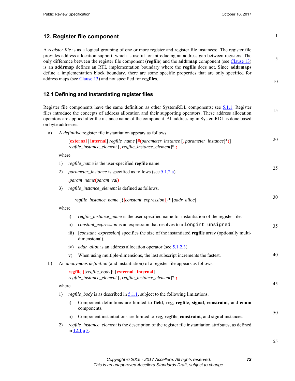<span id="page-82-3"></span><span id="page-82-2"></span><span id="page-82-1"></span><span id="page-82-0"></span>

|                    |       |                 | 12. Register file component                                                                                                                                                                                                                                                                                                                                                                                                                                                                                                                                                                                            | $\mathbf{1}$ |
|--------------------|-------|-----------------|------------------------------------------------------------------------------------------------------------------------------------------------------------------------------------------------------------------------------------------------------------------------------------------------------------------------------------------------------------------------------------------------------------------------------------------------------------------------------------------------------------------------------------------------------------------------------------------------------------------------|--------------|
|                    |       |                 | A register file is as a logical grouping of one or more register and register file instances;. The register file<br>provides address allocation support, which is useful for introducing an address gap between registers. The<br>only difference between the register file component (regfile) and the addrmap component (see Clause 13)<br>is an addrmap defines an RTL implementation boundary where the regfile does not. Since addrmaps<br>define a implementation block boundary, there are some specific properties that are only specified for<br>address maps (see Clause 13) and not specified for regfiles. | 5            |
|                    |       |                 |                                                                                                                                                                                                                                                                                                                                                                                                                                                                                                                                                                                                                        | 10           |
|                    |       |                 | 12.1 Defining and instantiating register files                                                                                                                                                                                                                                                                                                                                                                                                                                                                                                                                                                         |              |
| on byte addresses. |       |                 | Register file components have the same definition as other SystemRDL components; see 5.1.1. Register<br>files introduce the concepts of address allocation and their supporting operators. These address allocation<br>operators are applied after the instance name of the component. All addressing in SystemRDL is done based                                                                                                                                                                                                                                                                                       | 15           |
| a)                 |       |                 | A <i>definitive</i> register file instantiation appears as follows.                                                                                                                                                                                                                                                                                                                                                                                                                                                                                                                                                    |              |
|                    |       |                 | [external   internal] regfile_name [#(parameter_instance [, parameter_instance]*)]<br>regfile_instance_element [, regfile_instance_element]*;                                                                                                                                                                                                                                                                                                                                                                                                                                                                          | 20           |
|                    | where |                 |                                                                                                                                                                                                                                                                                                                                                                                                                                                                                                                                                                                                                        |              |
|                    | 1)    |                 | regfile_name is the user-specified regfile name.                                                                                                                                                                                                                                                                                                                                                                                                                                                                                                                                                                       |              |
|                    | 2)    |                 | <i>parameter_instance</i> is specified as follows (see 5.1.2 a).                                                                                                                                                                                                                                                                                                                                                                                                                                                                                                                                                       | 25           |
|                    |       |                 | .param_name(param_val)                                                                                                                                                                                                                                                                                                                                                                                                                                                                                                                                                                                                 |              |
|                    | 3)    |                 | regfile_instance_element is defined as follows.                                                                                                                                                                                                                                                                                                                                                                                                                                                                                                                                                                        |              |
|                    |       |                 | regfile_instance_name [{ constant_expression]}* [addr_alloc]                                                                                                                                                                                                                                                                                                                                                                                                                                                                                                                                                           | 30           |
|                    | where |                 |                                                                                                                                                                                                                                                                                                                                                                                                                                                                                                                                                                                                                        |              |
|                    |       | $\ddot{1}$      | regfile_instance_name is the user-specified name for instantiation of the register file.                                                                                                                                                                                                                                                                                                                                                                                                                                                                                                                               |              |
|                    |       | $\overline{ii}$ | constant_expression is an expression that resolves to a longint unsigned.                                                                                                                                                                                                                                                                                                                                                                                                                                                                                                                                              | 35           |
|                    |       |                 | iii) [constant_expression] specifies the size of the instantiated regfile array (optionally multi-<br>dimensional).                                                                                                                                                                                                                                                                                                                                                                                                                                                                                                    |              |
|                    |       |                 | iv) <i>addr_alloc</i> is an address allocation operator (see $\frac{5.1.2.3}{2}$ ).                                                                                                                                                                                                                                                                                                                                                                                                                                                                                                                                    |              |
|                    |       | V)              | When using multiple-dimensions, the last subscript increments the fastest.                                                                                                                                                                                                                                                                                                                                                                                                                                                                                                                                             | 40           |
| b)                 |       |                 | An anonymous definition (and instantiation) of a register file appears as follows.                                                                                                                                                                                                                                                                                                                                                                                                                                                                                                                                     |              |
|                    |       |                 | regfile {[regfile_body]} [external   internal]<br>regfile_instance_element [, regfile_instance_element]*;                                                                                                                                                                                                                                                                                                                                                                                                                                                                                                              |              |
|                    | where |                 |                                                                                                                                                                                                                                                                                                                                                                                                                                                                                                                                                                                                                        | 45           |
|                    | 1)    |                 | <i>regfile_body</i> is as described in $5.1.1$ , subject to the following limitations.                                                                                                                                                                                                                                                                                                                                                                                                                                                                                                                                 |              |
|                    |       | $\ddot{i}$      | Component definitions are limited to field, reg, regfile, signal, constraint, and enum<br>components.                                                                                                                                                                                                                                                                                                                                                                                                                                                                                                                  |              |
|                    |       | $\overline{ii}$ | Component instantiations are limited to reg, regfile, constraint, and signal instances.                                                                                                                                                                                                                                                                                                                                                                                                                                                                                                                                | 50           |
|                    | 2)    |                 | regfile_instance_element is the description of the register file instantiation attributes, as defined<br>in $12.1 a 3$ .                                                                                                                                                                                                                                                                                                                                                                                                                                                                                               |              |
|                    |       |                 |                                                                                                                                                                                                                                                                                                                                                                                                                                                                                                                                                                                                                        | 55           |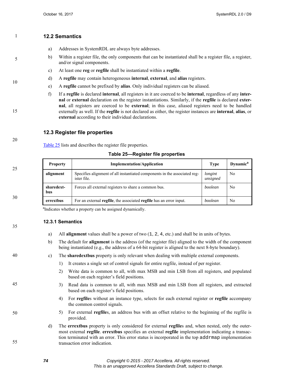#### 1 **12.2 Semantics**

5

10

15

20

25

30

35

40

45

50

55

- a) Addresses in SystemRDL are always byte addresses.
- b) Within a register file, the only components that can be instantiated shall be a register file, a register, and/or signal components.
- c) At least one **reg** or **regfile** shall be instantiated within a **regfile**.
- d) A **regfile** may contain heterogeneous **internal**, **external**, and **alias** registers.
- e) A **regfile** cannot be prefixed by **alias**. Only individual registers can be aliased.
- f) If a **regfile** is declared **internal**, all registers in it are coerced to be **internal**, regardless of any **internal** or **external** declaration on the register instantiations. Similarly, if the **regfile** is declared **external**, all registers are coerced to be **external**; in this case, aliased registers need to be handled externally as well. If the **regfile** is not declared as either, the register instances are **internal**, **alias**, or **external** according to their individual declarations.

# **12.3 Register file properties**

<span id="page-83-0"></span>[Table 25](#page-83-0) lists and describes the register file properties.

### **Table 25—Register file properties**

| <b>Property</b>          | <b>Implementation/Application</b>                                                        | Type                | <b>Dynamic<sup>a</sup></b> |
|--------------------------|------------------------------------------------------------------------------------------|---------------------|----------------------------|
| alignment                | Specifies alignment of all instantiated components in the associated reg-<br>ister file. | longint<br>unsigned | No                         |
| sharedext-<br><b>bus</b> | Forces all external registers to share a common bus.                                     | <i>boolean</i>      | N <sub>0</sub>             |
| errextbus                | For an external regfile, the associated regfile has an error input.                      | <i>boolean</i>      | No                         |

<sup>a</sup>Indicates whether a property can be assigned dynamically.

### **12.3.1 Semantics**

- a) All **alignment** values shall be a power of two (1, 2, 4, etc.) and shall be in units of bytes.
- b) The default for **alignment** is the address (of the register file) aligned to the width of the component being instantiated (e.g., the address of a 64-bit register is aligned to the next 8-byte boundary).
- c) The **sharedextbus** property is only relevant when dealing with multiple external components.
	- 1) It creates a single set of control signals for entire regfile, instead of per register.
	- 2) Write data is common to all, with max MSB and min LSB from all registers, and populated based on each register's field positions.
	- 3) Read data is common to all, with max MSB and min LSB from all registers, and extracted based on each register's field positions.
	- 4) For **regfile**s without an instance type, selects for each external register or **regfile** accompany the common control signals.
	- 5) For external **regfile**s, an address bus with an offset relative to the beginning of the regfile is provided.
	- d) The **errextbus** property is only considered for external **regfile**s and, when nested, only the outermost external **regfile**. **errextbus** specifies an external **regfile** implementation indicating a transaction terminated with an error. This error status is incorporated in the top addrmap implementation transaction error indication.

*74 Copyright © 2015 - 2017 Accellera. All rights reserved. This is an unapproved Accellera Standards Draft, subject to change.*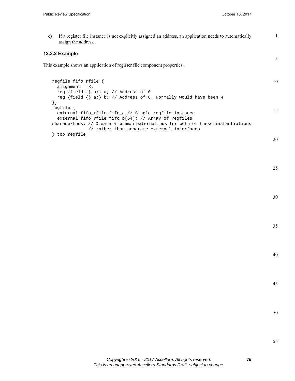e) If a register file instance is not explicitly assigned an address, an application needs to automatically assign the address.

#### **12.3.2 Example**

This example shows an application of register file component properties.

```
10
                                                                                         15
                                                                                         20
regfile fifo_rfile {
   alignment = 8;
   reg {field {} a;} a; // Address of 0
   reg {field {} a;} b; // Address of 8. Normally would have been 4 
};
regfile { 
   external fifo_rfile fifo_a;// Single regfile instance
   external fifo_rfile fifo_b[64]; // Array of regfiles 
sharedextbus; // Create a common external bus for both of these instantiations
               // rather than separate external interfaces 
} top_regfile;
```
1

5

30

40

45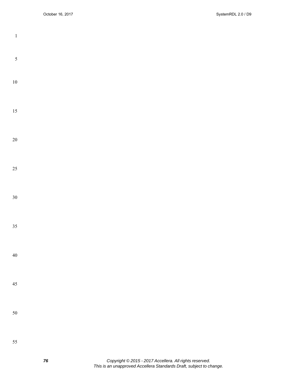| $\,$ $\,$ $\,$ |  |  |  |
|----------------|--|--|--|
| $\mathfrak{S}$ |  |  |  |
| $10\,$         |  |  |  |
| $15\,$         |  |  |  |
| $20\,$         |  |  |  |
| $25\,$         |  |  |  |
| $30\,$         |  |  |  |
| $35\,$         |  |  |  |
| $40\,$         |  |  |  |
| $45\,$         |  |  |  |
| $50\,$         |  |  |  |
| 55             |  |  |  |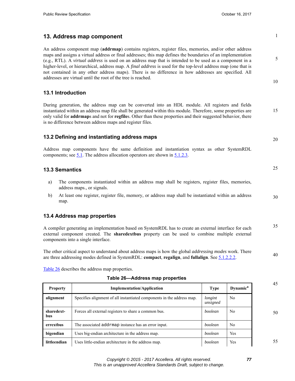<span id="page-86-0"></span>

| 13. Address map component                                                                             | $\mathbf{1}$                                                                                                                                                                                                                                                                                                                                                                                                                                                                                                                                                                                                                                                                                                                                                                                                                                                                                                                                                                                                                                                                                                                                                                                                                                                                                                            |
|-------------------------------------------------------------------------------------------------------|-------------------------------------------------------------------------------------------------------------------------------------------------------------------------------------------------------------------------------------------------------------------------------------------------------------------------------------------------------------------------------------------------------------------------------------------------------------------------------------------------------------------------------------------------------------------------------------------------------------------------------------------------------------------------------------------------------------------------------------------------------------------------------------------------------------------------------------------------------------------------------------------------------------------------------------------------------------------------------------------------------------------------------------------------------------------------------------------------------------------------------------------------------------------------------------------------------------------------------------------------------------------------------------------------------------------------|
| An address component map (addrmap) contains registers, register files, memories, and/or other address | 5                                                                                                                                                                                                                                                                                                                                                                                                                                                                                                                                                                                                                                                                                                                                                                                                                                                                                                                                                                                                                                                                                                                                                                                                                                                                                                                       |
|                                                                                                       | 10                                                                                                                                                                                                                                                                                                                                                                                                                                                                                                                                                                                                                                                                                                                                                                                                                                                                                                                                                                                                                                                                                                                                                                                                                                                                                                                      |
|                                                                                                       |                                                                                                                                                                                                                                                                                                                                                                                                                                                                                                                                                                                                                                                                                                                                                                                                                                                                                                                                                                                                                                                                                                                                                                                                                                                                                                                         |
|                                                                                                       | 15                                                                                                                                                                                                                                                                                                                                                                                                                                                                                                                                                                                                                                                                                                                                                                                                                                                                                                                                                                                                                                                                                                                                                                                                                                                                                                                      |
|                                                                                                       | 20                                                                                                                                                                                                                                                                                                                                                                                                                                                                                                                                                                                                                                                                                                                                                                                                                                                                                                                                                                                                                                                                                                                                                                                                                                                                                                                      |
|                                                                                                       |                                                                                                                                                                                                                                                                                                                                                                                                                                                                                                                                                                                                                                                                                                                                                                                                                                                                                                                                                                                                                                                                                                                                                                                                                                                                                                                         |
|                                                                                                       | 25                                                                                                                                                                                                                                                                                                                                                                                                                                                                                                                                                                                                                                                                                                                                                                                                                                                                                                                                                                                                                                                                                                                                                                                                                                                                                                                      |
| address maps., or signals.                                                                            |                                                                                                                                                                                                                                                                                                                                                                                                                                                                                                                                                                                                                                                                                                                                                                                                                                                                                                                                                                                                                                                                                                                                                                                                                                                                                                                         |
|                                                                                                       |                                                                                                                                                                                                                                                                                                                                                                                                                                                                                                                                                                                                                                                                                                                                                                                                                                                                                                                                                                                                                                                                                                                                                                                                                                                                                                                         |
|                                                                                                       | maps and assigns a virtual address or final addresses; this map defines the boundaries of an implementation<br>(e.g., RTL). A virtual address is used on an address map that is intended to be used as a component in a<br>higher-level, or hierarchical, address map. A <i>final address</i> is used for the top-level address map (one that is<br>not contained in any other address maps). There is no difference in how addresses are specified. All<br>addresses are virtual until the root of the tree is reached.<br><b>13.1 Introduction</b><br>During generation, the address map can be converted into an HDL module. All registers and fields<br>instantiated within an address map file shall be generated within this module. Therefore, some properties are<br>only valid for addrmaps and not for regfiles. Other than these properties and their suggested behavior, there<br>is no difference between address maps and register files.<br>13.2 Defining and instantiating address maps<br>Address map components have the same definition and instantiation syntax as other SystemRDL<br>components; see $5.1$ . The address allocation operators are shown in $5.1.2.3$ .<br><b>13.3 Semantics</b><br>The components instantiated within an address map shall be registers, register files, memories, |

<span id="page-86-1"></span>A compiler generating an implementation based on SystemRDL has to create an external interface for each external component created. The **sharedextbus** property can be used to combine multiple external components into a single interface.

The other critical aspect to understand about address maps is how the global *addressing modes* work. There are three addressing modes defined in SystemRDL: **compact**, **regalign**, and **fullalign**. See [5.1.2.2.2.](#page-27-0)

[Table 26](#page-86-3) describes the address map properties.

<span id="page-86-3"></span>

| <b>Property</b>   | <b>Implementation/Application</b>                                      | <b>Type</b>         | <b>Dynamic<sup>a</sup></b> |  |
|-------------------|------------------------------------------------------------------------|---------------------|----------------------------|--|
| alignment         | Specifies alignment of all instantiated components in the address map. | longint<br>unsigned | No                         |  |
| sharedext-<br>bus | Forces all external registers to share a common bus.                   | boolean             | No                         |  |
| errextbus         | The associated addrmap instance has an error input.                    | boolean             | No.                        |  |
| bigendian         | Uses big-endian architecture in the address map.                       | boolean             | Yes                        |  |
| littleendian      | Uses little-endian architecture in the address map.                    | boolean             | Yes                        |  |

<span id="page-86-2"></span>**Table 26—Address map properties**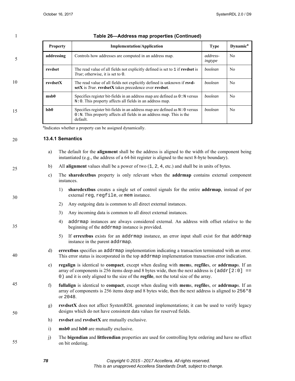| v.                      |
|-------------------------|
| ŕ<br>۰.<br>۰.<br>×<br>٦ |

15

25

30

35

40

45

50

55

| Table 26—Address map properties (Continued) |  |  |
|---------------------------------------------|--|--|
|                                             |  |  |

| <b>Property</b> | <b>Implementation/Application</b>                                                                                                                                | <b>Type</b>                | <b>Dynamic</b> <sup>a</sup> |
|-----------------|------------------------------------------------------------------------------------------------------------------------------------------------------------------|----------------------------|-----------------------------|
| addressing      | Controls how addresses are computed in an address map.                                                                                                           | <i>address-</i><br>ingtype | N <sub>0</sub>              |
| rsvdset         | The read value of all fields not explicitly defined is set to 1 if <b>rsvdset</b> is<br>True; otherwise, it is set to 0.                                         | <i>hoolean</i>             | No.                         |
| rsvdsetX        | The read value of all fields not explicitly defined is unknown if rsvd-<br>setX is True. rsvdsetX takes precedence over rsvdset.                                 | <i>boolean</i>             | N <sub>0</sub>              |
| msb0            | Specifies register bit-fields in an address map are defined as $0:$ N versus<br>$N:0$ . This property affects all fields in an address map.                      | <i>boolean</i>             | No.                         |
| lsb0            | Specifies register bit-fields in an address map are defined as $N:0$ versus<br>0: N. This property affects all fields in an address map. This is the<br>default. | <b>boolean</b>             | No.                         |

<sup>a</sup>Indicates whether a property can be assigned dynamically.

#### 20 **13.4.1 Semantics**

- a) The default for the **alignment** shall be the address is aligned to the width of the component being instantiated (e.g., the address of a 64-bit register is aligned to the next 8-byte boundary).
- b) All **alignment** values shall be a power of two (1, 2, 4, etc.) and shall be in units of bytes.
- c) The **sharedextbus** property is only relevant when the **addrmap** contains external component instances.
	- 1) **sharedextbus** creates a single set of control signals for the entire **addrmap**, instead of per external reg, regfile, or mem instance.
		- 2) Any outgoing data is common to all direct external instances.
		- 3) Any incoming data is common to all direct external instances.
	- 4) addrmap instances are always considered external. An address with offset relative to the beginning of the addrmap instance is provided.
	- 5) If **errextbus** exists for an addrmap instance, an error input shall exist for that addrmap instance in the parent addrmap.
- d) **errextbus** specifies an addrmap implementation indicating a transaction terminated with an error. This error status is incorporated in the top addrmap implementation transaction error indication.
- e) **regalign** is identical to **compact**, except when dealing with **mem**s, **regfile**s, or **addrmap**s. If an array of components is 256 items deep and 8 bytes wide, then the next address is (addr  $[2:0] =$ 0) and it is only aligned to the size of the **regfile**, not the total size of the array.
- f) **fullalign** is identical to **compact**, except when dealing with **mem**s, **regfile**s, or **addrmap**s. If an array of components is 256 items deep and 8 bytes wide, then the next address is aligned to 256\*8 or 2048.
	- g) **rsvdsetX** does not affect SystemRDL generated implementations; it can be used to verify legacy designs which do not have consistent data values for reserved fields.
	- h) **rsvdset** and **rsvdsetX** are mutually exclusive.
	- i) **msb0** and **lsb0** are mutually exclusive.
	- j) The **bigendian** and **littleendian** properties are used for controlling byte ordering and have no effect on bit ordering.

*78 Copyright © 2015 - 2017 Accellera. All rights reserved. This is an unapproved Accellera Standards Draft, subject to change.*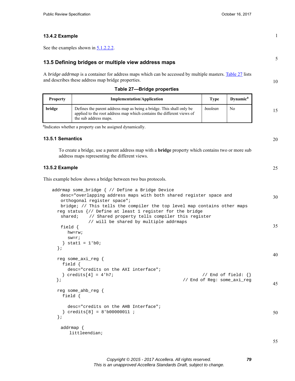15

20

25

# 1 5 **13.4.2 Example** See the examples shown in  $\frac{5.1.2.2.2}{5.1.2.2.2}$ . **13.5 Defining bridges or multiple view address maps**

<span id="page-88-0"></span>A *bridge addrmap* is a container for address maps which can be accessed by multiple masters. [Table 27](#page-88-1) lists and describes these address map bridge properties.

<span id="page-88-1"></span>

| <b>Property</b> | <b>Implementation/Application</b>                                                                                                                                      | Type    | Dynamic <sup>a</sup> |
|-----------------|------------------------------------------------------------------------------------------------------------------------------------------------------------------------|---------|----------------------|
| bridge          | Defines the parent address map as being a bridge. This shall only be<br>applied to the root address map which contains the different views of<br>the sub address maps. | boolean | No                   |

**Table 27—Bridge properties** 

<sup>a</sup>Indicates whether a property can be assigned dynamically.

#### **13.5.1 Semantics**

To create a bridge, use a parent address map with a **bridge** property which contains two or more sub address maps representing the different views.

### **13.5.2 Example**

This example below shows a bridge between two bus protocols.

```
30
                                                                                      35
                                                                                      40
                                                                                      45
                                                                                      50
addrmap some_bridge { // Define a Bridge Device
   desc="overlapping address maps with both shared register space and 
   orthogonal register space";
   bridge; // This tells the compiler the top level map contains other maps
  reg status {// Define at least 1 register for the bridge
   shared; // Shared property tells compiler this register
               // will be shared by multiple addrmaps
   field {
      hw=rw;
      sw=r;
   } statl = 1^{\circ}b0;
  };
  reg some_axi_reg {
    field {
      desc="credits on the AXI interface";
   \begin{bmatrix} \text{1} & 2 & 4 & 1 & 7 \\ 6 & 1 & 6 & 1 & 1 \end{bmatrix} credits[4] = 4'h7;
  }; // End of Reg: some_axi_reg
  reg some_ahb_reg {
    field {
      desc="credits on the AHB Interface";
     } credits[8] = 8'b00000011 ;
  }; 
   addrmap {
      littleendian;
```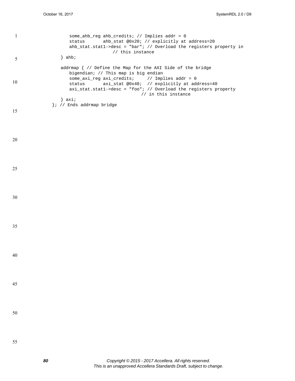| $\mathbf{1}$ | some_ahb_reg ahb_credits; // Implies addr = 0<br>ahb_stat @0x20; // explicitly at address=20<br>status<br>$abL_{{\rm{stat.}}}stat.stat1$ ->desc = "bar"; // Overload the registers property in<br>// this instance                                                                                         |
|--------------|------------------------------------------------------------------------------------------------------------------------------------------------------------------------------------------------------------------------------------------------------------------------------------------------------------|
| 5            | } $ahb$ ;                                                                                                                                                                                                                                                                                                  |
| 10           | addrmap { // Define the Map for the AXI Side of the bridge<br>bigendian; // This map is big endian<br>some_axi_reg axi_credits;<br>// Implies addr = 0<br>axi_stat @0x40; // explicitly at address=40<br>status<br>axi_stat.statl->desc = "foo"; // Overload the registers property<br>// in this instance |
|              | $\}$ axi;<br>$\};$ // Ends addrmap bridge                                                                                                                                                                                                                                                                  |
| 15           |                                                                                                                                                                                                                                                                                                            |
|              |                                                                                                                                                                                                                                                                                                            |
| 20           |                                                                                                                                                                                                                                                                                                            |
|              |                                                                                                                                                                                                                                                                                                            |
| 25           |                                                                                                                                                                                                                                                                                                            |
|              |                                                                                                                                                                                                                                                                                                            |
|              |                                                                                                                                                                                                                                                                                                            |
| 30           |                                                                                                                                                                                                                                                                                                            |
|              |                                                                                                                                                                                                                                                                                                            |
|              |                                                                                                                                                                                                                                                                                                            |
| 35           |                                                                                                                                                                                                                                                                                                            |
|              |                                                                                                                                                                                                                                                                                                            |
|              |                                                                                                                                                                                                                                                                                                            |
| $40\,$       |                                                                                                                                                                                                                                                                                                            |
|              |                                                                                                                                                                                                                                                                                                            |
|              |                                                                                                                                                                                                                                                                                                            |
| 45           |                                                                                                                                                                                                                                                                                                            |
|              |                                                                                                                                                                                                                                                                                                            |
|              |                                                                                                                                                                                                                                                                                                            |
| $50\,$       |                                                                                                                                                                                                                                                                                                            |
|              |                                                                                                                                                                                                                                                                                                            |
|              |                                                                                                                                                                                                                                                                                                            |
| 55           |                                                                                                                                                                                                                                                                                                            |
|              |                                                                                                                                                                                                                                                                                                            |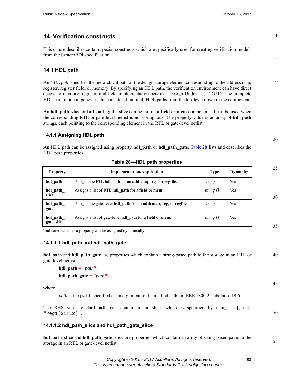| <b>14. Verification constructs</b>                                                                                                                                                                                                                                                                                                                                                                                                             | 1  |
|------------------------------------------------------------------------------------------------------------------------------------------------------------------------------------------------------------------------------------------------------------------------------------------------------------------------------------------------------------------------------------------------------------------------------------------------|----|
| This clause describes certain special constructs which are specifically used for creating verification models<br>from the SystemRDLspecification.                                                                                                                                                                                                                                                                                              | 5  |
| 14.1 HDL path                                                                                                                                                                                                                                                                                                                                                                                                                                  |    |
| An HDL path specifies the hierarchical path of the design storage element corresponding to the address map,<br>register, register field, or memory. By specifying an HDL path, the verification environment can have direct<br>access to memory, register, and field implementation nets in a Design Under Test (DUT). The complete<br>HDL path of a component is the concatenation of all HDL paths from the top-level down to the component. | 10 |
| An hdl path slice or hdl path gate slice can be put on a field or mem component. It can be used when<br>the corresponding RTL or gate-level netlist is not contiguous. The property value is an array of hdl path<br>strings, each pointing to the corresponding element in the RTL or gate-level netlist.                                                                                                                                     | 15 |
| 14.1.1 Assigning HDL path                                                                                                                                                                                                                                                                                                                                                                                                                      | 20 |

An HDL path can be assigned using property **hdl\_path** or **hdl\_path\_gate**. [Table 28](#page-90-0) lists and describes the HDL path properties.

<span id="page-90-0"></span>

| <b>Property</b>         | <b>Implementation/Application</b>                                       | <b>Type</b> | Dynamic <sup>a</sup> |
|-------------------------|-------------------------------------------------------------------------|-------------|----------------------|
| hdl path                | Assigns the RTL hdl path for an <b>addrmap</b> , reg, or regfile.       | string      | Yes                  |
| hdl_path_<br>slice      | Assigns a list of RTL hdl path for a field or mem.                      | string []   | Yes                  |
| hdl_path<br>gate        | Assigns the gate-level <b>hdl</b> path for an addrmap, reg, or regfile. | string      | Yes                  |
| hdl_path_<br>gate_slice | Assigns a list of gate-level hdl path for a field or mem.               | string []   | Yes                  |

### **Table 28—HDL path properties**

<sup>a</sup>Indicates whether a property can be assigned dynamically.

#### **14.1.1.1 hdl\_path and hdl\_path\_gate**

**hdl\_path** and **hdl\_path\_gate** are properties which contain a string-based path to the storage in an RTL or gate-level netlist.

**hdl**  $path = "path";$ **hdl** path gate =  $"path"$ ;

where

*path* is the path specified as an argument to the method calls in IEEE 1800.2, subclause 19.6.

The RHS value of **hdl path** can contain a bit slice, which is specified by using  $[:]$ , e.g., "reg1[31:12]".

### **14.1.1.2 hdl\_path\_slice and hdl\_path\_gate\_slice**

**hdl\_path\_slice** and **hdl\_path\_gate\_slice** are properties which contain an array of string-based paths to the storage in an RTL or gate-level netlist.

> *Copyright © 2015 - 2017 Accellera. All rights reserved. 81 This is an unapproved Accellera Standards Draft, subject to change.*

25

30

35

40

45

50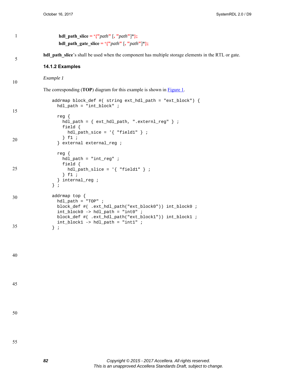```
1
 5
10
15
20
25
30
35
                    hdl path slice = '{'}}"path'' [, "path'']^*};
                    hdl path gate slice = \{'{"path" [, "path"]*};
             hdl path slice's shall be used when the component has multiple storage elements in the RTL or gate.
             14.1.2 Examples
             Example 1
             The corresponding (TOP) diagram for this example is shown in Figure 1.
                 addrmap block_def #( string ext_hdl_path = "ext_block") {
                    hdl_path = "int_block" ;
                    reg {
                      hdl\_path = \{ ext\_hdl\_path, "external\_reg" } ;
                      field {
                        hdl_path_sice = '{ "field1" } ;
                       } f1 ;
                    } external external_reg ;
                    reg {
                       hdl_path = "int_reg" ;
                       field {
                        hdl_path_slice = \{ "field1" } ;
                       } f1 ;
                    } internal_reg ;
                 } ;
                 addrmap top {
                    hdl_path = "TOP" ;
                    block_def #( .ext_hdl_path("ext_block0")) int_block0 ;
                    int_block0 -> hdl_path = "int0" ;
                    block_def #( .ext_hdl_path("ext_block1")) int_block1 ;
                   int_block1 -> hdl_path = "int1" ;
                 } ;
```
45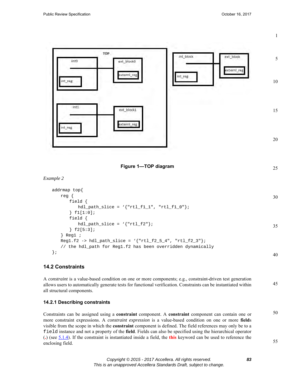

**Figure 1—TOP diagram**

<span id="page-92-0"></span>*Example 2*

```
30
                                                                                             35
                                                                                             40
addrmap top{
   reg {
       field { 
          hdl_path_slice = '\"rtl_fl_1", "rtl_fl_0" };
       } f1[1:0];
       field { 
           hdl\_path\_slice = '{'rtl_f2"};} f2[5:3];
   } Reg1 ;
   Reg1.f2 \rightarrow hdl\_path\_slice = '{'rtl_f2_5_4", "rtl_f2_3"};// the hdl_path for Reg1.f2 has been overridden dynamically
};
```
### **14.2 Constraints**

A *constraint* is a value-based condition on one or more components; e.g., constraint-driven test generation allows users to automatically generate tests for functional verification. Constraints can be instantiated within all structural components.

### **14.2.1 Describing constraints**

Constraints can be assigned using a **constraint** component. A **constraint** component can contain one or more constraint expressions. A *constraint expression* is a value-based condition on one or more **field**s visible from the scope in which the **constraint** component is defined. The field references may only be to a field instance and not a property of the **field**. Fields can also be specified using the hierarchical operator (**.**) (see [5.1.4](#page-32-0)). If the constraint is instantiated inside a field, the **this** keyword can be used to reference the enclosing field.

25

45

50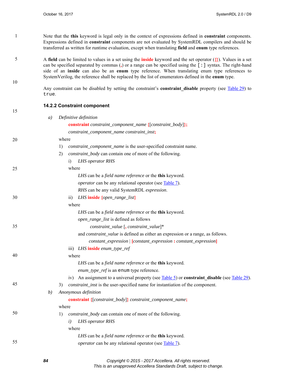- 1 Note that the **this** keyword is legal only in the context of expressions defined in **constraint** components. Expressions defined in **constraint** components are not evaluated by SystemRDL compilers and should be transferred as written for runtime evaluation, except when translating **field** and **enum** type references.
- 5 10 A **field** can be limited to values in a set using the **inside** keyword and the set operator (**{}**). Values in a set can be specified separated by commas (**,**) or a range can be specified using the [:] syntax. The right-hand side of an **inside** can also be an **enum** type reference. When translating enum type references to SystemVerilog, the reference shall be replaced by the list of enumerators defined in the **enum** type.

Any constraint can be disabled by setting the constraint's **constraint disable** property (see [Table 29](#page-94-0)) to true.

### **14.2.2 Constraint component**

|    | a)  | Definitive definition                                                                            |
|----|-----|--------------------------------------------------------------------------------------------------|
|    |     | constraint constraint_component_name {[constraint_body]};                                        |
|    |     | constraint_component_name constraint_inst;                                                       |
| 20 |     | where                                                                                            |
|    |     | 1)<br>constraint_component_name is the user-specified constraint name.                           |
|    |     | constraint_body can contain one of more of the following.<br>2)                                  |
|    |     | <b>LHS</b> operator RHS<br>$\mathbf{i}$                                                          |
| 25 |     | where                                                                                            |
|    |     | LHS can be a field name reference or the this keyword.                                           |
|    |     | <i>operator</i> can be any relational operator (see Table 7).                                    |
|    |     | RHS can be any valid SystemRDL expression.                                                       |
| 30 |     | LHS inside {open_range_list}<br>$\rm ii)$                                                        |
|    |     | where                                                                                            |
|    |     | LHS can be a field name reference or the this keyword.                                           |
|    |     | open_range_list is defined as follows                                                            |
| 35 |     | constraint_value [, constraint_value]*                                                           |
|    |     | and constraint_value is defined as either an expression or a range, as follows.                  |
|    |     | constant_expression   [constant_expression : constant_expression]                                |
|    |     | LHS inside enum_type_ref<br>$\overline{111}$                                                     |
| 40 |     | where                                                                                            |
|    |     | LHS can be a field name reference or the this keyword.                                           |
|    |     | enum_type_ref is an enum type reference.                                                         |
|    |     | An assignment to a universal property (see Table 5) or constraint_disable (see Table 29).<br>1V) |
| 45 |     | constraint_inst is the user-specified name for instantiation of the component.<br>3)             |
|    | (b) | Anonymous definition                                                                             |
|    |     | constraint {[constraint_body]} constraint_component_name;                                        |
|    |     | where                                                                                            |
| 50 |     | constraint_body can contain one of more of the following.<br>1)                                  |
|    |     | <b>LHS</b> operator RHS<br>$\iota$                                                               |
|    |     | where                                                                                            |
|    |     | LHS can be a field name reference or the this keyword.                                           |
| 55 |     | <i>operator</i> can be any relational operator (see Table 7).                                    |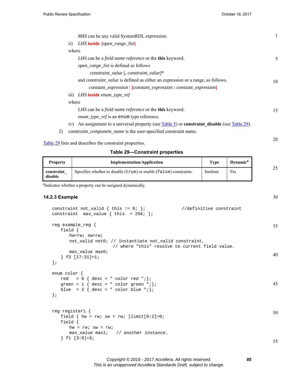|                 | RHS can be any valid SystemRDL expression.                                                                                 |                                                                                                                            |
|-----------------|----------------------------------------------------------------------------------------------------------------------------|----------------------------------------------------------------------------------------------------------------------------|
| $\overline{ii}$ | LHS inside $\{open\_range\_list\}$                                                                                         |                                                                                                                            |
|                 |                                                                                                                            |                                                                                                                            |
|                 | LHS can be a field name reference or the this keyword.                                                                     | 5                                                                                                                          |
|                 | open_range_list is defined as follows                                                                                      |                                                                                                                            |
|                 | $constraint\_value$ [, constraint_value]*                                                                                  |                                                                                                                            |
|                 | and <i>constraint_value</i> is defined as either an expression or a range, as follows.                                     | 10                                                                                                                         |
|                 | constant_expression   [constant_expression : constant_expression]                                                          |                                                                                                                            |
|                 |                                                                                                                            |                                                                                                                            |
|                 |                                                                                                                            |                                                                                                                            |
|                 | LHS can be a field name reference or the this keyword.                                                                     | 15                                                                                                                         |
|                 | enum_type_ref is an enum type reference.                                                                                   |                                                                                                                            |
|                 | An assignment to a universal property (see $\frac{Table 5}{2}$ ) or <b>constraint_disable</b> (see $\frac{Table 29}{2}$ ). |                                                                                                                            |
|                 |                                                                                                                            |                                                                                                                            |
|                 |                                                                                                                            | 20                                                                                                                         |
|                 |                                                                                                                            | where<br>iii) LHS inside enum_type_ref<br>where<br>iv)<br>constraint_component_name is the user-specified constraint name. |

<span id="page-94-0"></span>[Table 29](#page-94-0) lists and describes the constraint properties.

**Table 29—Constraint properties** 

| <b>Property</b>       | <b>Implementation/Application</b>                                  | <b>Type</b> | Dynamic <sup>a</sup> |    |
|-----------------------|--------------------------------------------------------------------|-------------|----------------------|----|
| constraint<br>disable | Specifies whether to disable (true) or enable (false) constraints. | boolean     | Yes                  | 25 |

<sup>a</sup>Indicates whether a property can be assigned dynamically.

### **14.2.3 Example**

```
35
                                                                                       40
                                                                                       45
                                                                                       50
                                                                                       55
constraint not_valid { this != 0; }; //definitive constraint
constraint max_value { this < 256; };
reg example_reg {
   field { 
      hw=rw; sw=rw;
      not_valid not0; // instantiate not_valid constraint,
                        // where "this" resolve to current field value.
      max_value max0;
   } f3 [17:31]=1;
};
enum color {
   red = 0 { desc = " color red "; };
   green = 1 { desc = " color green ";};
   blue = 2 \{ \text{desc} = " \text{color blue} "i} \};
};
reg register1 {
   field \{hw = rw; sw = rw; \}limit[0:2]=0;field {
      hw = rw: sw = rw;
      max_value max1; // another instance.
   } f1 [3:9]=3;
```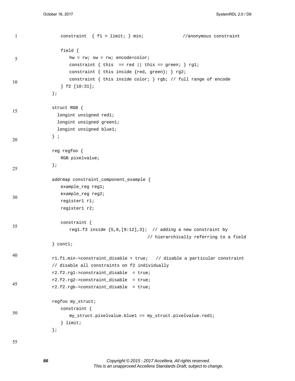```
1
 5
10
15
20
25
30
35
40
45
50
55
                  constraint { f1 > limit; } min; //anonymous constraint
                   field {
                      hw = rw; sw = rw; encode=color; 
                      constraint { this == red || this == green; } rg1;
                      constraint { this inside {red, green}; } rg2;
                      constraint { this inside color; } rgb; // full range of encode
                   } f2 [10:31];
               };
               struct RGB {
                  longint unsigned red1;
                 longint unsigned green1;
                  longint unsigned blue1;
               } ;
               reg regfoo {
                  RGB pixelvalue;
               };
               addrmap constraint_component_example {
                  example_reg reg1;
                  example_reg reg2;
                  register1 r1; 
                  register1 r2;
                  constraint {
                      reg1.f3 inside \{5,8,[9:12],3\}; // adding a new constraint by
                                                    // hierarchically referring to a field
               } cont1;
               r1.f1.min->constraint_disable = true; // disable a particular constraint
               // disable all constraints on f2 individually
               r2.f2.rg1->constraint_disable = true;
               r2.f2.rg2->constraint_disable = true;
               r2.f2.rgb->constraint_disable = true;
               regfoo my_struct;
                  constraint { 
                      my_struct.pixelvalue.blue1 == my_struct.pixelvalue.red1;
                   } limit;
               };
```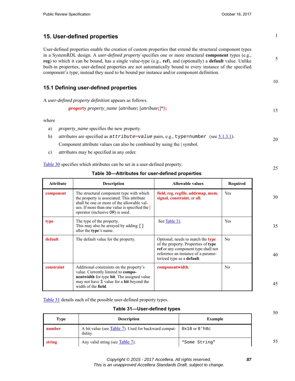| 15. User-defined properties                                                                                                                                                                                                                                                                                                                                                                                                                                                                                                                                     | $\mathbf{1}$ |
|-----------------------------------------------------------------------------------------------------------------------------------------------------------------------------------------------------------------------------------------------------------------------------------------------------------------------------------------------------------------------------------------------------------------------------------------------------------------------------------------------------------------------------------------------------------------|--------------|
| User-defined properties enable the creation of custom properties that extend the structural component types<br>in a SystemRDL design. A <i>user-defined property</i> specifies one or more structural <b>component</b> types (e.g.,<br>reg) to which it can be bound, has a single value-type (e.g., ref), and (optionally) a default value. Unlike<br>built-in properties, user-defined properties are not automatically bound to every instance of the specified<br>component's type; instead they need to be bound per instance and/or component definition. | 5            |
|                                                                                                                                                                                                                                                                                                                                                                                                                                                                                                                                                                 | 10           |
| 15.1 Defining user-defined properties                                                                                                                                                                                                                                                                                                                                                                                                                                                                                                                           |              |
| A user-defined property definition appears as follows.                                                                                                                                                                                                                                                                                                                                                                                                                                                                                                          |              |
| <b>property</b> property_name { $attribute$ ; $[attribute; ]^*$ };                                                                                                                                                                                                                                                                                                                                                                                                                                                                                              | 15           |
| where                                                                                                                                                                                                                                                                                                                                                                                                                                                                                                                                                           |              |
| <i>property_name</i> specifies the new property.<br>a)                                                                                                                                                                                                                                                                                                                                                                                                                                                                                                          |              |
| b)<br><i>attributes</i> are specified as $attribute = value$ pairs, e.g., type=number (see $5.1.3.1$ ).                                                                                                                                                                                                                                                                                                                                                                                                                                                         | 20           |
| Component attribute values can also be combined by using the   symbol.                                                                                                                                                                                                                                                                                                                                                                                                                                                                                          |              |
| $\mathbf{c})$<br><i>attributes</i> may be specified in any order.                                                                                                                                                                                                                                                                                                                                                                                                                                                                                               |              |
| Table 30 specifies which attributes can be set in a user-defined property.                                                                                                                                                                                                                                                                                                                                                                                                                                                                                      |              |

<span id="page-96-0"></span>

| <b>Attribute</b> | <b>Description</b>                                                                                                                                                                                                       | <b>Allowable values</b>                                                                                                                                                             | Required       |  |
|------------------|--------------------------------------------------------------------------------------------------------------------------------------------------------------------------------------------------------------------------|-------------------------------------------------------------------------------------------------------------------------------------------------------------------------------------|----------------|--|
| component        | The structural component type with which<br>the property is associated. This attribute<br>shall be one or more of the allowable val-<br>ues. If more than one value is specified the<br>operator (inclusive OR) is used. | field, reg, regfile, addrmap, mem,<br>signal, constraint, or all.                                                                                                                   | Yes            |  |
| type             | The type of the property.<br>This may also be arrayed by adding []<br>after the type's name.                                                                                                                             | See Table 31.                                                                                                                                                                       | Yes            |  |
| default          | The default value for the property.                                                                                                                                                                                      | Optional; needs to match the type<br>of the property. Properties of type<br>ref or any component type shall not<br>reference an instance of a parame-<br>terized type as a default. | No             |  |
| constraint       | Additional constraints on the property's<br>value. Currently limited to compo-<br>nentwidth for type bit. The assigned value<br>may not have 1 value for a <b>bit</b> beyond the<br>width of the field.                  | componentwidth.                                                                                                                                                                     | N <sub>o</sub> |  |

**Table 30—Attributes for user-defined properties** 

<span id="page-96-1"></span>[Table 31](#page-96-1) details each of the possible user-defined property types.

### **Table 31—User-defined types**

| Type   | <b>Description</b>                                                      | <b>Example</b>        |
|--------|-------------------------------------------------------------------------|-----------------------|
| number | A bit value (see Table 7). Used for backward compat-<br><i>ibility.</i> | $0x10$ or $8$ 'h $8c$ |
| string | Any valid string (see Table 7).                                         | "Some String"         |

50

25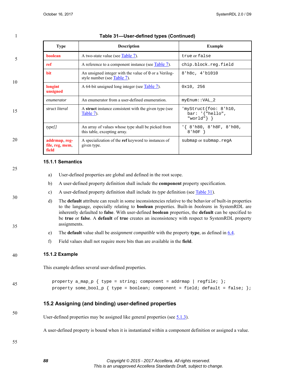| v. |
|----|
| ŕ  |

15

20

25

30

35

45

|            | <b>Type</b>                             | <b>Description</b>                                                                   | <b>Example</b>                                                |
|------------|-----------------------------------------|--------------------------------------------------------------------------------------|---------------------------------------------------------------|
|            | <b>boolean</b>                          | A two-state value (see Table 7).                                                     | true or false                                                 |
| ref        |                                         | A reference to a component instance (see Table 7).                                   | chip.block.req.field                                          |
| <b>bit</b> |                                         | An unsigned integer with the value of 0 or a Verilog-<br>style number (see Table 7). | 8'h8c, 4'b1010                                                |
|            | longint<br>unsigned                     | A 64-bit unsigned long integer (see Table 7).                                        | 0x10, 256                                                     |
|            | enumerator                              | An enumerator from a user-defined enumeration.                                       | $myEnum:VAL_2$                                                |
|            | struct literal                          | A struct instance consistent with the given type (see<br><b>Table 7</b> ).           | 'myStruct{foo: 8'h10,<br>$bar: ' {"hello",$<br>"world" $\}$ } |
|            | type[]                                  | An array of values whose type shall be picked from<br>this table, excepting array.   | $\lceil 8 \rceil$ 180, 8 h8F, 8 h08,<br>$8'h0F$ }             |
|            | addrmap reg-<br>file, reg mem,<br>field | A specialization of the ref keyword to instances of<br>given type.                   | submap or submap.regA                                         |

## **15.1.1 Semantics**

- a) User-defined properties are global and defined in the root scope.
- b) A user-defined property definition shall include the **component** property specification.
- c) A user-defined property definition shall include its *type* definition (see [Table 31\)](#page-96-1).
- d) The **default** attribute can result in some inconsistencies relative to the behavior of built-in properties to the language, especially relating to **boolean** properties. Built-in *booleans* in SystemRDL are inherently defaulted to **false**. With user-defined **boolean** properties, the **default** can be specified to be **true** or **false**. A **default** of **true** creates an inconsistency with respect to SystemRDL property assignments.
- e) The **default** value shall be *assignment compatible* with the property **type**, as defined in [6.4](#page-46-0).
- f) Field values shall not require more bits than are available in the **field**.

#### 40 **15.1.2 Example**

This example defines several user-defined properties.

property a\_map\_p { type = string; component = addrmap | regfile; }; property some\_bool\_p { type = boolean; component = field; default = false; };

# **15.2 Assigning (and binding) user-defined properties**

50 User-defined properties may be assigned like general properties (see  $\frac{5.1.3}{2}$ ).

A user-defined property is bound when it is instantiated within a component definition or assigned a value.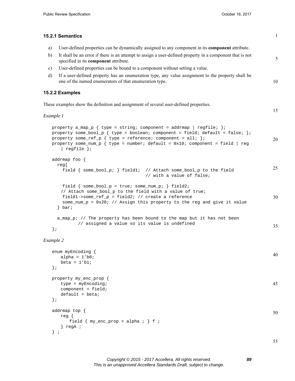| 15.2.1 Semantics                                                                                                                                                                                                                                                                                                                                                                                                                                                                                                                                     | $\mathbf{1}$ |
|------------------------------------------------------------------------------------------------------------------------------------------------------------------------------------------------------------------------------------------------------------------------------------------------------------------------------------------------------------------------------------------------------------------------------------------------------------------------------------------------------------------------------------------------------|--------------|
| a)<br>User-defined properties can be dynamically assigned to any component in its <b>component</b> attribute.<br>It shall be an error if there is an attempt to assign a user-defined property in a component that is not<br>b)<br>specified in its component attribute.<br>User-defined properties can be bound to a component without setting a value.<br>$\mathbf{c})$<br>If a user-defined property has an enumeration type, any value assignment to the property shall be<br>$\rm d)$<br>one of the named enumerators of that enumeration type. | 5<br>10      |
| 15.2.2 Examples                                                                                                                                                                                                                                                                                                                                                                                                                                                                                                                                      |              |
| These examples show the definition and assignment of several user-defined properties.<br>Example 1                                                                                                                                                                                                                                                                                                                                                                                                                                                   | 15           |
| property a_map_p { type = string; component = addrmap   regfile; };<br>property some_bool_p { type = boolean; component = field; default = false; };<br>property some_num_p { type = number; default = $0x10$ ; component = field   reg<br>$  \text{regfile }   i$                                                                                                                                                                                                                                                                                   | 20           |
| addrmap foo $\{$<br>reg{<br>field { some_bool_p; } field1; // Attach some_bool_p to the field<br>// with a value of false;                                                                                                                                                                                                                                                                                                                                                                                                                           | 25           |
| field { $some\_bool\_p$ = $true$ ; $some\_num\_p$ ; } field2;<br>// Attach some_bool_p to the field with a value of true;<br>field1->some_ref_p = field2; // create a reference<br>some_num_p = 0x20; // Assign this property to the reg and give it value<br>$\}$ bar;                                                                                                                                                                                                                                                                              | 30           |
| a_map_p; // The property has been bound to the map but it has not been<br>// assigned a value so its value is undefined<br>$\}$ ;                                                                                                                                                                                                                                                                                                                                                                                                                    | 35           |
| Example 2                                                                                                                                                                                                                                                                                                                                                                                                                                                                                                                                            |              |
| enum myEncoding {<br>alpha = $1'$ b0;<br>beta = $1'b1$ ;<br>$\}$ ;                                                                                                                                                                                                                                                                                                                                                                                                                                                                                   | 40           |
| property my_enc_prop {<br>$type = myEncoding$<br>$component = field$ ;<br>$default = beta$<br>$\}$ ;                                                                                                                                                                                                                                                                                                                                                                                                                                                 | 45           |
| addrmap top $\{$<br>$req \{$<br>field $\{ my\_enc\_prop = alpha : \} f$<br>$\}$ regA ;<br>$\vert \cdot \vert$                                                                                                                                                                                                                                                                                                                                                                                                                                        | 50           |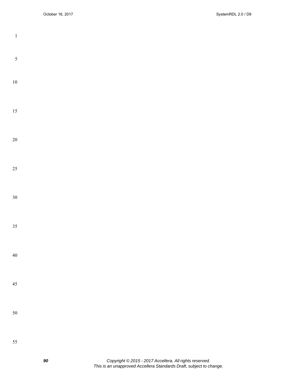| $\,$ $\,$ $\,$ |  |  |  |
|----------------|--|--|--|
| $\mathfrak{S}$ |  |  |  |
| $10\,$         |  |  |  |
| $15\,$         |  |  |  |
| $20\,$         |  |  |  |
| $25\,$         |  |  |  |
| $30\,$         |  |  |  |
| $35\,$         |  |  |  |
| $40\,$         |  |  |  |
| $45\,$         |  |  |  |
| $50\,$         |  |  |  |
| 55             |  |  |  |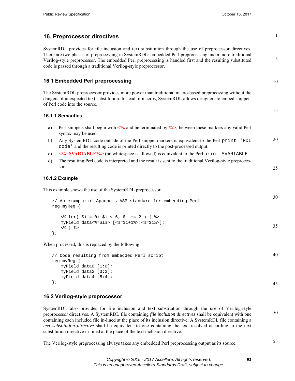| 16. Preprocessor directives                                                                                                                                                                                                                                                                                                                                                                                                                                                                                                     | $\mathbf{1}$ |
|---------------------------------------------------------------------------------------------------------------------------------------------------------------------------------------------------------------------------------------------------------------------------------------------------------------------------------------------------------------------------------------------------------------------------------------------------------------------------------------------------------------------------------|--------------|
| SystemRDL provides for file inclusion and text substitution through the use of preprocessor directives.<br>There are two phases of preprocessing in SystemRDL: embedded Perl preprocessing and a more traditional<br>Verilog-style preprocessor. The embedded Perl preprocessing is handled first and the resulting substituted<br>code is passed through a traditional Verilog-style preprocessor.                                                                                                                             | 5            |
| 16.1 Embedded Perl preprocessing                                                                                                                                                                                                                                                                                                                                                                                                                                                                                                | 10           |
| The SystemRDL preprocessor provides more power than traditional macro-based preprocessing without the<br>dangers of unexpected text substitution. Instead of macros, SystemRDL allows designers to embed snippets<br>of Perl code into the source.                                                                                                                                                                                                                                                                              |              |
| 16.1.1 Semantics                                                                                                                                                                                                                                                                                                                                                                                                                                                                                                                | 15           |
| Perl snippets shall begin with $\leq$ % and be terminated by %>; between these markers any valid Perl<br>a)<br>syntax may be used.                                                                                                                                                                                                                                                                                                                                                                                              |              |
| Any SystemRDL code outside of the Perl snippet markers is equivalent to the Perl print<br>b)<br>'RDL<br>code ' and the resulting code is printed directly to the post-processed output.                                                                                                                                                                                                                                                                                                                                         | 20           |
| <%=\$VARIABLE%> (no whitespace is allowed) is equivalent to the Perl print \$VARIABLE.<br>c)                                                                                                                                                                                                                                                                                                                                                                                                                                    |              |
| $\rm d)$<br>The resulting Perl code is interpreted and the result is sent to the traditional Verilog-style preproces-<br>sor.                                                                                                                                                                                                                                                                                                                                                                                                   | 25           |
| 16.1.2 Example                                                                                                                                                                                                                                                                                                                                                                                                                                                                                                                  |              |
| This example shows the use of the SystemRDL preprocessor.                                                                                                                                                                                                                                                                                                                                                                                                                                                                       |              |
| // An example of Apache's ASP standard for embedding Perl<br>reg myReg {                                                                                                                                                                                                                                                                                                                                                                                                                                                        | 30           |
| $\langle$ for( $\sin = 0$ ; $\sin < 6$ ; $\sin := 2$ ) { $\cos$<br>myField data<%=\$i%> [<%=\$i+1%>:<%=\$i%>];<br>$<\frac{6}{6}$ } $\frac{6}{6}$ ><br>$\}$ ;                                                                                                                                                                                                                                                                                                                                                                    | 35           |
| When processed, this is replaced by the following.                                                                                                                                                                                                                                                                                                                                                                                                                                                                              |              |
| // Code resulting from embedded Perl script<br>reg myReg $\{$                                                                                                                                                                                                                                                                                                                                                                                                                                                                   | 40           |
| myField data0 [1:0];<br>myField data2 [3:2];                                                                                                                                                                                                                                                                                                                                                                                                                                                                                    |              |
| myField data4 [5:4];                                                                                                                                                                                                                                                                                                                                                                                                                                                                                                            |              |
| $\}$ ;                                                                                                                                                                                                                                                                                                                                                                                                                                                                                                                          | 45           |
| 16.2 Verilog-style preprocessor                                                                                                                                                                                                                                                                                                                                                                                                                                                                                                 |              |
| SystemRDL also provides for file inclusion and text substitution through the use of Verilog-style<br>preprocessor directives. A SystemRDL file containing file inclusion directives shall be equivalent with one<br>containing each included file in-lined at the place of its inclusion directive. A SystemRDL file containing a<br>text substitution directive shall be equivalent to one containing the text resolved according to the text<br>substitution directive in-lined at the place of the text inclusion directive. | 50           |
| The Verilog-style preprocessing always takes any embedded Perl preprocessing output as its source.                                                                                                                                                                                                                                                                                                                                                                                                                              | 55           |

*Copyright © 2015 - 2017 Accellera. All rights reserved. 91 This is an unapproved Accellera Standards Draft, subject to change.*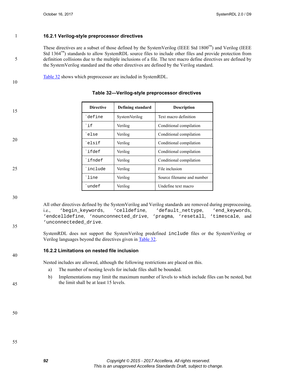#### 1 **16.2.1 Verilog-style preprocessor directives**

These directives are a subset of those defined by the SystemVerilog (IEEE Std 1800™) and Verilog (IEEE Std 1364™) standards to allow SystemRDL source files to include other files and provide protection from definition collisions due to the multiple inclusions of a file. The text macro define directives are defined by the SystemVerilog standard and the other directives are defined by the Verilog standard.

**Table 32—Verilog-style preprocessor directives** 

**Directive Defining standard Description** 

`define | SystemVerilog | Text macro definition `if Verilog | Conditional compilation `else Verilog Conditional compilation `elsif | Verilog | Conditional compilation `ifdef Verilog | Conditional compilation `ifndef | Verilog | Conditional compilation

`include Verilog File inclusion

<span id="page-101-0"></span>[Table 32](#page-101-0) shows which preprocessor are included in SystemRDL.

| I<br>۰.<br>v<br>٠ |  |  |
|-------------------|--|--|
|-------------------|--|--|

5

# 15

- 
- 20
- 
- 
- 
- 
- 25
- 

30

35

40

All other directives defined by the SystemVerilog and Verilog standards are removed during preprocessing, i.e., 'begin\_keywords, 'celldefine, 'default\_nettype, 'end\_keywords, 'endcelldefine, 'nounconnected\_drive, 'pragma, 'resetall, 'timescale, and 'unconnecteded\_drive.

`line Verilog Source filename and number

undef | Verilog | Undefine text macro

SystemRDL does not support the SystemVerilog predefined include files or the SystemVerilog or Verilog languages beyond the directives given in [Table 32](#page-101-0).

# **16.2.2 Limitations on nested file inclusion**

Nested includes are allowed, although the following restrictions are placed on this.

- a) The number of nesting levels for include files shall be bounded.
- b) Implementations may limit the maximum number of levels to which include files can be nested, but the limit shall be at least 15 levels.

50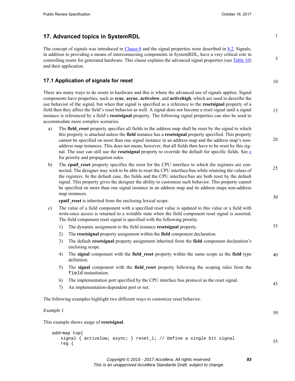| ۰ |  |
|---|--|
|   |  |
|   |  |

10

15

20

25

30

35

40

45

50

55

# <span id="page-102-0"></span>**17. Advanced topics in SystemRDL**

The concept of signals was introduced in [Clause 8](#page-52-2) and the signal properties were described in [8.2.](#page-52-0) Signals, in addition to providing a means of interconnecting components in SystemRDL, have a very critical role in controlling resets for generated hardware. This clause explains the advanced signal properties (see [Table 10\)](#page-52-1) and their application.

# **17.1 Application of signals for reset**

There are many ways to do resets in hardware and this is where the advanced use of signals applies. Signal components have properties, such as **sync**, **async**, **activelow**, and **activehigh**, which are used to describe the use behavior of the signal, but when that signal is specified as a reference to the **resetsignal** property of a field then they affect the field's reset behavior as well. A signal does not become a reset signal until a signal instance is referenced by a field's **resetsignal** property. The following signal properties can also be used to accommodate more complex scenarios.

- a) The **field reset** property specifies all fields in the address map shall be reset by the signal to which this property is attached unless the **field** instance has a **resetsignal** property specified. This property cannot be specified on more than one signal instance in an address map and the address map's nonaddress map instances. This does not mean, however, that all fields then have to be reset by this signal. The user can still use the **resetsignal** property to override the default for specific fields. See [c](#page-102-1) for priority and propagation rules.
- b) The **cpuif reset** property specifies the reset for the CPU interface to which the registers are connected. The designer may wish to be able to reset the CPU interface/bus while retaining the values of the registers. In the default case, the fields and the CPU interface/bus are both reset by the default signal. This property gives the designer the ability to customize such behavior. This property cannot be specified on more than one signal instance in an address map and its address maps non-address map instances.

cpuif reset is inherited from the enclosing lexical scope.

- <span id="page-102-1"></span>c) The value of a field component with a specified reset value is updated to this value or a field with write-once access is returned to a writable state when the field component reset signal is asserted. The field component reset signal is specified with the following priority.
	- 1) The dynamic assignment to the field instance **resetsignal** property.
	- 2) The **resetsignal** property assignment within the **field** component declaration.
	- 3) The default **resetsignal** property assignment inherited from the **field** component declaration's enclosing scope.
	- 4) The **signal** component with the **field\_reset** property within the same scope as the **field** type definition.
	- 5) The **signal** component with the **field\_reset** property following the scoping rules from the field instantiation.
	- 6) The implementation port specified by the CPU interface bus protocol as the reset signal.
	- 7) An implementation-dependent port or net.

The following examples highlight two different ways to customize reset behavior.

#### *Example 1*

This example shows usage of **resetsignal**.

```
addrmap top{
   signal { activelow; async; } reset_1; // Define a single bit signal
   reg {
```
*Copyright © 2015 - 2017 Accellera. All rights reserved. 93 This is an unapproved Accellera Standards Draft, subject to change.*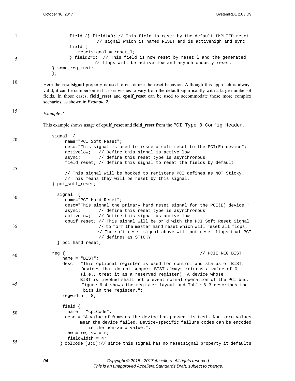```
1
5
                     field {} field1=0; // This field is reset by the default IMPLIED reset 
                                 // signal which is named RESET and is activehigh and sync
                     field {
                         resetsignal = reset_l;
                     } field2=0; // This field is now reset by reset_l and the generated 
                                // flops will be active low and asynchronously reset.
              } some_reg_inst;
              };
```
Here the **resetsignal** property is used to customize the reset behavior. Although this approach is always valid, it can be cumbersome if a user wishes to vary from the default significantly with a large number of fields. In those cases, **field\_reset** and **cpuif\_reset** can be used to accommodate those more complex scenarios, as shown in *Example 2*.

#### 15 *Example 2*

This example shows usage of **cpuif reset** and **field reset** from the PCI Type 0 Config Header.

```
20
25
30
35
40
45
50
55
               signal {
                     name="PCI Soft Reset";
                     desc="This signal is used to issue a soft reset to the PCI(E) device";
                     activelow; // Define this signal is active low
                     async; // define this reset type is asynchronous
                     field_reset; // define this signal to reset the fields by default
                     // This signal will be hooked to registers PCI defines as NOT Sticky.
                     // This means they will be reset by this signal.
               } pci_soft_reset;
                  signal {
                     name="PCI Hard Reset";
                     desc="This signal the primary hard reset signal for the PCI(E) device";
                    async; \frac{1}{2} // define this reset type is asynchronous
                     activelow; // Define this signal as active low
                     cpuif_reset; // This signal will be or'd with the PCI Soft Reset Signal
                                  // to form the master hard reset which will reset all flops. 
                                  // The soft reset signal above will not reset flops that PCI
                                  // defines as STICKY.
                  } pci_hard_reset;
               reg { // PCIE_REG_BIST
                    name = "BIST";
                    desc = "This optional register is used for control and status of BIST. 
                           Devices that do not support BIST always returns a value of 0
                           (i.e., treat it as a reserved register). A device whose
                           BIST is invoked shall not prevent normal operation of the PCI bus. 
                           Figure 6-4 shows the register layout and Table 6-3 describes the
                            bits in the register.";
                    regwidth = 8;
                    field {
                      name = "cplCode";
                     desc = "A value of 0 means the device has passed its test. Non-zero values
                           mean the device failed. Device-specific failure codes can be encoded
                              in the non-zero value.";
                     hw = rw: sw = r;fieldwidth = 4;
                   } cplCode [3:0];// since this signal has no resetsignal property it defaults
```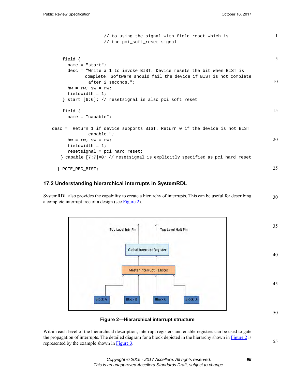```
1
                                                                                          5
                                                                                          10
                                                                                         15
                                                                                         20
                                                                                         25
                      // to using the signal with field reset which is
                      // the pci_soft_reset signal
     field {
       name = "start";
       desc = "Write a 1 to invoke BIST. Device resets the bit when BIST is
              complete. Software should fail the device if BIST is not complete
               after 2 seconds.";
      hw = rw: sw = rw;
       fieldwidth = 1;
     } start [6:6]; // resetsignal is also pci_soft_reset
     field {
       name = "capable";
desc = "Return 1 if device supports BIST. Return 0 if the device is not BIST
               capable.";
      hw = rw: sw = rw; fieldwidth = 1;
       resetsignal = pci_hard_reset;
    } capable [7:7]=0; // resetsignal is explicitly specified as pci_hard_reset
   } PCIE_REG_BIST;
```
# **17.2 Understanding hierarchical interrupts in SystemRDL**

30 SystemRDL also provides the capability to create a hierarchy of interrupts. This can be useful for describing a complete interrupt tree of a design (see [Figure 2](#page-104-0)).



**Figure 2—Hierarchical interrupt structure**

<span id="page-104-0"></span>Within each level of the hierarchical description, interrupt registers and enable registers can be used to gate the propagation of interrupts. The detailed diagram for a block depicted in the hierarchy shown in [Figure 2](#page-104-0) is represented by the example shown in [Figure 3.](#page-105-0)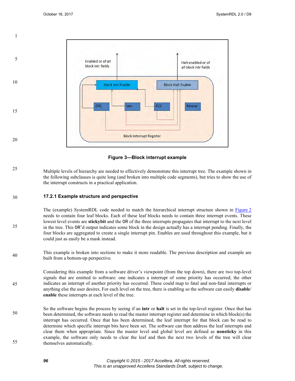

**Figure 3—Block interrupt example**

<span id="page-105-0"></span>25 Multiple levels of hierarchy are needed to effectively demonstrate this interrupt tree. The example shown in the following subclauses is quite long (and broken into multiple code segments), but tries to show the use of the interrupt constructs in a practical application.

#### 30 **17.2.1 Example structure and perspective**

The (example) SystemRDL code needed to match the hierarchical interrupt structure shown in [Figure 2](#page-104-0) needs to contain four leaf blocks. Each of these leaf blocks needs to contain three interrupt events. These lowest level events are **stickybit** and the OR of the three interrupts propagates that interrupt to the next level in the tree. This OR'd output indicates some block in the design actually has a interrupt pending. Finally, the four blocks are aggregated to create a single interrupt pin. Enables are used throughout this example, but it could just as easily be a mask instead.

40 This example is broken into sections to make it more readable. The previous description and example are built from a bottom-up perspective.

Considering this example from a software driver's viewpoint (from the top down), there are two top-level signals that are emitted to software: one indicates a interrupt of some priority has occurred; the other indicates an interrupt of another priority has occurred. These could map to fatal and non-fatal interrupts or anything else the user desires. For each level on the tree, there is enabling so the software can easily **disable**/ **enable** these interrupts at each level of the tree.

50 55 So the software begins the process by seeing if an **intr** or **halt** is set in the top-level register. Once that has been determined, the software needs to read the master interrupt register and determine in which block(s) the interrupt has occurred. Once that has been determined, the leaf interrupt for that block can be read to determine which specific interrupt bits have been set. The software can then address the leaf interrupts and clear them when appropriate. Since the master level and global level are defined as **nonsticky** in this example, the software only needs to clear the leaf and then the next two levels of the tree will clear themselves automatically.

> *96 Copyright © 2015 - 2017 Accellera. All rights reserved. This is an unapproved Accellera Standards Draft, subject to change.*

35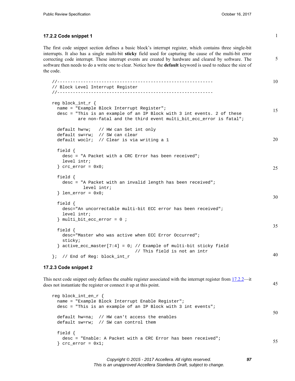<span id="page-106-0"></span>

| 17.2.2 Code snippet 1                                                                                                                                                                                                                                                                                                                                                                                                                                            | 1  |
|------------------------------------------------------------------------------------------------------------------------------------------------------------------------------------------------------------------------------------------------------------------------------------------------------------------------------------------------------------------------------------------------------------------------------------------------------------------|----|
| The first code snippet section defines a basic block's interrupt register, which contains three single-bit<br>interrupts. It also has a single multi-bit sticky field used for capturing the cause of the multi-bit error<br>correcting code interrupt. These interrupt events are created by hardware and cleared by software. The<br>software then needs to do a write one to clear. Notice how the default keyword is used to reduce the size of<br>the code. | 5  |
| // Block Level Interrupt Register                                                                                                                                                                                                                                                                                                                                                                                                                                | 10 |
| reg block_int_r $\{$<br>name = "Example Block Interrupt Register";<br>desc = "This is an example of an IP Block with 3 int events. 2 of these<br>are non-fatal and the third event multi_bit_ecc_error is fatal";                                                                                                                                                                                                                                                | 15 |
| default hw=w; // HW can Set int only<br>default sw=rw; // SW can clear<br>default woclr; // Clear is via writing a 1                                                                                                                                                                                                                                                                                                                                             | 20 |
| field $\{$<br>desc = "A Packet with a CRC Error has been received";<br>level intr;<br>$\vert$ crc_error = 0x0;                                                                                                                                                                                                                                                                                                                                                   | 25 |
| field $\{$<br>desc = "A Packet with an invalid length has been received";<br>level intr;<br>$\}$ len error = $0x0$ ;                                                                                                                                                                                                                                                                                                                                             |    |
| field $\{$<br>desc="An uncorrectable multi-bit ECC error has been received";<br>level intr;<br>$\}$ multi_bit_ecc_error = 0 ;                                                                                                                                                                                                                                                                                                                                    | 30 |
| field $\{$<br>desc="Master who was active when ECC Error Occurred";<br>sticky;                                                                                                                                                                                                                                                                                                                                                                                   | 35 |
| } active_ecc_master[7:4] = 0; // Example of multi-bit sticky field<br>// This field is not an intr<br>$\vert \cdot \rangle$<br>// End of Reg: block_int_r                                                                                                                                                                                                                                                                                                        | 40 |

# **17.2.3 Code snippet 2**

```
45
 17.2.2—it
does not instantiate the register or connect it up at this point.
```

```
50
                                                                                       55
reg block_int_en_r {
  name = "Example Block Interrupt Enable Register";
  desc = "This is an example of an IP Block with 3 int events";
 default hw=na; // HW can't access the enables
 default sw=rw; // SW can control them
   field {
     desc = "Enable: A Packet with a CRC Error has been received"; 
   } crc_error = 0x1;
```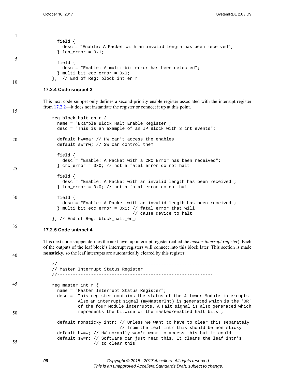15

35

40

```
5
10
                   field {
                     desc = "Enable: A Packet with an invalid length has been received"; 
                  \} len error = 0x1;
                   field {
                     desc = "Enable: A multi-bit error has been detected"; 
                   } multi_bit_ecc_error = 0x0;
                }; // End of Reg: block_int_en_r
```
#### **17.2.4 Code snippet 3**

This next code snippet only defines a second-priority enable register associated with the interrupt register from <u>17.2.2</u>—it does not instantiate the register or connect it up at this point.

```
20
25
30
                reg block_halt_en_r {
                   name = "Example Block Halt Enable Register";
                   desc = "This is an example of an IP Block with 3 int events";
                   default hw=na; // HW can't access the enables
                   default sw=rw; // SW can control them
                   field {
                     desc = "Enable: A Packet with a CRC Error has been received";
                   } crc_error = 0x0; // not a fatal error do not halt
                   field {
                     desc = "Enable: A Packet with an invalid length has been received";
                   } len_error = 0x0; // not a fatal error do not halt
                   field {
                     desc = "Enable: A Packet with an invalid length has been received";
                   } multi_bit_ecc_error = 0x1; // fatal error that will
                                                 // cause device to halt
                }; // End of Reg: block_halt_en_r
```
#### **17.2.5 Code snippet 4**

This next code snippet defines the next level up interrupt register (called the *master interrupt register*). Each of the outputs of the leaf block's interrupt registers will connect into this block later. This section is made **nonsticky**, so the leaf interrupts are automatically cleared by this register.

```
45
50
55
               //------------------------------------------------------------
                // Master Interrupt Status Register
               //------------------------------------------------------------
               reg master_int_r {
                  name = "Master Interrupt Status Register";
                  desc = "This register contains the status of the 4 lower Module interrupts.
                           Also an interrupt signal (myMasterInt) is generated which is the 'OR'
                           of the four Module interrupts. A Halt signal is also generated which
                           represents the bitwise or the masked/enabled halt bits";
                  default nonsticky intr; // Unless we want to have to clear this separately
                                           // from the leaf intr this should be non sticky
                  default hw=w; // HW normally won't want to access this but it could
                  default sw=r; // Software can just read this. It clears the leaf intr's
                                 // to clear this
```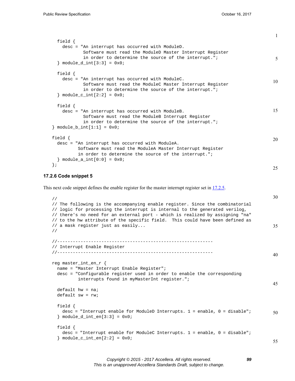```
1
                                                                                            5
                                                                                           10
                                                                                           15
                                                                                           20
                                                                                          25
   field {
     desc = "An interrupt has occurred with ModuleD.
             Software must read the ModuleD Master Interrupt Register
             in order to determine the source of the interrupt.";
  }\text{module\_d\_int}[3:3] = 0x0; field {
     desc = "An interrupt has occurred with ModuleC.
             Software must read the ModuleC Master Interrupt Register
             in order to determine the source of the interrupt.";
  }\text{module\_c\_int}[2:2] = 0x0; field {
     desc = "An interrupt has occurred with ModuleB.
             Software must read the ModuleB Interrupt Register
             in order to determine the source of the interrupt.";
} module_b_int[1:1] = 0x0;field {
   desc = "An interrupt has occurred with ModuleA.
           Software must read the ModuleA Master Interrupt Register
           in order to determine the source of the interrupt.";
  \{ module_a_int[0:0] = 0 \times 0;
};
```
#### **17.2.6 Code snippet 5**

This next code snippet defines the enable register for the master interrupt register set in [17.2.5](#page-107-0).

```
30
                                                                                        35
                                                                                        40
                                                                                        45
                                                                                        50
                                                                                        55
//
// The following is the accompanying enable register. Since the combinatorial
// logic for processing the interrupt is internal to the generated verilog,
// there's no need for an external port - which is realized by assigning "na"
// to the hw attribute of the specific field. This could have been defined as
// a mask register just as easily...
//
//------------------------------------------------------------
// Interrupt Enable Register
//------------------------------------------------------------
reg master_int_en_r {
   name = "Master Interrupt Enable Register";
   desc = "Configurable register used in order to enable the corresponding
           interrupts found in myMasterInt register.";
  default hw = na;
  default sw = rw; field {
     desc = "Interrupt enable for ModuleD Interrupts. 1 = enable, 0 = disable";
   } module_d_int_en[3:3] = 0x0;
   field {
     desc = "Interrupt enable for ModuleC Interrupts. 1 = enable, 0 = disable";
   } module_c_int_en[2:2] = 0x0;
```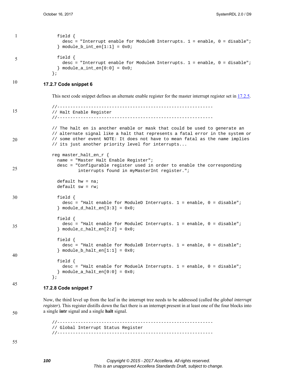```
1
5
                   field {
                     desc = "Interrupt enable for ModuleB Interrupts. 1 = enable, 0 = disable";
                  }\text{module\_b\_int\_en[1:1]} = 0x0; field {
                     desc = "Interrupt enable for ModuleA Interrupts. 1 = enable, 0 = disable";
                  }\text{module\_a\_int\_en[0:0] = 0x0};};
```
#### 10 **17.2.7 Code snippet 6**

This next code snippet defines an alternate enable register for the master interrupt register set in [17.2.5](#page-107-0).

```
15
20
25
30
35
40
45
                //------------------------------------------------------------
                // Halt Enable Register
                //------------------------------------------------------------
                // The halt en is another enable or mask that could be used to generate an
                // alternate signal like a halt that represents a fatal error in the system or
                // some other event NOTE: It does not have to mean fatal as the name implies
                // its just another priority level for interrupts...
               reg master_halt_en_r {
                   name = "Master Halt Enable Register";
                   desc = "Configurable register used in order to enable the corresponding
                           interrupts found in myMasterInt register.";
                  default hw = na;default sw = rwi field {
                    desc = "Halt enable for ModuleD Interrupts. 1 = enable, 0 = disable";
                   } module_d_halt_en[3:3] = 0x0;
                   field {
                     desc = "Halt enable for ModuleC Interrupts. 1 = enable, 0 = disable";
                  }\text{module_c_hat_en[2:2] = 0x0}; field {
                     desc = "Halt enable for ModuleB Interrupts. 1 = enable, 0 = disable";
                  }\text{module_b_halt_en[1:1] = 0x0;} field {
                     desc = "Halt enable for ModuelA Interrupts. 1 = enable, 0 = disable";
                  \} module_a_halt_en[0:0] = 0x0;
                };
```
#### **17.2.8 Code snippet 7**

Now, the third level up from the leaf in the interrupt tree needs to be addressed (called the *global interrupt register*). This register distills down the fact there is an interrupt present in at least one of the four blocks into a single **intr** signal and a single **halt** signal.

//------------------------------------------------------------ // Global Interrupt Status Register //------------------------------------------------------------

55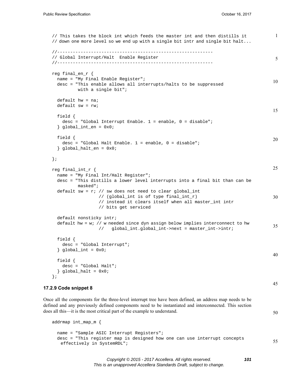```
1
                                                                                                 5
                                                                                                10
                                                                                                15
                                                                                                20
                                                                                                25
                                                                                                30
                                                                                                35
                                                                                                40
                                                                                                45
                                                                                                50
   // This takes the block int which feeds the master int and then distills it
   // down one more level so we end up with a single bit intr and single bit halt...
   //------------------------------------------------------------
   // Global Interrupt/Halt Enable Register
   //------------------------------------------------------------
   reg final_en_r {
      name = "My Final Enable Register";
      desc = "This enable allows all interrupts/halts to be suppressed
               with a single bit";
     default hw = na;
     default sw = rw; field {
        desc = "Global Interrupt Enable. 1 = enable, 0 = disable";
     \} global_int_en = 0x0;
      field {
       desc = "Global Halt Enable. 1 = enable, 0 = disable";
      } global_halt_en = 0x0;
   };
   reg final_int_r {
      name = "My Final Int/Halt Register";
      desc = "This distills a lower level interrupts into a final bit than can be
               masked";
     default sw = r; // sw does not need to clear global_int
                        // (global_int is of type final_int_r)
                       // instead it clears itself when all master int intr
                        // bits get serviced
      default nonsticky intr;
      default hw = w; // w needed since dyn assign below implies interconnect to hw 
                       // qlobal int.global int->next = master int->intr;
      field {
        desc = "Global Interrupt"; 
     \} global_int = 0x0;
      field {
        desc = "Global Halt";
      \} global_halt = 0x0;
   };
17.2.9 Code snippet 8
Once all the components for the three-level interrupt tree have been defined, an address map needs to be 
defined and any previously defined components need to be instantiated and interconnected. This section 
does all this—it is the most critical part of the example to understand.
```

```
addrmap int_map_m {
  name = "Sample ASIC Interrupt Registers";
  desc = "This register map is designed how one can use interrupt concepts 
   effectively in SystemRDL";
```
*Copyright © 2015 - 2017 Accellera. All rights reserved. 101 This is an unapproved Accellera Standards Draft, subject to change.*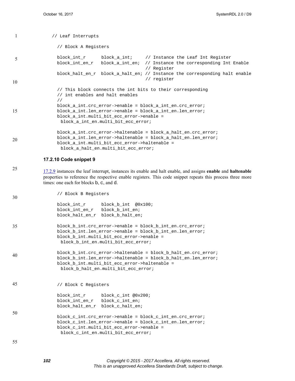| 1  | // Leaf Interrupts                                                                                                                                                                                                                                                                                                             |  |  |
|----|--------------------------------------------------------------------------------------------------------------------------------------------------------------------------------------------------------------------------------------------------------------------------------------------------------------------------------|--|--|
|    | // Block A Registers                                                                                                                                                                                                                                                                                                           |  |  |
| 5  | block int r block a int; // Instance the Leaf Int Register<br>block int en r block a int en; // Instance the corresponding Int Enable<br>// Register                                                                                                                                                                           |  |  |
| 10 | block halt en r block a halt en; // Instance the corresponding halt enable<br>// register                                                                                                                                                                                                                                      |  |  |
| 15 | // This block connects the int bits to their corresponding<br>// int enables and halt enables<br>$\frac{1}{2}$<br>block a int.crc_error->enable = block a int_en.crc_error;<br>$blocka$ int.len error->enable = block a int en.len error;<br>block a int.multi bit ecc_error->enable =<br>block a int en. multi bit ecc error; |  |  |
| 20 | block_a_int.crc_error->haltenable = block_a_halt_en.crc_error;<br>$blocka$ int.len error->haltenable = block a halt en.len error;<br>block a int.multi bit ecc error->haltenable =<br>block a halt en. multi bit ecc_error;                                                                                                    |  |  |
|    |                                                                                                                                                                                                                                                                                                                                |  |  |

### **17.2.10 Code snippet 9**

[17.2.9](#page-110-0) instances the leaf interrupt, instances its enable and halt enable, and assigns **enable** and **haltenable** properties to reference the respective enable registers. This code snippet repeats this process three more times: one each for blocks b, c, and d.

// Block B Registers

```
 block_int_r block_b_int @0x100;
 block_int_en_r block_b_int_en;
 block_halt_en_r block_b_halt_en;
```

```
 block_b_int.crc_error->enable = block_b_int_en.crc_error;
block_b_int.len_error->enable = block_b_int_en.len_error;
 block_b_int.multi_bit_ecc_error->enable = 
 block_b_int_en.multi_bit_ecc_error;
```

```
40
                 block b_int.crc_error->haltenable = block b_halt_en.crc_error;
                  block_b_int.len_error->haltenable = block_b_halt_en.len_error;
                  block_b_int.multi_bit_ecc_error->haltenable = 
                   block_b_halt_en.multi_bit_ecc_error;
```
45 // Block C Registers

```
 block_int_r block_c_int @0x200;
 block_int_en_r block_c_int_en;
 block_halt_en_r block_c_halt_en;
```

```
 block_c_int.crc_error->enable = block_c_int_en.crc_error;
 block_c_int.len_error->enable = block_c_int_en.len_error;
 block_c_int.multi_bit_ecc_error->enable = 
 block_c_int_en.multi_bit_ecc_error;
```

```
55
```
50

25

30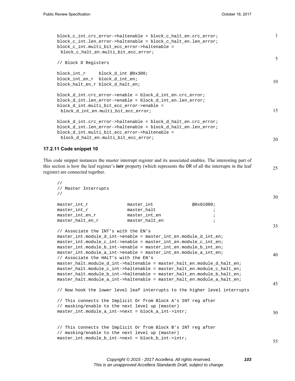```
1
                                                                                      5
                                                                                      10
                                                                                      15
                                                                                      20
 block_c_int.crc_error->haltenable = block_c_halt_en.crc_error;
 block_c_int.len_error->haltenable = block_c_halt_en.len_error;
 block_c_int.multi_bit_ecc_error->haltenable = 
 block_c_halt_en.multi_bit_ecc_error;
 // Block D Registers
 block_int_r block_d_int @0x300;
block int en r block d int en;
 block_halt_en_r block_d_halt_en;
 block_d_int.crc_error->enable = block_d_int_en.crc_error;
 block_d_int.len_error->enable = block_d_int_en.len_error;
 block_d_int.multi_bit_ecc_error->enable = 
 block_d_int_en.multi_bit_ecc_error;
 block_d_int.crc_error->haltenable = block_d_halt_en.crc_error;
 block_d_int.len_error->haltenable = block_d_halt_en.len_error;
 block_d_int.multi_bit_ecc_error->haltenable = 
 block_d_halt_en.multi_bit_ecc_error;
```
#### **17.2.11 Code snippet 10**

This code snippet instances the master interrupt register and its associated enables. The interesting part of this section is how the leaf register's **intr** property (which represents the OR of all the interrupts in the leaf register) are connected together.

```
30
                                                                                35
                                                                                40
                                                                                45
                                                                                50
                                                                                55
 //
 // Master Interrupts
 //
master_int_r master_int @0x01000imaster int r master halt ; in the master halt \mathbf{r} ;
master_int_en_r master_int_en ;
master_halt_en_r master_halt_en ;
 // Associate the INT's with the EN's
 master_int.module_d_int->enable = master_int_en.module_d_int_en; 
 master_int.module_c_int->enable = master_int_en.module_c_int_en;
 master_int.module_b_int->enable = master_int_en.module_b_int_en; 
master_int.module_a_int->enable = master_int_en.module_a_int_en;
 // Associate the HALT's with the EN's
 master_halt.module_d_int->haltenable = master_halt_en.module_d_halt_en;
 master_halt.module_c_int->haltenable = master_halt_en.module_c_halt_en;
 master_halt.module_b_int->haltenable = master_halt_en.module_b_halt_en;
 master_halt.module_a_int->haltenable = master_halt_en.module_a_halt_en; 
 // Now hook the lower level leaf interrupts to the higher level interrupts
 // This connects the Implicit Or from Block A's INT reg after
 // masking/enable to the next level up (master)
 master_int.module_a_int->next = block_a_int->intr;
 // This connects the Implicit Or from Block B's INT reg after
 // masking/enable to the next level up (master)
 master_int.module_b_int->next = block_b_int->intr;
```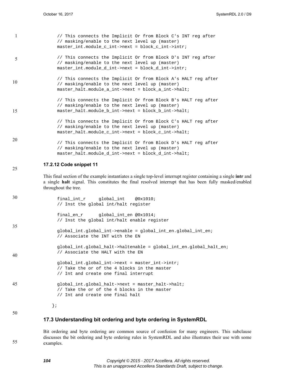| $\mathbf{1}$ | // This connects the Implicit Or from Block C's INT req after<br>// masking/enable to the next level up (master)<br>$master\_int.module_c(int->next = block_c(int->intr;$                          |
|--------------|----------------------------------------------------------------------------------------------------------------------------------------------------------------------------------------------------|
| 5            | // This connects the Implicit Or from Block D's INT reg after<br>// masking/enable to the next level up (master)<br>master_int.module_d_int->next = block_d_int->intr;                             |
| 10           | // This connects the Implicit Or from Block A's HALT reg after<br>// masking/enable to the next level up (master)<br>master_halt.module_a_int->next = block a_int->halt;                           |
| 15           | // This connects the Implicit Or from Block B's HALT req after<br>// masking/enable to the next level up (master)<br>$master_h = b$ halt. module b int->next = block b int->halt;                  |
|              | // This connects the Implicit Or from Block C's HALT reg after<br>// masking/enable to the next level up (master)<br>$master_h = C_1$ halt. module c int->next = block c int->halt;                |
| 20           | // This connects the Implicit Or from Block D's HALT reg after<br>// masking/enable to the next level up (master)<br>$master\_halt.module_d\_int \rightarrow next = block_d\_int \rightarrow halt$ |

#### **17.2.12 Code snippet 11**

25

55

This final section of the example instantiates a single top-level interrupt register containing a single **intr** and a single **halt** signal. This constitutes the final resolved interrupt that has been fully masked/enabled throughout the tree.

```
30
35
40
45
50
                  final_int_r global_int @0x1010;
                  // Inst the global int/halt register
                  final_en_r global_int_en @0x1014;
                  // Inst the global int/halt enable register
                  global_int.global_int->enable = global_int_en.global_int_en;
                  // Associate the INT with the EN
                  global_int.global_halt->haltenable = global_int_en.global_halt_en;
                  // Associate the HALT with the EN
                  global_int.global_int->next = master_int->intr;
                  // Take the or of the 4 blocks in the master
                  // Int and create one final interrupt
                  global_int.global_halt->next = master_halt->halt;
                  // Take the or of the 4 blocks in the master
                  // Int and create one final halt
               };
```
### **17.3 Understanding bit ordering and byte ordering in SystemRDL**

Bit ordering and byte ordering are common source of confusion for many engineers. This subclause discusses the bit ordering and byte ordering rules in SystemRDL and also illustrates their use with some examples.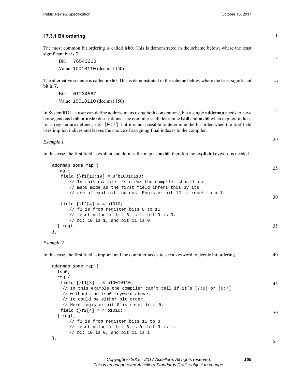| 17.3.1 Bit ordering                                                                                                                                                                                                                                                                                                                                                                                                                 | 1  |
|-------------------------------------------------------------------------------------------------------------------------------------------------------------------------------------------------------------------------------------------------------------------------------------------------------------------------------------------------------------------------------------------------------------------------------------|----|
| The most common bit ordering is called <b>Isb0</b> . This is demonstrated in the scheme below, where the least<br>significant bit is 0.                                                                                                                                                                                                                                                                                             |    |
| Bit:<br>76543210                                                                                                                                                                                                                                                                                                                                                                                                                    | 5  |
| Value: 10010110 (decimal 150)                                                                                                                                                                                                                                                                                                                                                                                                       |    |
| The alternative scheme is called msb0. This is demonstrated in the scheme below, where the least significant<br>bit is 7.                                                                                                                                                                                                                                                                                                           | 10 |
| Bit:<br>01234567                                                                                                                                                                                                                                                                                                                                                                                                                    |    |
| Value: 10010110 (decimal 150)                                                                                                                                                                                                                                                                                                                                                                                                       |    |
| In SystemRDL, a user can define address maps using both conventions, but a single addrmap needs to have<br>homogeneous Isb0 or msb0 descriptions. The compiler shall determine Isb0 and msb0 when explicit indices<br>for a register are defined, e.g., $[0:7]$ , but it is not possible to determine the bit order when the first field<br>uses implicit indices and leaves the choice of assigning final indexes to the compiler. | 15 |
| Example 1                                                                                                                                                                                                                                                                                                                                                                                                                           | 20 |
| In this case, the first field is explicit and defines the map as <b>msb0</b> , therefore no explicit keyword is needed.                                                                                                                                                                                                                                                                                                             |    |
| addrmap some_map {<br>$reg\{$<br>field $\{f1[12:19] = 8'b10010110;$<br>// In this example its clear the compiler should use                                                                                                                                                                                                                                                                                                         | 25 |
| // msb0 mode as the first field infers this by its<br>// use of explicit indices. Register bit 12 is reset to a 1.                                                                                                                                                                                                                                                                                                                  | 30 |
| field $\{f2[4] = 4'b1010;$                                                                                                                                                                                                                                                                                                                                                                                                          |    |
| // f2 is from register bits 8 to 11<br>// reset value of bit 8 is 1, bit 9 is 0,                                                                                                                                                                                                                                                                                                                                                    |    |
| // bit 10 is 1, and bit 11 is 0                                                                                                                                                                                                                                                                                                                                                                                                     |    |
| $\}$ regl;<br>$\}$ ;                                                                                                                                                                                                                                                                                                                                                                                                                | 35 |
| Example 2                                                                                                                                                                                                                                                                                                                                                                                                                           |    |
| In this case, the first field is implicit and the compiler needs to see a keyword to decide bit ordering.                                                                                                                                                                                                                                                                                                                           | 40 |
| addrmap some_map {                                                                                                                                                                                                                                                                                                                                                                                                                  |    |
| lsb0;<br>$reg \{$                                                                                                                                                                                                                                                                                                                                                                                                                   |    |
| field $\{f1[8] = 8'b10010110$ ;                                                                                                                                                                                                                                                                                                                                                                                                     | 45 |
| // In this example the compiler can't tell if it's [7:0] or [0:7]                                                                                                                                                                                                                                                                                                                                                                   |    |
| // without the 1sb0 keyword above.<br>// It could be either bit order.                                                                                                                                                                                                                                                                                                                                                              |    |
| // Here register bit 0 is reset to a 0.                                                                                                                                                                                                                                                                                                                                                                                             |    |
| field $\{f2[4] = 4'b1010$ ;                                                                                                                                                                                                                                                                                                                                                                                                         | 50 |
| regl;                                                                                                                                                                                                                                                                                                                                                                                                                               |    |

};

55

// f2 is from register bits 11 to 8

// bit 10 is 0, and bit 11 is 1

// reset value of bit 8 is 0, bit 9 is 1,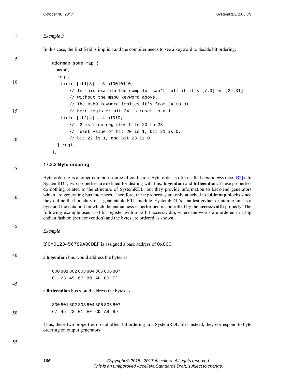#### 1 *Example 3*

In this case, the first field is implicit and the compiler needs to see a keyword to decide bit ordering.

| 5  |                                                                         |
|----|-------------------------------------------------------------------------|
|    | addrmap some map $\{$                                                   |
|    | msb0;                                                                   |
|    | $req \{$                                                                |
| 10 | field $\{f1[8] = 8/b10010110$ ;                                         |
|    | // In this example the compiler can't tell if it's $[7:0]$ or $[24:31]$ |
|    | // without the msb0 keyword above.                                      |
|    | // The msb0 keyword implies it's from 24 to 31.                         |
| 15 | // Here register bit 24 is reset to a 1.                                |
|    | field $\{f2[4] = 4'b1010;$                                              |
|    | // f2 is from register bits 20 to 23                                    |
|    | // reset value of bit 20 is 1, bit 21 is 0,                             |
| 20 | // bit 22 is 1, and bit 23 is $0$                                       |
|    | regl;                                                                   |
|    | } ;                                                                     |

#### **17.3.2 Byte ordering**

Byte ordering is another common source of confusion. Byte order is often called *endianness* (see [\[B2\]\)](#page-116-0). In SystemRDL, two properties are defined for dealing with this: **bigendian** and **littleendian**. These properties do nothing related to the structure of SystemRDL, but they provide information to back-end generators which are generating bus interfaces. Therefore, these properties are only attached to **addrmap** blocks since they define the boundary of a generatable RTL module. SystemRDL's smallest endian or atomic unit is a byte and the data unit on which the endianness is performed is controlled by the **accesswidth** property. The following example uses a 64-bit register with a 32-bit accesswidth, where the words are ordered in a big endian fashion (per convention) and the bytes are ordered as shown.

*Example*

If 0x0123456789ABCDEF is assigned a base address of 0x800,

40 a **bigendian** bus would address the bytes as:

> 800 801 802 803 804 805 806 807 01 23 45 67 89 AB CD EF

a **littleendian** bus would address the bytes as:

800 801 802 803 804 805 806 807 67 45 23 01 EF CD AB 89

Thus, these two properties do not affect bit ordering in a SystemRDL file; instead, they correspond to byte ordering on output generators.

25

30

35

45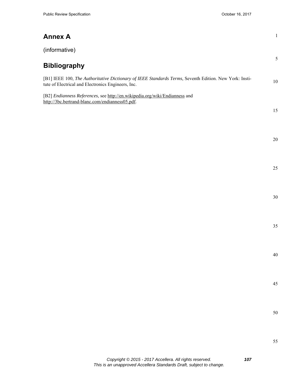<span id="page-116-0"></span>

| <b>Annex A</b>                                                                                                                                               | $\mathbf{1}$    |
|--------------------------------------------------------------------------------------------------------------------------------------------------------------|-----------------|
| (informative)                                                                                                                                                |                 |
| <b>Bibliography</b>                                                                                                                                          | $5\phantom{.0}$ |
| [B1] IEEE 100, The Authoritative Dictionary of IEEE Standards Terms, Seventh Edition. New York: Insti-<br>tute of Electrical and Electronics Engineers, Inc. | $10\,$          |
| [B2] Endianness References, see http://en.wikipedia.org/wiki/Endianness and<br>http://3bc.bertrand-blanc.com/endianness05.pdf.                               |                 |
|                                                                                                                                                              | 15              |
|                                                                                                                                                              |                 |
|                                                                                                                                                              | $20\,$          |
|                                                                                                                                                              |                 |
|                                                                                                                                                              | 25              |
|                                                                                                                                                              | $30\,$          |
|                                                                                                                                                              |                 |
|                                                                                                                                                              | 35              |
|                                                                                                                                                              |                 |
|                                                                                                                                                              | 40              |
|                                                                                                                                                              |                 |
|                                                                                                                                                              | 45              |
|                                                                                                                                                              |                 |
|                                                                                                                                                              | $50\,$          |
|                                                                                                                                                              |                 |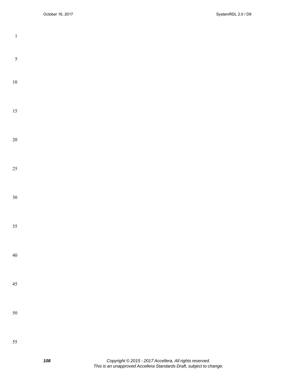| $\,$ $\,$ $\,$ |  |  |  |
|----------------|--|--|--|
| $\overline{5}$ |  |  |  |
| $10\,$         |  |  |  |
| $15\,$         |  |  |  |
| $20\,$         |  |  |  |
| $25\,$         |  |  |  |
| $30\,$         |  |  |  |
| $35\,$         |  |  |  |
| $40\,$         |  |  |  |
| $45\,$         |  |  |  |
| $50\,$         |  |  |  |
| 55             |  |  |  |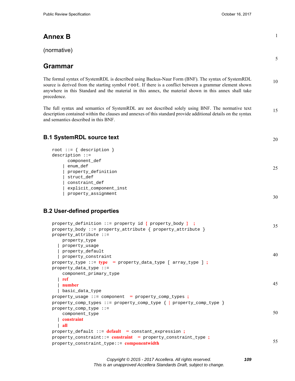**Annex B**

1

20

| AIIIEX D                                                                                                                                                                                                                                                                                                                             |    |
|--------------------------------------------------------------------------------------------------------------------------------------------------------------------------------------------------------------------------------------------------------------------------------------------------------------------------------------|----|
| (normative)                                                                                                                                                                                                                                                                                                                          |    |
| <b>Grammar</b>                                                                                                                                                                                                                                                                                                                       | 5  |
| The formal syntax of SystemRDL is described using Backus-Naur Form (BNF). The syntax of SystemRDL<br>source is derived from the starting symbol root. If there is a conflict between a grammar element shown<br>anywhere in this Standard and the material in this annex, the material shown in this annex shall take<br>precedence. | 10 |
| The full syntax and semantics of SystemRDL are not described solely using BNF. The normative text                                                                                                                                                                                                                                    | 15 |

description contained within the clauses and annexes of this standard provide additional details on the syntax and semantics described in this BNF.

## **B.1 SystemRDL source text**

| root ::= { description  |    |
|-------------------------|----|
| $description :: =$      |    |
| component_def           |    |
| enum def                | 25 |
| property_definition     |    |
| struct def              |    |
| constraint_def          |    |
| explicit_component_inst |    |
| property_assignment     |    |
|                         | 30 |

## **B.2 User-defined properties**

```
35
                                                                                         40
                                                                                         45
                                                                                         50
                                                                                         55
property_definition ::= property id { property_body } ;
property_body ::= property_attribute { property_attribute }
property_attribute ::=
     property_type
   | property_usage
   | property_default
   | property_constraint
property_type ::= type = property_data_type [ array_type ] ;
property_data_type ::=
     component_primary_type
   | ref
   | number
   | basic_data_type
property_usage ::= component = property_comp_types ;
property_comp_types ::= property_comp_type { | property_comp_type }
property_comp_type ::=
     component_type
   | constraint
   | all
property_default ::= default = constant_expression ;
property_constraint::= constraint = property_constraint_type ;
property_constraint_type::= componentwidth
```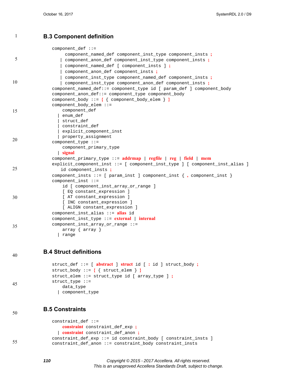#### 1 **B.3 Component definition**

|    | $component$ def $::=$                                                                                |
|----|------------------------------------------------------------------------------------------------------|
|    | component_named_def component_inst_type component_insts ;                                            |
| 5  | component anon def component inst type component insts ;                                             |
|    | component_named_def [ component_insts ] ;                                                            |
|    | component anon def component insts ;                                                                 |
|    | component inst type component named def component insts ;                                            |
| 10 | component inst type component anon def component insts ;                                             |
|    | component named def::= component type id [ param def ] component body                                |
|    | component_anon_def::= component_type component_body                                                  |
|    | component body ::= $\{$ { component body elem } }                                                    |
|    | component_body_elem ::=                                                                              |
| 15 | component_def                                                                                        |
|    | enum def                                                                                             |
|    | struct_def                                                                                           |
|    | constraint_def                                                                                       |
|    | explicit_component_inst                                                                              |
| 20 | property_assignment                                                                                  |
|    | $component_type :: =$                                                                                |
|    | component_primary_type                                                                               |
|    | signal                                                                                               |
|    | component_primary_type ::= $\text{addrmap}$   regfile   reg   field   mem                            |
| 25 | explicit_component_inst ::= [ component_inst_type ] [ component_inst_alias ]<br>id component_insts ; |
|    | component_insts ::= [ param_inst ] component_inst {, component_inst }                                |
|    | component inst $::=$                                                                                 |
|    | id [ component_inst_array_or_range ]                                                                 |
|    | [ EQ constant_expression ]                                                                           |
| 30 | [ AT constant_expression ]                                                                           |
|    | [ INC constant_expression ]                                                                          |
|    | [ ALIGN constant_expression ]                                                                        |
|    | component_inst_alias ::= alias id                                                                    |
|    | component_inst_type ::= external   internal                                                          |
| 35 | $component$ inst array or range $ ::=$                                                               |
|    | $array \{ array \}$                                                                                  |
|    | range                                                                                                |

## **B.4 Struct definitions**

```
struct_def ::= [ abstract ] struct id [ : id ] struct_body ;
struct_body ::= { { struct_elem } }
struct_elem ::= struct_type id [ array_type ] ;
struct_type ::=
     data_type
   | component_type
```
## **B.5 Constraints**

```
constraint_def ::=
     constraint constraint_def_exp ;
   | constraint constraint_def_anon ;
constraint_def_exp ::= id constraint_body [ constraint_insts ]
constraint_def_anon ::= constraint_body constraint_insts
```
40

45

50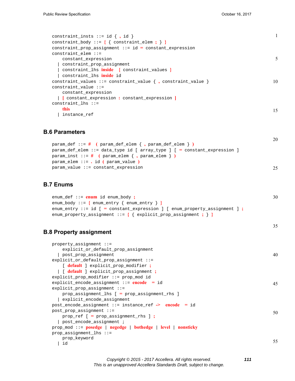25

35

```
1
                                                                                           5
                                                                                          10
                                                                                          15
constraint_insts  ::= id { , id }constraint_body ::= { { constraint_elem ; } }
constraint_prop_assignment ::= id = constant_expression
constraint_elem ::=
     constant_expression
   | constraint_prop_assignment
   | constraint_lhs inside { constraint_values }
   | constraint_lhs inside id
constraint_values ::= constraint_value { , constraint_value }
constraint_value ::=
     constant_expression
   | [ constant_expression : constant_expression ]
constraint_lhs ::=
     this
   | instance_ref
```
## **B.6 Parameters**

| param def ::= # ( param def elem {, param def elem })                    |
|--------------------------------------------------------------------------|
| param def elem ::= data_type id [ array_type ] [ = constant_expression ] |
| $param\_inst :: = # (param\_elem { , param\_elem } )$                    |
| $param$ elem ::= . id ( $param$ value )                                  |
| $param value :: = constant expression$                                   |

## **B.7 Enums**

```
30
enum_def ::= enum id enum_body ;
enum_body ::= { enum_entry { enum_entry } }
enum_entry ::= id [ = constant_expression ] [ enum_property_assignment ] ;
enum_property_assignment ::= { { explicit_prop_assignment ; } }
```
## **B.8 Property assignment**

```
40
                                                                                         45
                                                                                         50
                                                                                         55
property_assignment ::=
     explicit_or_default_prop_assignment
   | post_prop_assignment
explicit_or_default_prop_assignment ::=
     [ default ] explicit_prop_modifier ;
   | [ default ] explicit_prop_assignment ;
explicit_prop_modifier ::= prop_mod id
explicit_encode_assignment ::= encode = id
explicit_prop_assignment ::=
     prop_assignment_lhs [ = prop_assignment_rhs ]
   | explicit_encode_assignment
post_encode_assignment ::= instance_ref -> encode = id
post_prop_assignment ::=
    prop ref [ = prop assignment rhs ] ;
  | post_encode_assignment ;
prop_mod ::= posedge | negedge | bothedge | level | nonsticky
prop_assignment_lhs ::=
     prop_keyword
   | id
```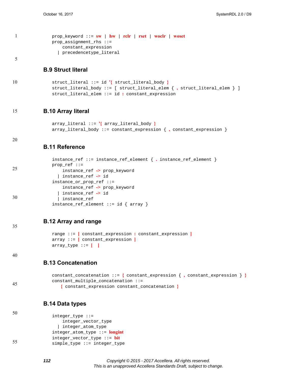```
1
               prop_keyword ::= sw | hw | rclr | rset | woclr | woset
              prop_assignment_rhs ::=
                    constant_expression
                  | precedencetype_literal
```
### **B.9 Struct literal**

```
10
               struct_literal ::= id '{ struct_literal_body }
               struct_literal_body ::= [ struct_literal_elem { , struct_literal_elem } ]
               struct_literal_elem ::= id : constant_expression
```
#### 15 **B.10 Array literal**

```
array_literal ::= '{ array_literal_body }
array_literal_body ::= constant_expression { , constant_expression }
```
#### 20

25

30

35

5

## **B.11 Reference**

```
instance_ref ::= instance_ref_element { . instance_ref_element }
prop_ref ::=
     instance_ref -> prop_keyword
   | instance_ref -> id
instance_or_prop_ref ::=
     instance_ref -> prop_keyword
   | instance_ref -> id
   | instance_ref
instance_ref_element ::= id { array }
```
#### **B.12 Array and range**

```
range ::= [ constant_expression : constant_expression ]
array ::= [ constant_expression ]
array_type ::= [ ]
```
### 40

45

## **B.13 Concatenation**

```
constant_concatenation ::= { constant_expression { , constant_expression } }
constant_multiple_concatenation ::= 
   { constant_expression constant_concatenation }
```
## **B.14 Data types**

```
50
55
                integer_type ::=
                     integer_vector_type
                   | integer_atom_type
                integer_atom_type ::= longint
                integer_vector_type ::= bit
                simple_type ::= integer_type
```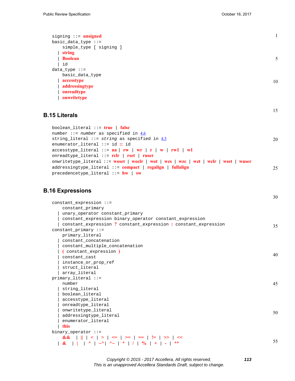| signing ::= unsigned                                                                       | 1  |
|--------------------------------------------------------------------------------------------|----|
| $basic_data_type :: =$                                                                     |    |
| simple_type [ signing ]                                                                    |    |
| string                                                                                     |    |
| <b>Boolean</b>                                                                             | 5  |
| id                                                                                         |    |
| $data_type :: =$                                                                           |    |
| basic_data_type                                                                            |    |
| accesstype                                                                                 | 10 |
| addressingtype                                                                             |    |
| onreadtype                                                                                 |    |
| onwritetype                                                                                |    |
|                                                                                            |    |
|                                                                                            | 15 |
| <b>B.15 Literals</b>                                                                       |    |
|                                                                                            |    |
| boolean_literal ::= $true$   false                                                         |    |
| number ::= number as specified in $4.6$                                                    |    |
| string_literal ::= string as specified in $4.5$                                            | 20 |
| enumerator_literal ::= id :: id                                                            |    |
| $accesstype\_literal ::= na   rw   wr   r   w   rw   rw1   w1$                             |    |
| onreadtype_literal ::= rclr   rset   ruser                                                 |    |
| onwritetype_literal ::= woset   wochr   wot   wzs   wzc   wzt   wchr   wset   wuser        |    |
| addressingtype_literal ::= compact   regalign   fullalign                                  | 25 |
| precedencetype_literal ::= $hw$   sw                                                       |    |
|                                                                                            |    |
|                                                                                            |    |
| <b>B.16 Expressions</b>                                                                    |    |
|                                                                                            | 30 |
| constant_expression ::=                                                                    |    |
| constant_primary                                                                           |    |
| unary_operator constant_primary<br>constant_expression binary_operator constant_expression |    |
| constant_expression ? constant_expression : constant_expression                            |    |
| $constant\_primary : :=$                                                                   | 35 |
| primary_literal                                                                            |    |
| constant_concatenation                                                                     |    |
| constant_multiple_concatenation                                                            |    |
| (constant_expression)                                                                      |    |
| constant_cast                                                                              | 40 |
| instance_or_prop_ref                                                                       |    |
| struct_literal                                                                             |    |
| array_literal                                                                              |    |
| primary_literal ::=                                                                        |    |
| number                                                                                     | 45 |
| string_literal                                                                             |    |
| boolean_literal                                                                            |    |
| accesstype_literal                                                                         |    |
| onreadtype_literal                                                                         |    |
| onwritetype_literal                                                                        | 50 |
| addressingtype_literal                                                                     |    |
| enumerator_literal                                                                         |    |
| this                                                                                       |    |
| binary_operator $::=$                                                                      |    |
| &&        <   >   <=   >=   ==   !=   >>   <<                                              |    |
| ^   ~^  ^~   *   /   %   +   -   **<br>$\mathbf{c}$                                        | 55 |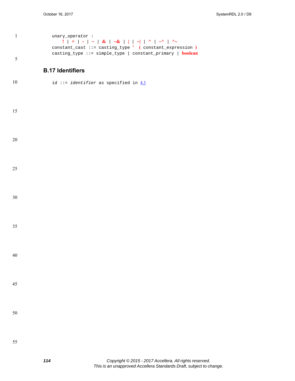unary\_operator :

**!** | **+** | **-** | **~** | **&** | **~&** | **|** | **~|** | **^** | **~^** | **^~**

| $\mathfrak s$ | $constant\_cast :: = casting\_type'$ (constant_expression)<br>casting_type ::= simple_type   constant_primary   boolean |  |
|---------------|-------------------------------------------------------------------------------------------------------------------------|--|
|               | <b>B.17 Identifiers</b>                                                                                                 |  |
| $10\,$        | id ::= <i>identifier</i> as specified in $4.3$                                                                          |  |
| 15            |                                                                                                                         |  |
| $20\,$        |                                                                                                                         |  |
| $25\,$        |                                                                                                                         |  |
| $30\,$        |                                                                                                                         |  |
| 35            |                                                                                                                         |  |
| $40\,$        |                                                                                                                         |  |
| 45            |                                                                                                                         |  |
| $50\,$        |                                                                                                                         |  |
| 55            |                                                                                                                         |  |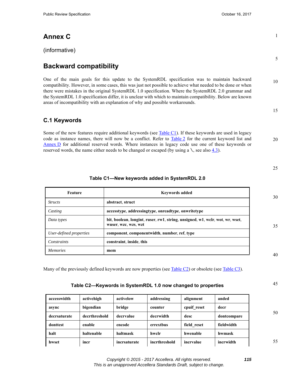**Backward compatibility**

**Annex C**

(informative)

**C.1 Keywords**

## 1

5

10

15

## 20

25

<span id="page-124-0"></span>

| Feature                 | <b>Keywords added</b>                                                                                 |  |
|-------------------------|-------------------------------------------------------------------------------------------------------|--|
| <i>Structs</i>          | abstract, struct                                                                                      |  |
| Casting                 | accesstype, addressingtype, onreadtype, onwritetype                                                   |  |
| Data types              | bit, boolean, longint, ruser, rw1, string, unsigned, w1, wclr, wot, wr, wset,<br>wuser, wzc, wzs, wzt |  |
| User-defined properties | component, componentwidth, number, ref, type                                                          |  |
| Constraints             | constraint, inside, this                                                                              |  |
| <b>Memories</b>         | mem                                                                                                   |  |

### **Table C1—New keywords added in SystemRDL 2.0**

Some of the new features require additional keywords (see  $Table C1$ ). If these keywords are used in legacy code as instance names, there will now be a conflict. Refer to **Table 2** for the current keyword list and  $\Delta$ nnex  $\overline{D}$  for additional reserved words. Where instances in legacy code use one of these keywords or

reserved words, the name either needs to be changed or escaped (by using a  $\setminus$ , see also  $4.3$ ).

One of the main goals for this update to the SystemRDL specification was to maintain backward compatibility. However, in some cases, this was just not possible to achieve what needed to be done or when there were mistakes in the original SystemRDL 1.0 specification. Where the SystemRDL 2.0 grammar and the SystemRDL 1.0 specification differ, it is unclear with which to maintain compatibility. Below are known

areas of incompatibility with an explanation of why and possible workarounds.

Many of the previously defined keywords are now properties (see [Table C2\)](#page-124-1) or obsolete (see [Table C3\)](#page-125-0).

## **Table C2—Keywords in SystemRDL 1.0 now changed to properties**

<span id="page-124-1"></span>**accesswidth** activehigh activelow addressing alignment anded **async** bigendian bridge counter quif reset decr decrsaturate decrthreshold decryalue decryidth desc dontcompare donttest enable encode errextbus field\_reset fieldwidth **halt haltenable haltmask hwclr hwenable hwmask hwset** incr increase increase increases increased increases increases increases increases in the increase increases in the increase in the increase in the increase in the increase in the increase in the increase in the in

45

55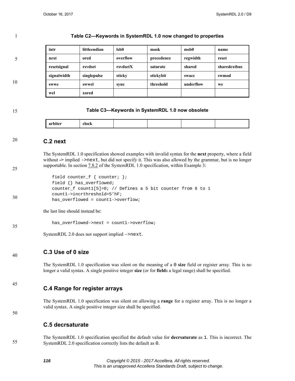# 5

## 10

## 15

25

30

35

40

45

#### **Table C2—Keywords in SystemRDL 1.0 now changed to properties**

| intr        | littleendian | lsb0     | mask       | msb0      | name         |
|-------------|--------------|----------|------------|-----------|--------------|
| next        | ored         | overflow | precedence | regwidth  | reset        |
| resetsignal | rsvdset      | rsvdsetX | saturate   | shared    | sharedextbus |
| signalwidth | singlepulse  | sticky   | stickybit  | swacc     | swmod        |
| swwe        | swwel        | sync     | threshold  | underflow | we           |
| wel         | xored        |          |            |           |              |

## **Table C3—Keywords in SystemRDL 1.0 now obsolete**

<span id="page-125-0"></span>

| arbiter | امماه<br>LIVLIV |  |  |
|---------|-----------------|--|--|

#### 20 **C.2 next**

The SystemRDL 1.0 specification showed examples with invalid syntax for the **next** property, where a field without **->** implied ->next, but did not specify it. This was also allowed by the grammar, but is no longer supportable. In section **7.8.2** of the SystemRDL 1.0 specification, within Example 3:

```
field counter_f { counter; };
field {} has_overflowed;
counter_f count1[5]=0; // Defines a 5 bit counter from 6 to 1
count1->incrthreshold=5'hF;
has overflowed = count1->overflow;
```
the last line should instead be:

has\_overflowed*->next* = count1->overflow;

SystemRDL 2.0 does not support implied ->next.

## **C.3 Use of 0 size**

The SystemRDL 1.0 specification was silent on the meaning of a 0 **size** field or register array. This is no longer a valid syntax. A single positive integer **size** (or for **field**s a legal range) shall be specified.

## **C.4 Range for register arrays**

The SystemRDL 1.0 specification was silent on allowing a **range** for a register array. This is no longer a valid syntax. A single positive integer size shall be specified.

### 50

55

## **C.5 decrsaturate**

The SystemRDL 1.0 specification specified the default value for **decrsaturate** as 1. This is incorrect. The SystemRDL 2.0 specification correctly lists the default as 0.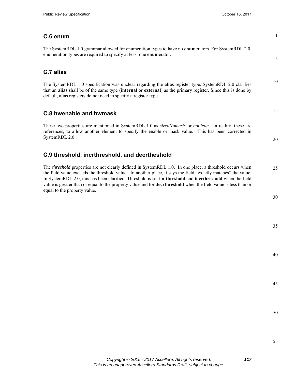| C.6 enum                                                                                                                                                                                                                                                                                                                                                                                                                                                                                          | 1  |
|---------------------------------------------------------------------------------------------------------------------------------------------------------------------------------------------------------------------------------------------------------------------------------------------------------------------------------------------------------------------------------------------------------------------------------------------------------------------------------------------------|----|
| The SystemRDL 1.0 grammar allowed for enumeration types to have no enumerators. For SystemRDL 2.0,<br>enumeration types are required to specify at least one enumerator.                                                                                                                                                                                                                                                                                                                          | 5  |
| C.7 alias                                                                                                                                                                                                                                                                                                                                                                                                                                                                                         |    |
| The SystemRDL 1.0 specification was unclear regarding the alias register type. SystemRDL 2.0 clarifies<br>that an alias shall be of the same type (internal or external) as the primary register. Since this is done by<br>default, alias registers do not need to specify a register type.                                                                                                                                                                                                       | 10 |
| <b>C.8 hwenable and hwmask</b>                                                                                                                                                                                                                                                                                                                                                                                                                                                                    | 15 |
| These two properties are mentioned in SystemRDL 1.0 as sizedNumeric or boolean. In reality, these are<br>references, to allow another element to specify the enable or mask value. This has been corrected in<br>SystemRDL 2.0                                                                                                                                                                                                                                                                    | 20 |
| C.9 threshold, incrthreshold, and decrtheshold                                                                                                                                                                                                                                                                                                                                                                                                                                                    |    |
| The <i>threshold</i> properties are not clearly defined in SystemRDL 1.0. In one place, a threshold occurs when<br>the field value exceeds the threshold value. In another place, it says the field "exactly matches" the value.<br>In SystemRDL 2.0, this has been clarified: Threshold is set for threshold and incrthreshold when the field<br>value is greater than or equal to the property value and for decrthreshold when the field value is less than or<br>equal to the property value. | 25 |
|                                                                                                                                                                                                                                                                                                                                                                                                                                                                                                   | 30 |

40

45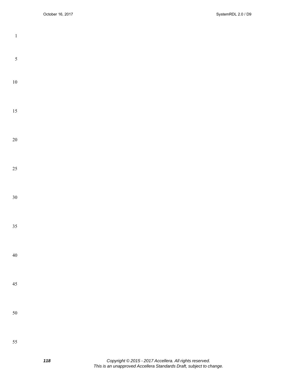| $\,$ 1 $\,$    |  |  |  |
|----------------|--|--|--|
| $\overline{5}$ |  |  |  |
| $10\,$         |  |  |  |
| $15\,$         |  |  |  |
| $20\,$         |  |  |  |
| $25\,$         |  |  |  |
| $30\,$         |  |  |  |
| $35\,$         |  |  |  |
| $40\,$         |  |  |  |
| $45\,$         |  |  |  |
| $50\,$         |  |  |  |
| 55             |  |  |  |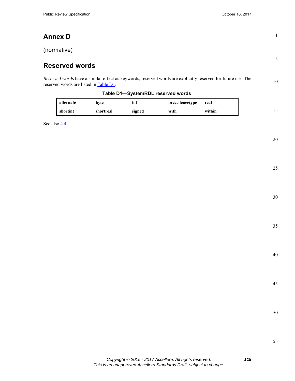# <span id="page-128-0"></span>**Annex D** (normative) **Reserved words**

*Reserved words* have a similar effect as keywords; reserved words are explicitly reserved for future use. The reserved words are listed in [Table D1](#page-128-1).

### **Table D1—SystemRDL reserved words**

<span id="page-128-1"></span>

| alternate | bvte      | ınt    | precedencetype | real   |
|-----------|-----------|--------|----------------|--------|
| shortint  | shortreal | signed | with           | within |

See also  $4.4$ .

20

1

5

10

15

25

30

35

40

45

50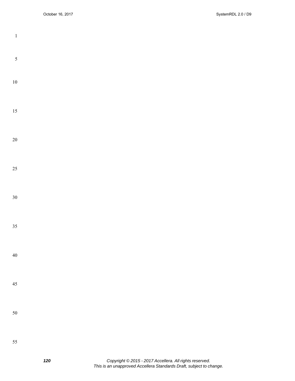| $\,$ $\,$ $\,$ |  |  |  |
|----------------|--|--|--|
| $\overline{5}$ |  |  |  |
| $10\,$         |  |  |  |
| $15\,$         |  |  |  |
| $20\,$         |  |  |  |
| $25\,$         |  |  |  |
| $30\,$         |  |  |  |
| $35\,$         |  |  |  |
| $40\,$         |  |  |  |
| $45\,$         |  |  |  |
| $50\,$         |  |  |  |
| 55             |  |  |  |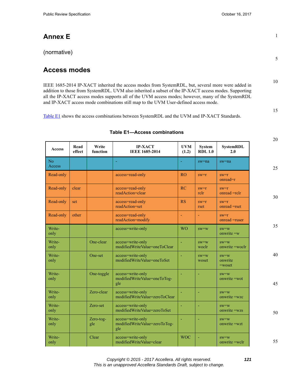# **Annex E**

(normative)

## **Access modes**

IEEE 1685-2014 IP-XACT inherited the access modes from SystemRDL, but, several more were added in addition to those from SystemRDL. UVM also inherited a subset of the IP-XACT access modes. Supporting all the IP-XACT access modes supports all of the UVM access modes; however, many of the SystemRDL and IP-XACT access mode combinations still map to the UVM User-defined access mode.

[Table E1](#page-130-0) shows the access combinations between SystemRDL and the UVM and IP-XACT Standards.

15

<span id="page-130-0"></span>

| Access         | Read<br>effect | Write<br>function | <b>IP-XACT</b><br><b>IEEE 1685-2014</b>                   | <b>UVM</b>     | <b>System</b><br><b>RDL 1.0</b> | <b>SystemRDL</b><br>2.0        |
|----------------|----------------|-------------------|-----------------------------------------------------------|----------------|---------------------------------|--------------------------------|
| No             |                |                   |                                                           | (1.2)          |                                 |                                |
| Access         |                |                   |                                                           |                | $sw = na$                       | $sw = na$                      |
| Read-only      |                |                   | access=read-only                                          | <b>RO</b>      | $sw=r$                          | $sw=r$<br>onread=r             |
| Read-only      | clear          |                   | access=read-only<br>readAction=clear                      | RC             | $sw=r$<br>rclr                  | $sw=r$<br>$on read = rc$       |
| Read-only      | set            |                   | access=read-only<br>readAction=set                        | <b>RS</b>      | $sw=r$<br>rset                  | $sw=r$<br>$on read = rset$     |
| Read-only      | other          |                   | access=read-only<br>readAction=modify                     |                |                                 | $sw=r$<br>$on read =_ruser$    |
| Write-<br>only |                |                   | access=write-only                                         | <b>WO</b>      | $sw=w$                          | $sw=w$<br>onwrite $=w$         |
| Write-<br>only |                | One-clear         | access=write-only<br>modifiedWriteValue=oneToClear        | ÷              | $sw=w$<br>woclr                 | $sw=w$<br>onwrite $=$ woclr    |
| Write-<br>only |                | One-set           | access=write-only<br>modifiedWriteValue=oneToSet          | ÷              | $sw=w$<br>woset                 | $sw=w$<br>onwrite<br>$=$ woset |
| Write-<br>only |                | One-toggle        | access=write-only<br>modifiedWriteValue=oneToTog-<br>gle  | ÷,             |                                 | $sw=w$<br>$onwrite = wot$      |
| Write-<br>only |                | Zero-clear        | access=write-only<br>modifiedWriteValue=zeroToClear       |                |                                 | $sw=w$<br>$onwrite = wzc$      |
| Write-<br>only |                | Zero-set          | access=write-only<br>modifiedWriteValue=zeroToSet         |                |                                 | $sw=w$<br>$onwrite = wzs$      |
| Write-<br>only |                | Zero-tog-<br>gle  | access=write-only<br>modifiedWriteValue=zeroToTog-<br>gle | $\blacksquare$ |                                 | $sw=w$<br>onwrite $=wzt$       |
| Write-<br>only |                | Clear             | access=write-only<br>modifiedWriteValue=clear             | <b>WOC</b>     |                                 | $sw=w$<br>onwrite =wclr        |

## **Table E1—Access combinations**

## 5

5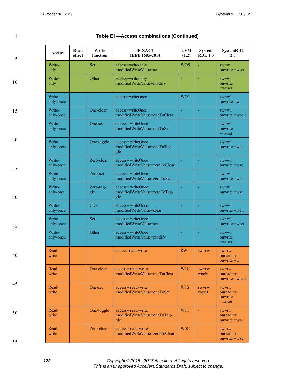| 5  | <b>Access</b>       | Read<br>effect | Write<br>function | <b>IP-XACT</b><br><b>IEEE 1685-2014</b>                  | <b>UVM</b><br>(1.2) | System<br><b>RDL 1.0</b> | <b>SystemRDL</b><br>2.0                        |
|----|---------------------|----------------|-------------------|----------------------------------------------------------|---------------------|--------------------------|------------------------------------------------|
|    | Write-<br>only      |                | Set               | access=write-only<br>modifiedWriteValue=set              | <b>WOS</b>          |                          | $sw=w$<br>onwrite =wset                        |
| 10 | Write-<br>only      |                | Other             | access=write-only<br>modifiedWriteValue=modify           |                     |                          | $sw=w$<br>onwrite<br>$=$ wuser                 |
|    | Write-<br>only-once |                |                   | access=writeOnce                                         | WO1                 |                          | $sw=w1$<br>onwrite $=w$                        |
| 15 | Write-<br>only-once |                | One-clear         | access=writeOnce<br>modifiedWriteValue=oneToClear        |                     |                          | $sw=w1$<br>onwrite =woclr                      |
|    | Write-<br>only-once |                | One-set           | access=writeOnce<br>modifiedWriteValue=oneToSet          |                     |                          | $sw=w1$<br>onwrite<br>$=$ woset                |
| 20 | Write-<br>only-once |                | One-toggle        | access= writeOnce<br>modifiedWriteValue=oneToTog-<br>gle |                     |                          | $sw=w1$<br>onwrite = $wot$                     |
| 25 | Write-<br>only-once |                | Zero-clear        | access= writeOnce<br>modifiedWriteValue=zeroToClear      | u,                  | ÷,                       | $sw=w1$<br>onwrite =wzc                        |
|    | Write-<br>only-once |                | Zero-set          | access= writeOnce<br>modifiedWriteValue=zeroToSet        |                     | ٠                        | $sw=w1$<br>onwrite $=wzs$                      |
| 30 | Write-<br>only-one  |                | Zero-tog-<br>gle  | access=writeOnce<br>modifiedWriteValue=zeroToTog-<br>gle |                     |                          | $sw=w1$<br>onwrite $=wzt$                      |
|    | Write-<br>only-once |                | Clear             | access= writeOnce<br>modifiedWriteValue=clear            |                     | $\blacksquare$           | $sw=w1$<br>onwrite =wclr                       |
| 35 | Write-<br>only-once |                | Set               | access=writeOnce<br>modifiedWriteValue=set               |                     |                          | $sw=w1$<br>onwrite =wset                       |
|    | Write-<br>only-once |                | Other             | access= writeOnce<br>modifiedWriteValue=modify           | Ξ                   | $\blacksquare$           | $sw=w1$<br>onwrite<br>$=$ wuser                |
| 40 | Read-<br>write      |                |                   | access=read-write                                        | <b>RW</b>           | $sw=rw$                  | $sw=rw$<br>onread $=r$<br>onwrite $=w$         |
|    | Read-<br>write      |                | One-clear         | access=read-write<br>modifiedWriteValue=oneToClear       | W1C                 | $sw=rw$<br>woclr         | $sw=rw$<br>onread $=r$<br>$onwrite = woclr$    |
| 45 | Read-<br>write      |                | One-set           | access=read-write<br>modifiedWriteValue=oneToSet         | W <sub>1</sub> S    | $sw=rw$<br>woset         | $sw=rw$<br>onread $=r$<br>onwrite<br>$=$ woset |
| 50 | Read-<br>write      |                | One-toggle        | access=read-write<br>modifiedWriteValue=oneToTog-<br>gle | W1T                 |                          | $sw=rw$<br>onread $=r$<br>onwrite =wot         |
| 55 | Read-<br>write      |                | Zero-clear        | access=read-write<br>modifiedWriteValue=zeroToClear      | <b>WOC</b>          |                          | $sw=rw$<br>onread $=r$<br>onwrite =wzc         |
|    |                     |                |                   |                                                          |                     |                          |                                                |

## **Table E1—Access combinations (Continued)**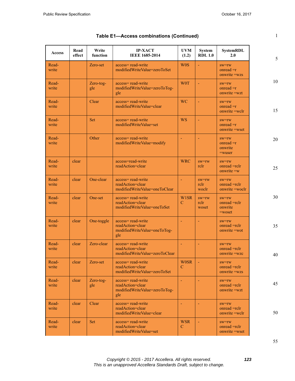| Access         | Read<br>effect | Write<br>function | <b>IP-XACT</b><br><b>IEEE 1685-2014</b>                                       | <b>UVM</b><br>(1.2) | <b>System</b><br><b>RDL 1.0</b> | <b>SystemRDL</b><br>2.0                             |    |
|----------------|----------------|-------------------|-------------------------------------------------------------------------------|---------------------|---------------------------------|-----------------------------------------------------|----|
| Read-<br>write |                | Zero-set          | access=read-write<br>modifiedWriteValue=zeroToSet                             | <b>W0S</b>          |                                 | $sw=rw$<br>onread $=r$<br>$onwrite = wzs$           |    |
| Read-<br>write |                | Zero-tog-<br>gle  | access=read-write<br>modifiedWriteValue=zeroToTog-<br>gle                     | <b>WOT</b>          |                                 | $sw=rw$<br>onread $=r$<br>$onwrite = wzt$           | 10 |
| Read-<br>write |                | Clear             | access=read-write<br>modifiedWriteValue=clear                                 | <b>WC</b>           |                                 | $sw=rw$<br>onread $=r$<br>$onwrite = wchr$          | 15 |
| Read-<br>write |                | <b>Set</b>        | access=read-write<br>modifiedWriteValue=set                                   | <b>WS</b>           |                                 | $sw=rw$<br>onread $=r$<br>onwrite =wset             |    |
| Read-<br>write |                | Other             | access=read-write<br>modifiedWriteValue=modify                                |                     |                                 | $sw=rw$<br>onread $=r$<br>onwrite<br>$=$ wuser      | 20 |
| Read-<br>write | clear          |                   | access=read-write<br>readAction=clear                                         | <b>WRC</b>          | $sw=rw$<br>rclr                 | $sw=rw$<br>$on read = rc$<br>onwrite $=w$           | 25 |
| Read-<br>write | clear          | One-clear         | access=read-write<br>readAction=clear<br>modifiedWriteValue=oneToClear        | $\blacksquare$      | $sw=rw$<br>rclr<br>woclr        | $sw=rw$<br>$on read = rclr$<br>$onwrite = woclr$    |    |
| Read-<br>write | clear          | One-set           | access=read-write<br>readAction=clear<br>modifiedWriteValue=oneToSet          | W1SR<br>C           | $sw=rw$<br>rclr<br>woset        | $sw=rw$<br>$on read = rclr$<br>onwrite<br>$=$ woset | 30 |
| Read-<br>write | clear          | One-toggle        | access=read-write<br>readAction=clear<br>modifiedWriteValue=oneToTog-<br>gle  | $\blacksquare$      |                                 | $sw=rw$<br>$onread = rclr$<br>$onwrite = wot$       | 35 |
| Read-<br>write | clear          | Zero-clear        | access=read-write<br>readAction=clear<br>modifiedWriteValue=zeroToClear       | $\blacksquare$      |                                 | $sw=rw$<br>$onread = rclr$<br>$onwrite = wzc$       | 40 |
| Read-<br>write | clear          | Zero-set          | access=read-write<br>readAction=clear<br>modifiedWriteValue=zeroToSet         | <b>WOSR</b><br>C    |                                 | $sw=rw$<br>$on read = rclr$<br>$onwrite = wzs$      |    |
| Read-<br>write | clear          | Zero-tog-<br>gle  | access=read-write<br>readAction=clear<br>modifiedWriteValue=zeroToTog-<br>gle |                     |                                 | $sw=rw$<br>$on read = rclr$<br>onwrite =wzt         | 45 |
| Read-<br>write | clear          | Clear             | access=read-write<br>readAction=clear<br>modifiedWriteValue=clear             |                     |                                 | $sw=rw$<br>$on read = rclr$<br>onwrite $=$ wclr     | 50 |
| Read-<br>write | clear          | <b>Set</b>        | access=read-write<br>readAction=clear<br>modifiedWriteValue=set               | <b>WSR</b><br>C     |                                 | $sw=rw$<br>onread =rclr<br>onwrite =wset            |    |

## **Table E1—Access combinations (Continued)**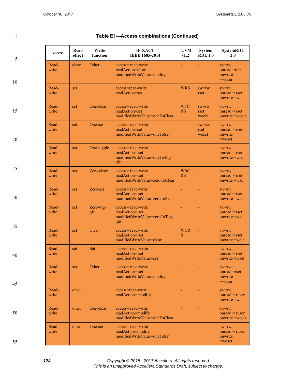| 5  | <b>Access</b>  | Read<br>effect | Write<br>function | <b>IP-XACT</b><br><b>IEEE 1685-2014</b>                                      | <b>UVM</b><br>(1.2)           | <b>System</b><br><b>RDL 1.0</b> | <b>SystemRDL</b><br>2.0                                |
|----|----------------|----------------|-------------------|------------------------------------------------------------------------------|-------------------------------|---------------------------------|--------------------------------------------------------|
| 10 | Read-<br>write | clear          | Other             | access=read-write<br>readAction=clear<br>modifiedWriteValue=modify           |                               | $\blacksquare$                  | $sw=rw$<br>$on read = rclr$<br>onwrite<br>$=$ wuser    |
|    | Read-<br>write | set            |                   | access=read-write<br>readAction=set                                          | <b>WRS</b>                    | $sw=rw$<br>rset                 | $sw=rw$<br>$on read = rset$<br>onwrite $=w$            |
| 15 | Read-<br>write | set            | One-clear         | access=read-write<br>readAction=set<br>modifiedWriteValue=oneToClear         | W <sub>1</sub> C<br><b>RS</b> | $sw=rw$<br>rset<br>woclr        | $sw=rw$<br>$on read = rset$<br>$onwrite = woclr$       |
| 20 | Read-<br>write | set            | One-set           | access=read-write<br>readAction=set<br>modifiedWriteValue=oneToSet           | ÷                             | $sw=rw$<br>rset<br>woset        | $sw=rw$<br>$on read = rset$<br>onwrite<br>$=$ woset    |
|    | Read-<br>write | set            | One-toggle        | access=read-write<br>readAction= set<br>modifiedWriteValue=oneToTog-<br>gle  | ÷                             | ÷                               | $sw=rw$<br>$on read = rset$<br>$onwrite = wot$         |
| 25 | Read-<br>write | set            | Zero-clear        | access=read-write<br>readAction= set<br>modifiedWriteValue=zeroToClear       | <b>WOC</b><br><b>RS</b>       | ÷                               | $sw=rw$<br>$on read = rset$<br>$onwrite = wzc$         |
| 30 | Read-<br>write | set            | Zero-set          | access=read-write<br>readAction=set<br>modifiedWriteValue=zeroToSet          | ÷                             | ٠                               | $sw=rw$<br>$on read = rset$<br>$onwrite = wzs$         |
|    | Read-<br>write | set            | Zero-tog-<br>gle  | access=read-write<br>readAction= set<br>modifiedWriteValue=zeroToTog-<br>gle |                               |                                 | $sw=rw$<br>$on read = rset$<br>$onwrite = wzt$         |
| 35 | Read-<br>write | set            | Clear             | access=read-write<br>readAction= set<br>modifiedWriteValue=clear             | <b>WCR</b><br>S               |                                 | $sw=rw$<br>$on read = \text{rset}$<br>$onwrite = wchr$ |
| 40 | Read-<br>write | set            | <b>Set</b>        | access=read-write<br>readAction= set<br>modifiedWriteValue=set               | ٠                             | ÷                               | $sw=rw$<br>$on read = rset$<br>onwrite =wset           |
| 45 | Read-<br>write | set            | Other             | access=read-write<br>readAction=set<br>modifiedWriteValue=modify             |                               |                                 | $sw=rw$<br>onread =rset<br>onwrite<br>$=$ wuser        |
|    | Read-<br>write | other          |                   | access=read-write<br>readAction= modify                                      | ٠                             |                                 | $sw=rw$<br>$on read = ruser$<br>onwrite $=w$           |
| 50 | Read-<br>write | other          | One-clear         | access=read-write<br>readAction=modify<br>modifiedWriteValue=oneToClear      |                               |                                 | $sw=rw$<br>$on read = ruser$<br>$onwrite = woclr$      |
|    | Read-<br>write | other          | One-set           | access=read-write<br>readAction=modify<br>modifiedWriteValue=oneToSet        |                               |                                 | $sw=rw$<br>$on read = ruser$<br>onwrite                |
| 55 |                |                |                   |                                                                              |                               |                                 | $=$ woset                                              |

## **Table E1—Access combinations (Continued)**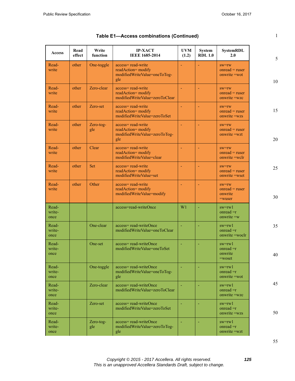| <b>Access</b>           | Read<br>effect | Write<br>function | <b>IP-XACT</b><br><b>IEEE 1685-2014</b>                                         | <b>UVM</b><br>(1.2) | <b>System</b><br><b>RDL 1.0</b> | <b>SystemRDL</b><br>2.0                              |  |
|-------------------------|----------------|-------------------|---------------------------------------------------------------------------------|---------------------|---------------------------------|------------------------------------------------------|--|
| Read-<br>write          | other          | One-toggle        | access=read-write<br>readAction= modify<br>modifiedWriteValue=oneToTog-<br>gle  |                     |                                 | $sw=rw$<br>$on read = ruser$<br>$onwrite = wot$      |  |
| Read-<br>write          | other          | Zero-clear        | access=read-write<br>readAction= modify<br>modifiedWriteValue=zeroToClear       | $\blacksquare$      |                                 | $sw=rw$<br>$on read = ruser$<br>$onwrite = wzc$      |  |
| Read-<br>write          | other          | Zero-set          | access=read-write<br>readAction= modify<br>modifiedWriteValue=zeroToSet         |                     |                                 | $sw=rw$<br>$on read = ruser$<br>$onwrite = wzs$      |  |
| Read-<br>write          | other          | Zero-tog-<br>gle  | access=read-write<br>readAction= modify<br>modifiedWriteValue=zeroToTog-<br>gle | $\blacksquare$      |                                 | $sw=rw$<br>$on read = ruser$<br>$onwrite = wzt$      |  |
| Read-<br>write          | other          | Clear             | access=read-write<br>readAction= modify<br>modifiedWriteValue=clear             |                     |                                 | $sw=rw$<br>$on read = ruser$<br>$onwrite = wclr$     |  |
| Read-<br>write          | other          | <b>Set</b>        | access=read-write<br>readAction= modify<br>modifiedWriteValue=set               | $\blacksquare$      | ÷                               | $sw=rw$<br>$on read = ruser$<br>$onwrite = wset$     |  |
| Read-<br>write          | other          | Other             | access=read-write<br>readAction= modify<br>modifiedWriteValue=modify            |                     |                                 | $sw=rw$<br>$on read = ruser$<br>onwrite<br>$=$ wuser |  |
| Read-<br>write-<br>once |                |                   | access=read-writeOnce                                                           | W1                  |                                 | $sw=rw1$<br>onread $=r$<br>onwrite $=w$              |  |
| Read-<br>write-<br>once |                | One-clear         | access=read-writeOnce<br>modifiedWriteValue=oneToClear                          |                     |                                 | $sw=rw1$<br>onread $=r$<br>onwrite =woclr            |  |
| Read-<br>write-<br>once |                | One-set           | access=read-writeOnce<br>modifiedWriteValue=oneToSet                            | $\blacksquare$      |                                 | $sw=rw1$<br>onread $=r$<br>onwrite<br>$=$ woset      |  |
| Read-<br>write-<br>once |                | One-toggle        | access=read-writeOnce<br>modifiedWriteValue=oneToTog-<br>gle                    |                     |                                 | $sw=rw1$<br>$on read = r$<br>$onwrite = wot$         |  |
| Read-<br>write-<br>once |                | Zero-clear        | access= read-writeOnce<br>modifiedWriteValue=zeroToClear                        |                     |                                 | $sw=rw1$<br>onread $=r$<br>$onwrite = wzc$           |  |
| Read-<br>write-<br>once |                | Zero-set          | access=read-writeOnce<br>modifiedWriteValue=zeroToSet                           |                     |                                 | $sw=rw1$<br>onread $=r$<br>$onwrite = wzs$           |  |
| Read-<br>write-<br>once |                | Zero-tog-<br>gle  | access= read-writeOnce<br>modifiedWriteValue=zeroToTog-<br>gle                  |                     |                                 | $sw=rw1$<br>onread $=r$<br>onwrite =wzt              |  |

| Table E1—Access combinations (Continued) |  |  |
|------------------------------------------|--|--|
|------------------------------------------|--|--|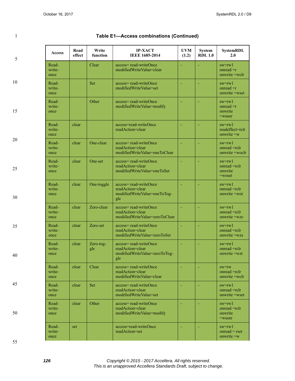| $\mathbf{1}$<br><b>Table E1-Access combinations (Continued)</b> |                         |                |                   |                                                                                    |                     |                                 |                                                      |  |
|-----------------------------------------------------------------|-------------------------|----------------|-------------------|------------------------------------------------------------------------------------|---------------------|---------------------------------|------------------------------------------------------|--|
| 5                                                               | <b>Access</b>           | Read<br>effect | Write<br>function | <b>IP-XACT</b><br><b>IEEE 1685-2014</b>                                            | <b>UVM</b><br>(1.2) | <b>System</b><br><b>RDL 1.0</b> | <b>SystemRDL</b><br>2.0                              |  |
|                                                                 | Read-<br>write-<br>once |                | Clear             | access=read-writeOnce<br>modifiedWriteValue=clear                                  |                     |                                 | $sw=rw1$<br>onread $=r$<br>$onwrite = wchr$          |  |
| 10                                                              | Read-<br>write-<br>once |                | <b>Set</b>        | access= read-writeOnce<br>modifiedWriteValue=set                                   |                     |                                 | $sw=rw1$<br>onread $=r$<br>$onwrite = wset$          |  |
| 15                                                              | Read-<br>write-<br>once |                | Other             | access= read-writeOnce<br>modifiedWriteValue=modify                                |                     |                                 | $sw=rw1$<br>onread $=r$<br>onwrite<br>$=$ wuser      |  |
|                                                                 | Read-<br>write-<br>once | clear          |                   | access=read-writeOnce<br>readAction=clear                                          |                     |                                 | $sw=rw1$<br>readeffect=rclr<br>onwrite $=w$          |  |
| 20                                                              | Read-<br>write-<br>once | clear          | One-clear         | access=read-writeOnce<br>readAction=clear<br>modifiedWriteValue=oneToClear         |                     |                                 | $sw=rw1$<br>$on read = rclr$<br>$onwrite = woclr$    |  |
| 25                                                              | Read-<br>write-<br>once | clear          | One-set           | access=read-writeOnce<br>readAction=clear<br>modifiedWriteValue=oneToSet           |                     |                                 | $sw=rw1$<br>$on read = rclr$<br>onwrite<br>$=$ woset |  |
| 30                                                              | Read-<br>write-<br>once | clear          | One-toggle        | access=read-writeOnce<br>readAction=clear<br>modifiedWriteValue=oneToTog-<br>gle   |                     |                                 | $sw=rw1$<br>$on read = rclr$<br>onwrite =wot         |  |
|                                                                 | Read-<br>write-<br>once | clear          | Zero-clear        | access=read-writeOnce<br>readAction=clear<br>modifiedWriteValue=zeroToClear        |                     |                                 | $sw=rw1$<br>onread =rclr<br>onwrite =wzc             |  |
| 35                                                              | Read-<br>write-<br>once | clear          | Zero-set          | access= read-writeOnce<br>readAction=clear<br>modifiedWriteValue=zeroToSet         |                     |                                 | $sw=rw1$<br>onread =rclr<br>onwrite =wzs             |  |
| 40                                                              | Read-<br>write-<br>once | clear          | Zero-tog-<br>gle  | access= read-writeOnce<br>readAction=clear<br>modifiedWriteValue=zeroToTog-<br>gle |                     |                                 | $sw=rw1$<br>$on read = rclr$<br>$onwrite = wzt$      |  |
|                                                                 | Read-<br>write-<br>once | clear          | Clear             | access= read-writeOnce<br>readAction=clear<br>modifiedWriteValue=clear             |                     |                                 | $sw=rw$<br>onread =rclr<br>$onwrite = wchr$          |  |
| 45                                                              | Read-<br>write-<br>once | clear          | <b>Set</b>        | access=read-writeOnce<br>readAction=clear<br>modifiedWriteValue=set                |                     |                                 | $sw=rw1$<br>onread =rclr<br>onwrite =wset            |  |
| 50                                                              | Read-<br>write-<br>once | clear          | Other             | access=read-writeOnce<br>readAction=clear<br>modifiedWriteValue=modify             |                     |                                 | $sw=rw1$<br>onread =rclr<br>onwrite<br>$=$ wuser     |  |
|                                                                 | Read-<br>write-<br>once | set            |                   | access=read-writeOnce<br>readAction=set                                            |                     |                                 | $sw=rw1$<br>$on read = \text{rset}$<br>onwrite $=w$  |  |

## **Table E1—Access combinations (Continued)**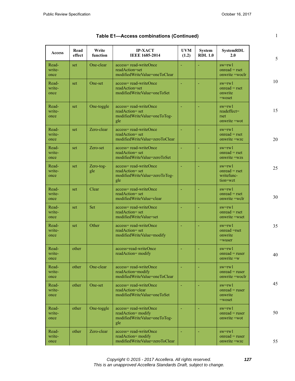| Access                  | Write<br><b>IP-XACT</b><br>Read<br>effect<br>function<br><b>IEEE 1685-2014</b> |                  | <b>UVM</b><br>(1.2)                                                                | System<br><b>RDL 1.0</b> | <b>SystemRDL</b><br>2.0 |                                                        |
|-------------------------|--------------------------------------------------------------------------------|------------------|------------------------------------------------------------------------------------|--------------------------|-------------------------|--------------------------------------------------------|
| Read-<br>write-<br>once | set                                                                            | One-clear        | access=read-writeOnce<br>readAction=set<br>modifiedWriteValue=oneToClear           |                          |                         | $sw=rw1$<br>$on read = rset$<br>onwrite =woclr         |
| Read-<br>write-<br>once | set                                                                            | One-set          | access=read-writeOnce<br>readAction=set<br>modifiedWriteValue=oneToSet             |                          |                         | $sw=rw1$<br>$on read = rset$<br>onwrite<br>$=$ woset   |
| Read-<br>write-<br>once | set                                                                            | One-toggle       | access=read-writeOnce<br>readAction= set<br>modifiedWriteValue=oneToTog-<br>gle    |                          |                         | $sw=rw1$<br>readeffect=<br>rset<br>onwrite =wot        |
| Read-<br>write-<br>once | set                                                                            | Zero-clear       | access=read-writeOnce<br>readAction= set<br>modifiedWriteValue=zeroToClear         |                          |                         | $sw=rw1$<br>$on read = rset$<br>onwrite =wzc           |
| Read-<br>write-<br>once | set                                                                            | Zero-set         | access= read-writeOnce<br>readAction= set<br>modifiedWriteValue=zeroToSet          |                          |                         | $sw=rw1$<br>$on read = rset$<br>$onwrite = wzs$        |
| Read-<br>write-<br>once | set                                                                            | Zero-tog-<br>gle | access= read-writeOnce<br>readAction= set<br>modifiedWriteValue=zeroToTog-<br>gle  |                          |                         | $sw=rw1$<br>$on read = rset$<br>writefunc-<br>tion=wzt |
| Read-<br>write-<br>once | set                                                                            | Clear            | access=read-writeOnce<br>readAction= set<br>modifiedWriteValue=clear               |                          |                         | $sw=rw1$<br>$on read = rset$<br>onwrite =wclr          |
| Read-<br>write-<br>once | set                                                                            | Set              | access=read-writeOnce<br>readAction= set<br>modifiedWriteValue=set                 |                          |                         | $sw=rw1$<br>$on read = rset$<br>onwrite =wset          |
| Read-<br>write-<br>once | set                                                                            | Other            | access=read-writeOnce<br>readAction= set<br>modifiedWriteValue=modify              |                          |                         | $sw=rw1$<br>onread =rset<br>onwrite<br>$=$ wuser       |
| Read-<br>write-<br>once | other                                                                          |                  | access=read-writeOnce<br>readAction= modify                                        |                          |                         | $sw=rw1$<br>$on read = ruser$<br>onwrite $=w$          |
| Read-<br>write-<br>once | other                                                                          | One-clear        | access=read-writeOnce<br>readAction=modify<br>modifiedWriteValue=oneToClear        |                          |                         | $sw=rw1$<br>$on read = ruser$<br>onwrite =woclr        |
| Read-<br>write-<br>once | other                                                                          | One-set          | access= read-writeOnce<br>readAction=clear<br>modifiedWriteValue=oneToSet          |                          |                         | $sw=rw1$<br>$on read = ruser$<br>onwrite<br>$=$ woset  |
| Read-<br>write-<br>once | other                                                                          | One-toggle       | access=read-writeOnce<br>readAction= modify<br>modifiedWriteValue=oneToTog-<br>gle |                          |                         | $sw=rw1$<br>$on read = ruser$<br>$onwrite = wot$       |
| Read-<br>write-<br>once | other                                                                          | Zero-clear       | access=read-writeOnce<br>readAction= modify<br>modifiedWriteValue=zeroToClear      |                          |                         | $sw=rw1$<br>$on read = ruser$<br>$onwrite = wzc$       |

## **Table E1—Access combinations (Continued)**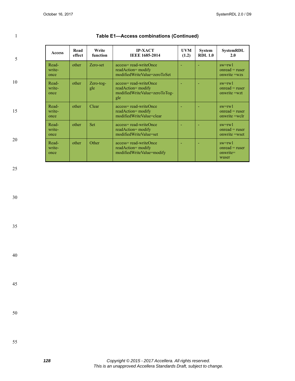| 5  | Access                  | Read<br>effect | Write<br>function | <b>IP-XACT</b><br><b>IEEE 1685-2014</b>                                                 | <b>UVM</b><br>(1.2) | <b>System</b><br><b>RDL 1.0</b> | <b>SystemRDL</b><br>2.0                              |
|----|-------------------------|----------------|-------------------|-----------------------------------------------------------------------------------------|---------------------|---------------------------------|------------------------------------------------------|
|    | Read-<br>write-<br>once | other          | Zero-set          | access= read-writeOnce<br>readAction= modify<br>modifiedWriteValue=zeroToSet            |                     | ٠                               | $sw=rw1$<br>$on read = ruser$<br>$onwrite = wzs$     |
| 10 | Read-<br>write-<br>once | other          | Zero-tog-<br>gle  | $access = read-writeOnce$<br>readAction= modify<br>modifiedWriteValue=zeroToTog-<br>gle |                     | $\overline{\phantom{0}}$        | $sw=rw1$<br>$on read = ruser$<br>$onwrite = wzt$     |
| 15 | Read-<br>write-<br>once | other          | Clear             | $access = read-writeOnce$<br>readAction= modify<br>modifiedWriteValue=clear             |                     |                                 | $sw=rw1$<br>$on read = ruser$<br>$onwrite = wchr$    |
|    | Read-<br>write-<br>once | other          | <b>Set</b>        | access= read-writeOnce<br>readAction= modify<br>modifiedWriteValue=set                  |                     | $\overline{\phantom{0}}$        | $sw=rw1$<br>$on read = ruser$<br>$onwrite = wset$    |
| 20 | Read-<br>write-<br>once | other          | Other             | $access = read-writeOnce$<br>readAction= modify<br>modifiedWriteValue=modify            | ÷                   | ٠                               | $sw=rw1$<br>$on read = ruser$<br>$onwrite=$<br>wuser |

## **Table E1—Access combinations (Continued)**

25

1

30

35

40

45

50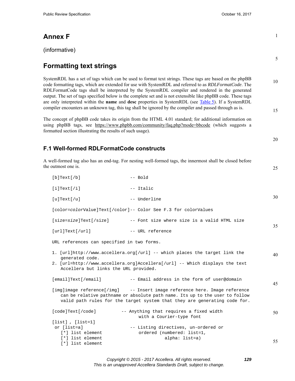**Annex F**

(informative)

### 1

5

10

15

20

25

# **Formatting text strings**

SystemRDL has a set of tags which can be used to format text strings. These tags are based on the phpBB code formatting tags, which are extended for use with SystemRDL and referred to as *RDLFormatCode*. The RDLFormatCode tags shall be interpreted by the SystemRDL compiler and rendered in the generated output. The set of tags specified below is the complete set and is not extensible like phpBB code. These tags are only interpreted within the **name** and **desc** properties in SystemRDL (see [Table 5\)](#page-35-0). If a SystemRDL compiler encounters an unknown tag, this tag shall be ignored by the compiler and passed through as is.

The concept of phpBB code takes its origin from the HTML 4.01 standard; for additional information on using phpBB tags, see https://www.phpbb.com/community/faq.php?mode=bbcode (which suggests a formatted section illustrating the results of such usage).

## **F.1 Well-formed RDLFormatCode constructs**

A well-formed tag also has an end-tag. For nesting well-formed tags, the innermost shall be closed before the outmost one is.

| [b]Text[/b]                                                             | -- Bold                                                                                                                                                                                                                                 |    |
|-------------------------------------------------------------------------|-----------------------------------------------------------------------------------------------------------------------------------------------------------------------------------------------------------------------------------------|----|
| [i]Text[j]                                                              | -- Italic                                                                                                                                                                                                                               |    |
| [u]Text[/u]                                                             | -- Underline                                                                                                                                                                                                                            | 30 |
|                                                                         | [color=colorValue]Text[/color]-- Color See F.3 for colorValues                                                                                                                                                                          |    |
| $[size-size]Text['size]$                                                | -- Font size where size is a valid HTML size                                                                                                                                                                                            | 35 |
| [url]Text['url]                                                         | -- URL reference                                                                                                                                                                                                                        |    |
| URL references can specified in two forms.                              |                                                                                                                                                                                                                                         |    |
| generated code.<br>Accellera but links the URL provided.                | 1. [url]http://www.accellera.org[/url] -- which places the target link the<br>2. [url=http://www.accellera.org]Accellera[/url] -- Which displays the text                                                                               | 40 |
| [email]Text[/email]                                                     | -- Email address in the form of user@domain                                                                                                                                                                                             | 45 |
|                                                                         | [img]image reference[/img] -- Insert image reference here. Image reference<br>can be relative pathname or absolute path name. Its up to the user to follow<br>valid path rules for the target system that they are generating code for. |    |
| [code]Text[/code]<br>$[list], [list=1]$                                 | -- Anything that requires a fixed width<br>with a Courier-type font                                                                                                                                                                     | 50 |
| or [list=a]<br>[*] list element<br>[*] list element<br>[*] list element | -- Listing directives, un-ordered or<br>ordered (numbered: list=1,<br>alpha: list=a)                                                                                                                                                    | 55 |

#### *Copyright © 2015 - 2017 Accellera. All rights reserved. 129 This is an unapproved Accellera Standards Draft, subject to change.*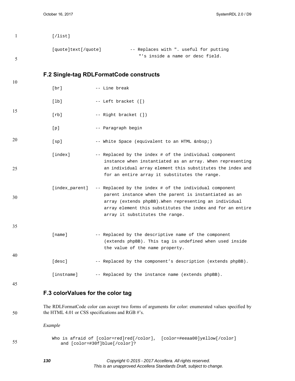| 1  | [ / list]                         |                                                                                                                                                                                                                                                                            |
|----|-----------------------------------|----------------------------------------------------------------------------------------------------------------------------------------------------------------------------------------------------------------------------------------------------------------------------|
| 5  | [quote]text[/quote]               | -- Replaces with ". useful for putting<br>"'s inside a name or desc field.                                                                                                                                                                                                 |
|    |                                   | <b>F.2 Single-tag RDLFormatCode constructs</b>                                                                                                                                                                                                                             |
| 10 | [br]                              | -- Line break                                                                                                                                                                                                                                                              |
|    | [1b]                              | -- Left bracket ([)                                                                                                                                                                                                                                                        |
| 15 | [rb]                              | -- Right bracket (])                                                                                                                                                                                                                                                       |
|    | [p]                               | -- Paragraph begin                                                                                                                                                                                                                                                         |
| 20 | [sp]                              | -- White Space (equivalent to an HTML  )                                                                                                                                                                                                                                   |
| 25 | [index]                           | -- Replaced by the index # of the individual component<br>instance when instantiated as an array. When representing<br>an individual array element this substitutes the index and<br>for an entire array it substitutes the range.                                         |
| 30 | [index_parent]                    | -- Replaced by the index # of the individual component<br>parent instance when the parent is instantiated as an<br>array (extends phpBB). When representing an individual<br>array element this substitutes the index and for an entire<br>array it substitutes the range. |
| 35 |                                   |                                                                                                                                                                                                                                                                            |
|    | [name]                            | -- Replaced by the descriptive name of the component<br>(extends phpBB). This tag is undefined when used inside<br>the value of the name property.                                                                                                                         |
| 40 | [desc]                            | -- Replaced by the component's description (extends phpBB).                                                                                                                                                                                                                |
|    | [instname]                        | -- Replaced by the instance name (extends phpBB).                                                                                                                                                                                                                          |
| 45 | F.3 colorValues for the color tag |                                                                                                                                                                                                                                                                            |
|    |                                   | The DDI FormatCode color can accent two forms of arguments for color enumerated values specified by                                                                                                                                                                        |

<span id="page-139-0"></span>The RDLFormatCode color can accept two forms of arguments for color: enumerated values specified by the HTML 4.01 or CSS specifications and RGB #'s.

Who is afraid of [color=red]red[/color], [color=#eeaa00]yellow[/color]

*Example*

55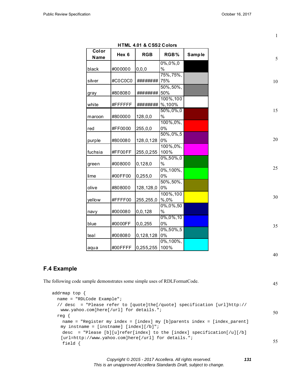10

15

20

25

30

35

40

45

50

55

| HTML 4.01 & CSS2 Colors |         |            |                  |               |  |
|-------------------------|---------|------------|------------------|---------------|--|
| Color<br>Name           | Hex 6   | <b>RGB</b> | RGB%             | <b>Sample</b> |  |
|                         |         |            | $0\%$ , 0%, 0    |               |  |
| black                   | #000000 | 0, 0, 0    | $\%$             |               |  |
|                         |         |            | 75%, 75%,        |               |  |
| silver                  | #C0C0C0 | ########   | 75%              |               |  |
|                         |         |            | 50%, 50%,        |               |  |
| gray                    | #808080 | ########   | 50%<br>100%, 100 |               |  |
| white                   | #FFFFFF | ########   | %,100%           |               |  |
|                         |         |            | 50%,0%,0         |               |  |
| maroon                  | #800000 | 128,0,0    | $\%$             |               |  |
|                         |         |            | 100%,0%,         |               |  |
| red                     | #FF0000 | 255,0,0    | 0%               |               |  |
|                         |         |            | 50%,0%,5         |               |  |
| purple                  | #800080 | 128,0,128  | 0%               |               |  |
|                         |         |            | 100%,0%,         |               |  |
| fuchsia                 | #FF00FF | 255,0,255  | 100%             |               |  |
|                         |         |            | $0\%, 50\%, 0$   |               |  |
| green                   | #008000 | 0,128,0    | $\%$             |               |  |
|                         |         |            | $0\%, 100\%,$    |               |  |
| lime                    | #00FF00 | 0,255,0    | 0%               |               |  |
|                         |         |            | 50%, 50%,        |               |  |
| olive                   | #808000 | 128,128,0  | 0%               |               |  |
|                         |         |            | 100%,100         |               |  |
| yellow                  | #FFFF00 | 255,255,0  | % 0%             |               |  |
|                         | #000080 | 0,0,128    | 0%,0%,50<br>$\%$ |               |  |
| navy                    |         |            | 0%,0%,10         |               |  |
| blue                    | #0000FF | 0,0,255    | 0%               |               |  |
|                         |         |            | $0\%, 50\%, 5$   |               |  |
| teal                    | #008080 | 0,128,128  | 0%               |               |  |
|                         |         |            | 0%,100%,         |               |  |
| aqua                    | #00FFFF | 0,255,255  | 100%             |               |  |

## **F.4 Example**

The following code sample demonstrates some simple uses of RDLFormatCode.

```
addrmap top {
  name = "RDLCode Example";
   // desc = "Please refer to [quote]the[/quote] specification [url]http://
   www.yahoo.com]here[/url] for details.";
  reg { 
    name = "Register my index = [index] my [b]parents index = [index_parent] 
   my instname = [instname] [index][/b]";
   desc = "Please [b][u]refer[index] to the [index] specification[/(u)][url=http://www.yahoo.com]here[/url] for details.";
    field {
```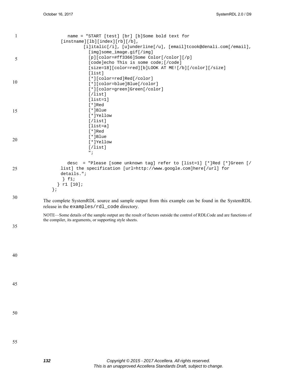| 1  | name = "START [test] [br] [b]Some bold text for<br>[instance][lb][index][rb][/b],                                    |
|----|----------------------------------------------------------------------------------------------------------------------|
|    | [i]italic[/i], [u]underline[/u], [email]tcook@denali.com[/email],                                                    |
|    | [img]some_image.gif[/img]<br>[p][color=#ff3366]Some Color[/color][/p]                                                |
| 5  | [code]echo This is some code; [/code]                                                                                |
|    | [size=18][color=red][b]LOOK AT ME![/b][/color][/size]                                                                |
|    | [list]                                                                                                               |
|    | [*][color=red]Red[/color]                                                                                            |
| 10 | [*][color=blue]Blue[/color]                                                                                          |
|    | [*][color=green]Green[/color]                                                                                        |
|    | [ / list]                                                                                                            |
|    | $[list=1]$                                                                                                           |
|    | [*]Red                                                                                                               |
| 15 | $[ * ]$ Blue                                                                                                         |
|    | [*]Yellow                                                                                                            |
|    | [ / list]<br>$[lists = a]$                                                                                           |
|    | [*]Red                                                                                                               |
|    | $[ * ]$ Blue                                                                                                         |
| 20 | [*]Yellow                                                                                                            |
|    | [ / list]                                                                                                            |
|    | $"$ ;                                                                                                                |
|    |                                                                                                                      |
|    | desc = "Please [some unknown tag] refer to [list=1] [*]Red [*]Green [/                                               |
| 25 | list] the specification [url=http://www.google.com]here[/url] for<br>details.";                                      |
|    | $\}$ f1;                                                                                                             |
|    | $\}$ r1 [10];                                                                                                        |
|    | $\}$ ;                                                                                                               |
|    |                                                                                                                      |
| 30 | The complete SystemRDL source and sample output from this example can be found in the SystemRDL                      |
|    | release in the examples/rdl_code directory.                                                                          |
|    | NOTE-Some details of the sample output are the result of factors outside the control of RDLCode and are functions of |
|    | the compiler, its arguments, or supporting style sheets.                                                             |
| 35 |                                                                                                                      |
|    |                                                                                                                      |
|    |                                                                                                                      |
|    |                                                                                                                      |
|    |                                                                                                                      |
| 40 |                                                                                                                      |
|    |                                                                                                                      |
|    |                                                                                                                      |
|    |                                                                                                                      |
|    |                                                                                                                      |
| 45 |                                                                                                                      |
|    |                                                                                                                      |
|    |                                                                                                                      |
|    |                                                                                                                      |
|    |                                                                                                                      |
| 50 |                                                                                                                      |
|    |                                                                                                                      |
|    |                                                                                                                      |
|    |                                                                                                                      |
|    |                                                                                                                      |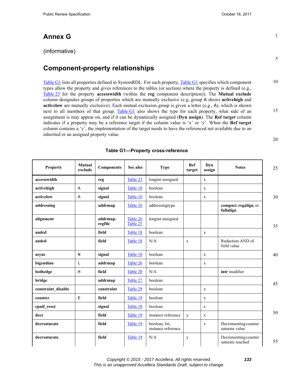# **Annex G**

(informative)

# **Component-property relationships**

[Table G1](#page-142-0) lists all properties defined in SystemRDL. For each property, [Table G1](#page-142-0) specifies which component types allow the property and gives references to the tables (or section) where the property is defined (e.g., [Table 23](#page-77-0) for the property **accesswidth** (within the **reg** component description)). The **Mutual exclude** column designates groups of properties which are mutually exclusive (e.g, group A shows **activehigh** and **activelow** are mutually exclusive). Each mutual exclusion group is given a letter (e.g., A), which is shown next to all members of that group. [Table G1](#page-142-0) also shows the type for each property, what side of an assignment is may appear on, and if it can be dynamically assigned (**Dyn assign**). The **Ref target** column indicates if a property may be a reference target if the column value is 'x' or 'y'. When the **Ref target** column contains a 'y', the implementation of the target needs to have the referenced net available due to an inherited or an assigned property value.

|  | Table G1-Property cross-reference |
|--|-----------------------------------|
|  |                                   |

<span id="page-142-0"></span>

| Property           | <b>Mutual</b><br>exclude | <b>Components</b>   | See also             | <b>Type</b>                         | Ref<br>Dyn<br>target<br>assign |             | <b>Notes</b>                             |
|--------------------|--------------------------|---------------------|----------------------|-------------------------------------|--------------------------------|-------------|------------------------------------------|
| accesswidth        |                          | reg                 | Table 23             | longint unsigned                    |                                | $\mathbf x$ |                                          |
| activehigh         | Α                        | signal              | Table 10             | boolean                             |                                | $\mathbf x$ |                                          |
| activelow          | $\mathbb A$              | signal              | Table 10             | boolean                             |                                | $\mathbf x$ |                                          |
| addressing         |                          | addrmap             | Table 26             | addressingtype                      |                                |             | compact, regalign, or<br>fullalign       |
| alignment          |                          | addrmap,<br>regfile | Table 26<br>Table 25 | longint unsigned                    |                                |             |                                          |
| anded              |                          | field               | Table 18             | boolean                             |                                | $\mathbf x$ |                                          |
| anded              |                          | field               | Table 18             | N/A                                 | $\mathbf{X}$                   |             | Reduction AND of<br>field value          |
| async              | $\mathbf N$              | signal              | Table 10             | boolean                             |                                | $\mathbf x$ |                                          |
| bigendian          | $\mathbf L$              | addrmap             | Table 26             | boolean                             |                                | $\mathbf X$ |                                          |
| bothedge           | H                        | field               | Table 20             | N/A                                 |                                |             | intr modifier                            |
| bridge             |                          | addrmap             | Table 27             | boolean                             |                                |             |                                          |
| constraint_disable |                          | constraint          | Table 29             | boolean                             |                                | $\mathbf x$ |                                          |
| counter            | $\mathbf E$              | field               | Table 19             | boolean                             |                                | $\mathbf X$ |                                          |
| cpuif_reset        |                          | signal              | Table 10             | boolean                             |                                | $\mathbf x$ |                                          |
| decr               |                          | field               | Table 19             | instance reference                  | y                              | $\mathbf x$ |                                          |
| decrsaturate       |                          | field               | Table 19             | boolean, bit,<br>instance reference |                                | $\mathbf X$ | Decrementing counter<br>saturate value   |
| decrsaturate       |                          | field               | Table 19             | N/A                                 | У                              |             | Decrementing counter<br>saturate reached |

#### *Copyright © 2015 - 2017 Accellera. All rights reserved. 133 This is an unapproved Accellera Standards Draft, subject to change.*

1

5

10

15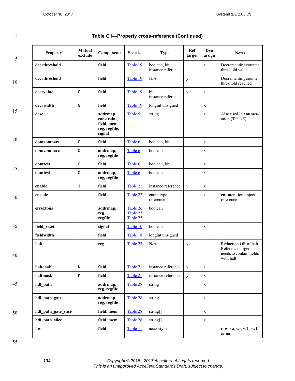1

| 5  | Property            | Mutual<br>exclude | <b>Components</b>                                                 | See also                         | <b>Type</b>                         | Ref<br>target | Dyn<br>assign | <b>Notes</b>                                                                     |
|----|---------------------|-------------------|-------------------------------------------------------------------|----------------------------------|-------------------------------------|---------------|---------------|----------------------------------------------------------------------------------|
|    | decrthreshold       |                   | field                                                             | Table 19                         | boolean, bit,<br>instance reference |               | $\mathbf X$   | Decrementing counter<br>threshold value                                          |
| 10 | decrthreshold       |                   | field                                                             | Table 19                         | N/A                                 | y             |               | Decrementing counter<br>threshold reached                                        |
|    | decryalue           | ${\bf G}$         | field                                                             | Table 19                         | bit.<br>instance reference          | y             | $\mathbf X$   |                                                                                  |
|    | decrwidth           | G                 | field                                                             | Table 19                         | longint unsigned                    |               | $\mathbf X$   |                                                                                  |
| 15 | desc                |                   | addrmap,<br>constraint,<br>field, mem,<br>reg, regfile,<br>signal | Table 5                          | string                              |               | $\mathbf X$   | Also used in enumer-<br>ation (Table 5)                                          |
| 20 | dontcompare         | O                 | field                                                             | Table 6                          | boolean, bit                        |               | $\mathbf X$   |                                                                                  |
|    | dontcompare         | O                 | addrmap,<br>reg, regfile                                          | Table 6                          | boolean                             |               | $\mathbf X$   |                                                                                  |
|    | donttest            | O                 | field                                                             | Table 6                          | boolean, bit                        |               | $\mathbf X$   |                                                                                  |
| 25 | donttest            | $\circ$           | addrmap,<br>reg, regfile                                          | Table 6                          | boolean                             |               | $\mathbf X$   |                                                                                  |
|    | enable              | J                 | field                                                             | Table 21                         | instance reference                  | y             | $\mathbf X$   |                                                                                  |
| 30 | encode              |                   | field                                                             | Table 22                         | enum type<br>reference              |               | $\mathbf X$   | enumeration object<br>reference                                                  |
|    | errextbus           |                   | addrmap,<br>reg,<br>regfile                                       | Table 26<br>Table 23<br>Table 25 | boolean                             |               |               |                                                                                  |
| 35 | field reset         |                   | signal                                                            | Table 10                         | boolean                             |               | X             |                                                                                  |
|    | fieldwidth          |                   | field                                                             | Table 18                         | longint unsigned                    |               |               |                                                                                  |
| 40 | halt                |                   | reg                                                               | Table 23                         | N/A                                 | y             |               | Reduction OR of halt<br>Reference target<br>needs to contain fields<br>with halt |
|    | haltenable          | ${\bf K}$         | field                                                             | Table 21                         | instance reference                  | $\mathbf y$   | $\mathbf X$   |                                                                                  |
|    | haltmask            | $\rm K$           | field                                                             | Table 21                         | instance reference                  | y             | $\mathbf X$   |                                                                                  |
| 45 | hdl_path            |                   | addrmap,<br>reg, regfile                                          | Table 28                         | string                              |               | $\mathbf X$   |                                                                                  |
|    | hdl_path_gate       |                   | addrmap,<br>reg, regfile                                          | Table 28                         | string                              |               | $\mathbf X$   |                                                                                  |
| 50 | hdl_path_gate_slice |                   | field, mem                                                        | Table 28                         | string[]                            |               | $\mathbf X$   |                                                                                  |
|    | hdl_path_slice      |                   | field, mem                                                        | Table 28                         | string[]                            |               | $\mathbf X$   |                                                                                  |
|    | hw                  |                   | field                                                             | Table 11                         | accesstype                          |               |               | r, w, rw, wr, w1, rw1,<br>or na                                                  |

## **Table G1—Property cross-reference (Continued)**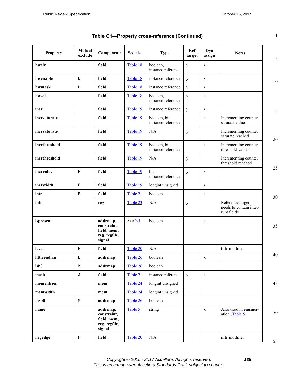1

| Property      | Mutual<br>exclude | <b>Components</b>                                                 | See also  | <b>Type</b>                         | Ref<br>target | Dyn<br>assign | <b>Notes</b>                                               |
|---------------|-------------------|-------------------------------------------------------------------|-----------|-------------------------------------|---------------|---------------|------------------------------------------------------------|
| hwclr         |                   | field                                                             | Table 18  | boolean,<br>instance reference      | y             | $\mathbf X$   |                                                            |
| hwenable      | $\mathbb D$       | field                                                             | Table 18  | instance reference                  | y             | $\mathbf X$   |                                                            |
| hwmask        | $\mathbb D$       | field                                                             | Table 18  | instance reference                  | y             | $\mathbf X$   |                                                            |
| hwset         |                   | field                                                             | Table 18  | boolean,<br>instance reference      | y             | $\mathbf X$   |                                                            |
| incr          |                   | field                                                             | Table 19  | instance reference                  | y             | $\mathbf X$   |                                                            |
| incrsaturate  |                   | field                                                             | Table 19  | boolean, bit,<br>instance reference |               | $\mathbf X$   | Incrementing counter<br>saturate value                     |
| incrsaturate  |                   | field                                                             | Table 19  | N/A                                 | У             |               | Incrementing counter<br>saturate reached                   |
| incrthreshold |                   | field                                                             | Table 19  | boolean, bit,<br>instance reference |               | $\mathbf X$   | Incrementing counter<br>threshold value                    |
| incrthreshold |                   | field                                                             | Table 19  | N/A                                 | y             |               | Incrementing counter<br>threshold reached                  |
| incrvalue     | $\mathbf F$       | field                                                             | Table 19  | bit,<br>instance reference          | y             | $\mathbf X$   |                                                            |
| incrwidth     | $\mathbf F$       | field                                                             | Table 19  | longint unsigned                    |               | $\mathbf X$   |                                                            |
| intr          | $\mathbf E$       | field                                                             | Table 21  | boolean                             |               | $\mathbf X$   |                                                            |
| intr          |                   | reg                                                               | Table 23  | N/A                                 | y             |               | Reference target<br>needs to contain inter-<br>rupt fields |
| ispresent     |                   | addrmap,<br>constraint,<br>field, mem,<br>reg, regfile,<br>signal | See $5.3$ | boolean                             |               | $\mathbf X$   |                                                            |
| level         | Η                 | field                                                             | Table 20  | N/A                                 |               |               | intr modifier                                              |
| littleendian  | $\mathbb L$       | addrmap                                                           | Table 26  | boolean                             |               | $\mathbf X$   |                                                            |
| lsb0          | М                 | addrmap                                                           | Table 26  | boolean                             |               |               |                                                            |
| mask          | J                 | field                                                             | Table 21  | instance reference                  | $\mathbf y$   | $\mathbf X$   |                                                            |
| mementries    |                   | mem                                                               | Table 24  | longint unsigned                    |               |               |                                                            |
| memwidth      |                   | mem                                                               | Table 24  | longint unsigned                    |               |               |                                                            |
| msb0          | М                 | addrmap                                                           | Table 26  | boolean                             |               |               |                                                            |
| name          |                   | addrmap,<br>constraint,<br>field, mem,<br>reg, regfile,<br>signal | Table 5   | string                              |               | $\mathbf X$   | Also used in enumer-<br>ation $(Table 5)$                  |
| negedge       | Η                 | field                                                             | Table 20  | $\rm N/A$                           |               |               | intr modifier                                              |

## **Table G1—Property cross-reference (Continued)**

55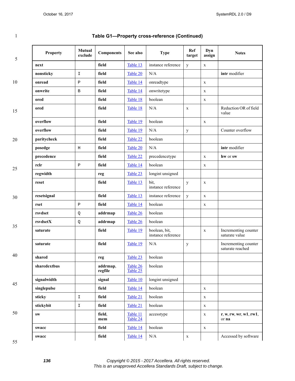1

| 5   | Property      | Mutual<br>exclude | <b>Components</b>   | See also             | <b>Type</b>                         | Ref<br>target | Dyn<br>assign | <b>Notes</b>                             |
|-----|---------------|-------------------|---------------------|----------------------|-------------------------------------|---------------|---------------|------------------------------------------|
|     | next          |                   | field               | Table 13             | instance reference                  | $\mathbf y$   | $\mathbf X$   |                                          |
| 10  | nonsticky     | $\mathbf I$       | field               | Table 20             | N/A                                 |               |               | intr modifier                            |
|     | onread        | $\mathbf{P}$      | field               | Table 14             | onreadtype                          |               | $\mathbf X$   |                                          |
|     | onwrite       | B                 | field               | Table 14             | onwritetype                         |               | $\mathbf X$   |                                          |
|     | ored          |                   | field               | Table 18             | boolean                             |               | $\mathbf X$   |                                          |
| 15  | ored          |                   | field               | Table 18             | N/A                                 | $\mathbf X$   |               | Reduction OR of field<br>value           |
|     | overflow      |                   | field               | Table 19             | boolean                             |               | $\mathbf X$   |                                          |
|     | overflow      |                   | field               | Table 19             | N/A                                 | У             |               | Counter overflow                         |
| 20  | paritycheck   |                   | field               | Table 22             | boolean                             |               |               |                                          |
|     | posedge       | Η                 | field               | Table 20             | N/A                                 |               |               | intr modifier                            |
|     | precedence    |                   | field               | Table 22             | precedencetype                      |               | $\mathbf X$   | hw or sw                                 |
| 25  | rclr          | $\, {\bf P}$      | field               | Table 14             | boolean                             |               | $\mathbf X$   |                                          |
|     | regwidth      |                   | reg                 | Table 23             | longint unsigned                    |               |               |                                          |
|     | reset         |                   | field               | Table 13             | bit,<br>instance reference          | y             | $\mathbf X$   |                                          |
| 30  | resetsignal   |                   | field               | Table 13             | instance reference                  | y             | $\mathbf X$   |                                          |
|     | rset          | $\mathbf{P}$      | field               | Table 14             | boolean                             |               | $\mathbf X$   |                                          |
|     | rsvdset       | Q                 | addrmap             | Table 26             | boolean                             |               |               |                                          |
| 35  | rsvdsetX      | Q                 | addrmap             | Table 26             | boolean                             |               |               |                                          |
|     | saturate      |                   | field               | Table 19             | boolean, bit,<br>instance reference |               | $\mathbf X$   | Incrementing counter<br>saturate value   |
|     | saturate      |                   | field               | Table 19             | N/A                                 | У             |               | Incrementing counter<br>saturate reached |
| 40  | shared        |                   | ${\bf reg}$         | Table 23             | boolean                             |               |               |                                          |
|     | sharedextbus  |                   | addrmap,<br>regfile | Table 26<br>Table 25 | boolean                             |               |               |                                          |
| 45  | signalwidth   |                   | signal              | Table 10             | longint unsigned                    |               |               |                                          |
|     | singlepulse   |                   | field               | Table 14             | boolean                             |               | $\mathbf X$   |                                          |
|     | sticky        | $\mathbbm{I}$     | field               | Table 21             | boolean                             |               | $\mathbf X$   |                                          |
| 50  | stickybit     | $\mathbbm{1}$     | field               | Table 21             | boolean                             |               | $\mathbf X$   |                                          |
|     | $\mathbf{SW}$ |                   | field,<br>mem       | Table 11<br>Table 24 | accesstype                          |               | $\mathbf X$   | r, w, rw, wr, w1, rw1,<br>or na          |
|     | swacc         |                   | field               | Table 14             | boolean                             |               | $\mathbf X$   |                                          |
| 55. | swacc         |                   | field               | Table 14             | $\rm N/A$                           | $\mathbf X$   |               | Accessed by software                     |

## **Table G1—Property cross-reference (Continued)**

55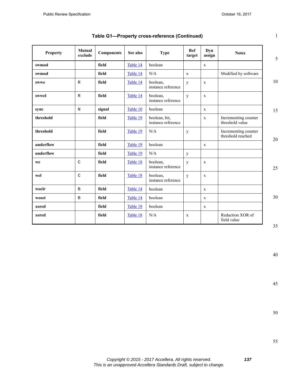| <b>Property</b> | <b>Mutual</b><br>exclude | <b>Components</b> | See also | <b>Type</b>                         | Ref<br>target | Dyn<br>assign | <b>Notes</b>                              |
|-----------------|--------------------------|-------------------|----------|-------------------------------------|---------------|---------------|-------------------------------------------|
| swmod           |                          | field             | Table 14 | boolean                             |               | $\mathbf X$   |                                           |
| swmod           |                          | field             | Table 14 | N/A                                 | $\mathbf{X}$  |               | Modified by software                      |
| swwe            | $\mathbb R$              | field             | Table 14 | boolean,<br>instance reference      | y             | $\mathbf X$   |                                           |
| swwel           | $\mathbb R$              | field             | Table 14 | boolean,<br>instance reference      | y             | $\mathbf X$   |                                           |
| sync            | $\mathbf N$              | signal            | Table 10 | boolean                             |               | $\mathbf X$   |                                           |
| threshold       |                          | field             | Table 19 | boolean, bit,<br>instance reference |               | $\mathbf x$   | Incrementing counter<br>threshold value   |
| threshold       |                          | field             | Table 19 | N/A                                 | У             |               | Incrementing counter<br>threshold reached |
| underflow       |                          | field             | Table 19 | boolean                             |               | X             |                                           |
| underflow       |                          | field             | Table 19 | N/A                                 | y             |               |                                           |
| we              | $\mathcal{C}$            | field             | Table 18 | boolean,<br>instance reference      | y             | $\mathbf X$   |                                           |
| wel             | $\mathsf C$              | field             | Table 18 | boolean,<br>instance reference      | y             | $\mathbf X$   |                                           |
| woclr           | $\, {\bf B}$             | field             | Table 14 | boolean                             |               | $\mathbf x$   |                                           |
| woset           | $\, {\bf B}$             | field             | Table 14 | boolean                             |               | $\mathbf X$   |                                           |
| xored           |                          | field             | Table 18 | boolean                             |               | $\mathbf X$   |                                           |
| xored           |                          | field             | Table 18 | N/A                                 | X             |               | Reduction XOR of<br>field value           |

| Table G1-Property cross-reference (Continued) |  |
|-----------------------------------------------|--|
|-----------------------------------------------|--|

35

40

45

50

1